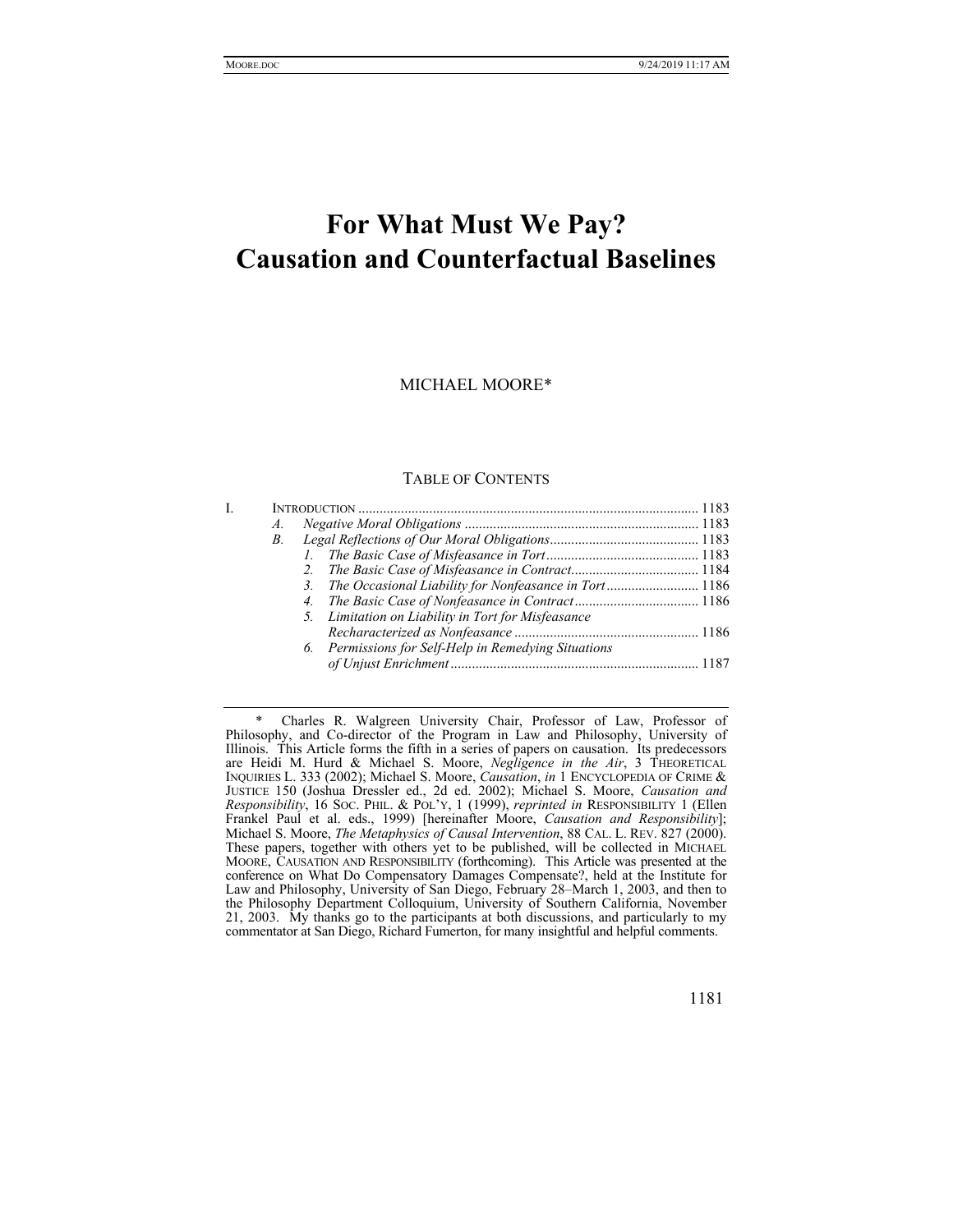# **For What Must We Pay? Causation and Counterfactual Baselines**

## MICHAEL MOORE\*

## TABLE OF CONTENTS

|  | A.         |                                                                         |  |
|--|------------|-------------------------------------------------------------------------|--|
|  | <i>B</i> . |                                                                         |  |
|  |            |                                                                         |  |
|  |            | 2.                                                                      |  |
|  |            | The Occasional Liability for Nonfeasance in Tort 1186<br>3 <sub>1</sub> |  |
|  |            |                                                                         |  |
|  |            | 5. Limitation on Liability in Tort for Misfeasance                      |  |
|  |            |                                                                         |  |
|  |            | 6. Permissions for Self-Help in Remedying Situations                    |  |
|  |            |                                                                         |  |
|  |            |                                                                         |  |

\* Charles R. Walgreen University Chair, Professor of Law, Professor of Philosophy, and Co-director of the Program in Law and Philosophy, University of Illinois. This Article forms the fifth in a series of papers on causation. Its predecessors are Heidi M. Hurd & Michael S. Moore, *Negligence in the Air*, 3 THEORETICAL INQUIRIES L. 333 (2002); Michael S. Moore, *Causation*, *in* 1 ENCYCLOPEDIA OF CRIME & JUSTICE 150 (Joshua Dressler ed., 2d ed. 2002); Michael S. Moore, *Causation and Responsibility*, 16 SOC. PHIL. & POL'Y, 1 (1999), *reprinted in* RESPONSIBILITY 1 (Ellen Frankel Paul et al. eds., 1999) [hereinafter Moore, *Causation and Responsibility*]; Michael S. Moore, *The Metaphysics of Causal Intervention*, 88 CAL. L. REV. 827 (2000). These papers, together with others yet to be published, will be collected in MICHAEL MOORE, CAUSATION AND RESPONSIBILITY (forthcoming). This Article was presented at the conference on What Do Compensatory Damages Compensate?, held at the Institute for Law and Philosophy, University of San Diego, February 28–March 1, 2003, and then to the Philosophy Department Colloquium, University of Southern California, November 21, 2003. My thanks go to the participants at both discussions, and particularly to my commentator at San Diego, Richard Fumerton, for many insightful and helpful comments.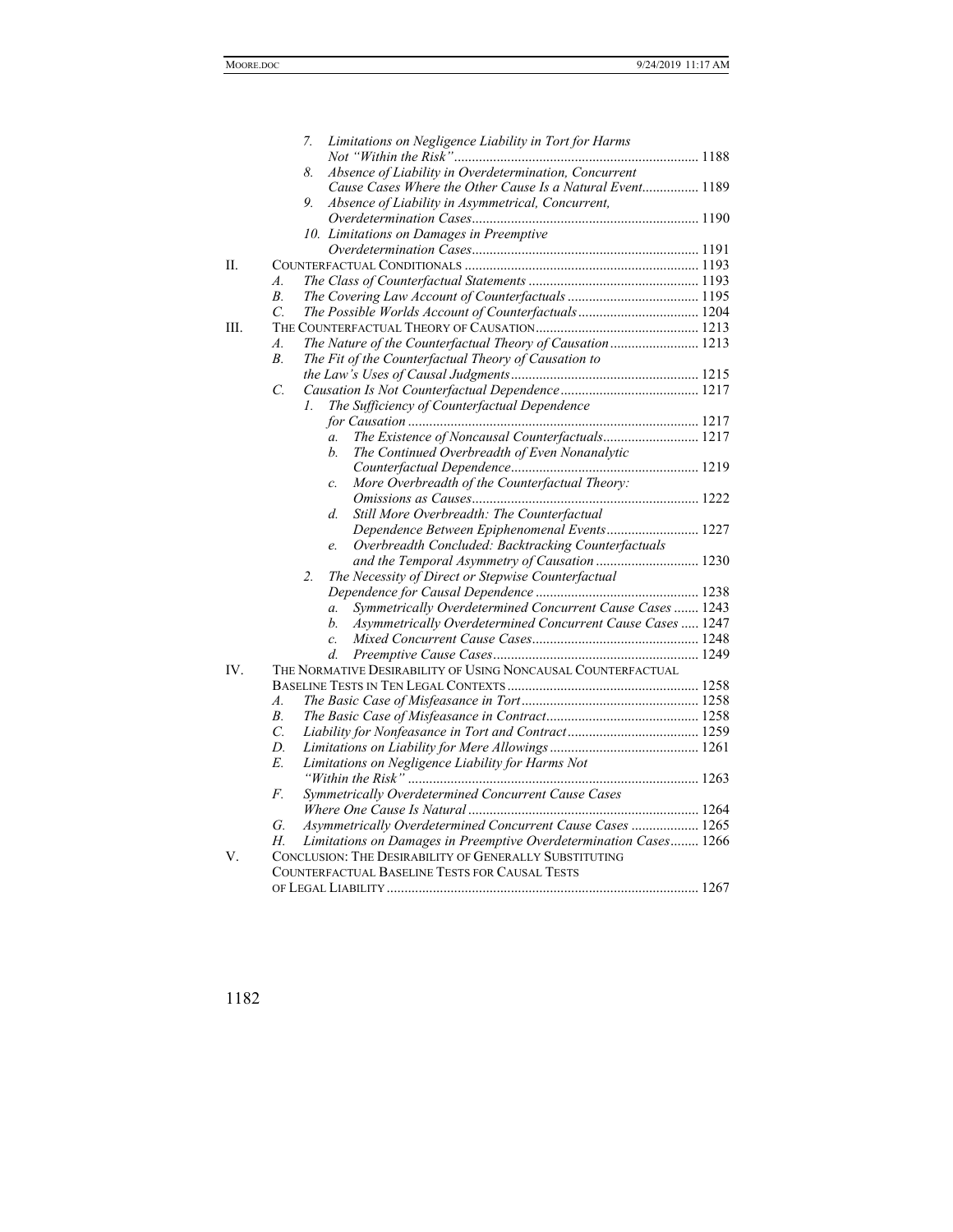|      | Limitations on Negligence Liability in Tort for Harms<br>7.                                                                       |
|------|-----------------------------------------------------------------------------------------------------------------------------------|
|      |                                                                                                                                   |
|      | Absence of Liability in Overdetermination, Concurrent<br>8.                                                                       |
|      | Cause Cases Where the Other Cause Is a Natural Event 1189                                                                         |
|      | 9.<br>Absence of Liability in Asymmetrical, Concurrent,                                                                           |
|      |                                                                                                                                   |
|      | 10. Limitations on Damages in Preemptive                                                                                          |
|      |                                                                                                                                   |
| Π.   |                                                                                                                                   |
|      | A.                                                                                                                                |
|      | $B_{\cdot}$                                                                                                                       |
|      | The Possible Worlds Account of Counterfactuals 1204<br>C.                                                                         |
| III. |                                                                                                                                   |
|      | The Nature of the Counterfactual Theory of Causation 1213<br>A.                                                                   |
|      | The Fit of the Counterfactual Theory of Causation to<br>$B_{\cdot}$                                                               |
|      |                                                                                                                                   |
|      | C.                                                                                                                                |
|      | The Sufficiency of Counterfactual Dependence<br>$\mathcal{I}$                                                                     |
|      |                                                                                                                                   |
|      | The Existence of Noncausal Counterfactuals 1217<br>$a_{\cdot}$                                                                    |
|      | The Continued Overbreadth of Even Nonanalytic<br>b.                                                                               |
|      |                                                                                                                                   |
|      | More Overbreadth of the Counterfactual Theory:<br>$\mathcal{C}$ .                                                                 |
|      |                                                                                                                                   |
|      | Still More Overbreadth: The Counterfactual<br>d.                                                                                  |
|      | Dependence Between Epiphenomenal Events 1227                                                                                      |
|      | Overbreadth Concluded: Backtracking Counterfactuals<br>e.                                                                         |
|      | and the Temporal Asymmetry of Causation  1230                                                                                     |
|      | The Necessity of Direct or Stepwise Counterfactual<br>$\overline{2}$ .                                                            |
|      |                                                                                                                                   |
|      | Symmetrically Overdetermined Concurrent Cause Cases  1243<br>$a_{\cdot}$                                                          |
|      | Asymmetrically Overdetermined Concurrent Cause Cases  1247<br>b.                                                                  |
|      | $\mathcal{C}$ .                                                                                                                   |
|      | d.                                                                                                                                |
| IV.  | THE NORMATIVE DESIRABILITY OF USING NONCAUSAL COUNTERFACTUAL                                                                      |
|      |                                                                                                                                   |
|      | A.                                                                                                                                |
|      | $B_{\cdot}$                                                                                                                       |
|      | C.                                                                                                                                |
|      | D.                                                                                                                                |
|      | Limitations on Negligence Liability for Harms Not<br>E.                                                                           |
|      | Symmetrically Overdetermined Concurrent Cause Cases                                                                               |
|      | F.                                                                                                                                |
|      |                                                                                                                                   |
|      | Asymmetrically Overdetermined Concurrent Cause Cases  1265<br>G.                                                                  |
|      | Limitations on Damages in Preemptive Overdetermination Cases 1266<br>Н.<br>CONCLUSION: THE DESIRABILITY OF GENERALLY SUBSTITUTING |
| V.   |                                                                                                                                   |
|      | COUNTERFACTUAL BASELINE TESTS FOR CAUSAL TESTS                                                                                    |
|      |                                                                                                                                   |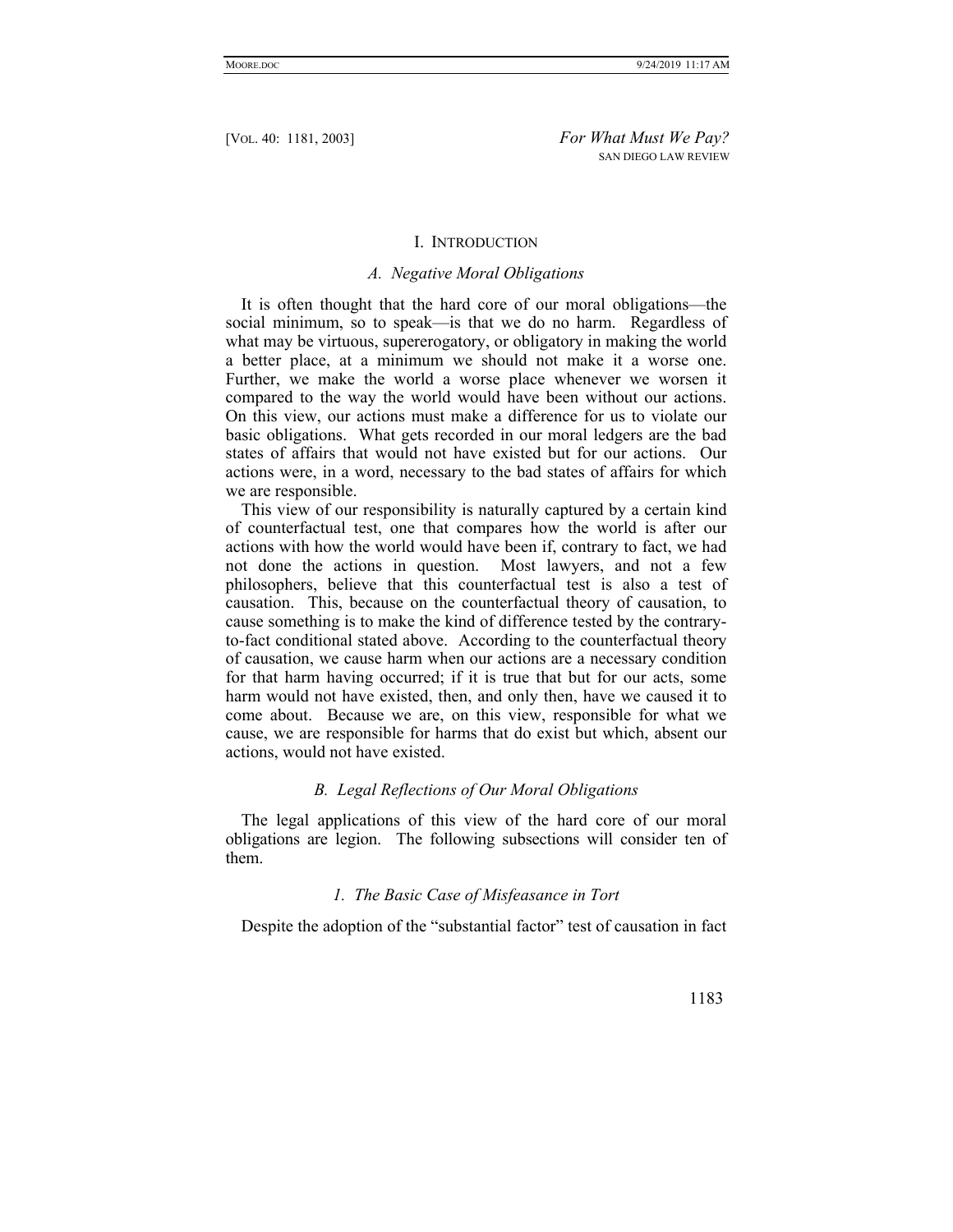## I. INTRODUCTION

## *A. Negative Moral Obligations*

It is often thought that the hard core of our moral obligations—the social minimum, so to speak—is that we do no harm. Regardless of what may be virtuous, supererogatory, or obligatory in making the world a better place, at a minimum we should not make it a worse one. Further, we make the world a worse place whenever we worsen it compared to the way the world would have been without our actions. On this view, our actions must make a difference for us to violate our basic obligations. What gets recorded in our moral ledgers are the bad states of affairs that would not have existed but for our actions. Our actions were, in a word, necessary to the bad states of affairs for which we are responsible.

This view of our responsibility is naturally captured by a certain kind of counterfactual test, one that compares how the world is after our actions with how the world would have been if, contrary to fact, we had not done the actions in question. Most lawyers, and not a few philosophers, believe that this counterfactual test is also a test of causation. This, because on the counterfactual theory of causation, to cause something is to make the kind of difference tested by the contraryto-fact conditional stated above. According to the counterfactual theory of causation, we cause harm when our actions are a necessary condition for that harm having occurred; if it is true that but for our acts, some harm would not have existed, then, and only then, have we caused it to come about. Because we are, on this view, responsible for what we cause, we are responsible for harms that do exist but which, absent our actions, would not have existed.

# *B. Legal Reflections of Our Moral Obligations*

The legal applications of this view of the hard core of our moral obligations are legion. The following subsections will consider ten of them.

# *1. The Basic Case of Misfeasance in Tort*

Despite the adoption of the "substantial factor" test of causation in fact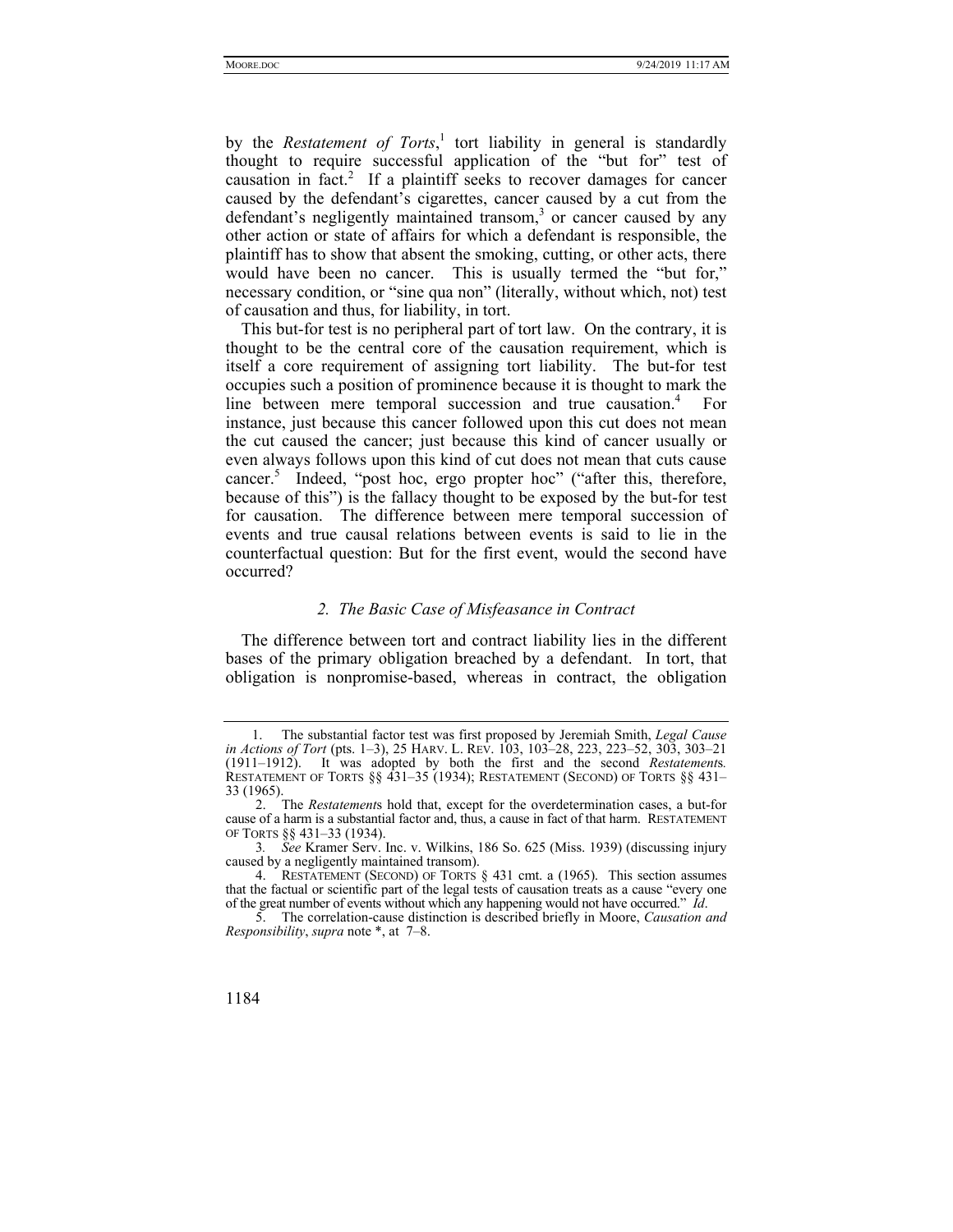by the *Restatement of Torts*, 1 tort liability in general is standardly thought to require successful application of the "but for" test of causation in fact.<sup>2</sup> If a plaintiff seeks to recover damages for cancer caused by the defendant's cigarettes, cancer caused by a cut from the defendant's negligently maintained transom, $3$  or cancer caused by any other action or state of affairs for which a defendant is responsible, the plaintiff has to show that absent the smoking, cutting, or other acts, there would have been no cancer. This is usually termed the "but for," necessary condition, or "sine qua non" (literally, without which, not) test of causation and thus, for liability, in tort.

This but-for test is no peripheral part of tort law. On the contrary, it is thought to be the central core of the causation requirement, which is itself a core requirement of assigning tort liability. The but-for test occupies such a position of prominence because it is thought to mark the line between mere temporal succession and true causation.4 For instance, just because this cancer followed upon this cut does not mean the cut caused the cancer; just because this kind of cancer usually or even always follows upon this kind of cut does not mean that cuts cause cancer.<sup>5</sup> Indeed, "post hoc, ergo propter hoc" ("after this, therefore, because of this") is the fallacy thought to be exposed by the but-for test for causation. The difference between mere temporal succession of events and true causal relations between events is said to lie in the counterfactual question: But for the first event, would the second have occurred?

## *2. The Basic Case of Misfeasance in Contract*

The difference between tort and contract liability lies in the different bases of the primary obligation breached by a defendant. In tort, that obligation is nonpromise-based, whereas in contract, the obligation

 <sup>5.</sup> The correlation-cause distinction is described briefly in Moore, *Causation and Responsibility*, *supra* note \*, at 7–8.



 <sup>1.</sup> The substantial factor test was first proposed by Jeremiah Smith, *Legal Cause in Actions of Tort* (pts. 1–3), 25 HARV. L. REV. 103, 103–28, 223, 223–52, 303, 303–21 (1911–1912). It was adopted by both the first and the second *Restatement*s*.* RESTATEMENT OF TORTS §§ 431–35 (1934); RESTATEMENT (SECOND) OF TORTS §§ 431– 33 (1965).

 <sup>2.</sup> The *Restatement*s hold that, except for the overdetermination cases, a but-for cause of a harm is a substantial factor and, thus, a cause in fact of that harm. RESTATEMENT OF TORTS §§ 431–33 (1934).

<sup>3</sup>*. See* Kramer Serv. Inc. v. Wilkins, 186 So. 625 (Miss. 1939) (discussing injury caused by a negligently maintained transom).

 <sup>4.</sup> RESTATEMENT (SECOND) OF TORTS § 431 cmt. a (1965). This section assumes that the factual or scientific part of the legal tests of causation treats as a cause "every one of the great number of events without which any happening would not have occurred." *Id*.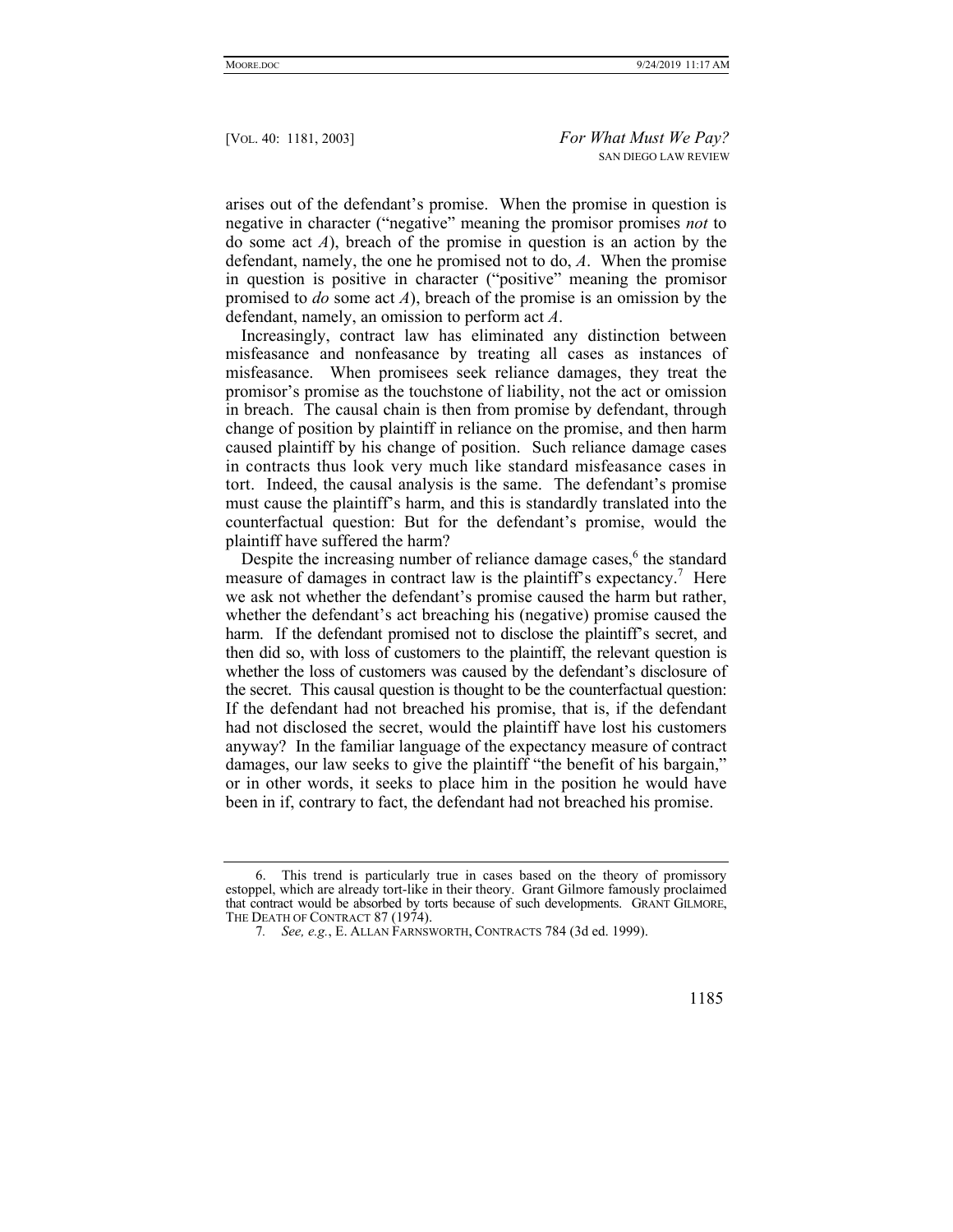arises out of the defendant's promise. When the promise in question is negative in character ("negative" meaning the promisor promises *not* to do some act *A*), breach of the promise in question is an action by the defendant, namely, the one he promised not to do, *A*. When the promise in question is positive in character ("positive" meaning the promisor promised to *do* some act *A*), breach of the promise is an omission by the defendant, namely, an omission to perform act *A*.

Increasingly, contract law has eliminated any distinction between misfeasance and nonfeasance by treating all cases as instances of misfeasance. When promisees seek reliance damages, they treat the promisor's promise as the touchstone of liability, not the act or omission in breach. The causal chain is then from promise by defendant, through change of position by plaintiff in reliance on the promise, and then harm caused plaintiff by his change of position. Such reliance damage cases in contracts thus look very much like standard misfeasance cases in tort. Indeed, the causal analysis is the same. The defendant's promise must cause the plaintiff's harm, and this is standardly translated into the counterfactual question: But for the defendant's promise, would the plaintiff have suffered the harm?

Despite the increasing number of reliance damage cases,<sup>6</sup> the standard measure of damages in contract law is the plaintiff's expectancy.<sup>7</sup> Here we ask not whether the defendant's promise caused the harm but rather, whether the defendant's act breaching his (negative) promise caused the harm. If the defendant promised not to disclose the plaintiff's secret, and then did so, with loss of customers to the plaintiff, the relevant question is whether the loss of customers was caused by the defendant's disclosure of the secret. This causal question is thought to be the counterfactual question: If the defendant had not breached his promise, that is, if the defendant had not disclosed the secret, would the plaintiff have lost his customers anyway? In the familiar language of the expectancy measure of contract damages, our law seeks to give the plaintiff "the benefit of his bargain," or in other words, it seeks to place him in the position he would have been in if, contrary to fact, the defendant had not breached his promise.

 <sup>6.</sup> This trend is particularly true in cases based on the theory of promissory estoppel, which are already tort-like in their theory. Grant Gilmore famously proclaimed that contract would be absorbed by torts because of such developments. GRANT GILMORE, THE DEATH OF CONTRACT 87 (1974).

<sup>7</sup>*. See, e.g.*, E. ALLAN FARNSWORTH, CONTRACTS 784 (3d ed. 1999).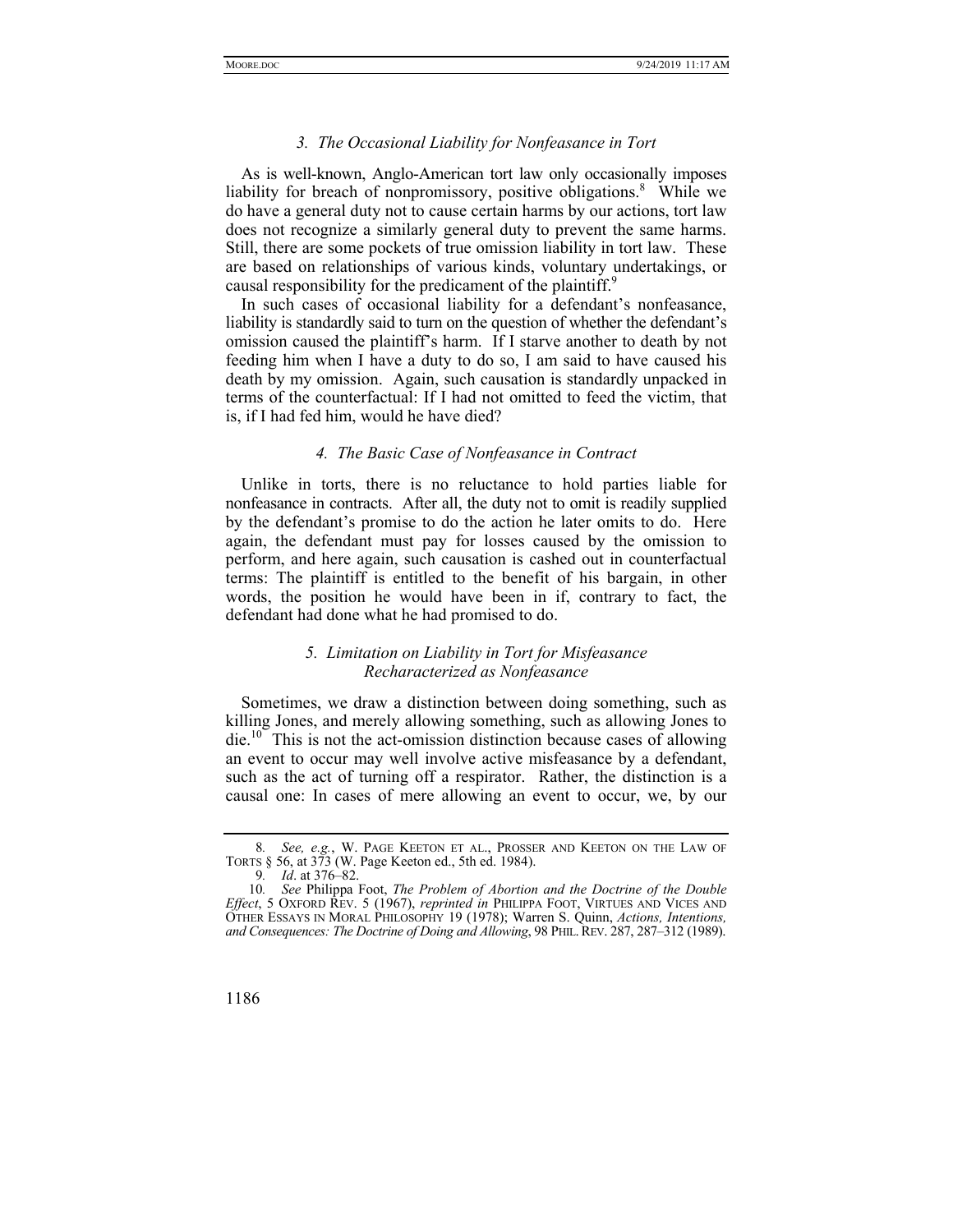#### *3. The Occasional Liability for Nonfeasance in Tort*

As is well-known, Anglo-American tort law only occasionally imposes liability for breach of nonpromissory, positive obligations.<sup>8</sup> While we do have a general duty not to cause certain harms by our actions, tort law does not recognize a similarly general duty to prevent the same harms. Still, there are some pockets of true omission liability in tort law. These are based on relationships of various kinds, voluntary undertakings, or causal responsibility for the predicament of the plaintiff.<sup>9</sup>

In such cases of occasional liability for a defendant's nonfeasance, liability is standardly said to turn on the question of whether the defendant's omission caused the plaintiff's harm. If I starve another to death by not feeding him when I have a duty to do so, I am said to have caused his death by my omission. Again, such causation is standardly unpacked in terms of the counterfactual: If I had not omitted to feed the victim, that is, if I had fed him, would he have died?

#### *4. The Basic Case of Nonfeasance in Contract*

Unlike in torts, there is no reluctance to hold parties liable for nonfeasance in contracts. After all, the duty not to omit is readily supplied by the defendant's promise to do the action he later omits to do. Here again, the defendant must pay for losses caused by the omission to perform, and here again, such causation is cashed out in counterfactual terms: The plaintiff is entitled to the benefit of his bargain, in other words, the position he would have been in if, contrary to fact, the defendant had done what he had promised to do.

## *5. Limitation on Liability in Tort for Misfeasance Recharacterized as Nonfeasance*

Sometimes, we draw a distinction between doing something, such as killing Jones, and merely allowing something, such as allowing Jones to die.10 This is not the act-omission distinction because cases of allowing an event to occur may well involve active misfeasance by a defendant, such as the act of turning off a respirator. Rather, the distinction is a causal one: In cases of mere allowing an event to occur, we, by our

<sup>10</sup>*. See* Philippa Foot, *The Problem of Abortion and the Doctrine of the Double Effect*, 5 OXFORD REV. 5 (1967), *reprinted in* PHILIPPA FOOT, VIRTUES AND VICES AND OTHER ESSAYS IN MORAL PHILOSOPHY 19 (1978); Warren S. Quinn, *Actions, Intentions, and Consequences: The Doctrine of Doing and Allowing*, 98 PHIL. REV. 287, 287–312 (1989).



<sup>8</sup>*. See, e.g.*, W. PAGE KEETON ET AL., PROSSER AND KEETON ON THE LAW OF TORTS § 56, at 373 (W. Page Keeton ed., 5th ed. 1984).

<sup>9</sup>*. Id*. at 376–82.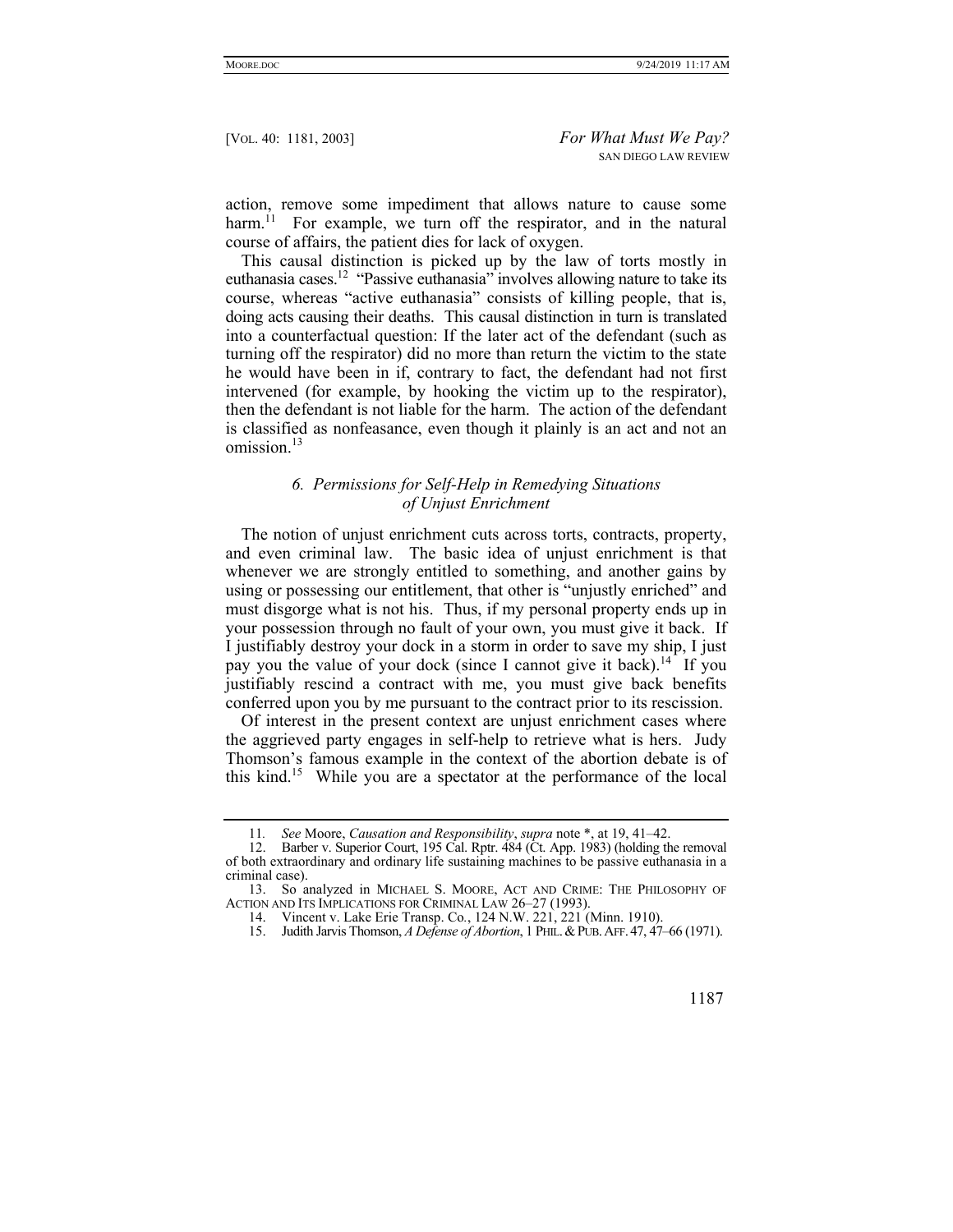action, remove some impediment that allows nature to cause some harm.<sup>11</sup> For example, we turn off the respirator, and in the natural course of affairs, the patient dies for lack of oxygen.

This causal distinction is picked up by the law of torts mostly in euthanasia cases.<sup>12</sup> "Passive euthanasia" involves allowing nature to take its course, whereas "active euthanasia" consists of killing people, that is, doing acts causing their deaths. This causal distinction in turn is translated into a counterfactual question: If the later act of the defendant (such as turning off the respirator) did no more than return the victim to the state he would have been in if, contrary to fact, the defendant had not first intervened (for example, by hooking the victim up to the respirator), then the defendant is not liable for the harm. The action of the defendant is classified as nonfeasance, even though it plainly is an act and not an omission.<sup>13</sup>

# *6. Permissions for Self-Help in Remedying Situations of Unjust Enrichment*

The notion of unjust enrichment cuts across torts, contracts, property, and even criminal law. The basic idea of unjust enrichment is that whenever we are strongly entitled to something, and another gains by using or possessing our entitlement, that other is "unjustly enriched" and must disgorge what is not his. Thus, if my personal property ends up in your possession through no fault of your own, you must give it back. If I justifiably destroy your dock in a storm in order to save my ship, I just pay you the value of your dock (since I cannot give it back).<sup>14</sup> If you justifiably rescind a contract with me, you must give back benefits conferred upon you by me pursuant to the contract prior to its rescission.

Of interest in the present context are unjust enrichment cases where the aggrieved party engages in self-help to retrieve what is hers. Judy Thomson's famous example in the context of the abortion debate is of this kind.<sup>15</sup> While you are a spectator at the performance of the local

<sup>11</sup>*. See* Moore, *Causation and Responsibility*, *supra* note \*, at 19, 41–42.

 <sup>12.</sup> Barber v. Superior Court, 195 Cal. Rptr. 484 (Ct. App. 1983) (holding the removal of both extraordinary and ordinary life sustaining machines to be passive euthanasia in a criminal case).

 <sup>13.</sup> So analyzed in MICHAEL S. MOORE, ACT AND CRIME: THE PHILOSOPHY OF ACTION AND ITS IMPLICATIONS FOR CRIMINAL LAW 26–27 (1993).

 <sup>14.</sup> Vincent v. Lake Erie Transp. Co*.*, 124 N.W. 221, 221 (Minn. 1910).

 <sup>15.</sup> Judith Jarvis Thomson, *A Defense of Abortion*, 1 PHIL.&PUB.AFF. 47, 47–66 (1971).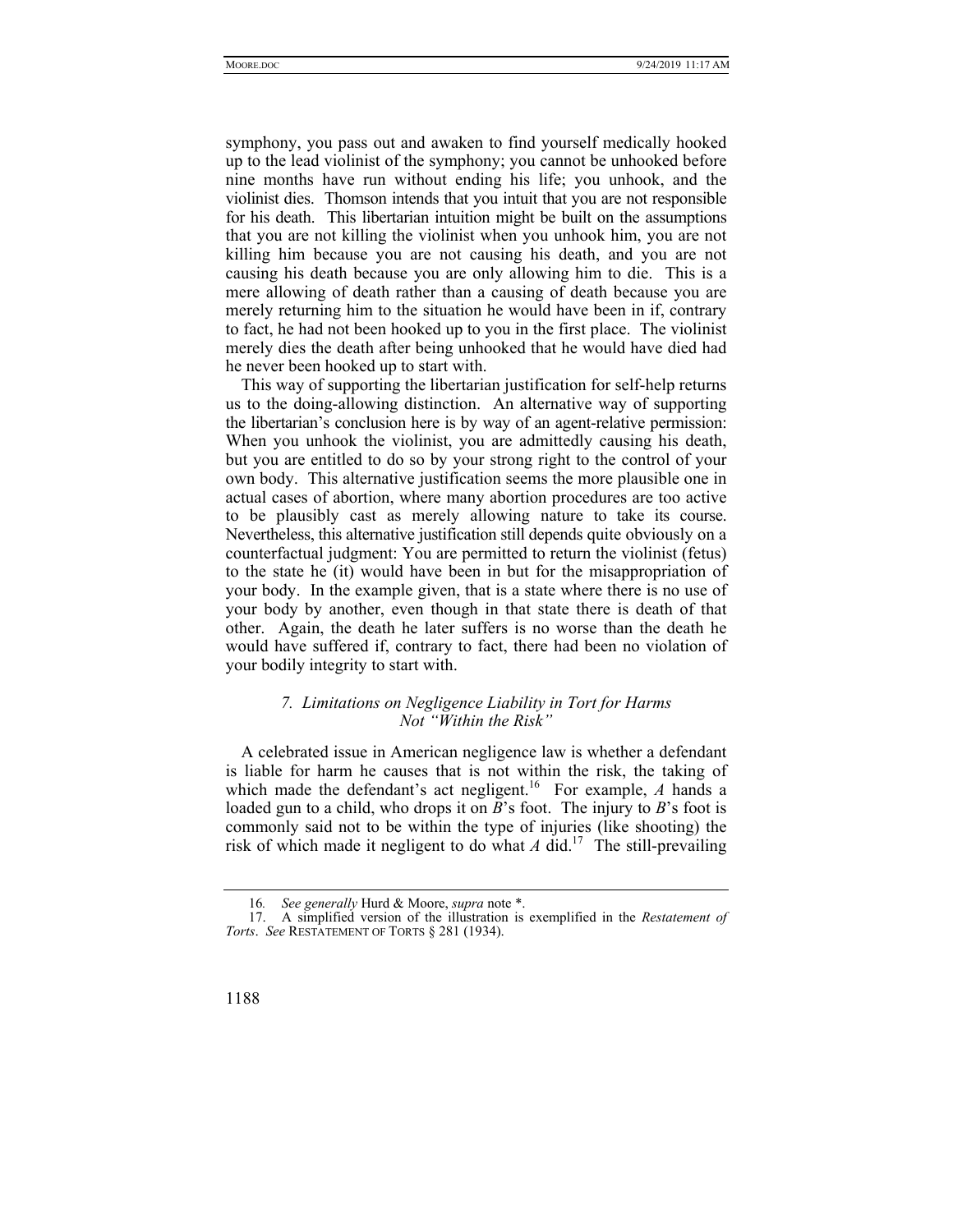symphony, you pass out and awaken to find yourself medically hooked up to the lead violinist of the symphony; you cannot be unhooked before nine months have run without ending his life; you unhook, and the violinist dies. Thomson intends that you intuit that you are not responsible for his death. This libertarian intuition might be built on the assumptions that you are not killing the violinist when you unhook him, you are not killing him because you are not causing his death, and you are not causing his death because you are only allowing him to die. This is a mere allowing of death rather than a causing of death because you are merely returning him to the situation he would have been in if, contrary to fact, he had not been hooked up to you in the first place. The violinist merely dies the death after being unhooked that he would have died had he never been hooked up to start with.

This way of supporting the libertarian justification for self-help returns us to the doing-allowing distinction. An alternative way of supporting the libertarian's conclusion here is by way of an agent-relative permission: When you unhook the violinist, you are admittedly causing his death, but you are entitled to do so by your strong right to the control of your own body. This alternative justification seems the more plausible one in actual cases of abortion, where many abortion procedures are too active to be plausibly cast as merely allowing nature to take its course. Nevertheless, this alternative justification still depends quite obviously on a counterfactual judgment: You are permitted to return the violinist (fetus) to the state he (it) would have been in but for the misappropriation of your body. In the example given, that is a state where there is no use of your body by another, even though in that state there is death of that other. Again, the death he later suffers is no worse than the death he would have suffered if, contrary to fact, there had been no violation of your bodily integrity to start with.

# *7. Limitations on Negligence Liability in Tort for Harms Not "Within the Risk"*

A celebrated issue in American negligence law is whether a defendant is liable for harm he causes that is not within the risk, the taking of which made the defendant's act negligent.<sup>16</sup> For example, *A* hands a loaded gun to a child, who drops it on *B*'s foot. The injury to *B*'s foot is commonly said not to be within the type of injuries (like shooting) the risk of which made it negligent to do what  $A$  did.<sup>17</sup> The still-prevailing

 <sup>17.</sup> A simplified version of the illustration is exemplified in the *Restatement of Torts*. *See* RESTATEMENT OF TORTS § 281 (1934).



<sup>16</sup>*. See generally* Hurd & Moore, *supra* note \*.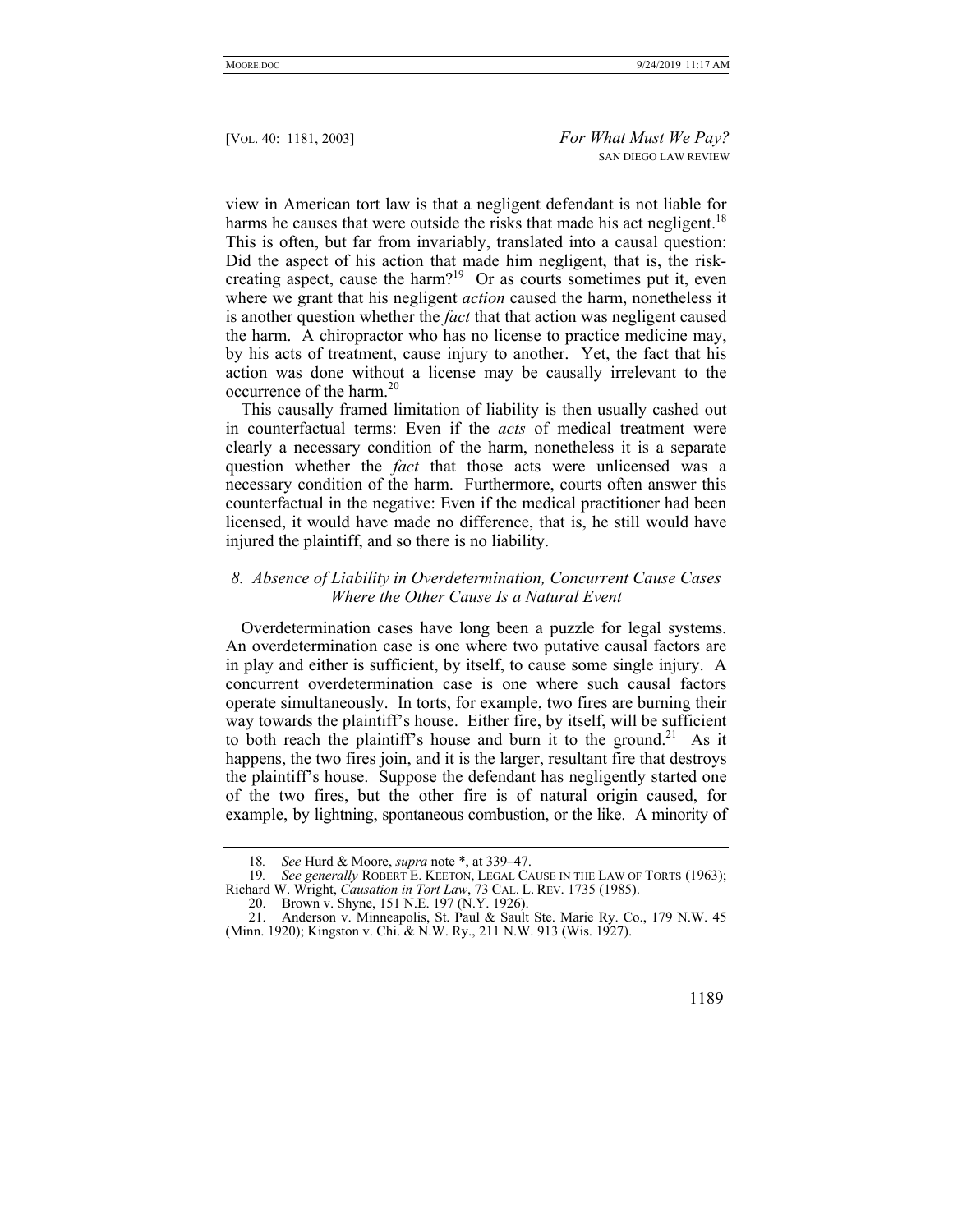view in American tort law is that a negligent defendant is not liable for harms he causes that were outside the risks that made his act negligent.<sup>18</sup> This is often, but far from invariably, translated into a causal question: Did the aspect of his action that made him negligent, that is, the riskcreating aspect, cause the harm?<sup>19</sup> Or as courts sometimes put it, even where we grant that his negligent *action* caused the harm, nonetheless it is another question whether the *fact* that that action was negligent caused the harm. A chiropractor who has no license to practice medicine may, by his acts of treatment, cause injury to another. Yet, the fact that his action was done without a license may be causally irrelevant to the occurrence of the harm.<sup>20</sup>

This causally framed limitation of liability is then usually cashed out in counterfactual terms: Even if the *acts* of medical treatment were clearly a necessary condition of the harm, nonetheless it is a separate question whether the *fact* that those acts were unlicensed was a necessary condition of the harm. Furthermore, courts often answer this counterfactual in the negative: Even if the medical practitioner had been licensed, it would have made no difference, that is, he still would have injured the plaintiff, and so there is no liability.

# *8. Absence of Liability in Overdetermination, Concurrent Cause Cases Where the Other Cause Is a Natural Event*

Overdetermination cases have long been a puzzle for legal systems. An overdetermination case is one where two putative causal factors are in play and either is sufficient, by itself, to cause some single injury. A concurrent overdetermination case is one where such causal factors operate simultaneously. In torts, for example, two fires are burning their way towards the plaintiff's house. Either fire, by itself, will be sufficient to both reach the plaintiff's house and burn it to the ground.<sup>21</sup> As it happens, the two fires join, and it is the larger, resultant fire that destroys the plaintiff's house. Suppose the defendant has negligently started one of the two fires, but the other fire is of natural origin caused, for example, by lightning, spontaneous combustion, or the like. A minority of

 <sup>21.</sup> Anderson v. Minneapolis, St. Paul & Sault Ste. Marie Ry. Co., 179 N.W. 45 (Minn. 1920); Kingston v. Chi. & N.W. Ry., 211 N.W. 913 (Wis. 1927).



<sup>18</sup>*. See* Hurd & Moore, *supra* note \*, at 339–47.

<sup>19</sup>*. See generally* ROBERT E. KEETON, LEGAL CAUSE IN THE LAW OF TORTS (1963); Richard W. Wright, *Causation in Tort Law*, 73 CAL. L. REV. 1735 (1985).

 <sup>20.</sup> Brown v. Shyne, 151 N.E. 197 (N.Y. 1926).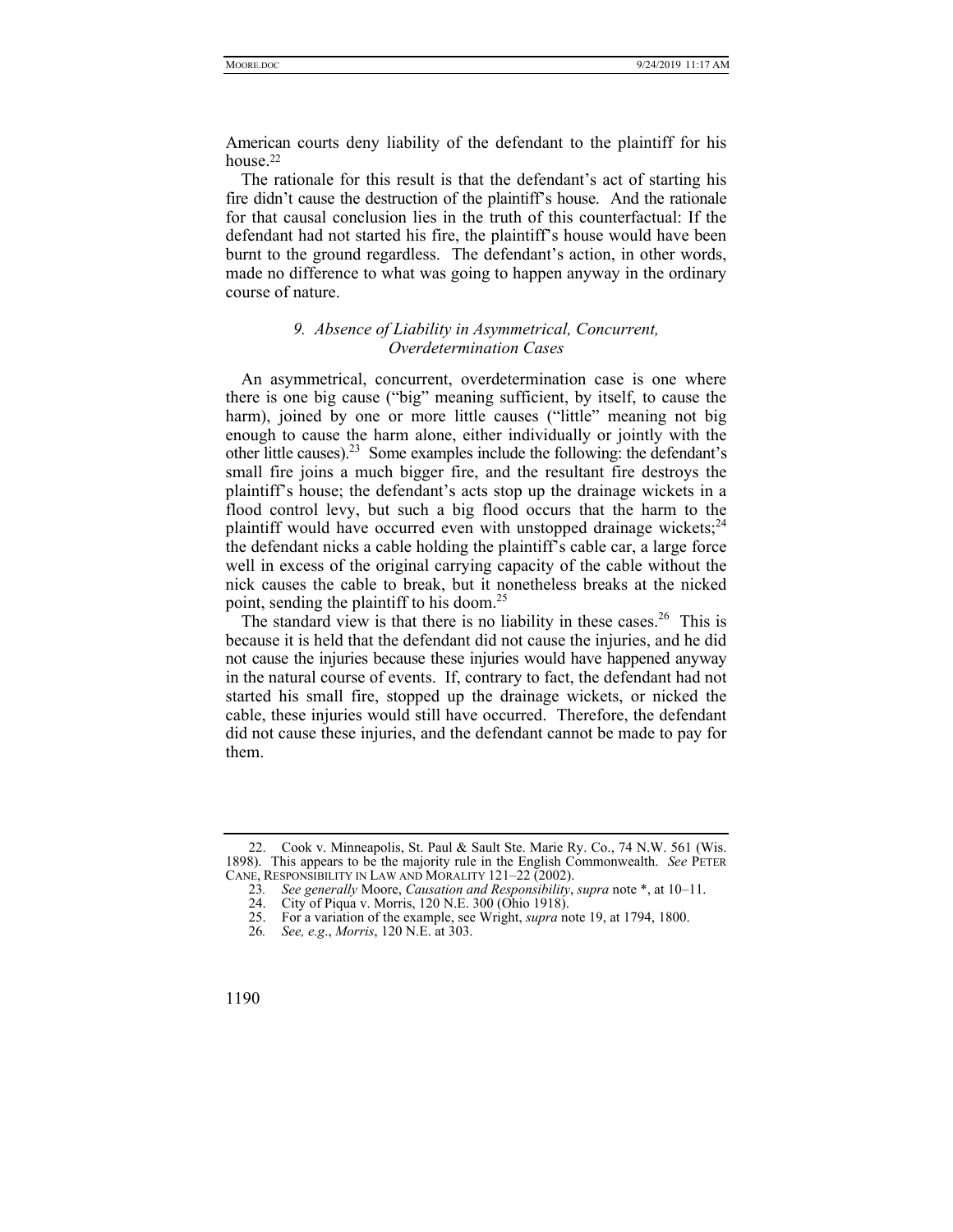American courts deny liability of the defendant to the plaintiff for his house.22

The rationale for this result is that the defendant's act of starting his fire didn't cause the destruction of the plaintiff's house. And the rationale for that causal conclusion lies in the truth of this counterfactual: If the defendant had not started his fire, the plaintiff's house would have been burnt to the ground regardless. The defendant's action, in other words, made no difference to what was going to happen anyway in the ordinary course of nature.

# *9. Absence of Liability in Asymmetrical, Concurrent, Overdetermination Cases*

An asymmetrical, concurrent, overdetermination case is one where there is one big cause ("big" meaning sufficient, by itself, to cause the harm), joined by one or more little causes ("little" meaning not big enough to cause the harm alone, either individually or jointly with the other little causes).<sup>23</sup> Some examples include the following: the defendant's small fire joins a much bigger fire, and the resultant fire destroys the plaintiff's house; the defendant's acts stop up the drainage wickets in a flood control levy, but such a big flood occurs that the harm to the plaintiff would have occurred even with unstopped drainage wickets;  $24$ the defendant nicks a cable holding the plaintiff's cable car, a large force well in excess of the original carrying capacity of the cable without the nick causes the cable to break, but it nonetheless breaks at the nicked point, sending the plaintiff to his doom.<sup>25</sup>

The standard view is that there is no liability in these cases.<sup>26</sup> This is because it is held that the defendant did not cause the injuries, and he did not cause the injuries because these injuries would have happened anyway in the natural course of events. If, contrary to fact, the defendant had not started his small fire, stopped up the drainage wickets, or nicked the cable, these injuries would still have occurred. Therefore, the defendant did not cause these injuries, and the defendant cannot be made to pay for them.

 <sup>22.</sup> Cook v. Minneapolis, St. Paul & Sault Ste. Marie Ry. Co., 74 N.W. 561 (Wis. 1898). This appears to be the majority rule in the English Commonwealth. *See* PETER CANE, RESPONSIBILITY IN LAW AND MORALITY 121–22 (2002).

<sup>23</sup>*. See generally* Moore, *Causation and Responsibility*, *supra* note \*, at 10–11.

 <sup>24.</sup> City of Piqua v. Morris, 120 N.E. 300 (Ohio 1918).

 <sup>25.</sup> For a variation of the example, see Wright, *supra* note 19, at 1794, 1800.

<sup>26</sup>*. See, e.g*., *Morris*, 120 N.E. at 303.

<sup>1190</sup>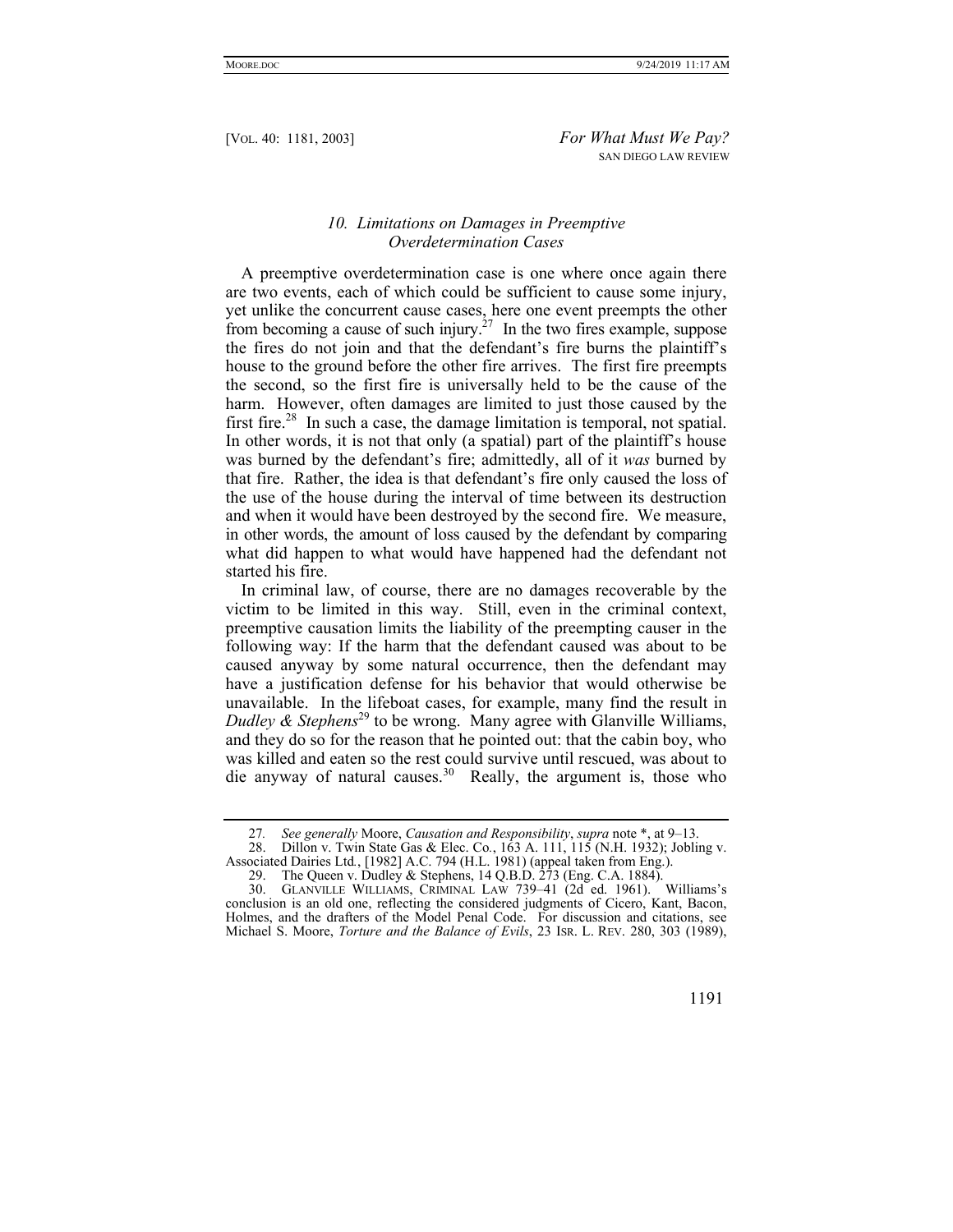# *10. Limitations on Damages in Preemptive Overdetermination Cases*

A preemptive overdetermination case is one where once again there are two events, each of which could be sufficient to cause some injury, yet unlike the concurrent cause cases, here one event preempts the other from becoming a cause of such injury.<sup>27</sup> In the two fires example, suppose the fires do not join and that the defendant's fire burns the plaintiff's house to the ground before the other fire arrives. The first fire preempts the second, so the first fire is universally held to be the cause of the harm. However, often damages are limited to just those caused by the first fire.<sup>28</sup> In such a case, the damage limitation is temporal, not spatial. In other words, it is not that only (a spatial) part of the plaintiff's house was burned by the defendant's fire; admittedly, all of it *was* burned by that fire. Rather, the idea is that defendant's fire only caused the loss of the use of the house during the interval of time between its destruction and when it would have been destroyed by the second fire. We measure, in other words, the amount of loss caused by the defendant by comparing what did happen to what would have happened had the defendant not started his fire.

In criminal law, of course, there are no damages recoverable by the victim to be limited in this way. Still, even in the criminal context, preemptive causation limits the liability of the preempting causer in the following way: If the harm that the defendant caused was about to be caused anyway by some natural occurrence, then the defendant may have a justification defense for his behavior that would otherwise be unavailable. In the lifeboat cases, for example, many find the result in *Dudley & Stephens*<sup>29</sup> to be wrong. Many agree with Glanville Williams, and they do so for the reason that he pointed out: that the cabin boy, who was killed and eaten so the rest could survive until rescued, was about to die anyway of natural causes.<sup>30</sup> Really, the argument is, those who

<sup>27</sup>*. See generally* Moore, *Causation and Responsibility*, *supra* note \*, at 9–13.

 <sup>28.</sup> Dillon v. Twin State Gas & Elec. Co*.*, 163 A. 111, 115 (N.H. 1932); Jobling v. Associated Dairies Ltd*.*, [1982] A.C. 794 (H.L. 1981) (appeal taken from Eng.).

 <sup>29.</sup> The Queen v. Dudley & Stephens, 14 Q.B.D. 273 (Eng. C.A. 1884).

 <sup>30.</sup> GLANVILLE WILLIAMS, CRIMINAL LAW 739–41 (2d ed. 1961). Williams's conclusion is an old one, reflecting the considered judgments of Cicero, Kant, Bacon, Holmes, and the drafters of the Model Penal Code. For discussion and citations, see Michael S. Moore, *Torture and the Balance of Evils*, 23 ISR. L. REV. 280, 303 (1989),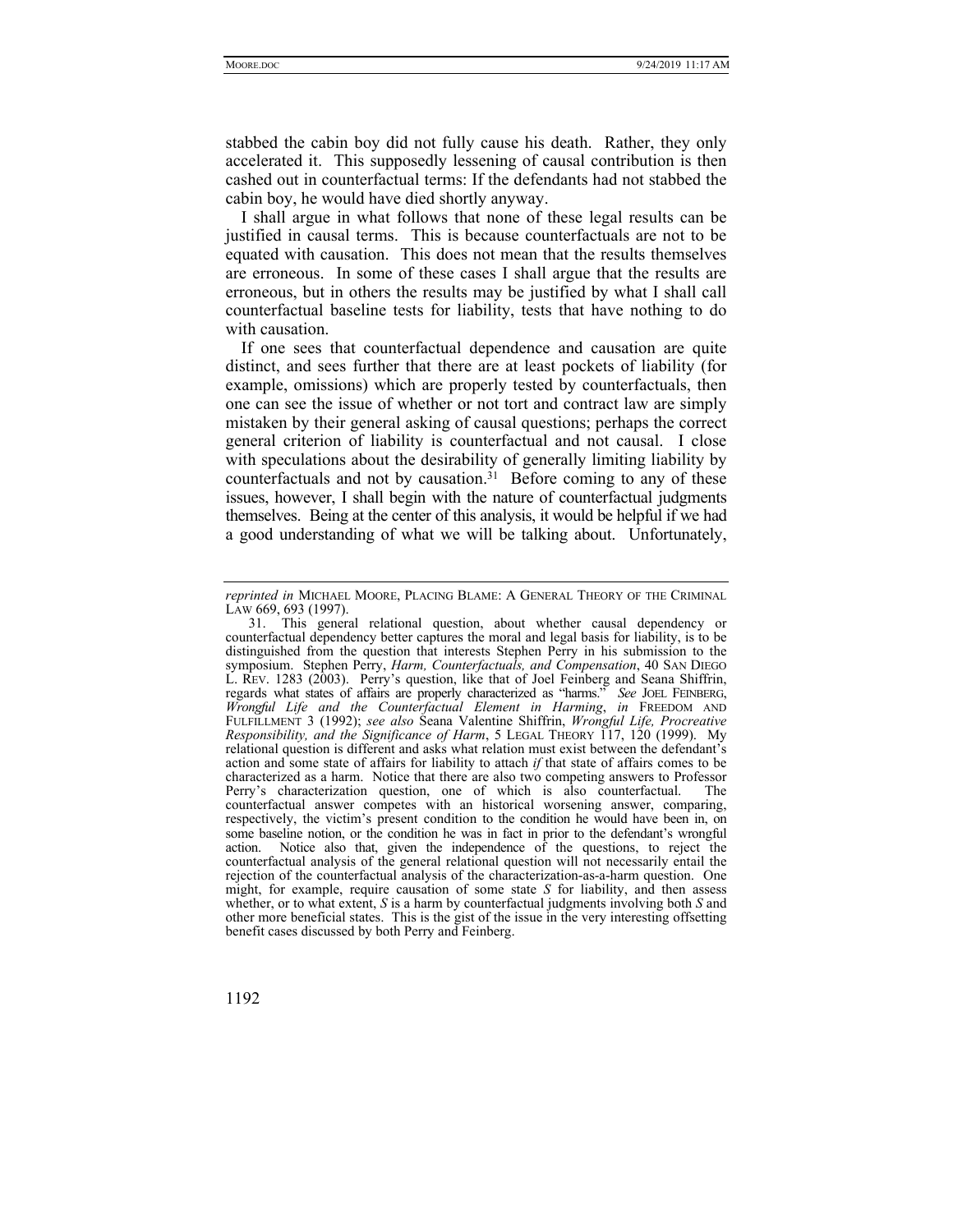stabbed the cabin boy did not fully cause his death. Rather, they only accelerated it. This supposedly lessening of causal contribution is then cashed out in counterfactual terms: If the defendants had not stabbed the cabin boy, he would have died shortly anyway.

I shall argue in what follows that none of these legal results can be justified in causal terms. This is because counterfactuals are not to be equated with causation. This does not mean that the results themselves are erroneous. In some of these cases I shall argue that the results are erroneous, but in others the results may be justified by what I shall call counterfactual baseline tests for liability, tests that have nothing to do with causation.

If one sees that counterfactual dependence and causation are quite distinct, and sees further that there are at least pockets of liability (for example, omissions) which are properly tested by counterfactuals, then one can see the issue of whether or not tort and contract law are simply mistaken by their general asking of causal questions; perhaps the correct general criterion of liability is counterfactual and not causal. I close with speculations about the desirability of generally limiting liability by counterfactuals and not by causation.<sup>31</sup> Before coming to any of these issues, however, I shall begin with the nature of counterfactual judgments themselves. Being at the center of this analysis, it would be helpful if we had a good understanding of what we will be talking about. Unfortunately,

*reprinted in* MICHAEL MOORE, PLACING BLAME: A GENERAL THEORY OF THE CRIMINAL LAW 669, 693 (1997).

 <sup>31.</sup> This general relational question, about whether causal dependency or counterfactual dependency better captures the moral and legal basis for liability, is to be distinguished from the question that interests Stephen Perry in his submission to the symposium. Stephen Perry, *Harm, Counterfactuals, and Compensation*, 40 SAN DIEGO L. REV. 1283 (2003). Perry's question, like that of Joel Feinberg and Seana Shiffrin, regards what states of affairs are properly characterized as "harms." *See* JOEL FEINBERG, *Wrongful Life and the Counterfactual Element in Harming*, *in* FREEDOM AND FULFILLMENT 3 (1992); *see also* Seana Valentine Shiffrin, *Wrongful Life, Procreative Responsibility, and the Significance of Harm*, 5 LEGAL THEORY 117, 120 (1999). My relational question is different and asks what relation must exist between the defendant's action and some state of affairs for liability to attach *if* that state of affairs comes to be characterized as a harm. Notice that there are also two competing answers to Professor Perry's characterization question, one of which is also counterfactual. The counterfactual answer competes with an historical worsening answer, comparing, respectively, the victim's present condition to the condition he would have been in, on some baseline notion, or the condition he was in fact in prior to the defendant's wrongful action. Notice also that, given the independence of the questions, to reject the counterfactual analysis of the general relational question will not necessarily entail the rejection of the counterfactual analysis of the characterization-as-a-harm question. One might, for example, require causation of some state *S* for liability, and then assess whether, or to what extent, *S* is a harm by counterfactual judgments involving both *S* and other more beneficial states. This is the gist of the issue in the very interesting offsetting benefit cases discussed by both Perry and Feinberg.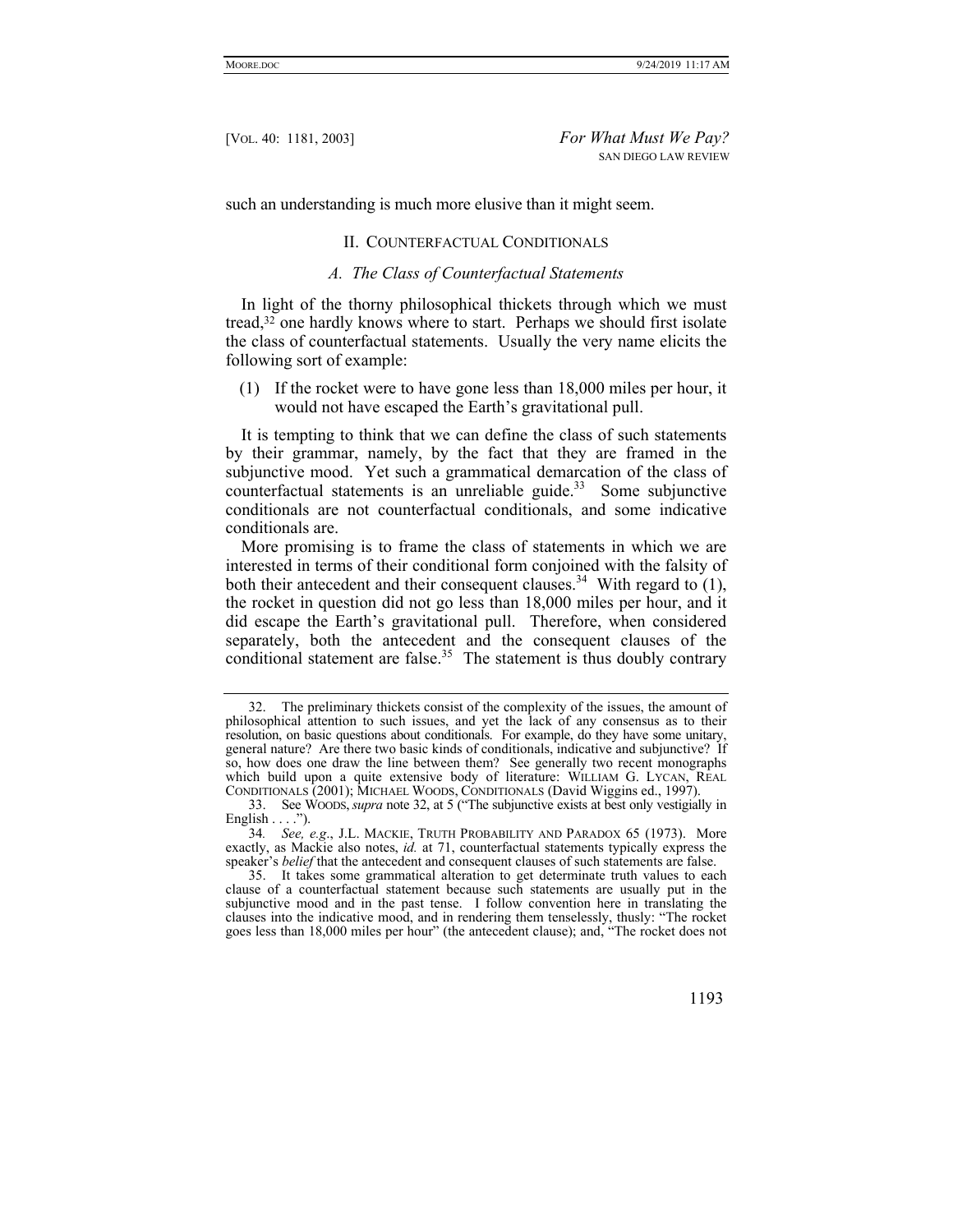such an understanding is much more elusive than it might seem.

#### II. COUNTERFACTUAL CONDITIONALS

## *A. The Class of Counterfactual Statements*

In light of the thorny philosophical thickets through which we must tread,32 one hardly knows where to start. Perhaps we should first isolate the class of counterfactual statements. Usually the very name elicits the following sort of example:

(1) If the rocket were to have gone less than 18,000 miles per hour, it would not have escaped the Earth's gravitational pull.

It is tempting to think that we can define the class of such statements by their grammar, namely, by the fact that they are framed in the subjunctive mood. Yet such a grammatical demarcation of the class of counterfactual statements is an unreliable guide.<sup>33</sup> Some subjunctive conditionals are not counterfactual conditionals, and some indicative conditionals are.

More promising is to frame the class of statements in which we are interested in terms of their conditional form conjoined with the falsity of both their antecedent and their consequent clauses.<sup>34</sup> With regard to  $(1)$ , the rocket in question did not go less than 18,000 miles per hour, and it did escape the Earth's gravitational pull. Therefore, when considered separately, both the antecedent and the consequent clauses of the conditional statement are false.<sup>35</sup> The statement is thus doubly contrary

 <sup>35.</sup> It takes some grammatical alteration to get determinate truth values to each clause of a counterfactual statement because such statements are usually put in the subjunctive mood and in the past tense. I follow convention here in translating the clauses into the indicative mood, and in rendering them tenselessly, thusly: "The rocket goes less than 18,000 miles per hour" (the antecedent clause); and, "The rocket does not



 <sup>32.</sup> The preliminary thickets consist of the complexity of the issues, the amount of philosophical attention to such issues, and yet the lack of any consensus as to their resolution, on basic questions about conditionals. For example, do they have some unitary, general nature? Are there two basic kinds of conditionals, indicative and subjunctive? If so, how does one draw the line between them? See generally two recent monographs which build upon a quite extensive body of literature: WILLIAM G. LYCAN, REAL CONDITIONALS (2001); MICHAEL WOODS, CONDITIONALS (David Wiggins ed., 1997).

 <sup>33.</sup> See WOODS, *supra* note 32, at 5 ("The subjunctive exists at best only vestigially in English  $\ldots$ .").

<sup>34</sup>*. See, e.g*., J.L. MACKIE, TRUTH PROBABILITY AND PARADOX 65 (1973). More exactly, as Mackie also notes, *id.* at 71, counterfactual statements typically express the speaker's *belief* that the antecedent and consequent clauses of such statements are false.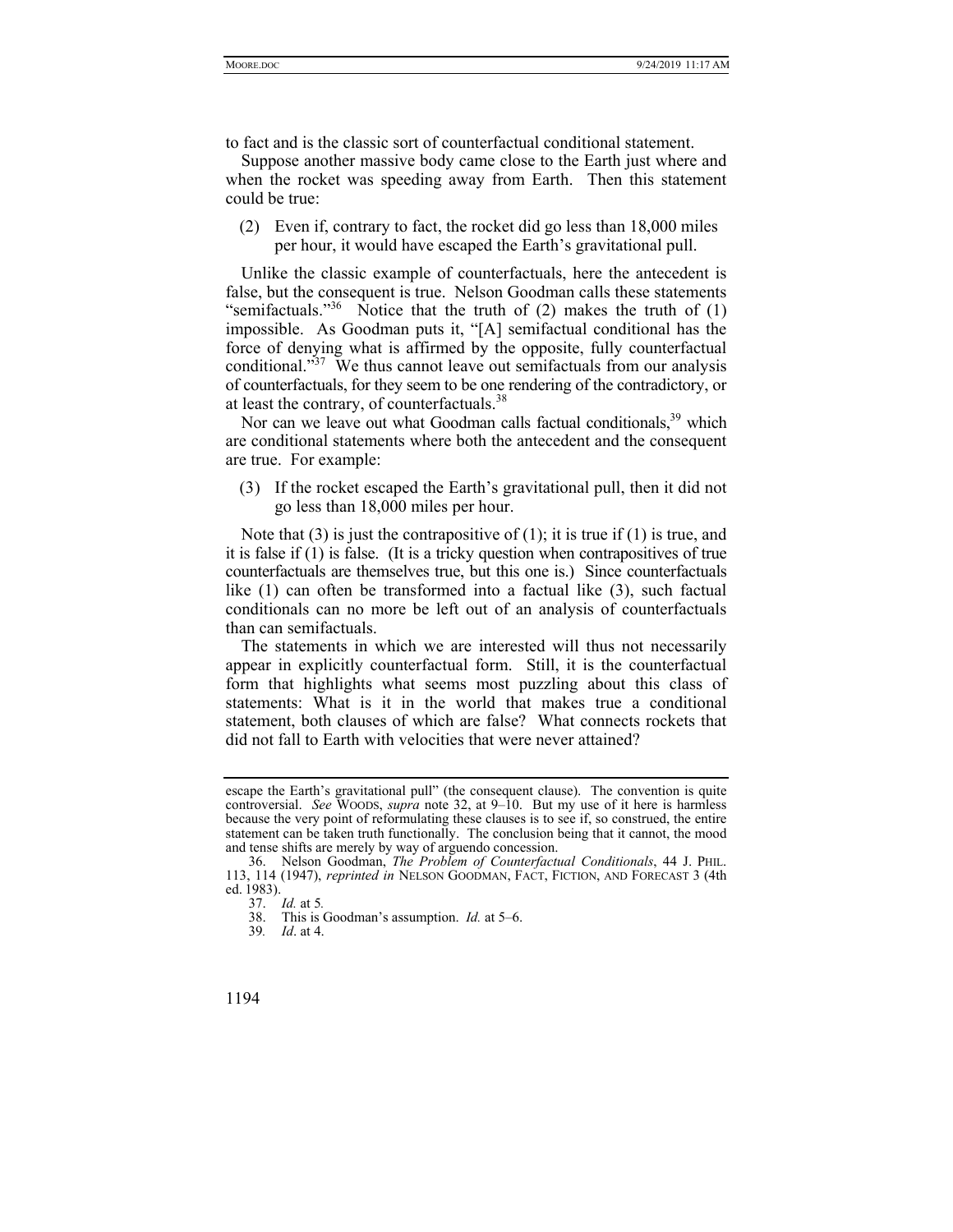to fact and is the classic sort of counterfactual conditional statement.

Suppose another massive body came close to the Earth just where and when the rocket was speeding away from Earth. Then this statement could be true:

(2) Even if, contrary to fact, the rocket did go less than 18,000 miles per hour, it would have escaped the Earth's gravitational pull.

Unlike the classic example of counterfactuals, here the antecedent is false, but the consequent is true. Nelson Goodman calls these statements "semifactuals."<sup>36</sup> Notice that the truth of (2) makes the truth of (1) impossible. As Goodman puts it, "[A] semifactual conditional has the force of denying what is affirmed by the opposite, fully counterfactual conditional."37 We thus cannot leave out semifactuals from our analysis of counterfactuals, for they seem to be one rendering of the contradictory, or at least the contrary, of counterfactuals.<sup>38</sup>

Nor can we leave out what Goodman calls factual conditionals.<sup>39</sup> which are conditional statements where both the antecedent and the consequent are true. For example:

(3) If the rocket escaped the Earth's gravitational pull, then it did not go less than 18,000 miles per hour.

Note that  $(3)$  is just the contrapositive of  $(1)$ ; it is true if  $(1)$  is true, and it is false if (1) is false. (It is a tricky question when contrapositives of true counterfactuals are themselves true, but this one is.) Since counterfactuals like (1) can often be transformed into a factual like (3), such factual conditionals can no more be left out of an analysis of counterfactuals than can semifactuals.

The statements in which we are interested will thus not necessarily appear in explicitly counterfactual form. Still, it is the counterfactual form that highlights what seems most puzzling about this class of statements: What is it in the world that makes true a conditional statement, both clauses of which are false? What connects rockets that did not fall to Earth with velocities that were never attained?

39*. Id*. at 4.

escape the Earth's gravitational pull" (the consequent clause). The convention is quite controversial. *See* WOODS, *supra* note 32, at 9–10. But my use of it here is harmless because the very point of reformulating these clauses is to see if, so construed, the entire statement can be taken truth functionally. The conclusion being that it cannot, the mood and tense shifts are merely by way of arguendo concession.

 <sup>36.</sup> Nelson Goodman, *The Problem of Counterfactual Conditionals*, 44 J. PHIL. 113, 114 (1947), *reprinted in* NELSON GOODMAN, FACT, FICTION, AND FORECAST 3 (4th ed. 1983).

 <sup>37.</sup> *Id.* at 5*.*

 <sup>38.</sup> This is Goodman's assumption. *Id.* at 5–6.

<sup>1194</sup>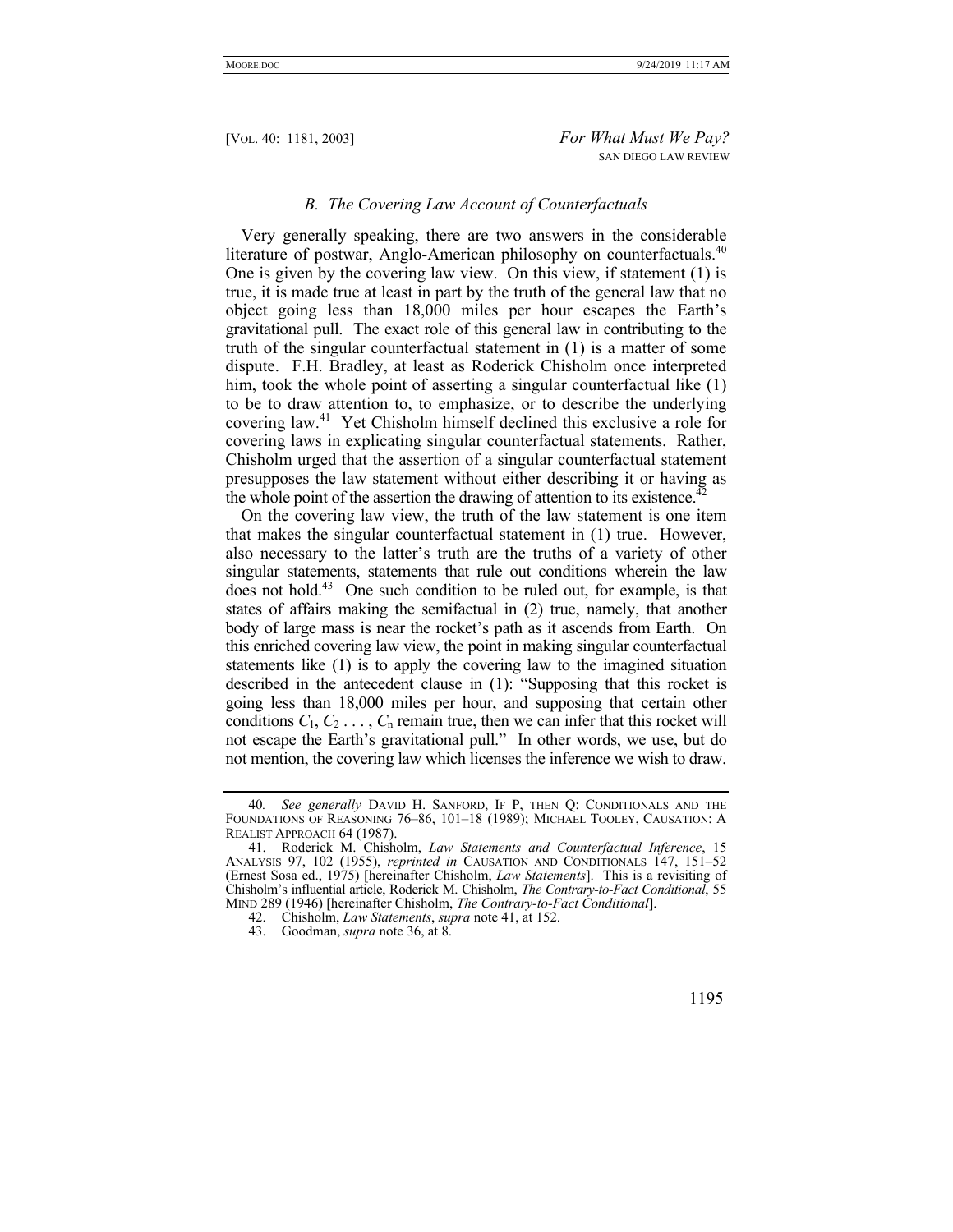## *B. The Covering Law Account of Counterfactuals*

Very generally speaking, there are two answers in the considerable literature of postwar, Anglo-American philosophy on counterfactuals.<sup>40</sup> One is given by the covering law view. On this view, if statement (1) is true, it is made true at least in part by the truth of the general law that no object going less than 18,000 miles per hour escapes the Earth's gravitational pull. The exact role of this general law in contributing to the truth of the singular counterfactual statement in (1) is a matter of some dispute. F.H. Bradley, at least as Roderick Chisholm once interpreted him, took the whole point of asserting a singular counterfactual like (1) to be to draw attention to, to emphasize, or to describe the underlying covering law.41 Yet Chisholm himself declined this exclusive a role for covering laws in explicating singular counterfactual statements. Rather, Chisholm urged that the assertion of a singular counterfactual statement presupposes the law statement without either describing it or having as the whole point of the assertion the drawing of attention to its existence.<sup>42</sup>

On the covering law view, the truth of the law statement is one item that makes the singular counterfactual statement in (1) true. However, also necessary to the latter's truth are the truths of a variety of other singular statements, statements that rule out conditions wherein the law does not hold.<sup>43</sup> One such condition to be ruled out, for example, is that states of affairs making the semifactual in (2) true, namely, that another body of large mass is near the rocket's path as it ascends from Earth. On this enriched covering law view, the point in making singular counterfactual statements like (1) is to apply the covering law to the imagined situation described in the antecedent clause in (1): "Supposing that this rocket is going less than 18,000 miles per hour, and supposing that certain other conditions  $C_1, C_2, \ldots, C_n$  remain true, then we can infer that this rocket will not escape the Earth's gravitational pull." In other words, we use, but do not mention, the covering law which licenses the inference we wish to draw.

 <sup>43.</sup> Goodman, *supra* note 36, at 8.



<sup>40</sup>*. See generally* DAVID H. SANFORD, IF P, THEN Q: CONDITIONALS AND THE FOUNDATIONS OF REASONING 76–86, 101–18 (1989); MICHAEL TOOLEY, CAUSATION: A REALIST APPROACH 64 (1987).

 <sup>41.</sup> Roderick M. Chisholm, *Law Statements and Counterfactual Inference*, 15 ANALYSIS 97, 102 (1955), *reprinted in* CAUSATION AND CONDITIONALS 147, 151–52 (Ernest Sosa ed., 1975) [hereinafter Chisholm, *Law Statements*]. This is a revisiting of Chisholm's influential article, Roderick M. Chisholm, *The Contrary-to-Fact Conditional*, 55 MIND 289 (1946) [hereinafter Chisholm, *The Contrary-to-Fact Conditional*].

 <sup>42.</sup> Chisholm, *Law Statements*, *supra* note 41, at 152.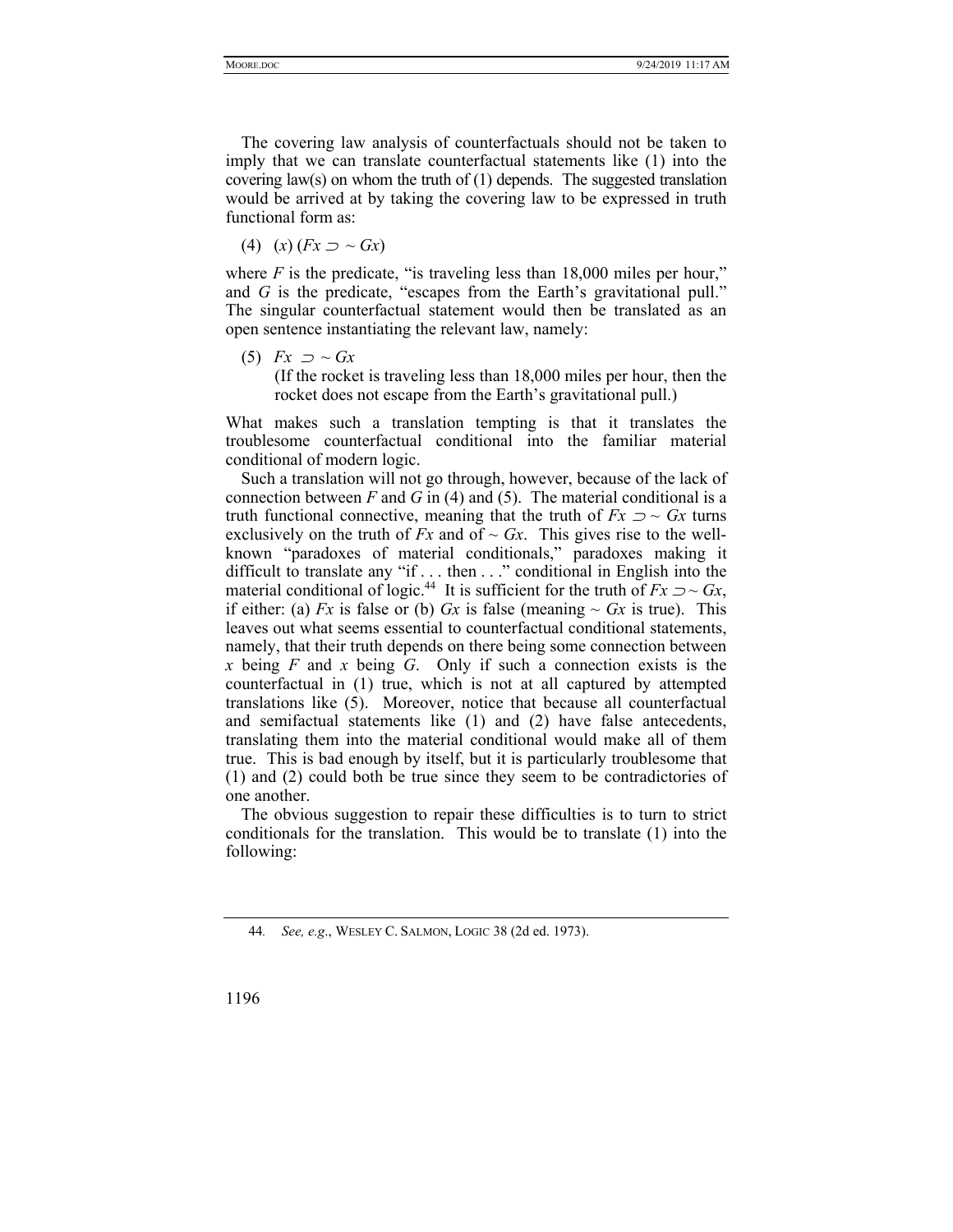The covering law analysis of counterfactuals should not be taken to imply that we can translate counterfactual statements like (1) into the covering law(s) on whom the truth of (1) depends. The suggested translation would be arrived at by taking the covering law to be expressed in truth functional form as:

(4) (*x*)  $(Fx \supset \sim Gx)$ 

where  $F$  is the predicate, "is traveling less than  $18,000$  miles per hour," and *G* is the predicate, "escapes from the Earth's gravitational pull." The singular counterfactual statement would then be translated as an open sentence instantiating the relevant law, namely:

(5)  $Fx \supset Gx$ 

(If the rocket is traveling less than 18,000 miles per hour, then the rocket does not escape from the Earth's gravitational pull.)

What makes such a translation tempting is that it translates the troublesome counterfactual conditional into the familiar material conditional of modern logic.

Such a translation will not go through, however, because of the lack of connection between *F* and *G* in (4) and (5). The material conditional is a truth functional connective, meaning that the truth of  $Fx \supset \sim Gx$  turns exclusively on the truth of  $Fx$  and of  $\sim Gx$ . This gives rise to the wellknown "paradoxes of material conditionals," paradoxes making it difficult to translate any "if . . . then . . ." conditional in English into the material conditional of logic.<sup>44</sup> It is sufficient for the truth of  $Fx \supset \sim Gx$ , if either: (a)  $Fx$  is false or (b)  $Gx$  is false (meaning  $\sim Gx$  is true). This leaves out what seems essential to counterfactual conditional statements, namely, that their truth depends on there being some connection between *x* being *F* and *x* being *G*. Only if such a connection exists is the counterfactual in (1) true, which is not at all captured by attempted translations like (5). Moreover, notice that because all counterfactual and semifactual statements like (1) and (2) have false antecedents, translating them into the material conditional would make all of them true. This is bad enough by itself, but it is particularly troublesome that (1) and (2) could both be true since they seem to be contradictories of one another.

The obvious suggestion to repair these difficulties is to turn to strict conditionals for the translation. This would be to translate (1) into the following:

<sup>44</sup>*. See, e.g*., WESLEY C. SALMON, LOGIC 38 (2d ed. 1973).

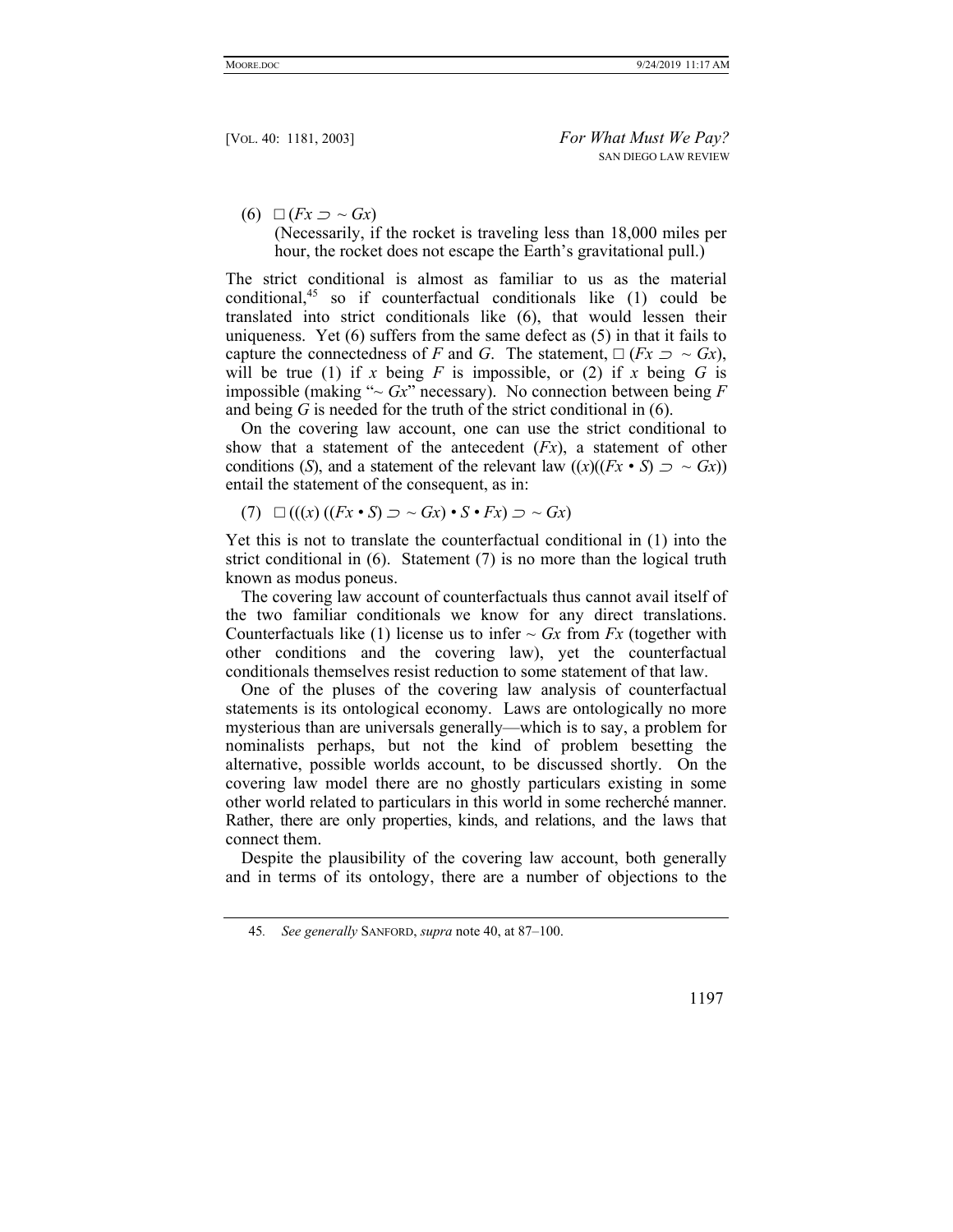$(6) \square (Fx \square \sim Gx)$ 

(Necessarily, if the rocket is traveling less than 18,000 miles per hour, the rocket does not escape the Earth's gravitational pull.)

The strict conditional is almost as familiar to us as the material conditional,<sup>45</sup> so if counterfactual conditionals like  $(1)$  could be translated into strict conditionals like (6), that would lessen their uniqueness. Yet (6) suffers from the same defect as (5) in that it fails to capture the connectedness of *F* and *G*. The statement,  $\Box$  (*Fx*  $\Box \sim Gx$ ), will be true (1) if x being F is impossible, or (2) if x being G is impossible (making " $\sim Gx$ " necessary). No connection between being *F* and being *G* is needed for the truth of the strict conditional in (6).

On the covering law account, one can use the strict conditional to show that a statement of the antecedent (*Fx*), a statement of other conditions (*S*), and a statement of the relevant law  $((x)((Fx \cdot S) \supset \sim Gx))$ entail the statement of the consequent, as in:

(7) 
$$
\Box ((x) ((Fx \cdot S) \supset \sim Gx) \cdot S \cdot Fx) \supset \sim Gx)
$$

Yet this is not to translate the counterfactual conditional in (1) into the strict conditional in (6). Statement (7) is no more than the logical truth known as modus poneus.

 The covering law account of counterfactuals thus cannot avail itself of the two familiar conditionals we know for any direct translations. Counterfactuals like (1) license us to infer  $\sim$  *Gx* from *Fx* (together with other conditions and the covering law), yet the counterfactual conditionals themselves resist reduction to some statement of that law.

 One of the pluses of the covering law analysis of counterfactual statements is its ontological economy. Laws are ontologically no more mysterious than are universals generally—which is to say, a problem for nominalists perhaps, but not the kind of problem besetting the alternative, possible worlds account, to be discussed shortly. On the covering law model there are no ghostly particulars existing in some other world related to particulars in this world in some recherché manner. Rather, there are only properties, kinds, and relations, and the laws that connect them.

 Despite the plausibility of the covering law account, both generally and in terms of its ontology, there are a number of objections to the

<sup>45</sup>*. See generally* SANFORD, *supra* note 40, at 87–100.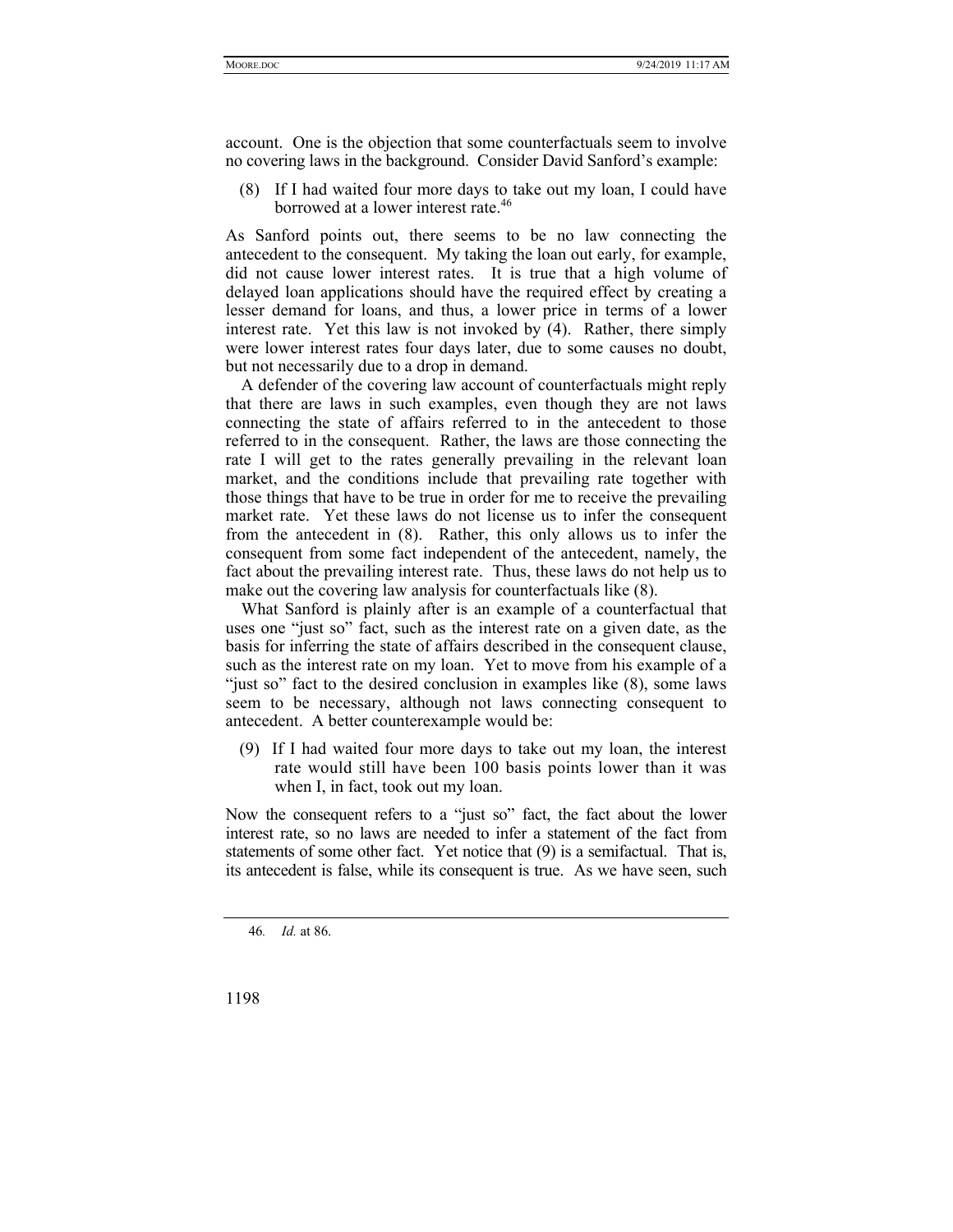account. One is the objection that some counterfactuals seem to involve no covering laws in the background. Consider David Sanford's example:

(8) If I had waited four more days to take out my loan, I could have borrowed at a lower interest rate.<sup>46</sup>

As Sanford points out, there seems to be no law connecting the antecedent to the consequent. My taking the loan out early, for example, did not cause lower interest rates. It is true that a high volume of delayed loan applications should have the required effect by creating a lesser demand for loans, and thus, a lower price in terms of a lower interest rate. Yet this law is not invoked by (4). Rather, there simply were lower interest rates four days later, due to some causes no doubt, but not necessarily due to a drop in demand.

A defender of the covering law account of counterfactuals might reply that there are laws in such examples, even though they are not laws connecting the state of affairs referred to in the antecedent to those referred to in the consequent. Rather, the laws are those connecting the rate I will get to the rates generally prevailing in the relevant loan market, and the conditions include that prevailing rate together with those things that have to be true in order for me to receive the prevailing market rate. Yet these laws do not license us to infer the consequent from the antecedent in (8). Rather, this only allows us to infer the consequent from some fact independent of the antecedent, namely, the fact about the prevailing interest rate. Thus, these laws do not help us to make out the covering law analysis for counterfactuals like (8).

What Sanford is plainly after is an example of a counterfactual that uses one "just so" fact, such as the interest rate on a given date, as the basis for inferring the state of affairs described in the consequent clause, such as the interest rate on my loan. Yet to move from his example of a "just so" fact to the desired conclusion in examples like (8), some laws seem to be necessary, although not laws connecting consequent to antecedent. A better counterexample would be:

(9) If I had waited four more days to take out my loan, the interest rate would still have been 100 basis points lower than it was when I, in fact, took out my loan.

Now the consequent refers to a "just so" fact, the fact about the lower interest rate, so no laws are needed to infer a statement of the fact from statements of some other fact. Yet notice that (9) is a semifactual. That is, its antecedent is false, while its consequent is true. As we have seen, such

46*. Id.* at 86.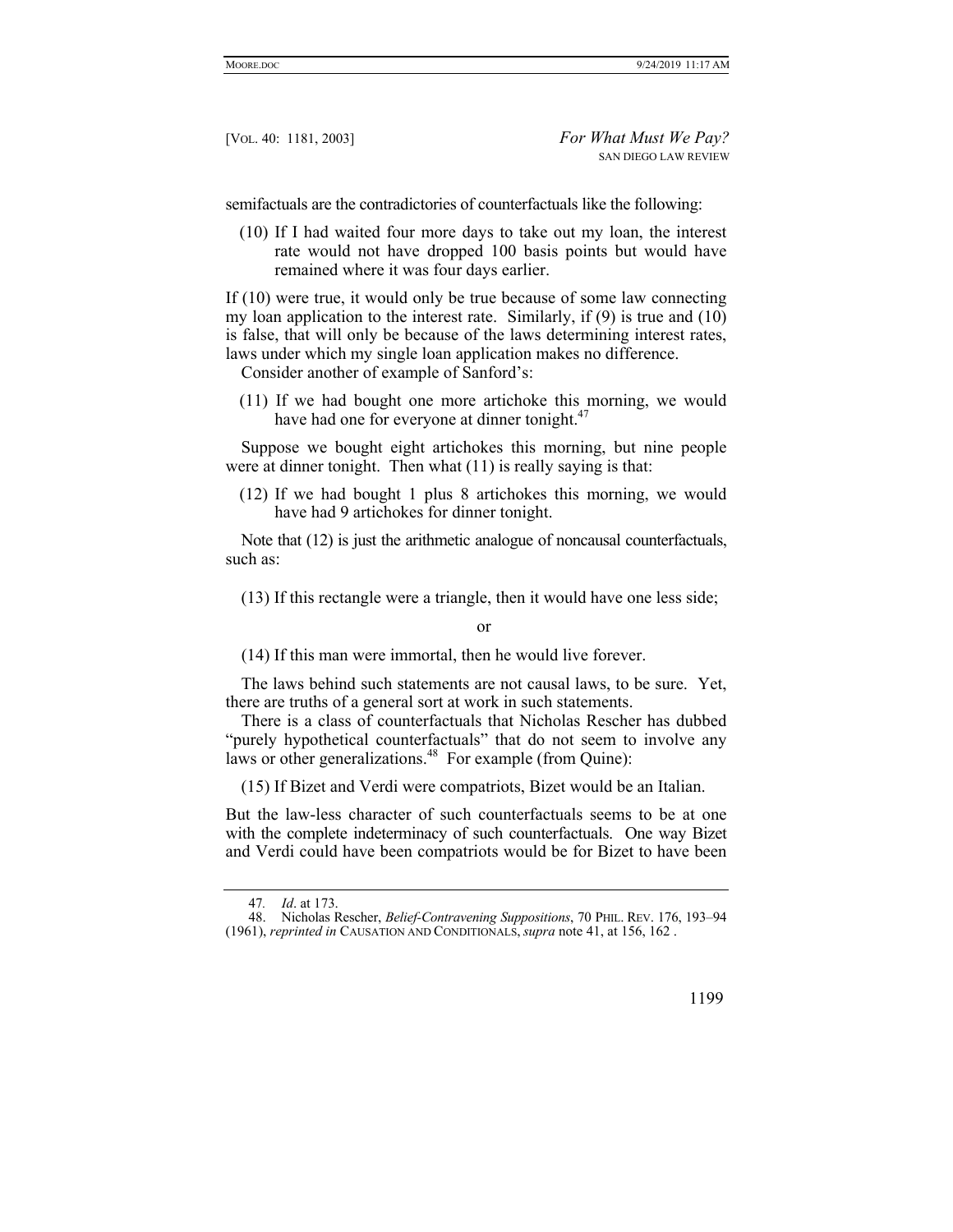semifactuals are the contradictories of counterfactuals like the following:

(10) If I had waited four more days to take out my loan, the interest rate would not have dropped 100 basis points but would have remained where it was four days earlier.

If (10) were true, it would only be true because of some law connecting my loan application to the interest rate. Similarly, if (9) is true and (10) is false, that will only be because of the laws determining interest rates, laws under which my single loan application makes no difference.

Consider another of example of Sanford's:

(11) If we had bought one more artichoke this morning, we would have had one for everyone at dinner tonight.<sup>47</sup>

Suppose we bought eight artichokes this morning, but nine people were at dinner tonight. Then what (11) is really saying is that:

(12) If we had bought 1 plus 8 artichokes this morning, we would have had 9 artichokes for dinner tonight.

Note that (12) is just the arithmetic analogue of noncausal counterfactuals, such as:

(13) If this rectangle were a triangle, then it would have one less side;

or

(14) If this man were immortal, then he would live forever.

The laws behind such statements are not causal laws, to be sure. Yet, there are truths of a general sort at work in such statements.

There is a class of counterfactuals that Nicholas Rescher has dubbed "purely hypothetical counterfactuals" that do not seem to involve any laws or other generalizations.<sup>48</sup> For example (from Quine):

(15) If Bizet and Verdi were compatriots, Bizet would be an Italian.

But the law-less character of such counterfactuals seems to be at one with the complete indeterminacy of such counterfactuals. One way Bizet and Verdi could have been compatriots would be for Bizet to have been

 <sup>48.</sup> Nicholas Rescher, *Belief-Contravening Suppositions*, 70 PHIL. REV. 176, 193–94 (1961), *reprinted in* CAUSATION AND CONDITIONALS, *supra* note 41, at 156, 162 .



<sup>47</sup>*. Id*. at 173.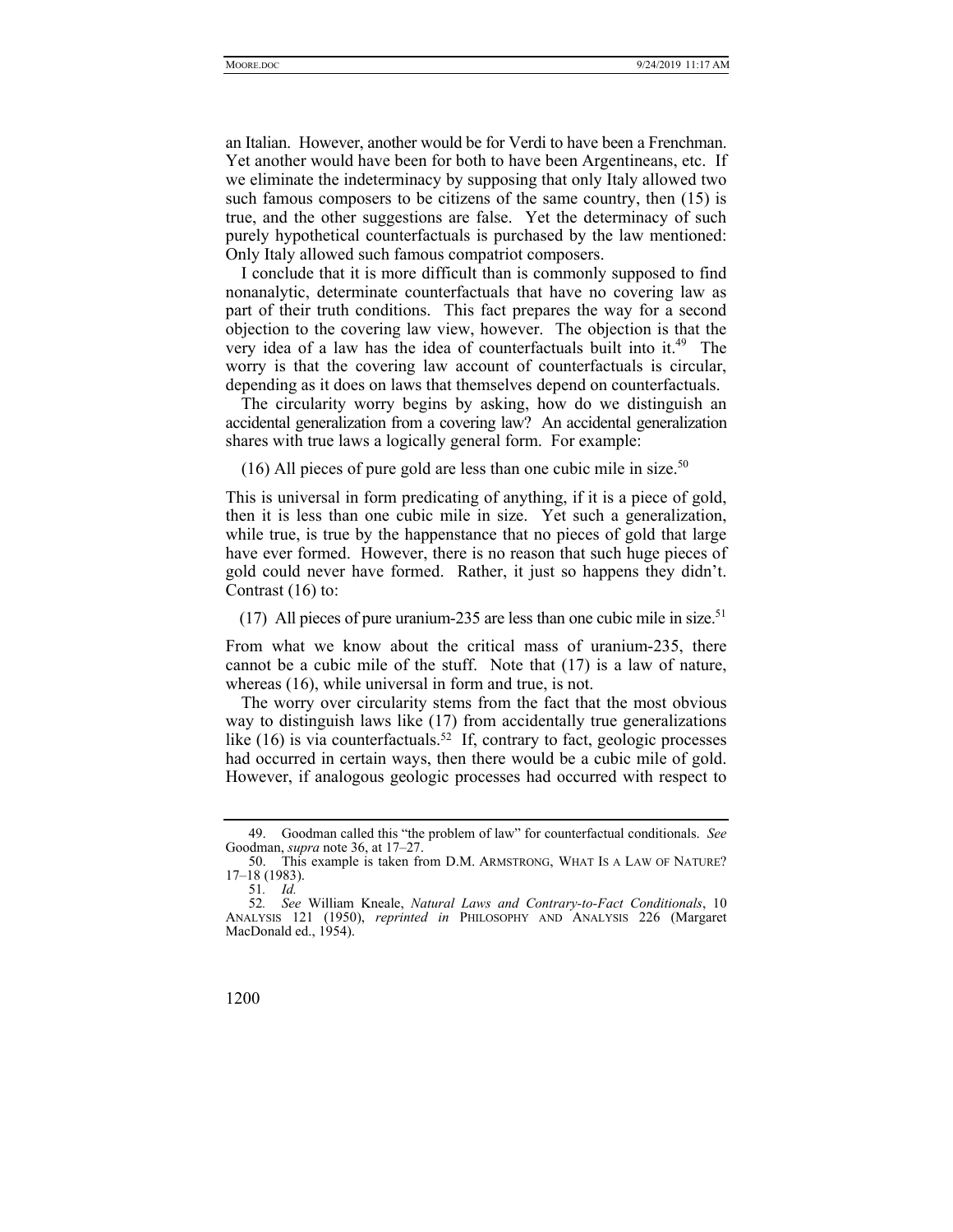an Italian. However, another would be for Verdi to have been a Frenchman. Yet another would have been for both to have been Argentineans, etc. If we eliminate the indeterminacy by supposing that only Italy allowed two such famous composers to be citizens of the same country, then (15) is true, and the other suggestions are false. Yet the determinacy of such purely hypothetical counterfactuals is purchased by the law mentioned: Only Italy allowed such famous compatriot composers.

I conclude that it is more difficult than is commonly supposed to find nonanalytic, determinate counterfactuals that have no covering law as part of their truth conditions. This fact prepares the way for a second objection to the covering law view, however. The objection is that the very idea of a law has the idea of counterfactuals built into it.<sup>49</sup> The worry is that the covering law account of counterfactuals is circular, depending as it does on laws that themselves depend on counterfactuals.

The circularity worry begins by asking, how do we distinguish an accidental generalization from a covering law? An accidental generalization shares with true laws a logically general form. For example:

(16) All pieces of pure gold are less than one cubic mile in size.<sup>50</sup>

This is universal in form predicating of anything, if it is a piece of gold, then it is less than one cubic mile in size. Yet such a generalization, while true, is true by the happenstance that no pieces of gold that large have ever formed. However, there is no reason that such huge pieces of gold could never have formed. Rather, it just so happens they didn't. Contrast (16) to:

(17) All pieces of pure uranium-235 are less than one cubic mile in size.<sup>51</sup>

From what we know about the critical mass of uranium-235, there cannot be a cubic mile of the stuff. Note that (17) is a law of nature, whereas (16), while universal in form and true, is not.

The worry over circularity stems from the fact that the most obvious way to distinguish laws like (17) from accidentally true generalizations like  $(16)$  is via counterfactuals.<sup>52</sup> If, contrary to fact, geologic processes had occurred in certain ways, then there would be a cubic mile of gold. However, if analogous geologic processes had occurred with respect to

<sup>52</sup>*. See* William Kneale, *Natural Laws and Contrary-to-Fact Conditionals*, 10 ANALYSIS 121 (1950), *reprinted in* PHILOSOPHY AND ANALYSIS 226 (Margaret MacDonald ed., 1954).



 <sup>49.</sup> Goodman called this "the problem of law" for counterfactual conditionals. *See*  Goodman, *supra* note 36, at 17–27.

 <sup>50.</sup> This example is taken from D.M. ARMSTRONG, WHAT IS A LAW OF NATURE? 17–18 (1983).

<sup>51</sup>*. Id.*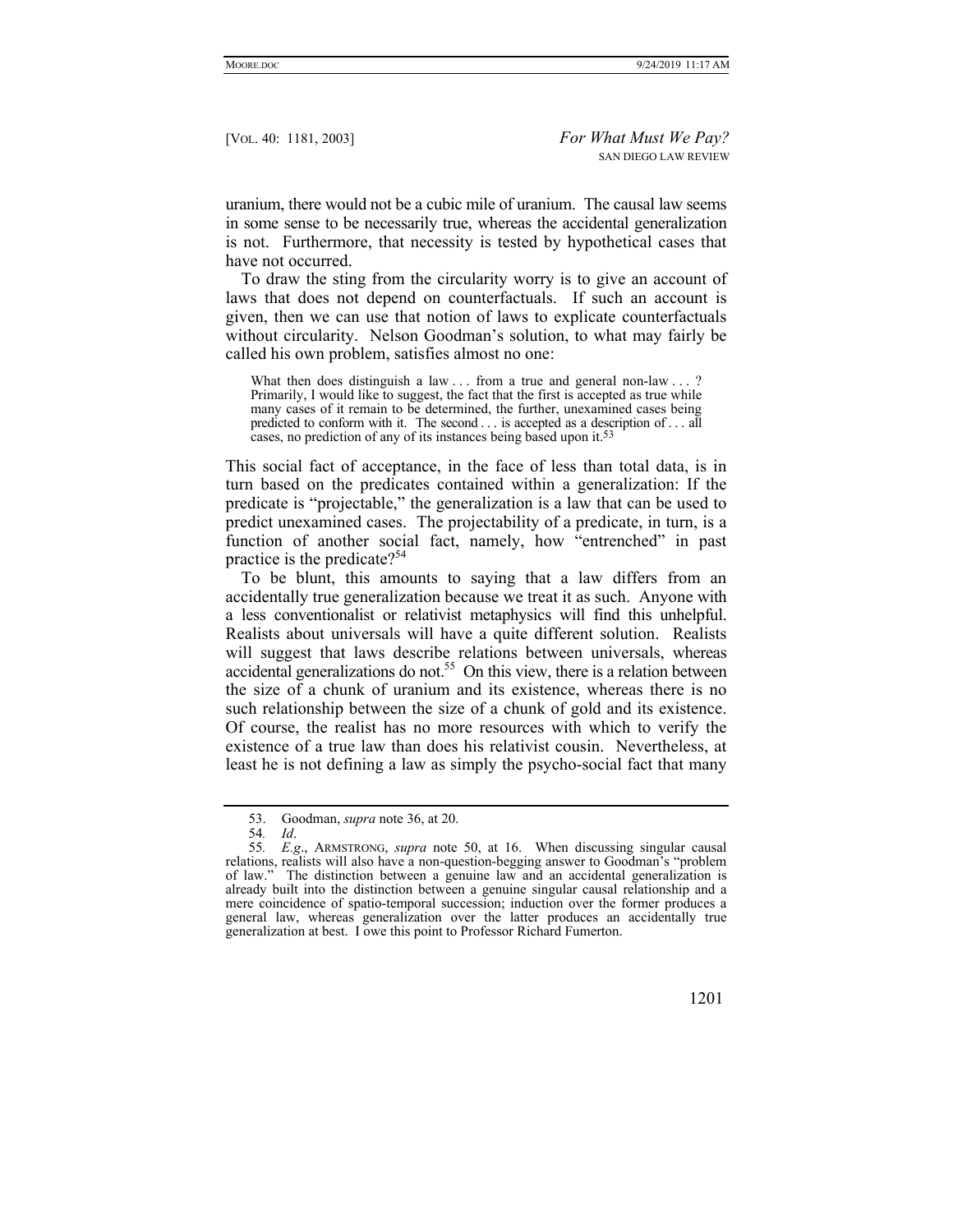uranium, there would not be a cubic mile of uranium. The causal law seems in some sense to be necessarily true, whereas the accidental generalization is not. Furthermore, that necessity is tested by hypothetical cases that have not occurred.

To draw the sting from the circularity worry is to give an account of laws that does not depend on counterfactuals. If such an account is given, then we can use that notion of laws to explicate counterfactuals without circularity. Nelson Goodman's solution, to what may fairly be called his own problem, satisfies almost no one:

What then does distinguish a law ... from a true and general non-law ...? Primarily, I would like to suggest, the fact that the first is accepted as true while many cases of it remain to be determined, the further, unexamined cases being predicted to conform with it. The second . . . is accepted as a description of . . . all cases, no prediction of any of its instances being based upon it.53

This social fact of acceptance, in the face of less than total data, is in turn based on the predicates contained within a generalization: If the predicate is "projectable," the generalization is a law that can be used to predict unexamined cases. The projectability of a predicate, in turn, is a function of another social fact, namely, how "entrenched" in past practice is the predicate?<sup>54</sup>

To be blunt, this amounts to saying that a law differs from an accidentally true generalization because we treat it as such. Anyone with a less conventionalist or relativist metaphysics will find this unhelpful. Realists about universals will have a quite different solution. Realists will suggest that laws describe relations between universals, whereas accidental generalizations do not.<sup>55</sup> On this view, there is a relation between the size of a chunk of uranium and its existence, whereas there is no such relationship between the size of a chunk of gold and its existence. Of course, the realist has no more resources with which to verify the existence of a true law than does his relativist cousin. Nevertheless, at least he is not defining a law as simply the psycho-social fact that many

<sup>55</sup>*. E.g*., ARMSTRONG, *supra* note 50, at 16. When discussing singular causal relations, realists will also have a non-question-begging answer to Goodman's "problem of law." The distinction between a genuine law and an accidental generalization is already built into the distinction between a genuine singular causal relationship and a mere coincidence of spatio-temporal succession; induction over the former produces a general law, whereas generalization over the latter produces an accidentally true generalization at best. I owe this point to Professor Richard Fumerton.



 <sup>53.</sup> Goodman, *supra* note 36, at 20.

<sup>54</sup>*. Id*.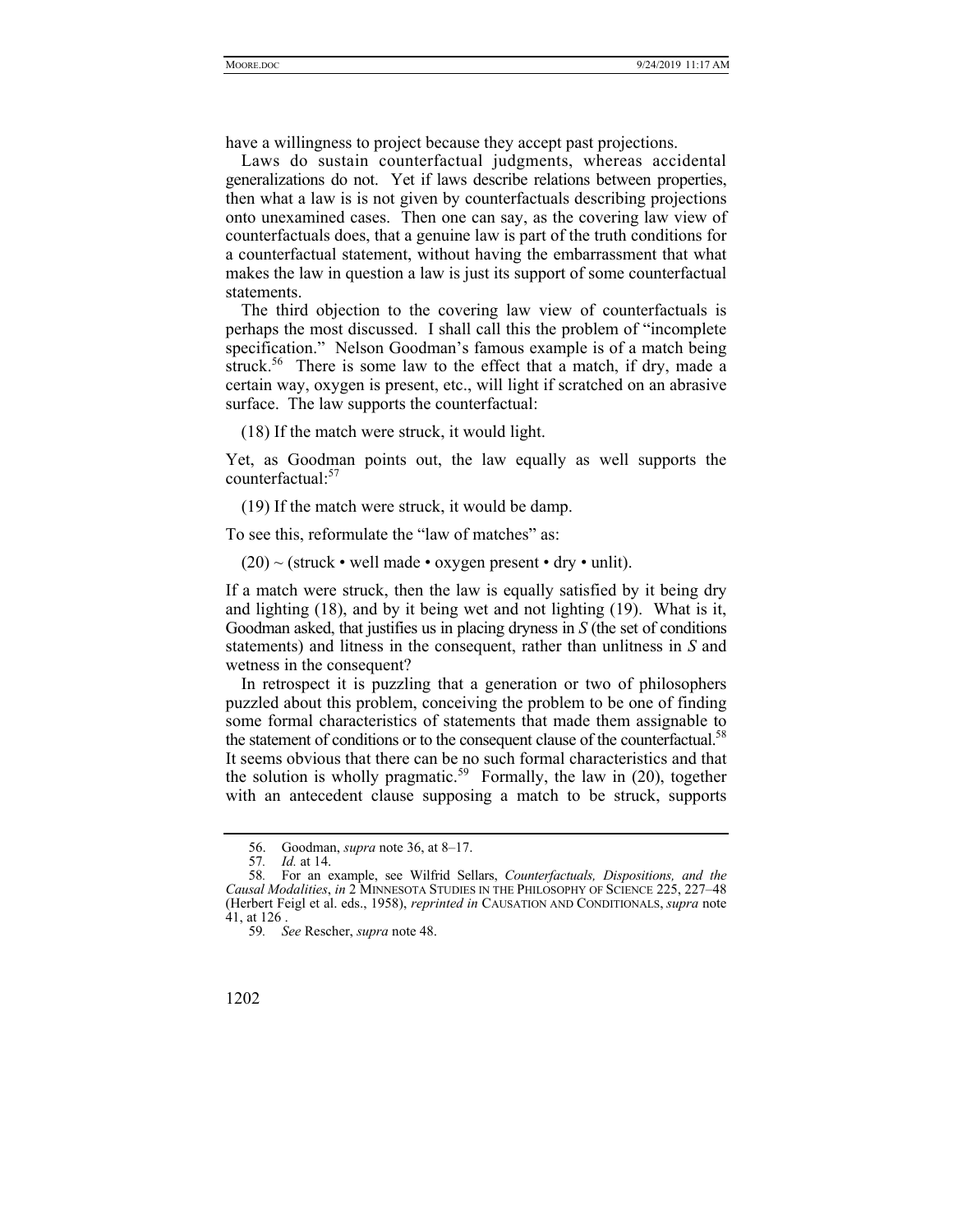have a willingness to project because they accept past projections.

Laws do sustain counterfactual judgments, whereas accidental generalizations do not. Yet if laws describe relations between properties, then what a law is is not given by counterfactuals describing projections onto unexamined cases. Then one can say, as the covering law view of counterfactuals does, that a genuine law is part of the truth conditions for a counterfactual statement, without having the embarrassment that what makes the law in question a law is just its support of some counterfactual statements.

The third objection to the covering law view of counterfactuals is perhaps the most discussed. I shall call this the problem of "incomplete specification." Nelson Goodman's famous example is of a match being struck.<sup>56</sup> There is some law to the effect that a match, if dry, made a certain way, oxygen is present, etc., will light if scratched on an abrasive surface. The law supports the counterfactual:

(18) If the match were struck, it would light.

Yet, as Goodman points out, the law equally as well supports the counterfactual:<sup>57</sup>

(19) If the match were struck, it would be damp.

To see this, reformulate the "law of matches" as:

 $(20)$  ~ (struck • well made • oxygen present • dry • unlit).

If a match were struck, then the law is equally satisfied by it being dry and lighting (18), and by it being wet and not lighting (19). What is it, Goodman asked, that justifies us in placing dryness in *S* (the set of conditions statements) and litness in the consequent, rather than unlitness in *S* and wetness in the consequent?

In retrospect it is puzzling that a generation or two of philosophers puzzled about this problem, conceiving the problem to be one of finding some formal characteristics of statements that made them assignable to the statement of conditions or to the consequent clause of the counterfactual.<sup>58</sup> It seems obvious that there can be no such formal characteristics and that the solution is wholly pragmatic.<sup>59</sup> Formally, the law in  $(20)$ , together with an antecedent clause supposing a match to be struck, supports

 <sup>56.</sup> Goodman, *supra* note 36, at 8–17.

<sup>57</sup>*. Id.* at 14.

<sup>58</sup>*.* For an example, see Wilfrid Sellars, *Counterfactuals, Dispositions, and the Causal Modalities*, *in* 2 MINNESOTA STUDIES IN THE PHILOSOPHY OF SCIENCE 225, 227–48 (Herbert Feigl et al. eds., 1958), *reprinted in* CAUSATION AND CONDITIONALS, *supra* note 41, at 126 .

<sup>59</sup>*. See* Rescher, *supra* note 48.

<sup>1202</sup>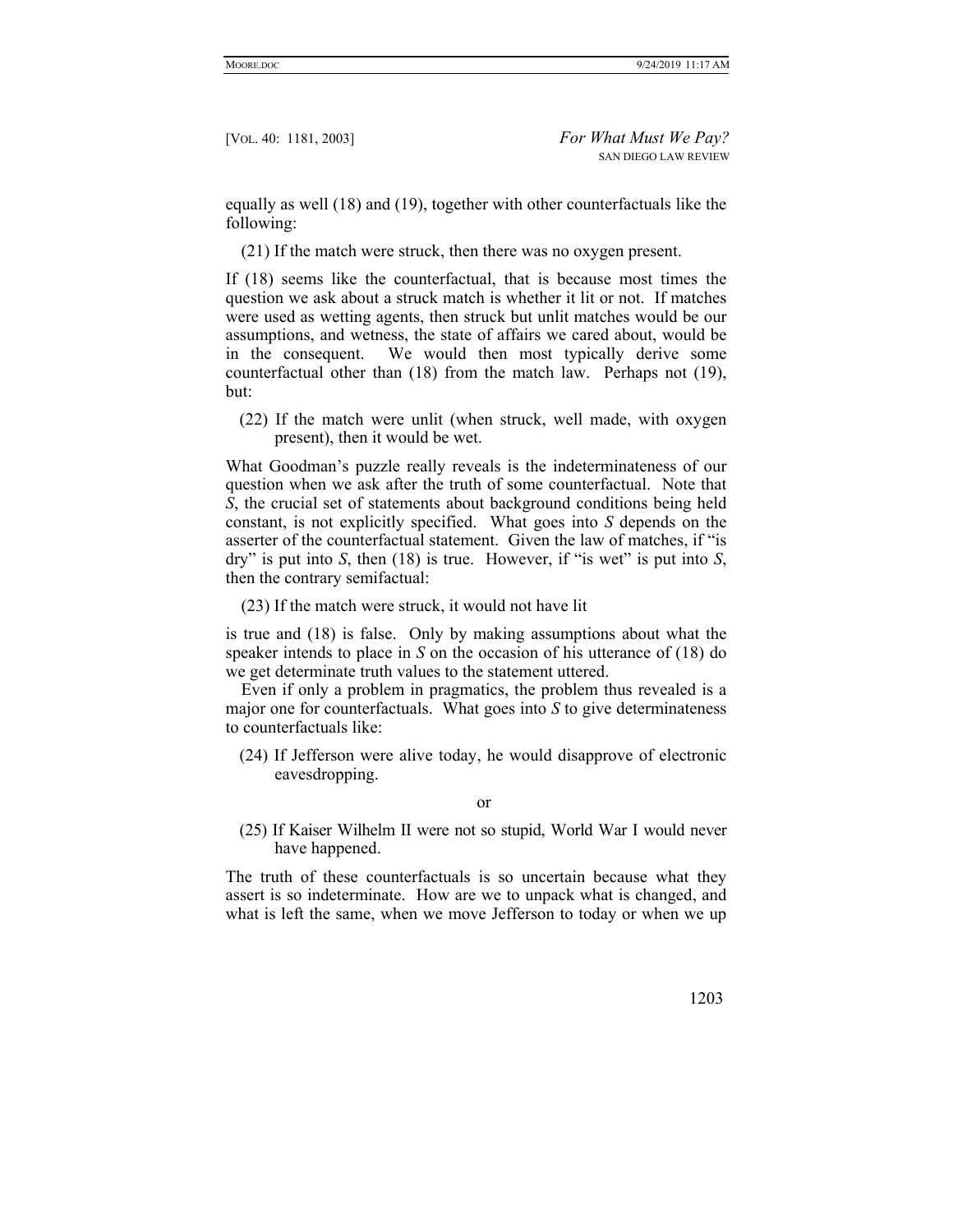equally as well (18) and (19), together with other counterfactuals like the following:

(21) If the match were struck, then there was no oxygen present.

If (18) seems like the counterfactual, that is because most times the question we ask about a struck match is whether it lit or not. If matches were used as wetting agents, then struck but unlit matches would be our assumptions, and wetness, the state of affairs we cared about, would be in the consequent. We would then most typically derive some counterfactual other than (18) from the match law. Perhaps not (19), but:

(22) If the match were unlit (when struck, well made, with oxygen present), then it would be wet.

What Goodman's puzzle really reveals is the indeterminateness of our question when we ask after the truth of some counterfactual. Note that *S*, the crucial set of statements about background conditions being held constant, is not explicitly specified. What goes into *S* depends on the asserter of the counterfactual statement. Given the law of matches, if "is dry" is put into *S*, then (18) is true. However, if "is wet" is put into *S*, then the contrary semifactual:

(23) If the match were struck, it would not have lit

is true and (18) is false. Only by making assumptions about what the speaker intends to place in *S* on the occasion of his utterance of (18) do we get determinate truth values to the statement uttered.

Even if only a problem in pragmatics, the problem thus revealed is a major one for counterfactuals. What goes into *S* to give determinateness to counterfactuals like:

(24) If Jefferson were alive today, he would disapprove of electronic eavesdropping.

or

(25) If Kaiser Wilhelm II were not so stupid, World War I would never have happened.

The truth of these counterfactuals is so uncertain because what they assert is so indeterminate. How are we to unpack what is changed, and what is left the same, when we move Jefferson to today or when we up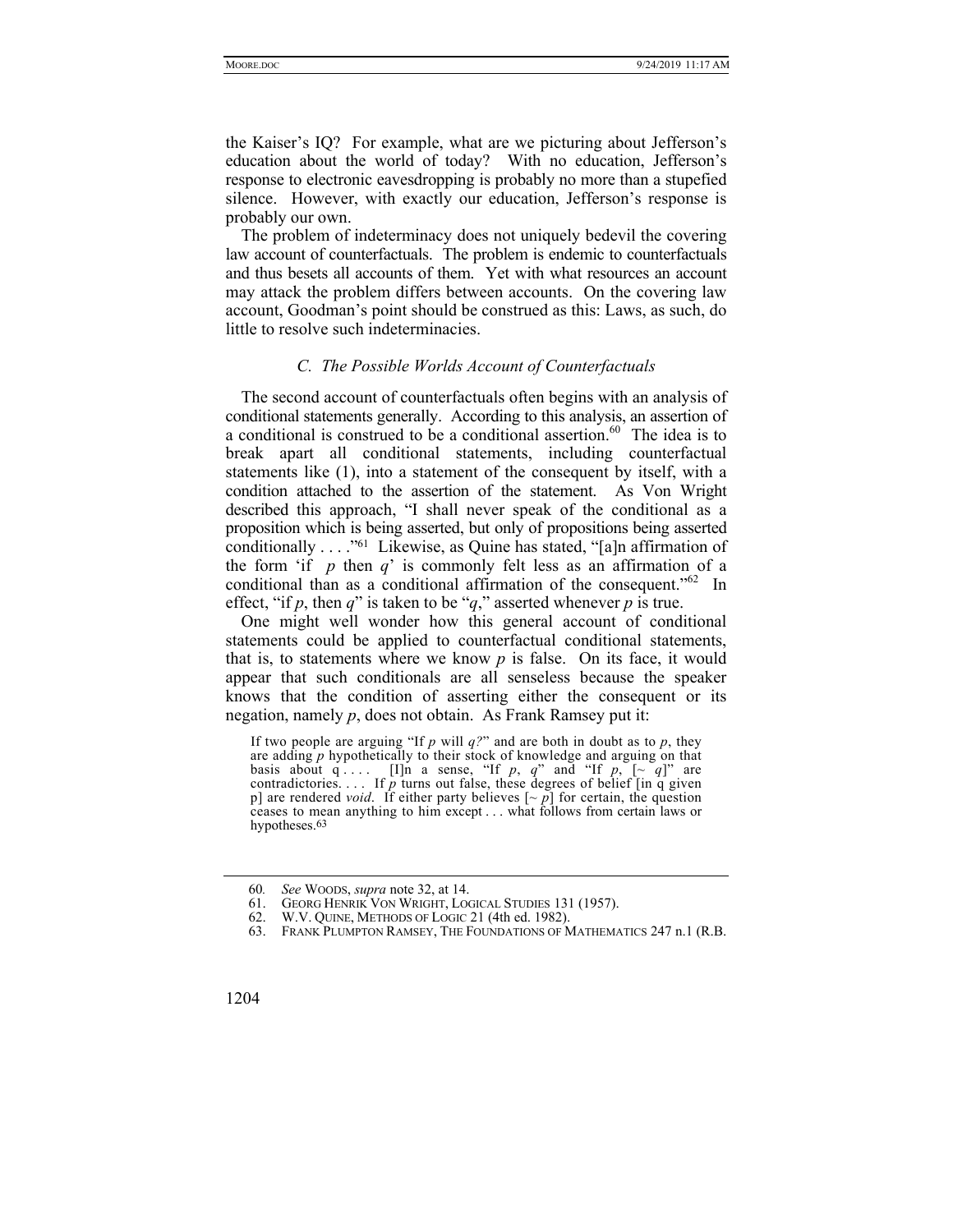the Kaiser's IQ? For example, what are we picturing about Jefferson's education about the world of today? With no education, Jefferson's response to electronic eavesdropping is probably no more than a stupefied silence. However, with exactly our education, Jefferson's response is probably our own.

The problem of indeterminacy does not uniquely bedevil the covering law account of counterfactuals. The problem is endemic to counterfactuals and thus besets all accounts of them. Yet with what resources an account may attack the problem differs between accounts. On the covering law account, Goodman's point should be construed as this: Laws, as such, do little to resolve such indeterminacies.

## *C. The Possible Worlds Account of Counterfactuals*

The second account of counterfactuals often begins with an analysis of conditional statements generally. According to this analysis, an assertion of a conditional is construed to be a conditional assertion.<sup>60</sup> The idea is to break apart all conditional statements, including counterfactual statements like (1), into a statement of the consequent by itself, with a condition attached to the assertion of the statement. As Von Wright described this approach, "I shall never speak of the conditional as a proposition which is being asserted, but only of propositions being asserted conditionally . . . ."61 Likewise, as Quine has stated, "[a]n affirmation of the form 'if  $p$  then  $q$ ' is commonly felt less as an affirmation of a conditional than as a conditional affirmation of the consequent."62 In effect, "if  $p$ , then  $q$ " is taken to be " $q$ ," asserted whenever  $p$  is true.

One might well wonder how this general account of conditional statements could be applied to counterfactual conditional statements, that is, to statements where we know  $p$  is false. On its face, it would appear that such conditionals are all senseless because the speaker knows that the condition of asserting either the consequent or its negation, namely *p*, does not obtain. As Frank Ramsey put it:

If two people are arguing "If  $p$  will  $q$ ?" and are both in doubt as to  $p$ , they are adding *p* hypothetically to their stock of knowledge and arguing on that basis about q.... [I]n a sense, "If  $p$ ,  $q$ " and "If  $p$ ,  $[\sim q]$ " are contradictories. . . . If *p* turns out false, these degrees of belief [in q given p] are rendered *void*. If either party believes  $\left[\sim \rho\right]$  for certain, the question ceases to mean anything to him except . . . what follows from certain laws or hypotheses.63

<sup>60</sup>*. See* WOODS, *supra* note 32, at 14.

 <sup>61.</sup> GEORG HENRIK VON WRIGHT, LOGICAL STUDIES 131 (1957).

 <sup>62.</sup> W.V. QUINE, METHODS OF LOGIC 21 (4th ed. 1982).

 <sup>63.</sup> FRANK PLUMPTON RAMSEY, THE FOUNDATIONS OF MATHEMATICS 247 n.1 (R.B.

<sup>1204</sup>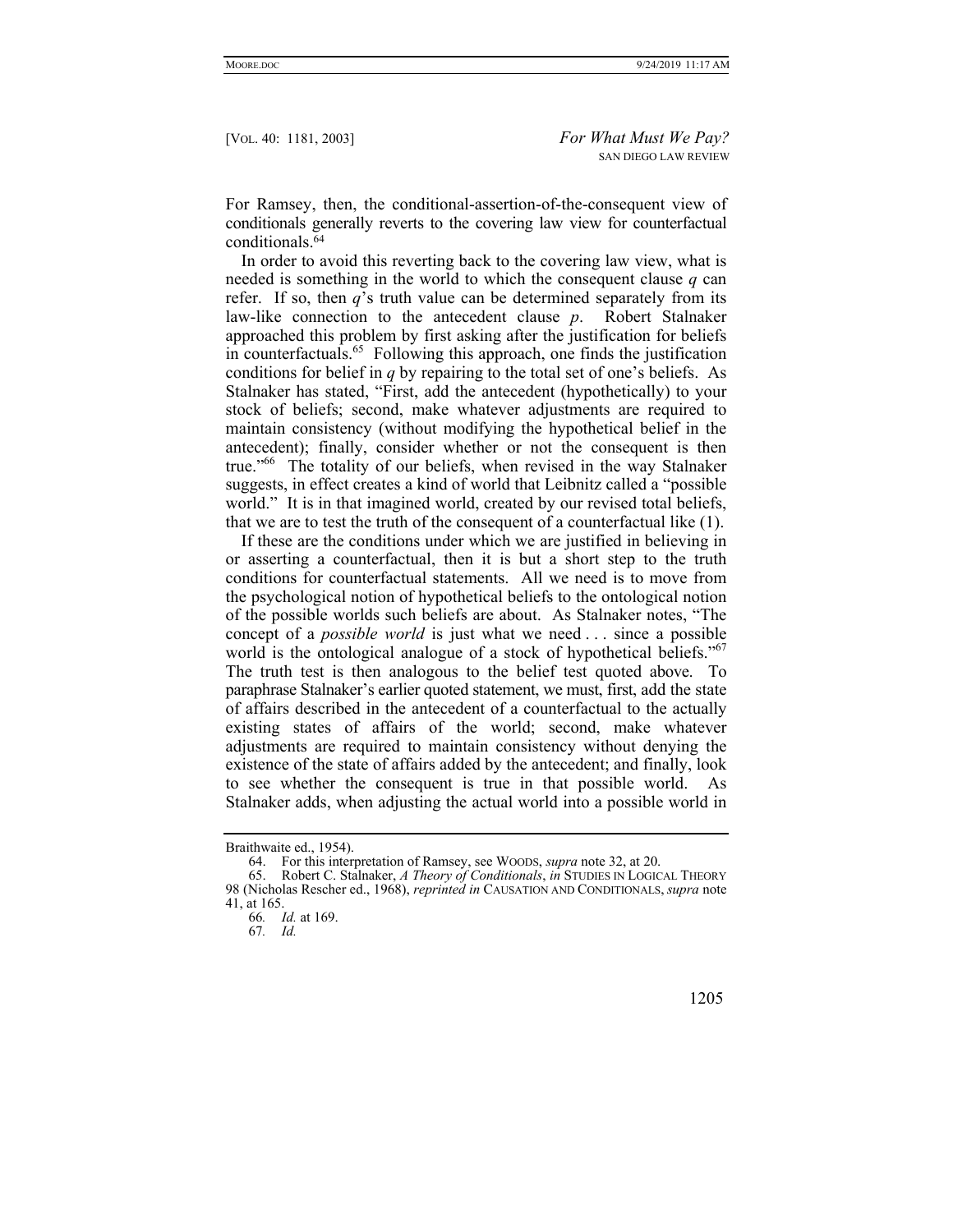For Ramsey, then, the conditional-assertion-of-the-consequent view of conditionals generally reverts to the covering law view for counterfactual conditionals.64

In order to avoid this reverting back to the covering law view, what is needed is something in the world to which the consequent clause *q* can refer. If so, then  $q$ 's truth value can be determined separately from its law-like connection to the antecedent clause *p*. Robert Stalnaker approached this problem by first asking after the justification for beliefs in counterfactuals.<sup>65</sup> Following this approach, one finds the justification conditions for belief in *q* by repairing to the total set of one's beliefs. As Stalnaker has stated, "First, add the antecedent (hypothetically) to your stock of beliefs; second, make whatever adjustments are required to maintain consistency (without modifying the hypothetical belief in the antecedent); finally, consider whether or not the consequent is then true."<sup>66</sup> The totality of our beliefs, when revised in the way Stalnaker suggests, in effect creates a kind of world that Leibnitz called a "possible world." It is in that imagined world, created by our revised total beliefs, that we are to test the truth of the consequent of a counterfactual like (1).

If these are the conditions under which we are justified in believing in or asserting a counterfactual, then it is but a short step to the truth conditions for counterfactual statements. All we need is to move from the psychological notion of hypothetical beliefs to the ontological notion of the possible worlds such beliefs are about. As Stalnaker notes, "The concept of a *possible world* is just what we need . . . since a possible world is the ontological analogue of a stock of hypothetical beliefs."<sup>67</sup> The truth test is then analogous to the belief test quoted above. To paraphrase Stalnaker's earlier quoted statement, we must, first, add the state of affairs described in the antecedent of a counterfactual to the actually existing states of affairs of the world; second, make whatever adjustments are required to maintain consistency without denying the existence of the state of affairs added by the antecedent; and finally, look to see whether the consequent is true in that possible world. As Stalnaker adds, when adjusting the actual world into a possible world in

Braithwaite ed., 1954).

 <sup>64.</sup> For this interpretation of Ramsey, see WOODS, *supra* note 32, at 20.

 <sup>65.</sup> Robert C. Stalnaker, *A Theory of Conditionals*, *in* STUDIES IN LOGICAL THEORY 98 (Nicholas Rescher ed., 1968), *reprinted in* CAUSATION AND CONDITIONALS, *supra* note 41, at 165.

<sup>66</sup>*. Id.* at 169.

<sup>67</sup>*. Id.*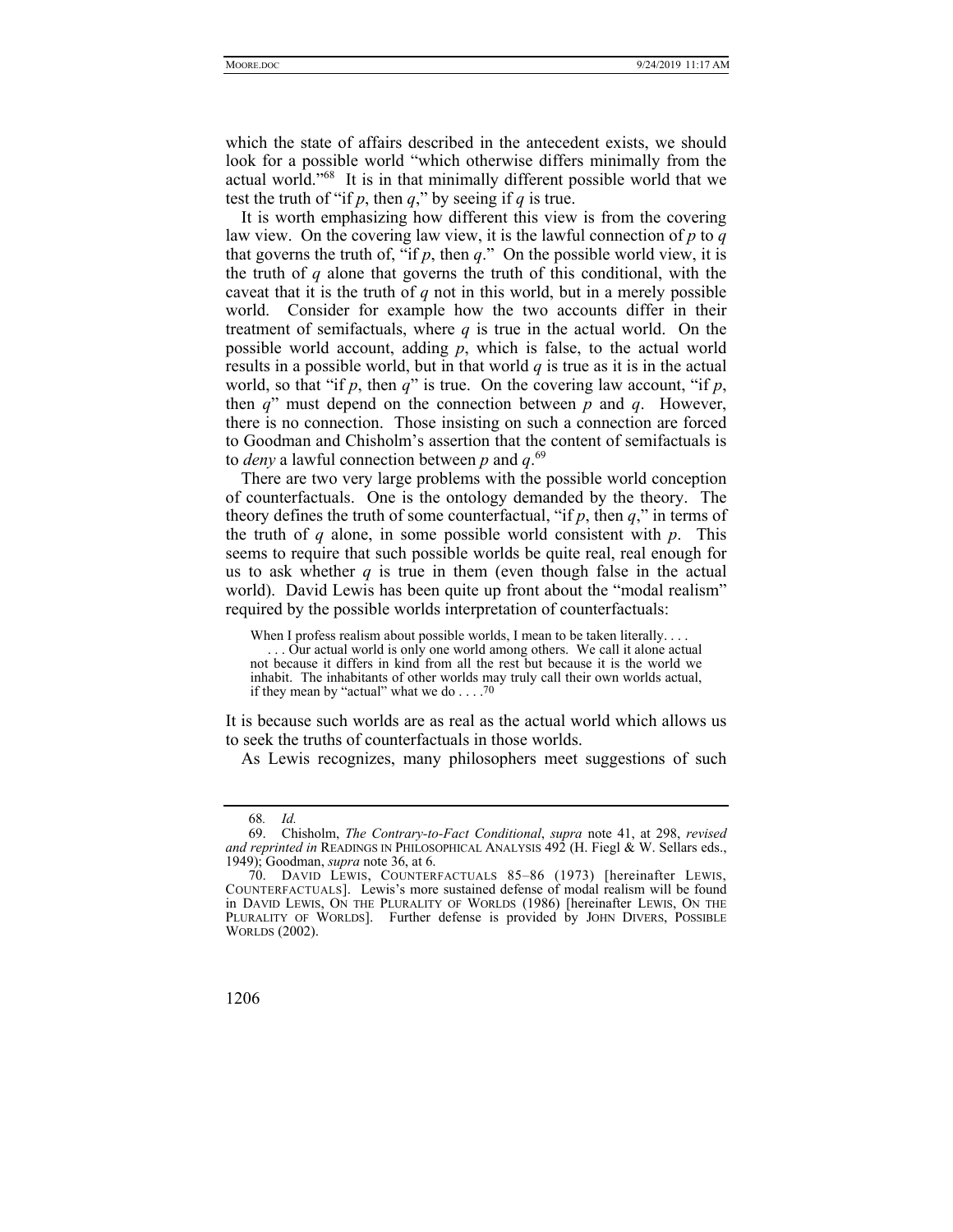which the state of affairs described in the antecedent exists, we should look for a possible world "which otherwise differs minimally from the actual world."68 It is in that minimally different possible world that we test the truth of "if p, then  $q$ ," by seeing if  $q$  is true.

It is worth emphasizing how different this view is from the covering law view. On the covering law view, it is the lawful connection of *p* to *q* that governs the truth of, "if  $p$ , then  $q$ ." On the possible world view, it is the truth of *q* alone that governs the truth of this conditional, with the caveat that it is the truth of *q* not in this world, but in a merely possible world. Consider for example how the two accounts differ in their treatment of semifactuals, where *q* is true in the actual world. On the possible world account, adding *p*, which is false, to the actual world results in a possible world, but in that world *q* is true as it is in the actual world, so that "if  $p$ , then  $q$ " is true. On the covering law account, "if  $p$ , then *q*" must depend on the connection between *p* and *q*. However, there is no connection. Those insisting on such a connection are forced to Goodman and Chisholm's assertion that the content of semifactuals is to *deny* a lawful connection between *p* and *q*. 69

There are two very large problems with the possible world conception of counterfactuals. One is the ontology demanded by the theory. The theory defines the truth of some counterfactual, "if  $p$ , then  $q$ ," in terms of the truth of *q* alone, in some possible world consistent with *p*. This seems to require that such possible worlds be quite real, real enough for us to ask whether  $q$  is true in them (even though false in the actual world). David Lewis has been quite up front about the "modal realism" required by the possible worlds interpretation of counterfactuals:

When I profess realism about possible worlds, I mean to be taken literally.... ... Our actual world is only one world among others. We call it alone actual not because it differs in kind from all the rest but because it is the world we inhabit. The inhabitants of other worlds may truly call their own worlds actual, if they mean by "actual" what we do  $\dots$ .<sup>70</sup>

It is because such worlds are as real as the actual world which allows us to seek the truths of counterfactuals in those worlds.

As Lewis recognizes, many philosophers meet suggestions of such

 <sup>70.</sup> DAVID LEWIS, COUNTERFACTUALS 85–86 (1973) [hereinafter LEWIS, COUNTERFACTUALS]. Lewis's more sustained defense of modal realism will be found in DAVID LEWIS, ON THE PLURALITY OF WORLDS (1986) [hereinafter LEWIS, ON THE PLURALITY OF WORLDS]. Further defense is provided by JOHN DIVERS, POSSIBLE WORLDS (2002).



<sup>68</sup>*. Id.*

 <sup>69.</sup> Chisholm, *The Contrary-to-Fact Conditional*, *supra* note 41, at 298, *revised and reprinted in* READINGS IN PHILOSOPHICAL ANALYSIS 492 (H. Fiegl & W. Sellars eds., 1949); Goodman, *supra* note 36, at 6.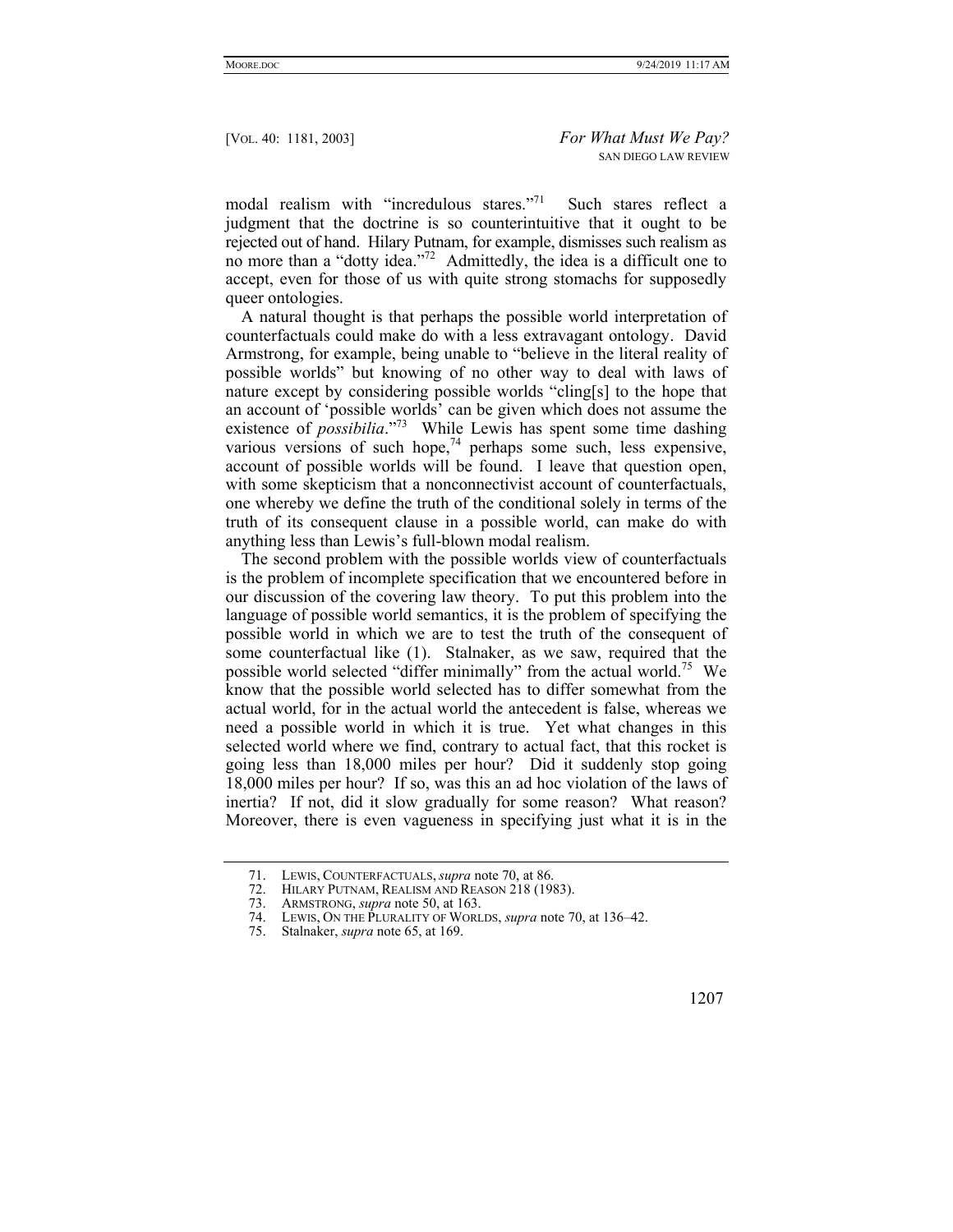modal realism with "incredulous stares."<sup>71</sup> Such stares reflect a judgment that the doctrine is so counterintuitive that it ought to be rejected out of hand. Hilary Putnam, for example, dismisses such realism as no more than a "dotty idea."72 Admittedly, the idea is a difficult one to accept, even for those of us with quite strong stomachs for supposedly queer ontologies.

A natural thought is that perhaps the possible world interpretation of counterfactuals could make do with a less extravagant ontology. David Armstrong, for example, being unable to "believe in the literal reality of possible worlds" but knowing of no other way to deal with laws of nature except by considering possible worlds "cling[s] to the hope that an account of 'possible worlds' can be given which does not assume the existence of *possibilia*."<sup>73</sup> While Lewis has spent some time dashing various versions of such hope,<sup>74</sup> perhaps some such, less expensive, account of possible worlds will be found. I leave that question open, with some skepticism that a nonconnectivist account of counterfactuals, one whereby we define the truth of the conditional solely in terms of the truth of its consequent clause in a possible world, can make do with anything less than Lewis's full-blown modal realism.

The second problem with the possible worlds view of counterfactuals is the problem of incomplete specification that we encountered before in our discussion of the covering law theory. To put this problem into the language of possible world semantics, it is the problem of specifying the possible world in which we are to test the truth of the consequent of some counterfactual like (1). Stalnaker, as we saw, required that the possible world selected "differ minimally" from the actual world.<sup>75</sup> We know that the possible world selected has to differ somewhat from the actual world, for in the actual world the antecedent is false, whereas we need a possible world in which it is true. Yet what changes in this selected world where we find, contrary to actual fact, that this rocket is going less than 18,000 miles per hour? Did it suddenly stop going 18,000 miles per hour? If so, was this an ad hoc violation of the laws of inertia? If not, did it slow gradually for some reason? What reason? Moreover, there is even vagueness in specifying just what it is in the

 <sup>71.</sup> LEWIS, COUNTERFACTUALS, *supra* note 70, at 86.

<sup>72.</sup> HILARY PUTNAM, REALISM AND REASON 218 (1983).<br>73. ARMSTRONG, *supra* note 50, at 163.

ARMSTRONG, *supra* note 50, at 163.

<sup>74.</sup> LEWIS, ON THE PLURALITY OF WORLDS, *supra* note 70, at 136–42.<br>75. Stalnaker, *supra* note 65, at 169.

Stalnaker, *supra* note 65, at 169.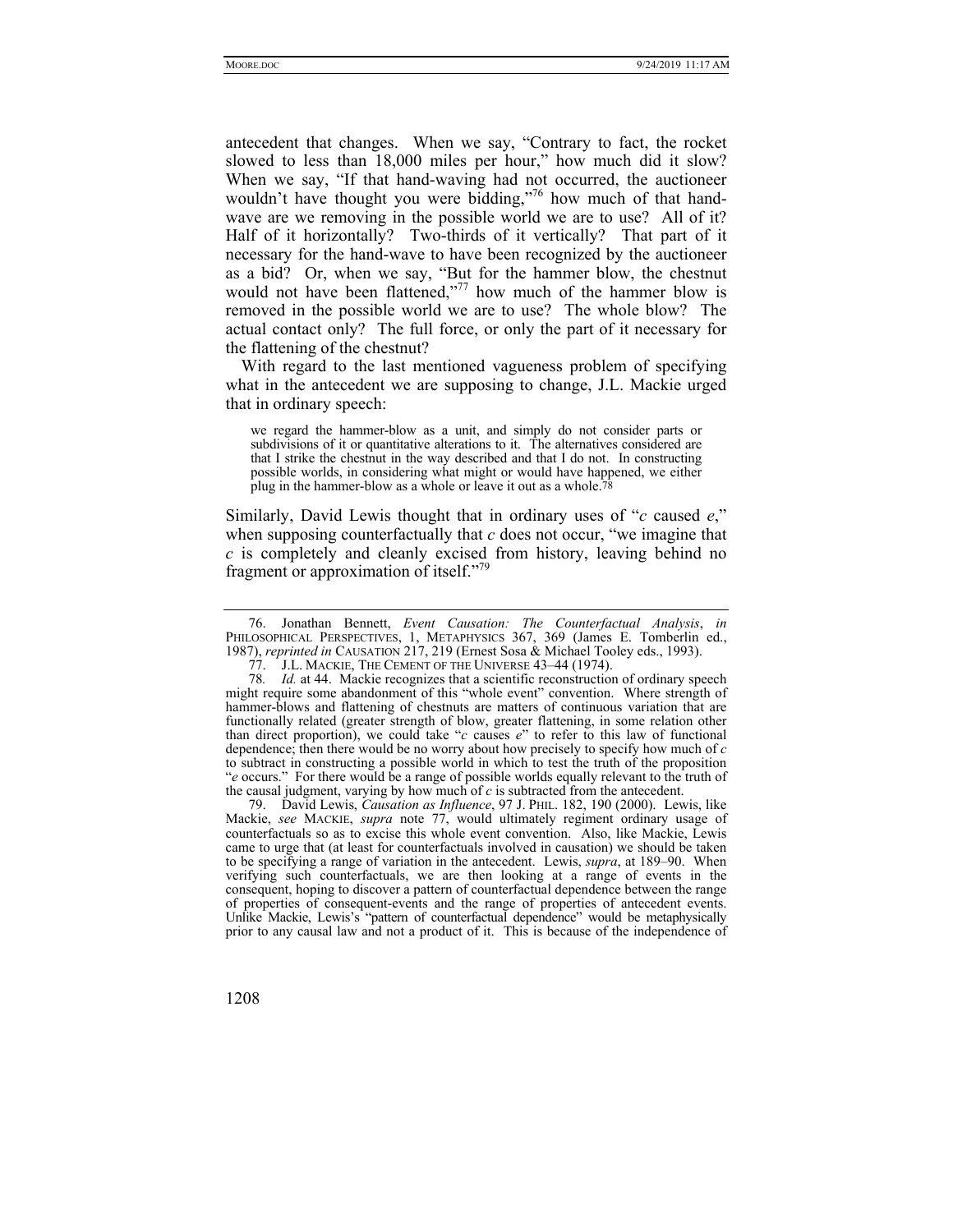antecedent that changes. When we say, "Contrary to fact, the rocket slowed to less than 18,000 miles per hour," how much did it slow? When we say, "If that hand-waving had not occurred, the auctioneer wouldn't have thought you were bidding,"<sup>76</sup> how much of that handwave are we removing in the possible world we are to use? All of it? Half of it horizontally? Two-thirds of it vertically? That part of it necessary for the hand-wave to have been recognized by the auctioneer as a bid? Or, when we say, "But for the hammer blow, the chestnut would not have been flattened,"<sup>77</sup> how much of the hammer blow is removed in the possible world we are to use? The whole blow? The actual contact only? The full force, or only the part of it necessary for the flattening of the chestnut?

With regard to the last mentioned vagueness problem of specifying what in the antecedent we are supposing to change, J.L. Mackie urged that in ordinary speech:

we regard the hammer-blow as a unit, and simply do not consider parts or subdivisions of it or quantitative alterations to it. The alternatives considered are that I strike the chestnut in the way described and that I do not. In constructing possible worlds, in considering what might or would have happened, we either plug in the hammer-blow as a whole or leave it out as a whole.<sup>78</sup>

Similarly, David Lewis thought that in ordinary uses of "*c* caused *e*," when supposing counterfactually that *c* does not occur, "we imagine that *c* is completely and cleanly excised from history, leaving behind no fragment or approximation of itself."<sup>79</sup>

 <sup>76.</sup> Jonathan Bennett, *Event Causation: The Counterfactual Analysis*, *in* PHILOSOPHICAL PERSPECTIVES, 1, METAPHYSICS 367, 369 (James E. Tomberlin ed., 1987), *reprinted in* CAUSATION 217, 219 (Ernest Sosa & Michael Tooley eds., 1993).

 <sup>77.</sup> J.L. MACKIE, THE CEMENT OF THE UNIVERSE 43–44 (1974).

<sup>78</sup>*. Id.* at 44. Mackie recognizes that a scientific reconstruction of ordinary speech might require some abandonment of this "whole event" convention. Where strength of hammer-blows and flattening of chestnuts are matters of continuous variation that are functionally related (greater strength of blow, greater flattening, in some relation other than direct proportion), we could take "*c* causes *e*" to refer to this law of functional dependence; then there would be no worry about how precisely to specify how much of *c* to subtract in constructing a possible world in which to test the truth of the proposition "e occurs." For there would be a range of possible worlds equally relevant to the truth of the causal judgment, varying by how much of *c* is subtracted from the antecedent.

 <sup>79.</sup> David Lewis, *Causation as Influence*, 97 J. PHIL. 182, 190 (2000). Lewis, like Mackie, *see* MACKIE, *supra* note 77, would ultimately regiment ordinary usage of counterfactuals so as to excise this whole event convention. Also, like Mackie, Lewis came to urge that (at least for counterfactuals involved in causation) we should be taken to be specifying a range of variation in the antecedent. Lewis, *supra*, at 189–90. When verifying such counterfactuals, we are then looking at a range of events in the consequent, hoping to discover a pattern of counterfactual dependence between the range of properties of consequent-events and the range of properties of antecedent events. Unlike Mackie, Lewis's "pattern of counterfactual dependence" would be metaphysically prior to any causal law and not a product of it. This is because of the independence of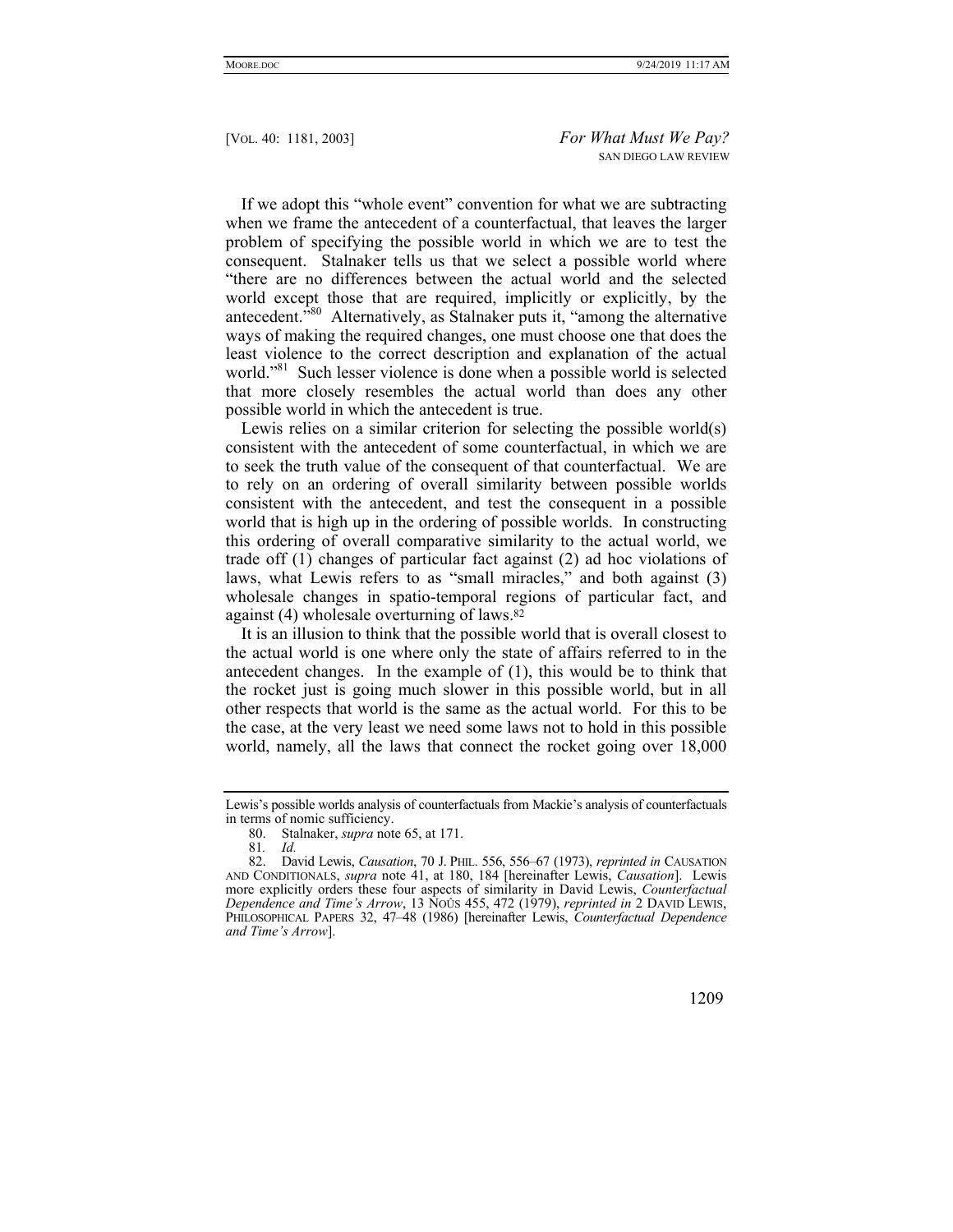If we adopt this "whole event" convention for what we are subtracting when we frame the antecedent of a counterfactual, that leaves the larger problem of specifying the possible world in which we are to test the consequent. Stalnaker tells us that we select a possible world where "there are no differences between the actual world and the selected world except those that are required, implicitly or explicitly, by the antecedent. $\mathbf{R}^{380}$  Alternatively, as Stalnaker puts it, "among the alternative ways of making the required changes, one must choose one that does the least violence to the correct description and explanation of the actual world."<sup>81</sup> Such lesser violence is done when a possible world is selected that more closely resembles the actual world than does any other possible world in which the antecedent is true.

Lewis relies on a similar criterion for selecting the possible world(s) consistent with the antecedent of some counterfactual, in which we are to seek the truth value of the consequent of that counterfactual. We are to rely on an ordering of overall similarity between possible worlds consistent with the antecedent, and test the consequent in a possible world that is high up in the ordering of possible worlds. In constructing this ordering of overall comparative similarity to the actual world, we trade off (1) changes of particular fact against (2) ad hoc violations of laws, what Lewis refers to as "small miracles," and both against (3) wholesale changes in spatio-temporal regions of particular fact, and against (4) wholesale overturning of laws.82

It is an illusion to think that the possible world that is overall closest to the actual world is one where only the state of affairs referred to in the antecedent changes. In the example of (1), this would be to think that the rocket just is going much slower in this possible world, but in all other respects that world is the same as the actual world. For this to be the case, at the very least we need some laws not to hold in this possible world, namely, all the laws that connect the rocket going over 18,000

Lewis's possible worlds analysis of counterfactuals from Mackie's analysis of counterfactuals in terms of nomic sufficiency.

 <sup>80.</sup> Stalnaker, *supra* note 65, at 171.

<sup>81</sup>*. Id.*

 <sup>82.</sup> David Lewis, *Causation*, 70 J. PHIL. 556, 556–67 (1973), *reprinted in* CAUSATION AND CONDITIONALS, *supra* note 41, at 180, 184 [hereinafter Lewis, *Causation*]. Lewis more explicitly orders these four aspects of similarity in David Lewis, *Counterfactual Dependence and Time's Arrow*, 13 NOÛS 455, 472 (1979), *reprinted in* 2 DAVID LEWIS, PHILOSOPHICAL PAPERS 32, 47–48 (1986) [hereinafter Lewis, *Counterfactual Dependence and Time's Arrow*].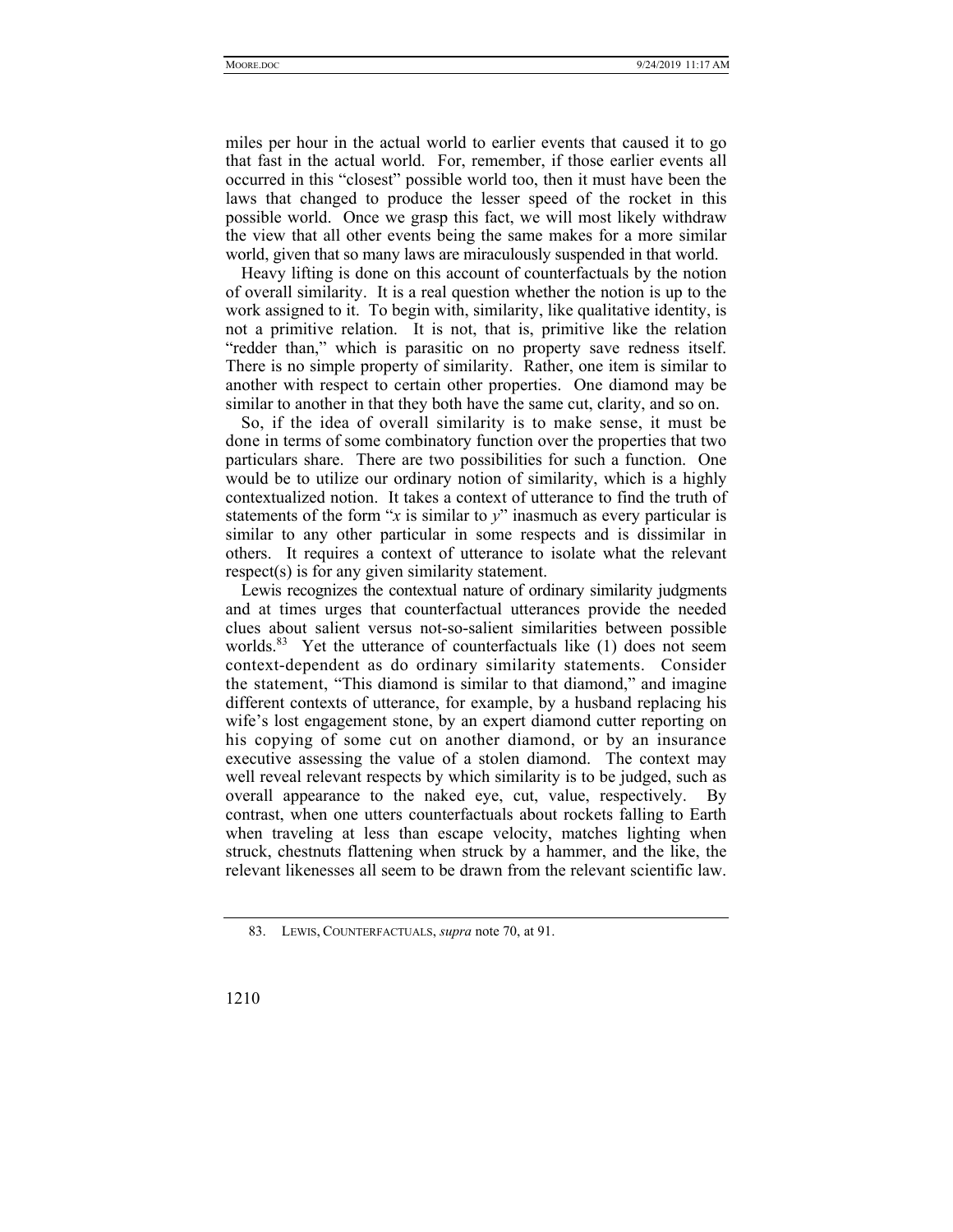miles per hour in the actual world to earlier events that caused it to go that fast in the actual world. For, remember, if those earlier events all occurred in this "closest" possible world too, then it must have been the laws that changed to produce the lesser speed of the rocket in this possible world. Once we grasp this fact, we will most likely withdraw the view that all other events being the same makes for a more similar world, given that so many laws are miraculously suspended in that world.

Heavy lifting is done on this account of counterfactuals by the notion of overall similarity. It is a real question whether the notion is up to the work assigned to it. To begin with, similarity, like qualitative identity, is not a primitive relation. It is not, that is, primitive like the relation "redder than," which is parasitic on no property save redness itself. There is no simple property of similarity. Rather, one item is similar to another with respect to certain other properties. One diamond may be similar to another in that they both have the same cut, clarity, and so on.

So, if the idea of overall similarity is to make sense, it must be done in terms of some combinatory function over the properties that two particulars share. There are two possibilities for such a function. One would be to utilize our ordinary notion of similarity, which is a highly contextualized notion. It takes a context of utterance to find the truth of statements of the form " $x$  is similar to  $y$ " inasmuch as every particular is similar to any other particular in some respects and is dissimilar in others. It requires a context of utterance to isolate what the relevant respect(s) is for any given similarity statement.

Lewis recognizes the contextual nature of ordinary similarity judgments and at times urges that counterfactual utterances provide the needed clues about salient versus not-so-salient similarities between possible worlds.<sup>83</sup> Yet the utterance of counterfactuals like (1) does not seem context-dependent as do ordinary similarity statements. Consider the statement, "This diamond is similar to that diamond," and imagine different contexts of utterance, for example, by a husband replacing his wife's lost engagement stone, by an expert diamond cutter reporting on his copying of some cut on another diamond, or by an insurance executive assessing the value of a stolen diamond. The context may well reveal relevant respects by which similarity is to be judged, such as overall appearance to the naked eye, cut, value, respectively. By contrast, when one utters counterfactuals about rockets falling to Earth when traveling at less than escape velocity, matches lighting when struck, chestnuts flattening when struck by a hammer, and the like, the relevant likenesses all seem to be drawn from the relevant scientific law.

 <sup>83.</sup> LEWIS, COUNTERFACTUALS, *supra* note 70, at 91.

<sup>1210</sup>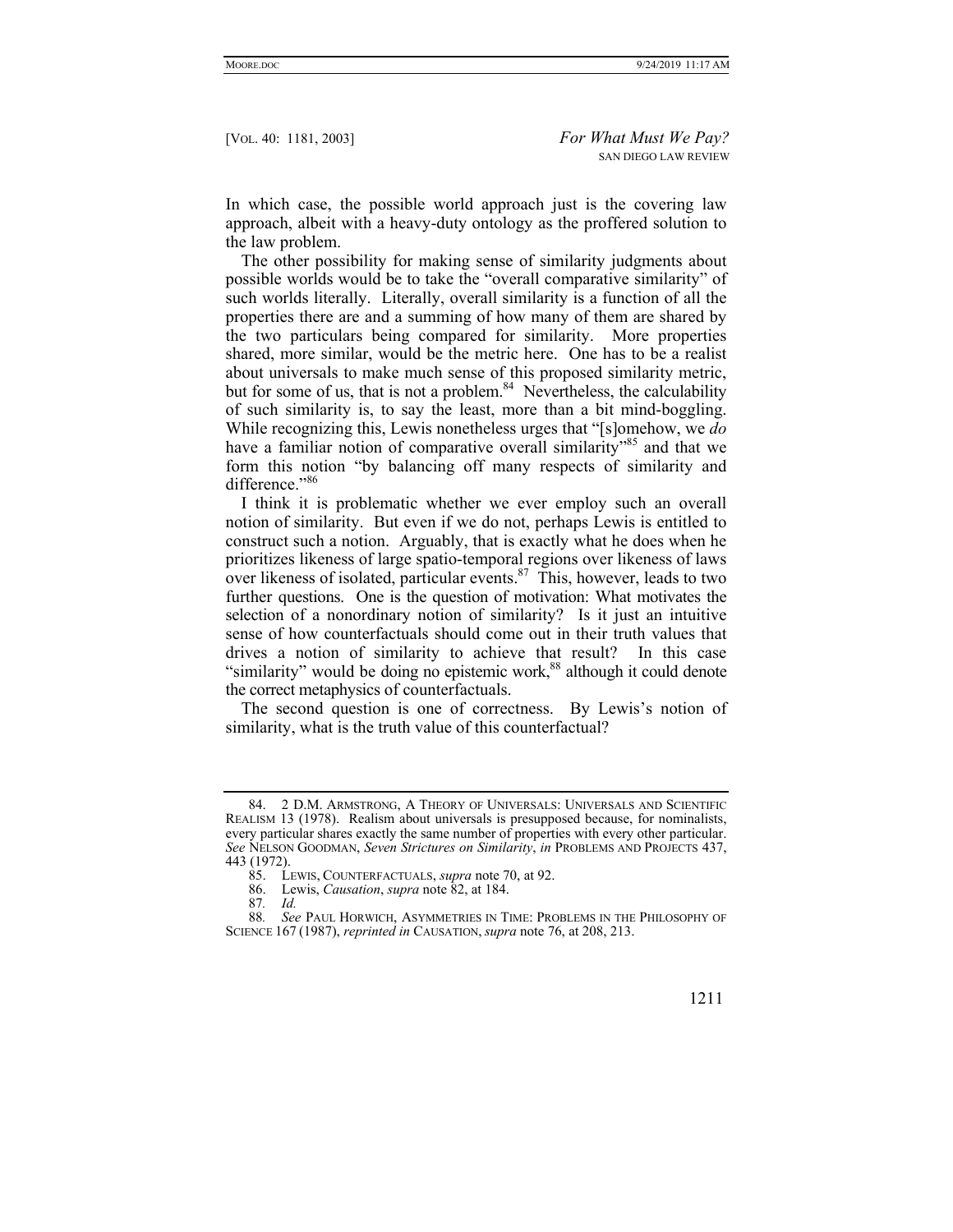In which case, the possible world approach just is the covering law approach, albeit with a heavy-duty ontology as the proffered solution to the law problem.

The other possibility for making sense of similarity judgments about possible worlds would be to take the "overall comparative similarity" of such worlds literally. Literally, overall similarity is a function of all the properties there are and a summing of how many of them are shared by the two particulars being compared for similarity. More properties shared, more similar, would be the metric here. One has to be a realist about universals to make much sense of this proposed similarity metric, but for some of us, that is not a problem. $84$  Nevertheless, the calculability of such similarity is, to say the least, more than a bit mind-boggling. While recognizing this, Lewis nonetheless urges that "[s]omehow, we *do* have a familiar notion of comparative overall similarity<sup>385</sup> and that we form this notion "by balancing off many respects of similarity and difference."86

I think it is problematic whether we ever employ such an overall notion of similarity. But even if we do not, perhaps Lewis is entitled to construct such a notion. Arguably, that is exactly what he does when he prioritizes likeness of large spatio-temporal regions over likeness of laws over likeness of isolated, particular events.<sup>87</sup> This, however, leads to two further questions. One is the question of motivation: What motivates the selection of a nonordinary notion of similarity? Is it just an intuitive sense of how counterfactuals should come out in their truth values that drives a notion of similarity to achieve that result? In this case "similarity" would be doing no epistemic work,<sup>88</sup> although it could denote the correct metaphysics of counterfactuals.

The second question is one of correctness. By Lewis's notion of similarity, what is the truth value of this counterfactual?

<sup>88</sup>*. See* PAUL HORWICH, ASYMMETRIES IN TIME: PROBLEMS IN THE PHILOSOPHY OF SCIENCE 167 (1987), *reprinted in* CAUSATION, *supra* note 76, at 208, 213.



 <sup>84. 2</sup> D.M. ARMSTRONG, A THEORY OF UNIVERSALS: UNIVERSALS AND SCIENTIFIC REALISM 13 (1978). Realism about universals is presupposed because, for nominalists, every particular shares exactly the same number of properties with every other particular. *See* NELSON GOODMAN, *Seven Strictures on Similarity*, *in* PROBLEMS AND PROJECTS 437, 443 (1972).

 <sup>85.</sup> LEWIS, COUNTERFACTUALS, *supra* note 70, at 92.

 <sup>86.</sup> Lewis, *Causation*, *supra* note 82, at 184.

<sup>87</sup>*. Id.*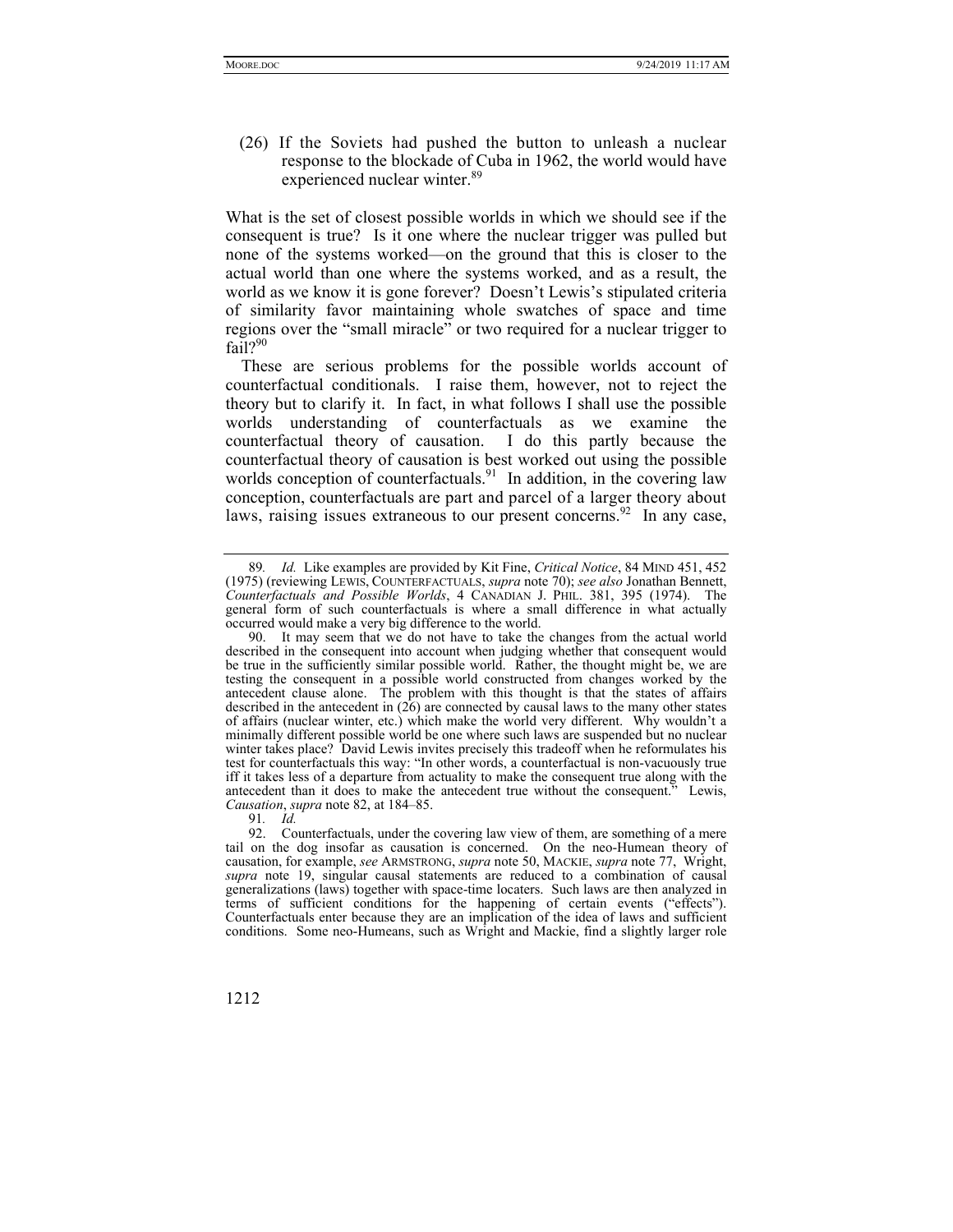(26) If the Soviets had pushed the button to unleash a nuclear response to the blockade of Cuba in 1962, the world would have experienced nuclear winter.<sup>89</sup>

What is the set of closest possible worlds in which we should see if the consequent is true? Is it one where the nuclear trigger was pulled but none of the systems worked—on the ground that this is closer to the actual world than one where the systems worked, and as a result, the world as we know it is gone forever? Doesn't Lewis's stipulated criteria of similarity favor maintaining whole swatches of space and time regions over the "small miracle" or two required for a nuclear trigger to  $\overline{\text{fail}}$ ?<sup>90</sup>

These are serious problems for the possible worlds account of counterfactual conditionals. I raise them, however, not to reject the theory but to clarify it. In fact, in what follows I shall use the possible worlds understanding of counterfactuals as we examine the counterfactual theory of causation. I do this partly because the counterfactual theory of causation is best worked out using the possible worlds conception of counterfactuals.<sup>91</sup> In addition, in the covering law conception, counterfactuals are part and parcel of a larger theory about laws, raising issues extraneous to our present concerns.<sup>92</sup> In any case,

91*. Id.*

<sup>89</sup>*. Id.* Like examples are provided by Kit Fine, *Critical Notice*, 84 MIND 451, 452 (1975) (reviewing LEWIS, COUNTERFACTUALS, *supra* note 70); *see also* Jonathan Bennett, *Counterfactuals and Possible Worlds*, 4 CANADIAN J. PHIL. 381, 395 (1974). The general form of such counterfactuals is where a small difference in what actually occurred would make a very big difference to the world.

 <sup>90.</sup> It may seem that we do not have to take the changes from the actual world described in the consequent into account when judging whether that consequent would be true in the sufficiently similar possible world. Rather, the thought might be, we are testing the consequent in a possible world constructed from changes worked by the antecedent clause alone. The problem with this thought is that the states of affairs described in the antecedent in  $(26)$  are connected by causal laws to the many other states of affairs (nuclear winter, etc.) which make the world very different. Why wouldn't a minimally different possible world be one where such laws are suspended but no nuclear winter takes place? David Lewis invites precisely this tradeoff when he reformulates his test for counterfactuals this way: "In other words, a counterfactual is non-vacuously true iff it takes less of a departure from actuality to make the consequent true along with the antecedent than it does to make the antecedent true without the consequent." Lewis, *Causation*, *supra* note 82, at 184–85.

 <sup>92.</sup> Counterfactuals, under the covering law view of them, are something of a mere tail on the dog insofar as causation is concerned. On the neo-Humean theory of causation, for example, *see* ARMSTRONG, *supra* note 50, MACKIE, *supra* note 77, Wright, *supra* note 19, singular causal statements are reduced to a combination of causal generalizations (laws) together with space-time locaters. Such laws are then analyzed in terms of sufficient conditions for the happening of certain events ("effects"). Counterfactuals enter because they are an implication of the idea of laws and sufficient conditions. Some neo-Humeans, such as Wright and Mackie, find a slightly larger role

<sup>1212</sup>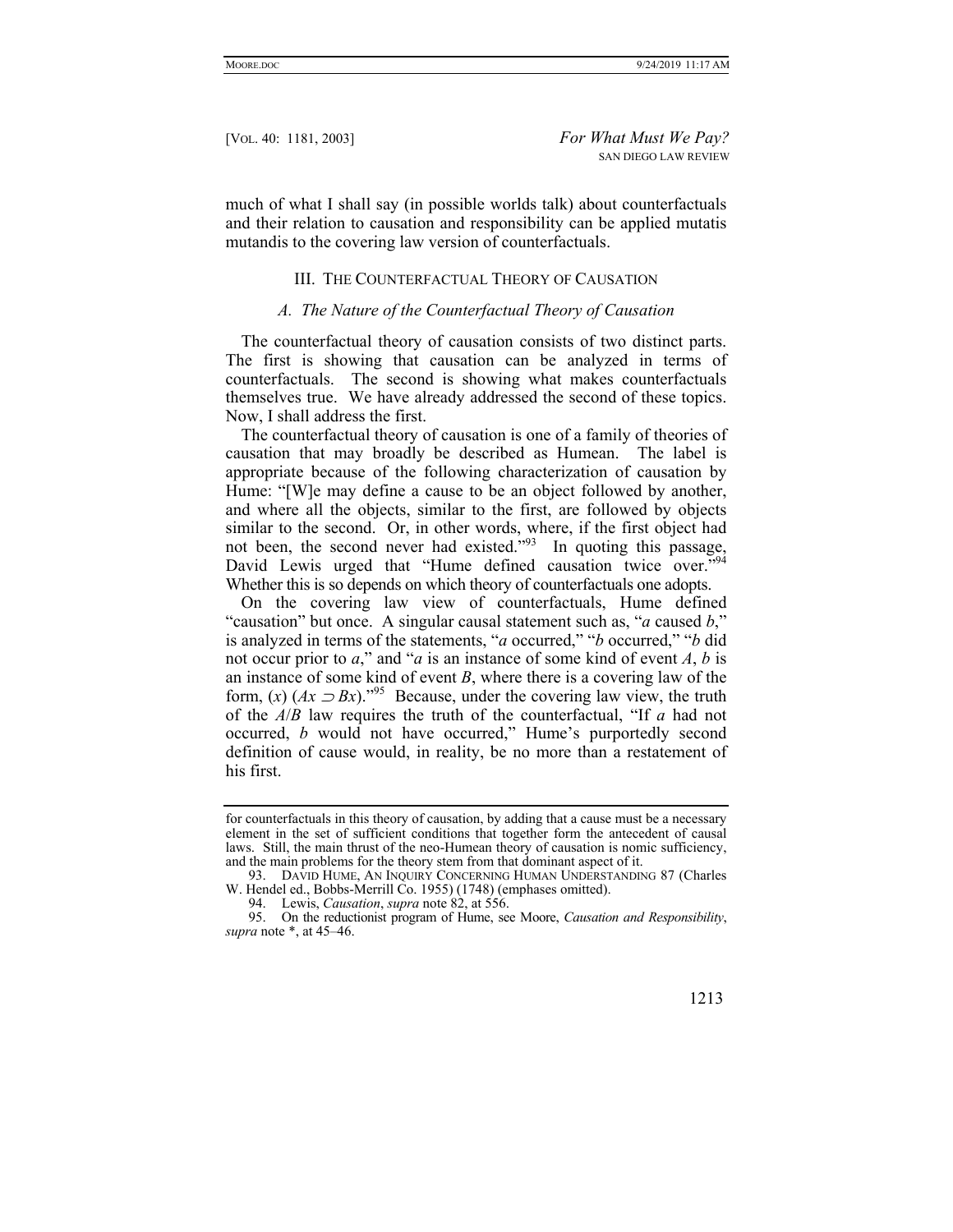much of what I shall say (in possible worlds talk) about counterfactuals and their relation to causation and responsibility can be applied mutatis mutandis to the covering law version of counterfactuals.

## III. THE COUNTERFACTUAL THEORY OF CAUSATION

# *A. The Nature of the Counterfactual Theory of Causation*

The counterfactual theory of causation consists of two distinct parts. The first is showing that causation can be analyzed in terms of counterfactuals. The second is showing what makes counterfactuals themselves true. We have already addressed the second of these topics. Now, I shall address the first.

The counterfactual theory of causation is one of a family of theories of causation that may broadly be described as Humean. The label is appropriate because of the following characterization of causation by Hume: "[W]e may define a cause to be an object followed by another, and where all the objects, similar to the first, are followed by objects similar to the second. Or, in other words, where, if the first object had not been, the second never had existed.<sup>"93</sup> In quoting this passage, David Lewis urged that "Hume defined causation twice over."<sup>94</sup> Whether this is so depends on which theory of counterfactuals one adopts.

 On the covering law view of counterfactuals, Hume defined "causation" but once. A singular causal statement such as, "*a* caused *b*," is analyzed in terms of the statements, "*a* occurred," "*b* occurred," "*b* did not occur prior to *a*," and "*a* is an instance of some kind of event *A*, *b* is an instance of some kind of event *B*, where there is a covering law of the form,  $(x)$  ( $Ax \supset Bx$ )."<sup>95</sup> Because, under the covering law view, the truth of the *A*/*B* law requires the truth of the counterfactual, "If *a* had not occurred, *b* would not have occurred," Hume's purportedly second definition of cause would, in reality, be no more than a restatement of his first.

 <sup>95.</sup> On the reductionist program of Hume, see Moore, *Causation and Responsibility*, *supra* note \*, at 45–46.



for counterfactuals in this theory of causation, by adding that a cause must be a necessary element in the set of sufficient conditions that together form the antecedent of causal laws. Still, the main thrust of the neo-Humean theory of causation is nomic sufficiency, and the main problems for the theory stem from that dominant aspect of it.

 <sup>93.</sup> DAVID HUME, AN INQUIRY CONCERNING HUMAN UNDERSTANDING 87 (Charles W. Hendel ed., Bobbs-Merrill Co. 1955) (1748) (emphases omitted).

 <sup>94.</sup> Lewis, *Causation*, *supra* note 82, at 556.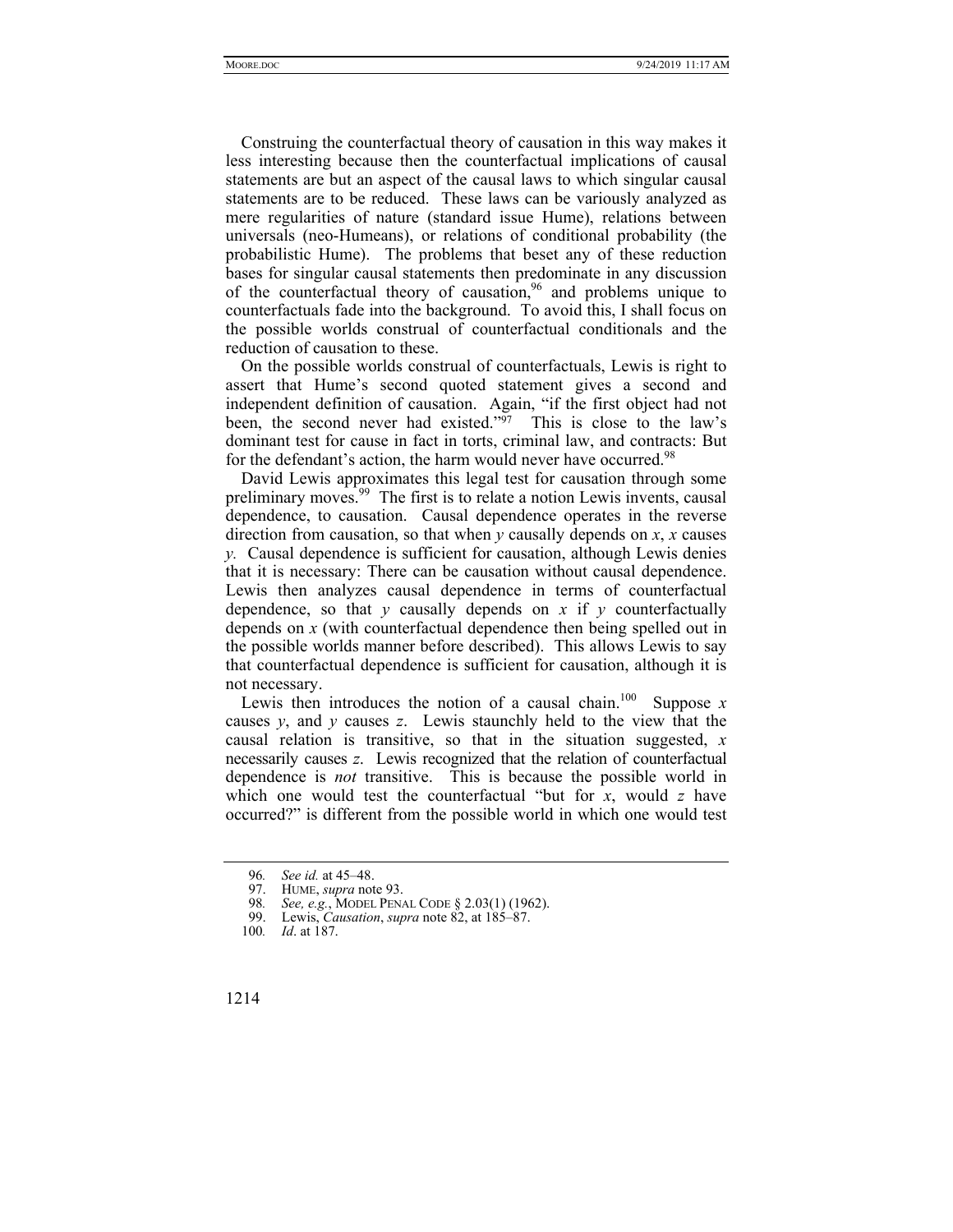Construing the counterfactual theory of causation in this way makes it less interesting because then the counterfactual implications of causal statements are but an aspect of the causal laws to which singular causal statements are to be reduced. These laws can be variously analyzed as mere regularities of nature (standard issue Hume), relations between universals (neo-Humeans), or relations of conditional probability (the probabilistic Hume). The problems that beset any of these reduction bases for singular causal statements then predominate in any discussion of the counterfactual theory of causation,<sup>96</sup> and problems unique to counterfactuals fade into the background. To avoid this, I shall focus on the possible worlds construal of counterfactual conditionals and the reduction of causation to these.

On the possible worlds construal of counterfactuals, Lewis is right to assert that Hume's second quoted statement gives a second and independent definition of causation. Again, "if the first object had not been, the second never had existed." $\frac{97}{7}$  This is close to the law's dominant test for cause in fact in torts, criminal law, and contracts: But for the defendant's action, the harm would never have occurred.<sup>98</sup>

David Lewis approximates this legal test for causation through some preliminary moves.<sup>99</sup> The first is to relate a notion Lewis invents, causal dependence, to causation. Causal dependence operates in the reverse direction from causation, so that when *y* causally depends on *x*, *x* causes *y.* Causal dependence is sufficient for causation, although Lewis denies that it is necessary: There can be causation without causal dependence. Lewis then analyzes causal dependence in terms of counterfactual dependence, so that  $\nu$  causally depends on  $\chi$  if  $\nu$  counterfactually depends on *x* (with counterfactual dependence then being spelled out in the possible worlds manner before described). This allows Lewis to say that counterfactual dependence is sufficient for causation, although it is not necessary.

Lewis then introduces the notion of a causal chain.<sup>100</sup> Suppose  $x$ causes  $v$ , and  $v$  causes  $z$ . Lewis staunchly held to the view that the causal relation is transitive, so that in the situation suggested, *x* necessarily causes *z*. Lewis recognized that the relation of counterfactual dependence is *not* transitive. This is because the possible world in which one would test the counterfactual "but for *x*, would *z* have occurred?" is different from the possible world in which one would test

<sup>96</sup>*. See id.* at 45–48.

<sup>97.</sup> HUME, *supra* note 93.<br>98. See. e.g., MODEL PENA

See, e.g., MODEL PENAL CODE § 2.03(1) (1962).

 <sup>99.</sup> Lewis, *Causation*, *supra* note 82, at 185–87.

<sup>100</sup>*. Id*. at 187.

<sup>1214</sup>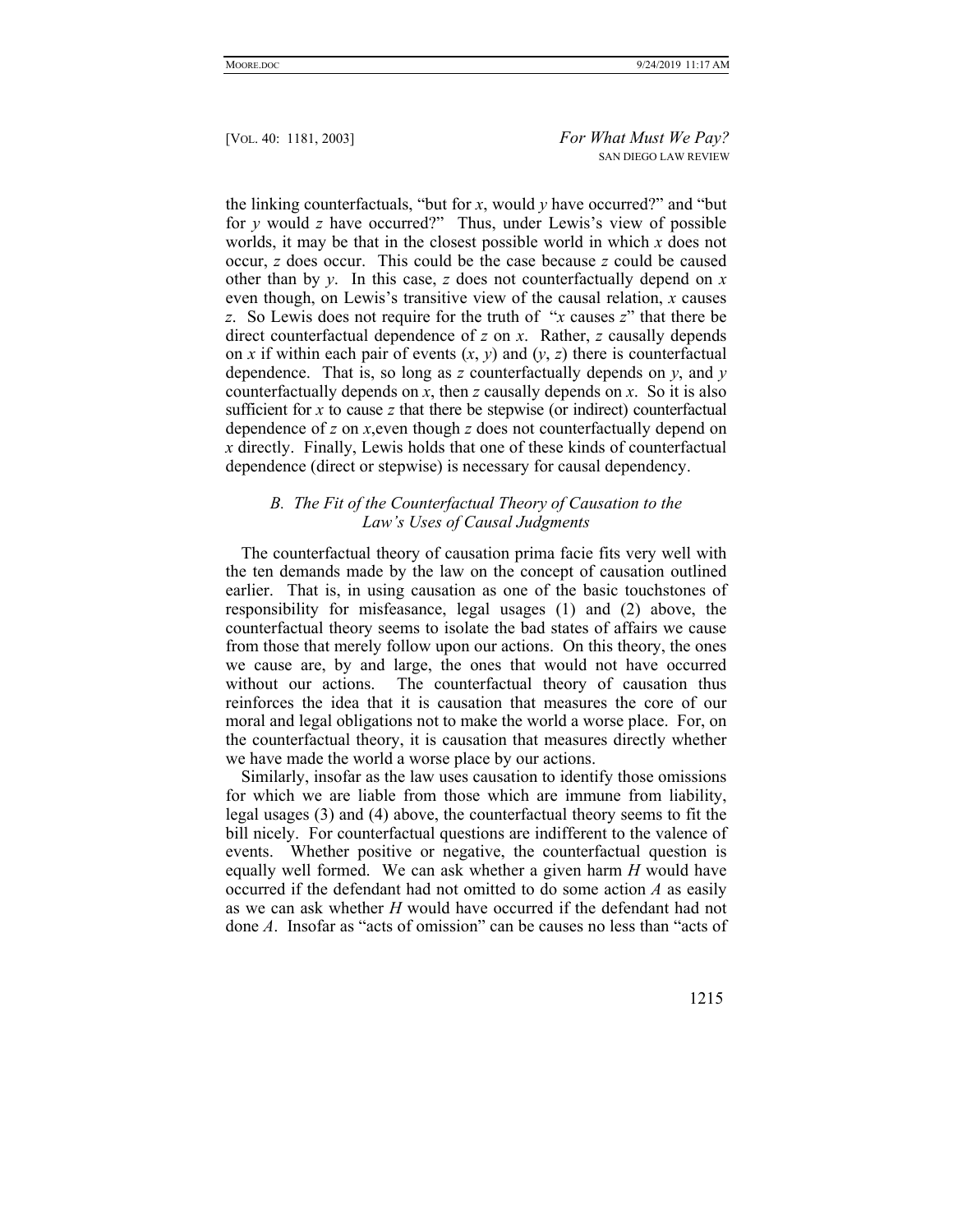the linking counterfactuals, "but for *x*, would *y* have occurred?" and "but for *y* would *z* have occurred?" Thus, under Lewis's view of possible worlds, it may be that in the closest possible world in which *x* does not occur, *z* does occur. This could be the case because *z* could be caused other than by *y*. In this case, *z* does not counterfactually depend on *x* even though, on Lewis's transitive view of the causal relation, *x* causes *z*. So Lewis does not require for the truth of "*x* causes *z*" that there be direct counterfactual dependence of *z* on *x*. Rather, *z* causally depends on *x* if within each pair of events  $(x, y)$  and  $(y, z)$  there is counterfactual dependence. That is, so long as *z* counterfactually depends on *y*, and *y* counterfactually depends on *x*, then *z* causally depends on *x*. So it is also sufficient for *x* to cause *z* that there be stepwise (or indirect) counterfactual dependence of *z* on *x*,even though *z* does not counterfactually depend on *x* directly. Finally, Lewis holds that one of these kinds of counterfactual dependence (direct or stepwise) is necessary for causal dependency.

# *B. The Fit of the Counterfactual Theory of Causation to the Law's Uses of Causal Judgments*

The counterfactual theory of causation prima facie fits very well with the ten demands made by the law on the concept of causation outlined earlier. That is, in using causation as one of the basic touchstones of responsibility for misfeasance, legal usages (1) and (2) above, the counterfactual theory seems to isolate the bad states of affairs we cause from those that merely follow upon our actions. On this theory, the ones we cause are, by and large, the ones that would not have occurred without our actions. The counterfactual theory of causation thus reinforces the idea that it is causation that measures the core of our moral and legal obligations not to make the world a worse place. For, on the counterfactual theory, it is causation that measures directly whether we have made the world a worse place by our actions.

Similarly, insofar as the law uses causation to identify those omissions for which we are liable from those which are immune from liability, legal usages (3) and (4) above, the counterfactual theory seems to fit the bill nicely. For counterfactual questions are indifferent to the valence of events. Whether positive or negative, the counterfactual question is equally well formed. We can ask whether a given harm *H* would have occurred if the defendant had not omitted to do some action *A* as easily as we can ask whether *H* would have occurred if the defendant had not done *A*. Insofar as "acts of omission" can be causes no less than "acts of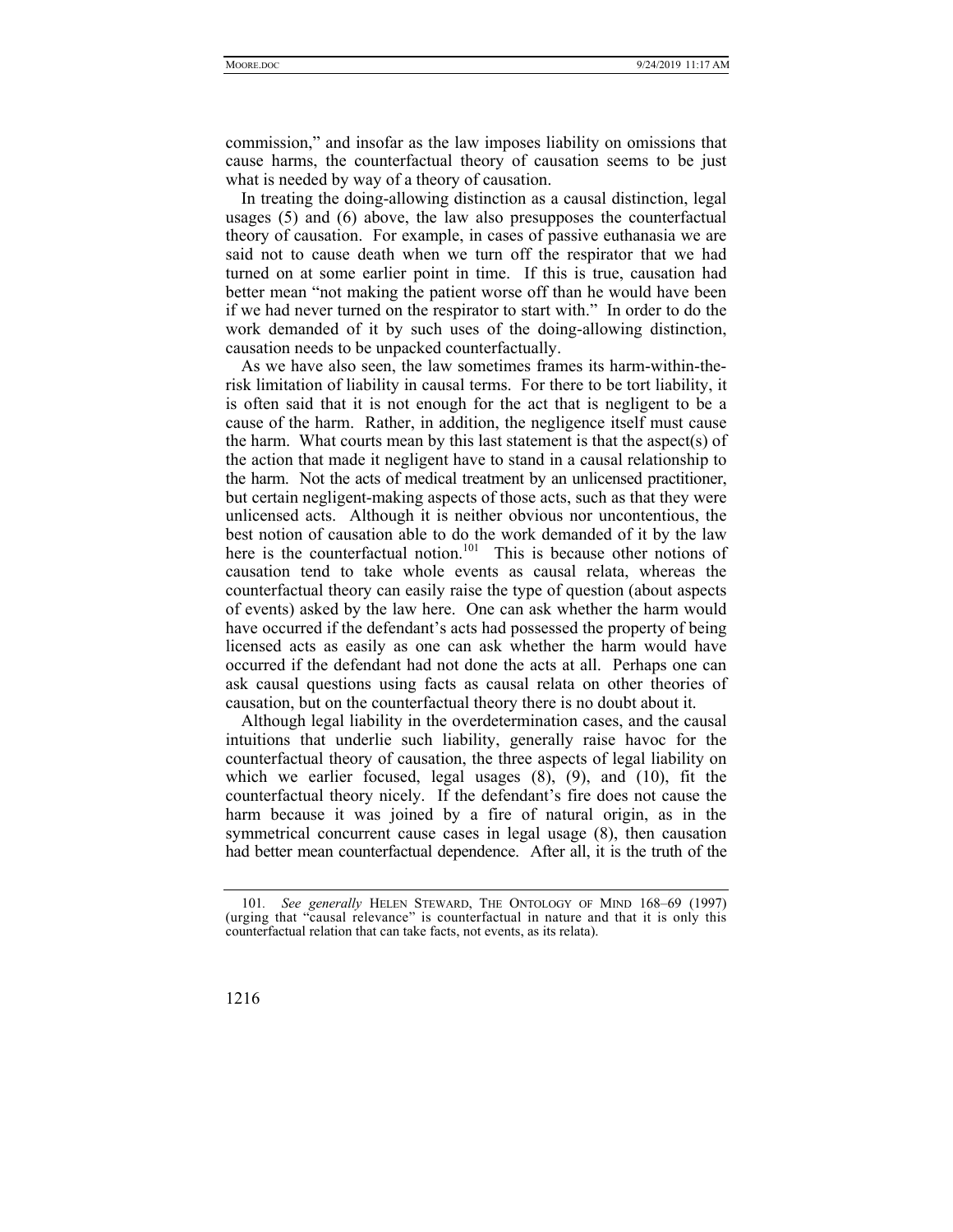commission," and insofar as the law imposes liability on omissions that cause harms, the counterfactual theory of causation seems to be just what is needed by way of a theory of causation.

In treating the doing-allowing distinction as a causal distinction, legal usages (5) and (6) above, the law also presupposes the counterfactual theory of causation. For example, in cases of passive euthanasia we are said not to cause death when we turn off the respirator that we had turned on at some earlier point in time. If this is true, causation had better mean "not making the patient worse off than he would have been if we had never turned on the respirator to start with." In order to do the work demanded of it by such uses of the doing-allowing distinction, causation needs to be unpacked counterfactually.

As we have also seen, the law sometimes frames its harm-within-therisk limitation of liability in causal terms. For there to be tort liability, it is often said that it is not enough for the act that is negligent to be a cause of the harm. Rather, in addition, the negligence itself must cause the harm. What courts mean by this last statement is that the aspect(s) of the action that made it negligent have to stand in a causal relationship to the harm. Not the acts of medical treatment by an unlicensed practitioner, but certain negligent-making aspects of those acts, such as that they were unlicensed acts. Although it is neither obvious nor uncontentious, the best notion of causation able to do the work demanded of it by the law here is the counterfactual notion.<sup>101</sup> This is because other notions of causation tend to take whole events as causal relata, whereas the counterfactual theory can easily raise the type of question (about aspects of events) asked by the law here. One can ask whether the harm would have occurred if the defendant's acts had possessed the property of being licensed acts as easily as one can ask whether the harm would have occurred if the defendant had not done the acts at all. Perhaps one can ask causal questions using facts as causal relata on other theories of causation, but on the counterfactual theory there is no doubt about it.

Although legal liability in the overdetermination cases, and the causal intuitions that underlie such liability, generally raise havoc for the counterfactual theory of causation, the three aspects of legal liability on which we earlier focused, legal usages (8), (9), and (10), fit the counterfactual theory nicely. If the defendant's fire does not cause the harm because it was joined by a fire of natural origin, as in the symmetrical concurrent cause cases in legal usage (8), then causation had better mean counterfactual dependence. After all, it is the truth of the

<sup>101</sup>*. See generally* HELEN STEWARD, THE ONTOLOGY OF MIND 168–69 (1997) (urging that "causal relevance" is counterfactual in nature and that it is only this counterfactual relation that can take facts, not events, as its relata).

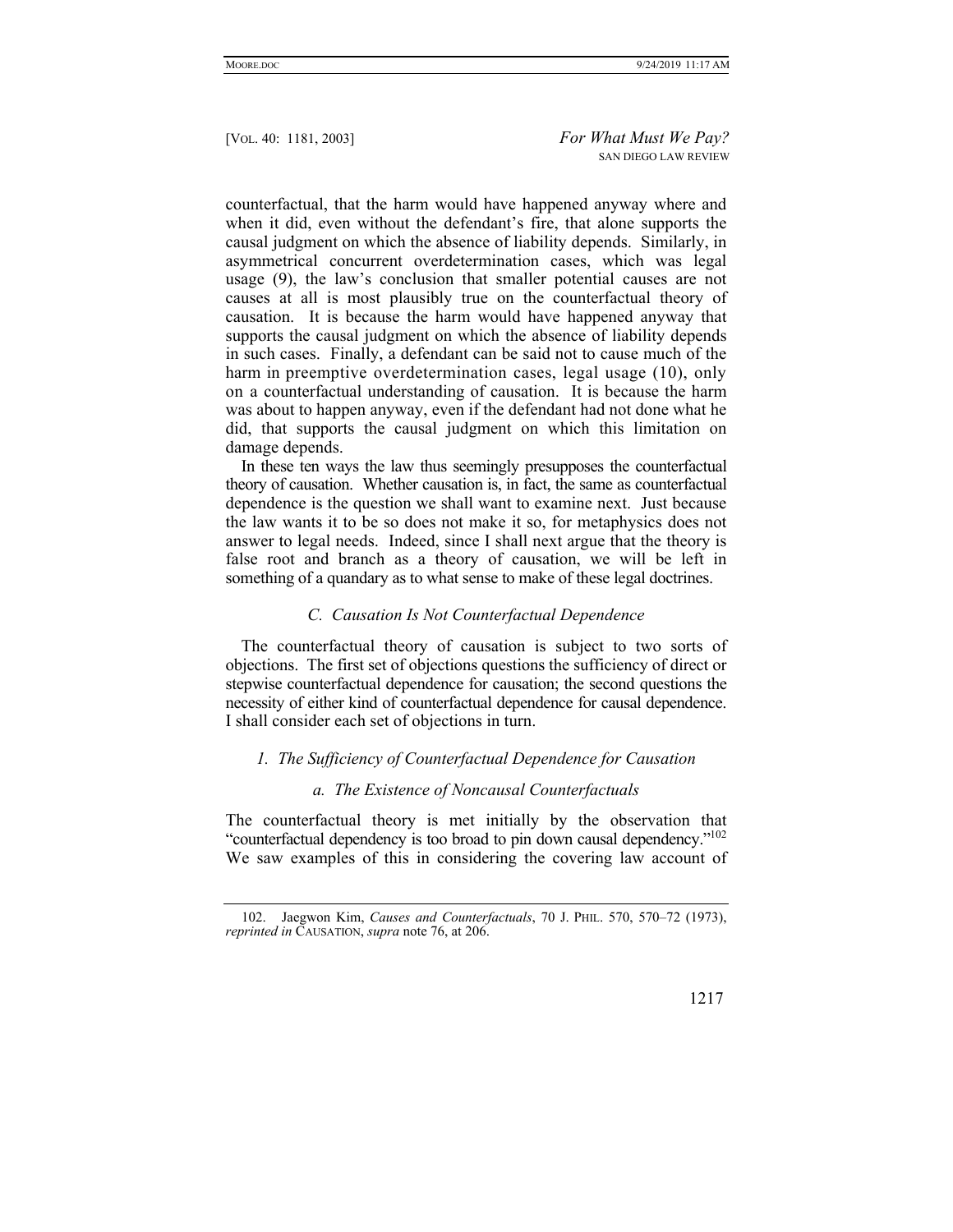counterfactual, that the harm would have happened anyway where and when it did, even without the defendant's fire, that alone supports the causal judgment on which the absence of liability depends. Similarly, in asymmetrical concurrent overdetermination cases, which was legal usage (9), the law's conclusion that smaller potential causes are not causes at all is most plausibly true on the counterfactual theory of causation. It is because the harm would have happened anyway that supports the causal judgment on which the absence of liability depends in such cases. Finally, a defendant can be said not to cause much of the harm in preemptive overdetermination cases, legal usage (10), only on a counterfactual understanding of causation. It is because the harm was about to happen anyway, even if the defendant had not done what he did, that supports the causal judgment on which this limitation on damage depends.

In these ten ways the law thus seemingly presupposes the counterfactual theory of causation. Whether causation is, in fact, the same as counterfactual dependence is the question we shall want to examine next. Just because the law wants it to be so does not make it so, for metaphysics does not answer to legal needs. Indeed, since I shall next argue that the theory is false root and branch as a theory of causation, we will be left in something of a quandary as to what sense to make of these legal doctrines.

#### *C. Causation Is Not Counterfactual Dependence*

The counterfactual theory of causation is subject to two sorts of objections. The first set of objections questions the sufficiency of direct or stepwise counterfactual dependence for causation; the second questions the necessity of either kind of counterfactual dependence for causal dependence. I shall consider each set of objections in turn.

#### *1. The Sufficiency of Counterfactual Dependence for Causation*

## *a. The Existence of Noncausal Counterfactuals*

The counterfactual theory is met initially by the observation that "counterfactual dependency is too broad to pin down causal dependency."<sup>102</sup> We saw examples of this in considering the covering law account of

 <sup>102.</sup> Jaegwon Kim, *Causes and Counterfactuals*, 70 J. PHIL. 570, 570–72 (1973), *reprinted in* CAUSATION, *supra* note 76, at 206.

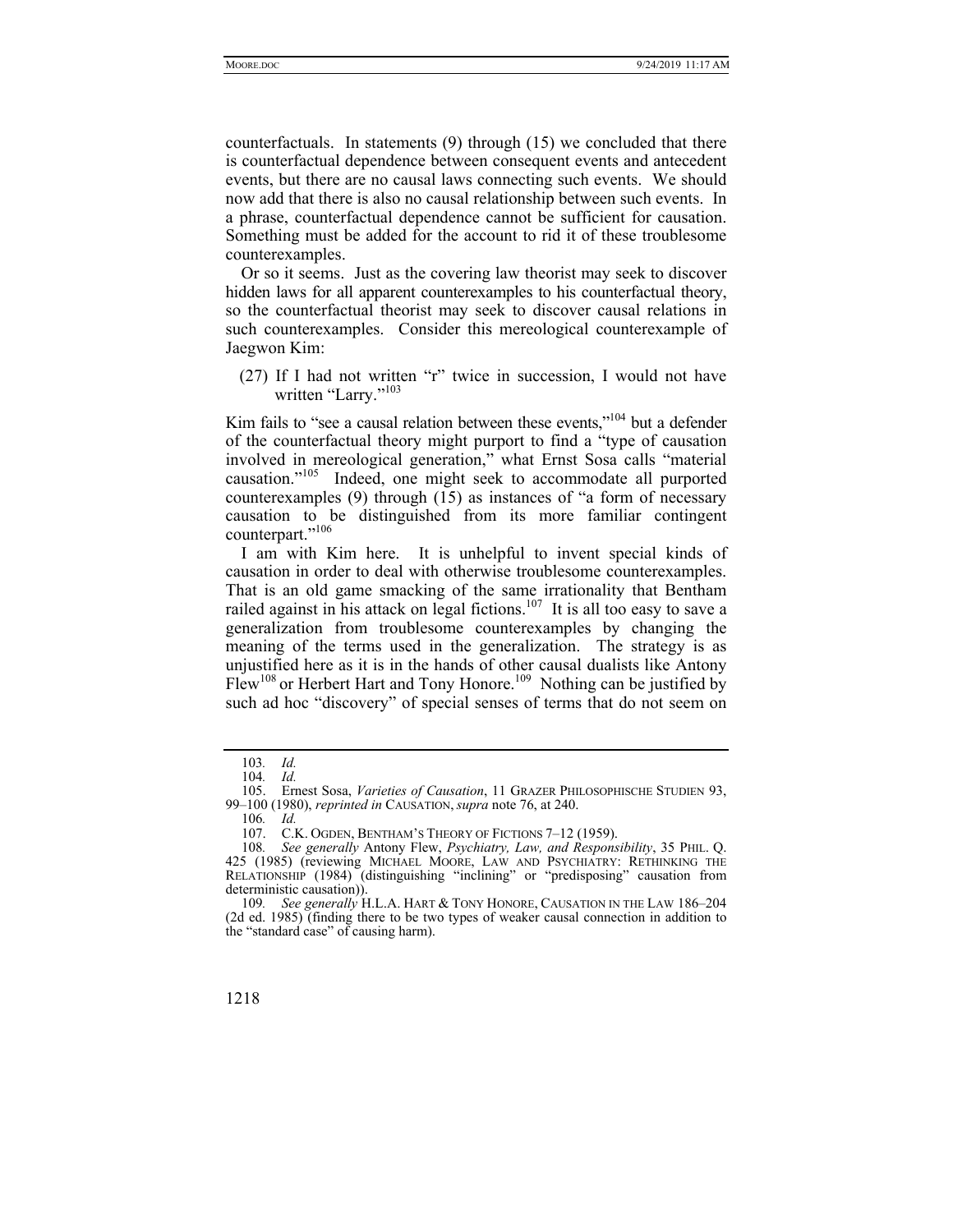counterfactuals. In statements (9) through (15) we concluded that there is counterfactual dependence between consequent events and antecedent events, but there are no causal laws connecting such events. We should now add that there is also no causal relationship between such events. In a phrase, counterfactual dependence cannot be sufficient for causation. Something must be added for the account to rid it of these troublesome counterexamples.

Or so it seems. Just as the covering law theorist may seek to discover hidden laws for all apparent counterexamples to his counterfactual theory, so the counterfactual theorist may seek to discover causal relations in such counterexamples. Consider this mereological counterexample of Jaegwon Kim:

(27) If I had not written "r" twice in succession, I would not have written "Larry."<sup>103</sup>

Kim fails to "see a causal relation between these events,"<sup>104</sup> but a defender of the counterfactual theory might purport to find a "type of causation involved in mereological generation," what Ernst Sosa calls "material causation."105 Indeed, one might seek to accommodate all purported counterexamples (9) through (15) as instances of "a form of necessary causation to be distinguished from its more familiar contingent counterpart."<sup>106</sup>

I am with Kim here. It is unhelpful to invent special kinds of causation in order to deal with otherwise troublesome counterexamples. That is an old game smacking of the same irrationality that Bentham railed against in his attack on legal fictions.<sup>107</sup> It is all too easy to save a generalization from troublesome counterexamples by changing the meaning of the terms used in the generalization. The strategy is as unjustified here as it is in the hands of other causal dualists like Antony  $F$ lew<sup>108</sup> or Herbert Hart and Tony Honore.<sup>109</sup> Nothing can be justified by such ad hoc "discovery" of special senses of terms that do not seem on

<sup>103</sup>*. Id.*

<sup>104</sup>*. Id.* 105. Ernest Sosa, *Varieties of Causation*, 11 GRAZER PHILOSOPHISCHE STUDIEN 93, 99–100 (1980), *reprinted in* CAUSATION, *supra* note 76, at 240.

<sup>106</sup>*. Id.*

 <sup>107.</sup> C.K. OGDEN, BENTHAM'S THEORY OF FICTIONS 7–12 (1959).

<sup>108</sup>*. See generally* Antony Flew, *Psychiatry, Law, and Responsibility*, 35 PHIL. Q. 425 (1985) (reviewing MICHAEL MOORE, LAW AND PSYCHIATRY: RETHINKING THE RELATIONSHIP (1984) (distinguishing "inclining" or "predisposing" causation from deterministic causation)).

<sup>109</sup>*. See generally* H.L.A. HART & TONY HONORE, CAUSATION IN THE LAW 186–204 (2d ed. 1985) (finding there to be two types of weaker causal connection in addition to the "standard case" of causing harm).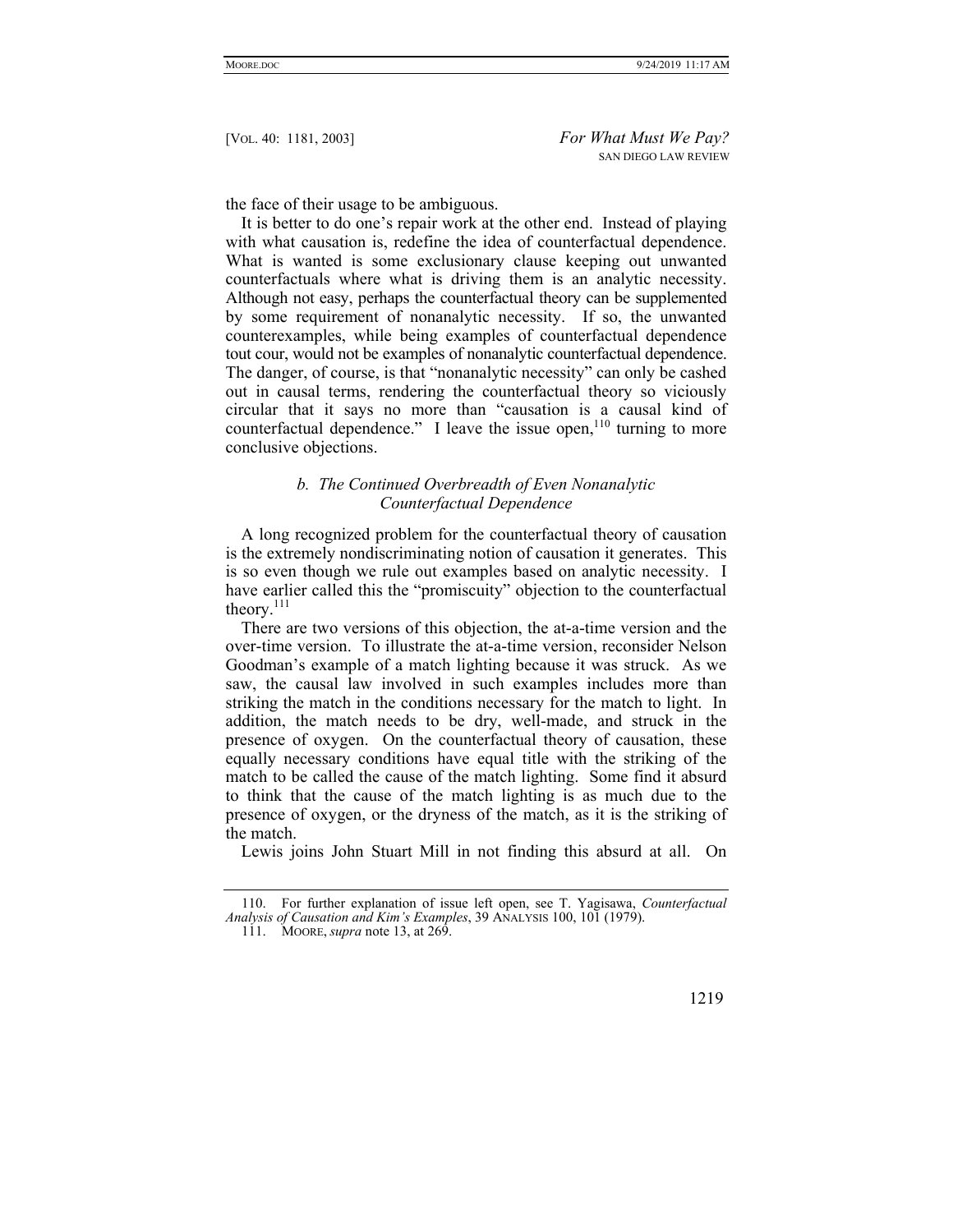the face of their usage to be ambiguous.

It is better to do one's repair work at the other end. Instead of playing with what causation is, redefine the idea of counterfactual dependence. What is wanted is some exclusionary clause keeping out unwanted counterfactuals where what is driving them is an analytic necessity. Although not easy, perhaps the counterfactual theory can be supplemented by some requirement of nonanalytic necessity. If so, the unwanted counterexamples, while being examples of counterfactual dependence tout cour, would not be examples of nonanalytic counterfactual dependence. The danger, of course, is that "nonanalytic necessity" can only be cashed out in causal terms, rendering the counterfactual theory so viciously circular that it says no more than "causation is a causal kind of counterfactual dependence." I leave the issue open, $110$  turning to more conclusive objections.

# *b. The Continued Overbreadth of Even Nonanalytic Counterfactual Dependence*

A long recognized problem for the counterfactual theory of causation is the extremely nondiscriminating notion of causation it generates. This is so even though we rule out examples based on analytic necessity. I have earlier called this the "promiscuity" objection to the counterfactual theory.111

There are two versions of this objection, the at-a-time version and the over-time version. To illustrate the at-a-time version, reconsider Nelson Goodman's example of a match lighting because it was struck. As we saw, the causal law involved in such examples includes more than striking the match in the conditions necessary for the match to light. In addition, the match needs to be dry, well-made, and struck in the presence of oxygen. On the counterfactual theory of causation, these equally necessary conditions have equal title with the striking of the match to be called the cause of the match lighting. Some find it absurd to think that the cause of the match lighting is as much due to the presence of oxygen, or the dryness of the match, as it is the striking of the match.

Lewis joins John Stuart Mill in not finding this absurd at all. On

 <sup>110.</sup> For further explanation of issue left open, see T. Yagisawa, *Counterfactual Analysis of Causation and Kim's Examples*, 39 ANALYSIS 100, 101 (1979).

 <sup>111.</sup> MOORE, *supra* note 13, at 269.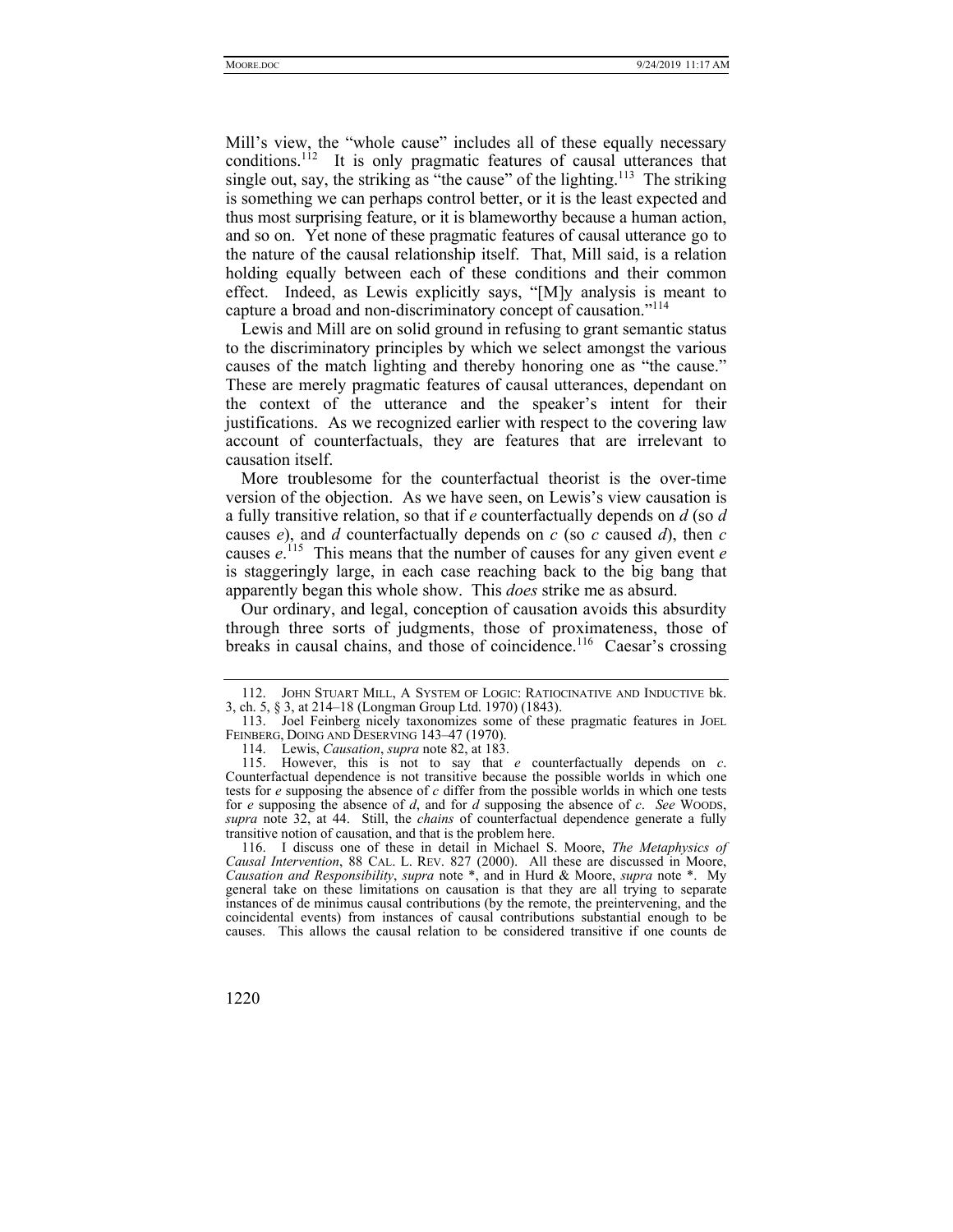Mill's view, the "whole cause" includes all of these equally necessary conditions.<sup>112</sup> It is only pragmatic features of causal utterances that single out, say, the striking as "the cause" of the lighting.<sup>113</sup> The striking is something we can perhaps control better, or it is the least expected and thus most surprising feature, or it is blameworthy because a human action, and so on. Yet none of these pragmatic features of causal utterance go to the nature of the causal relationship itself. That, Mill said, is a relation holding equally between each of these conditions and their common effect. Indeed, as Lewis explicitly says, "[M]y analysis is meant to capture a broad and non-discriminatory concept of causation."114

Lewis and Mill are on solid ground in refusing to grant semantic status to the discriminatory principles by which we select amongst the various causes of the match lighting and thereby honoring one as "the cause." These are merely pragmatic features of causal utterances, dependant on the context of the utterance and the speaker's intent for their justifications. As we recognized earlier with respect to the covering law account of counterfactuals, they are features that are irrelevant to causation itself.

More troublesome for the counterfactual theorist is the over-time version of the objection. As we have seen, on Lewis's view causation is a fully transitive relation, so that if *e* counterfactually depends on *d* (so *d* causes *e*), and *d* counterfactually depends on *c* (so *c* caused *d*), then *c* causes *e*. 115 This means that the number of causes for any given event *e* is staggeringly large, in each case reaching back to the big bang that apparently began this whole show. This *does* strike me as absurd.

Our ordinary, and legal, conception of causation avoids this absurdity through three sorts of judgments, those of proximateness, those of breaks in causal chains, and those of coincidence.<sup>116</sup> Caesar's crossing

 <sup>112.</sup> JOHN STUART MILL, A SYSTEM OF LOGIC: RATIOCINATIVE AND INDUCTIVE bk. 3, ch. 5, § 3, at 214–18 (Longman Group Ltd. 1970) (1843).

 <sup>113.</sup> Joel Feinberg nicely taxonomizes some of these pragmatic features in JOEL FEINBERG, DOING AND DESERVING 143-47 (1970).

 <sup>114.</sup> Lewis, *Causation*, *supra* note 82, at 183.

 <sup>115.</sup> However, this is not to say that *e* counterfactually depends on *c*. Counterfactual dependence is not transitive because the possible worlds in which one tests for *e* supposing the absence of *c* differ from the possible worlds in which one tests for *e* supposing the absence of *d*, and for *d* supposing the absence of *c*. *See* WOODS, *supra* note 32, at 44. Still, the *chains* of counterfactual dependence generate a fully transitive notion of causation, and that is the problem here.

 <sup>116.</sup> I discuss one of these in detail in Michael S. Moore, *The Metaphysics of Causal Intervention*, 88 CAL. L. REV. 827 (2000). All these are discussed in Moore, *Causation and Responsibility*, *supra* note \*, and in Hurd & Moore, *supra* note \*. My general take on these limitations on causation is that they are all trying to separate instances of de minimus causal contributions (by the remote, the preintervening, and the coincidental events) from instances of causal contributions substantial enough to be causes. This allows the causal relation to be considered transitive if one counts de

<sup>1220</sup>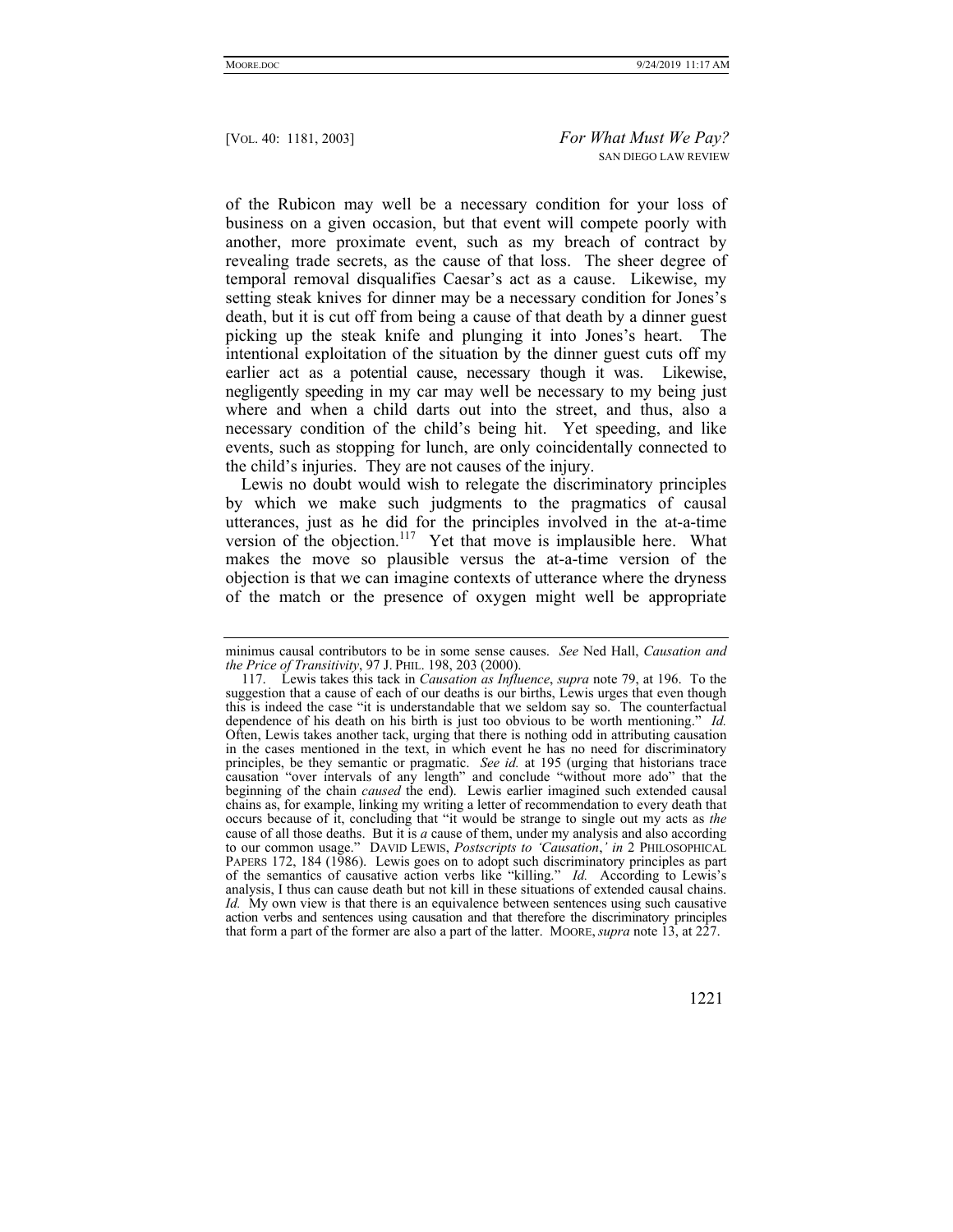of the Rubicon may well be a necessary condition for your loss of business on a given occasion, but that event will compete poorly with another, more proximate event, such as my breach of contract by revealing trade secrets, as the cause of that loss. The sheer degree of temporal removal disqualifies Caesar's act as a cause. Likewise, my setting steak knives for dinner may be a necessary condition for Jones's death, but it is cut off from being a cause of that death by a dinner guest picking up the steak knife and plunging it into Jones's heart. The intentional exploitation of the situation by the dinner guest cuts off my earlier act as a potential cause, necessary though it was. Likewise, negligently speeding in my car may well be necessary to my being just where and when a child darts out into the street, and thus, also a necessary condition of the child's being hit. Yet speeding, and like events, such as stopping for lunch, are only coincidentally connected to the child's injuries. They are not causes of the injury.

Lewis no doubt would wish to relegate the discriminatory principles by which we make such judgments to the pragmatics of causal utterances, just as he did for the principles involved in the at-a-time version of the objection.<sup>117</sup> Yet that move is implausible here. What makes the move so plausible versus the at-a-time version of the objection is that we can imagine contexts of utterance where the dryness of the match or the presence of oxygen might well be appropriate

minimus causal contributors to be in some sense causes. *See* Ned Hall, *Causation and the Price of Transitivity*, 97 J. PHIL. 198, 203 (2000).

 <sup>117.</sup> Lewis takes this tack in *Causation as Influence*, *supra* note 79, at 196. To the suggestion that a cause of each of our deaths is our births, Lewis urges that even though this is indeed the case "it is understandable that we seldom say so. The counterfactual dependence of his death on his birth is just too obvious to be worth mentioning." *Id.* Often, Lewis takes another tack, urging that there is nothing odd in attributing causation in the cases mentioned in the text, in which event he has no need for discriminatory principles, be they semantic or pragmatic. *See id.* at 195 (urging that historians trace causation "over intervals of any length" and conclude "without more ado" that the beginning of the chain *caused* the end). Lewis earlier imagined such extended causal chains as, for example, linking my writing a letter of recommendation to every death that occurs because of it, concluding that "it would be strange to single out my acts as *the*  cause of all those deaths. But it is *a* cause of them, under my analysis and also according to our common usage." DAVID LEWIS, *Postscripts to 'Causation*,*' in* 2 PHILOSOPHICAL PAPERS 172, 184 (1986). Lewis goes on to adopt such discriminatory principles as part of the semantics of causative action verbs like "killing." *Id.* According to Lewis's analysis, I thus can cause death but not kill in these situations of extended causal chains. *Id.* My own view is that there is an equivalence between sentences using such causative action verbs and sentences using causation and that therefore the discriminatory principles that form a part of the former are also a part of the latter. MOORE,*supra* note 13, at 227.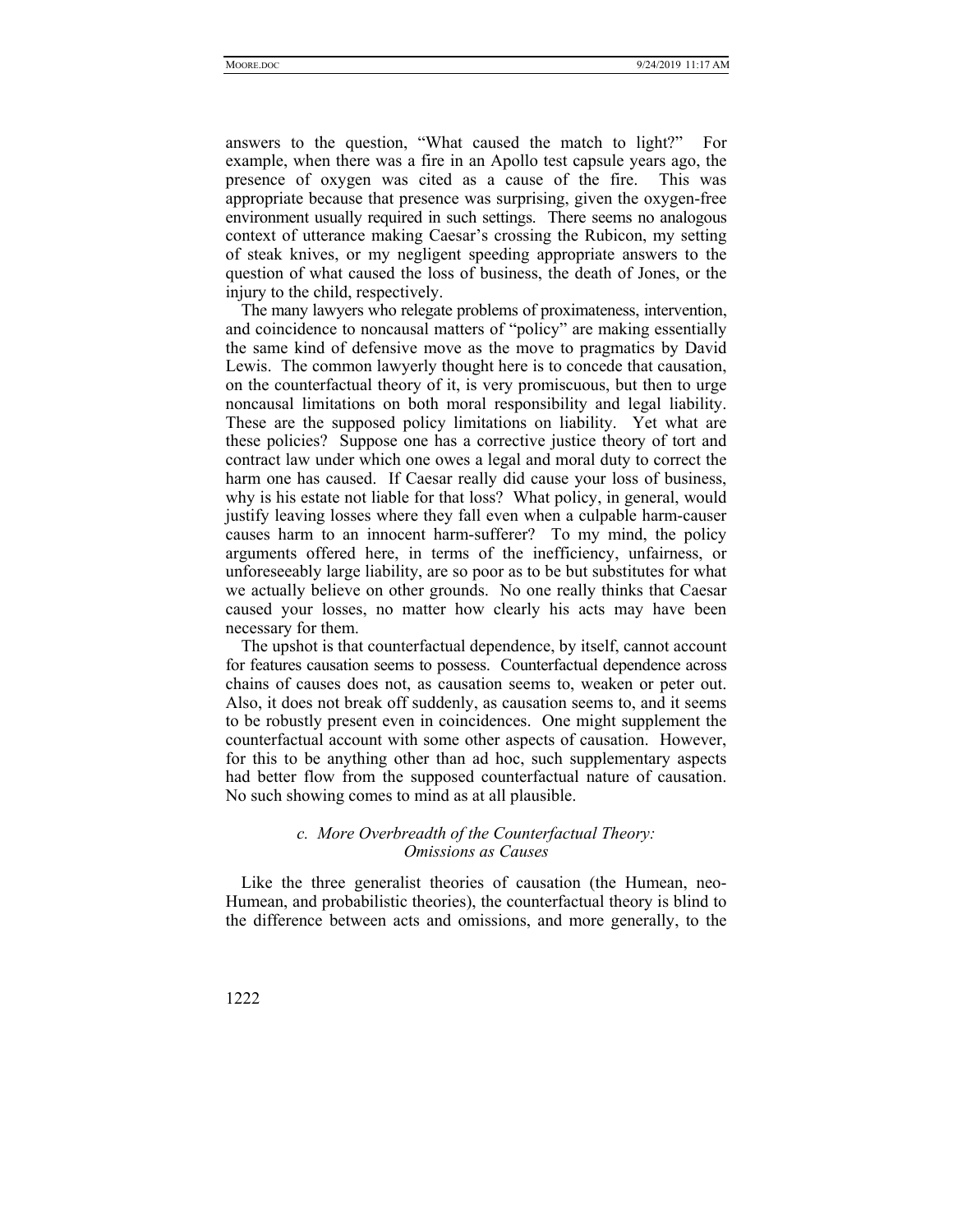answers to the question, "What caused the match to light?" For example, when there was a fire in an Apollo test capsule years ago, the presence of oxygen was cited as a cause of the fire. This was appropriate because that presence was surprising, given the oxygen-free environment usually required in such settings. There seems no analogous context of utterance making Caesar's crossing the Rubicon, my setting of steak knives, or my negligent speeding appropriate answers to the question of what caused the loss of business, the death of Jones, or the injury to the child, respectively.

The many lawyers who relegate problems of proximateness, intervention, and coincidence to noncausal matters of "policy" are making essentially the same kind of defensive move as the move to pragmatics by David Lewis. The common lawyerly thought here is to concede that causation, on the counterfactual theory of it, is very promiscuous, but then to urge noncausal limitations on both moral responsibility and legal liability. These are the supposed policy limitations on liability. Yet what are these policies? Suppose one has a corrective justice theory of tort and contract law under which one owes a legal and moral duty to correct the harm one has caused. If Caesar really did cause your loss of business, why is his estate not liable for that loss? What policy, in general, would justify leaving losses where they fall even when a culpable harm-causer causes harm to an innocent harm-sufferer? To my mind, the policy arguments offered here, in terms of the inefficiency, unfairness, or unforeseeably large liability, are so poor as to be but substitutes for what we actually believe on other grounds. No one really thinks that Caesar caused your losses, no matter how clearly his acts may have been necessary for them.

The upshot is that counterfactual dependence, by itself, cannot account for features causation seems to possess. Counterfactual dependence across chains of causes does not, as causation seems to, weaken or peter out. Also, it does not break off suddenly, as causation seems to, and it seems to be robustly present even in coincidences. One might supplement the counterfactual account with some other aspects of causation. However, for this to be anything other than ad hoc, such supplementary aspects had better flow from the supposed counterfactual nature of causation. No such showing comes to mind as at all plausible.

## *c. More Overbreadth of the Counterfactual Theory: Omissions as Causes*

Like the three generalist theories of causation (the Humean, neo-Humean, and probabilistic theories), the counterfactual theory is blind to the difference between acts and omissions, and more generally, to the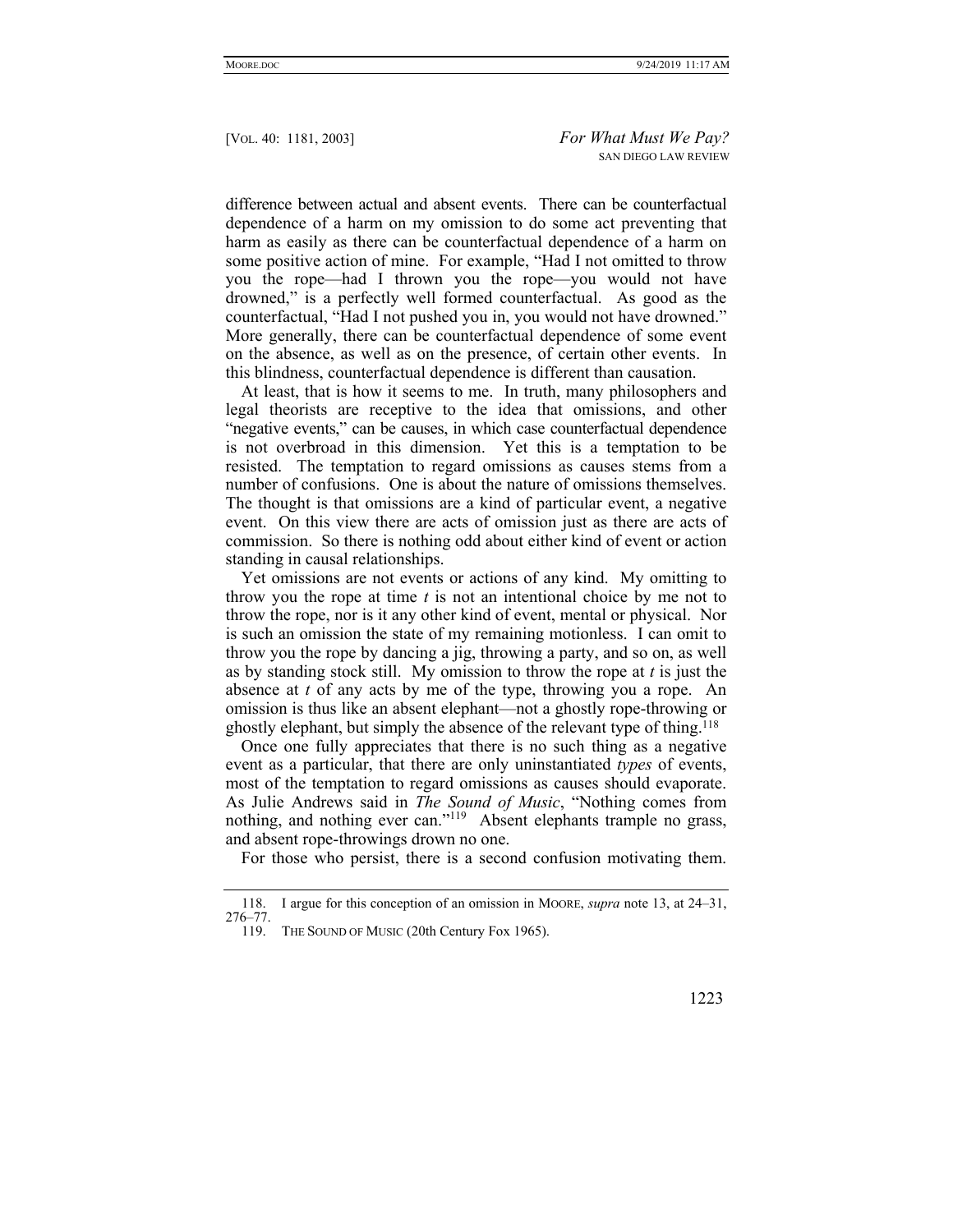difference between actual and absent events. There can be counterfactual dependence of a harm on my omission to do some act preventing that harm as easily as there can be counterfactual dependence of a harm on some positive action of mine. For example, "Had I not omitted to throw you the rope—had I thrown you the rope—you would not have drowned," is a perfectly well formed counterfactual. As good as the counterfactual, "Had I not pushed you in, you would not have drowned." More generally, there can be counterfactual dependence of some event on the absence, as well as on the presence, of certain other events. In this blindness, counterfactual dependence is different than causation.

At least, that is how it seems to me. In truth, many philosophers and legal theorists are receptive to the idea that omissions, and other "negative events," can be causes, in which case counterfactual dependence is not overbroad in this dimension. Yet this is a temptation to be resisted. The temptation to regard omissions as causes stems from a number of confusions. One is about the nature of omissions themselves. The thought is that omissions are a kind of particular event, a negative event. On this view there are acts of omission just as there are acts of commission. So there is nothing odd about either kind of event or action standing in causal relationships.

Yet omissions are not events or actions of any kind. My omitting to throw you the rope at time *t* is not an intentional choice by me not to throw the rope, nor is it any other kind of event, mental or physical. Nor is such an omission the state of my remaining motionless. I can omit to throw you the rope by dancing a jig, throwing a party, and so on, as well as by standing stock still. My omission to throw the rope at *t* is just the absence at *t* of any acts by me of the type, throwing you a rope. An omission is thus like an absent elephant—not a ghostly rope-throwing or ghostly elephant, but simply the absence of the relevant type of thing.118

Once one fully appreciates that there is no such thing as a negative event as a particular, that there are only uninstantiated *types* of events, most of the temptation to regard omissions as causes should evaporate. As Julie Andrews said in *The Sound of Music*, "Nothing comes from nothing, and nothing ever can."<sup>119</sup> Absent elephants trample no grass, and absent rope-throwings drown no one.

For those who persist, there is a second confusion motivating them.

 <sup>119.</sup> THE SOUND OF MUSIC (20th Century Fox 1965).



 <sup>118.</sup> I argue for this conception of an omission in MOORE, *supra* note 13, at 24–31, 276–77.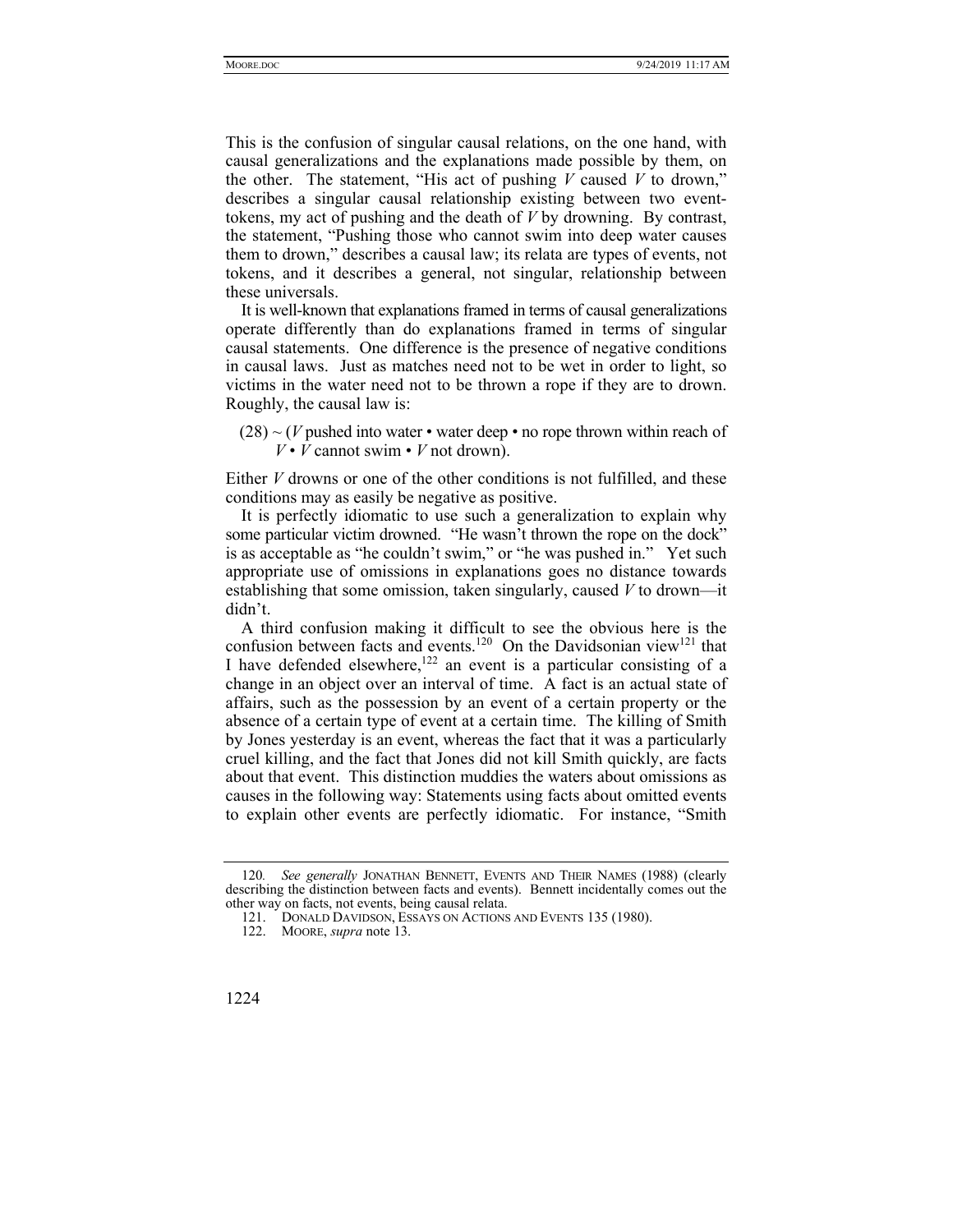This is the confusion of singular causal relations, on the one hand, with causal generalizations and the explanations made possible by them, on the other. The statement, "His act of pushing *V* caused *V* to drown," describes a singular causal relationship existing between two eventtokens, my act of pushing and the death of *V* by drowning. By contrast, the statement, "Pushing those who cannot swim into deep water causes them to drown," describes a causal law; its relata are types of events, not tokens, and it describes a general, not singular, relationship between these universals.

It is well-known that explanations framed in terms of causal generalizations operate differently than do explanations framed in terms of singular causal statements. One difference is the presence of negative conditions in causal laws. Just as matches need not to be wet in order to light, so victims in the water need not to be thrown a rope if they are to drown. Roughly, the causal law is:

 $(28)$  ~ (*V* pushed into water • water deep • no rope thrown within reach of  $V \cdot V$  cannot swim  $\cdot V$  not drown).

Either *V* drowns or one of the other conditions is not fulfilled, and these conditions may as easily be negative as positive.

It is perfectly idiomatic to use such a generalization to explain why some particular victim drowned. "He wasn't thrown the rope on the dock" is as acceptable as "he couldn't swim," or "he was pushed in." Yet such appropriate use of omissions in explanations goes no distance towards establishing that some omission, taken singularly, caused *V* to drown—it didn't.

A third confusion making it difficult to see the obvious here is the confusion between facts and events.<sup>120</sup> On the Davidsonian view<sup>121</sup> that I have defended elsewhere, $122$  an event is a particular consisting of a change in an object over an interval of time. A fact is an actual state of affairs, such as the possession by an event of a certain property or the absence of a certain type of event at a certain time. The killing of Smith by Jones yesterday is an event, whereas the fact that it was a particularly cruel killing, and the fact that Jones did not kill Smith quickly, are facts about that event. This distinction muddies the waters about omissions as causes in the following way: Statements using facts about omitted events to explain other events are perfectly idiomatic. For instance, "Smith

 <sup>122.</sup> MOORE, *supra* note 13.



<sup>120</sup>*. See generally* JONATHAN BENNETT, EVENTS AND THEIR NAMES (1988) (clearly describing the distinction between facts and events). Bennett incidentally comes out the other way on facts, not events, being causal relata.

 <sup>121.</sup> DONALD DAVIDSON, ESSAYS ON ACTIONS AND EVENTS 135 (1980).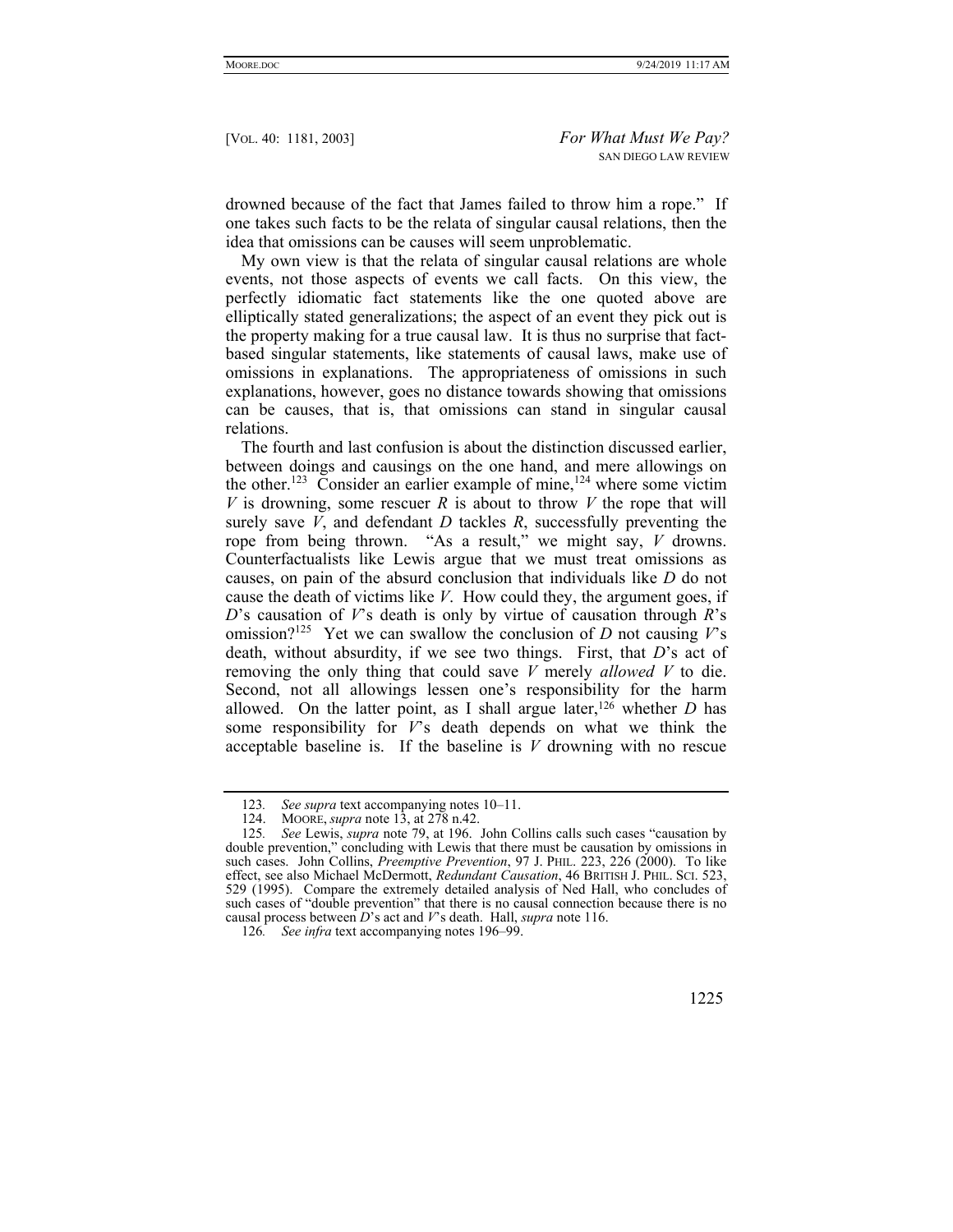drowned because of the fact that James failed to throw him a rope." If one takes such facts to be the relata of singular causal relations, then the idea that omissions can be causes will seem unproblematic.

My own view is that the relata of singular causal relations are whole events, not those aspects of events we call facts. On this view, the perfectly idiomatic fact statements like the one quoted above are elliptically stated generalizations; the aspect of an event they pick out is the property making for a true causal law. It is thus no surprise that factbased singular statements, like statements of causal laws, make use of omissions in explanations. The appropriateness of omissions in such explanations, however, goes no distance towards showing that omissions can be causes, that is, that omissions can stand in singular causal relations.

The fourth and last confusion is about the distinction discussed earlier, between doings and causings on the one hand, and mere allowings on the other.<sup>123</sup> Consider an earlier example of mine,<sup>124</sup> where some victim *V* is drowning, some rescuer *R* is about to throw *V* the rope that will surely save  $\overline{V}$ , and defendant  $\overline{D}$  tackles  $\overline{R}$ , successfully preventing the rope from being thrown. "As a result," we might say, *V* drowns. Counterfactualists like Lewis argue that we must treat omissions as causes, on pain of the absurd conclusion that individuals like *D* do not cause the death of victims like *V*. How could they, the argument goes, if *D*'s causation of *V*'s death is only by virtue of causation through *R*'s omission?<sup>125</sup> Yet we can swallow the conclusion of *D* not causing  $V$ 's death, without absurdity, if we see two things. First, that *D*'s act of removing the only thing that could save *V* merely *allowed V* to die. Second, not all allowings lessen one's responsibility for the harm allowed. On the latter point, as I shall argue later,<sup>126</sup> whether  $D$  has some responsibility for *V*'s death depends on what we think the acceptable baseline is. If the baseline is *V* drowning with no rescue

<sup>126</sup>*. See infra* text accompanying notes 196–99.



<sup>123</sup>*. See supra* text accompanying notes 10–11.

 <sup>124.</sup> MOORE, *supra* note 13, at 278 n.42.

<sup>125</sup>*. See* Lewis, *supra* note 79, at 196. John Collins calls such cases "causation by double prevention," concluding with Lewis that there must be causation by omissions in such cases. John Collins, *Preemptive Prevention*, 97 J. PHIL. 223, 226 (2000). To like effect, see also Michael McDermott, *Redundant Causation*, 46 BRITISH J. PHIL. SCI. 523, 529 (1995). Compare the extremely detailed analysis of Ned Hall, who concludes of such cases of "double prevention" that there is no causal connection because there is no causal process between *D*'s act and *V*'s death. Hall, *supra* note 116.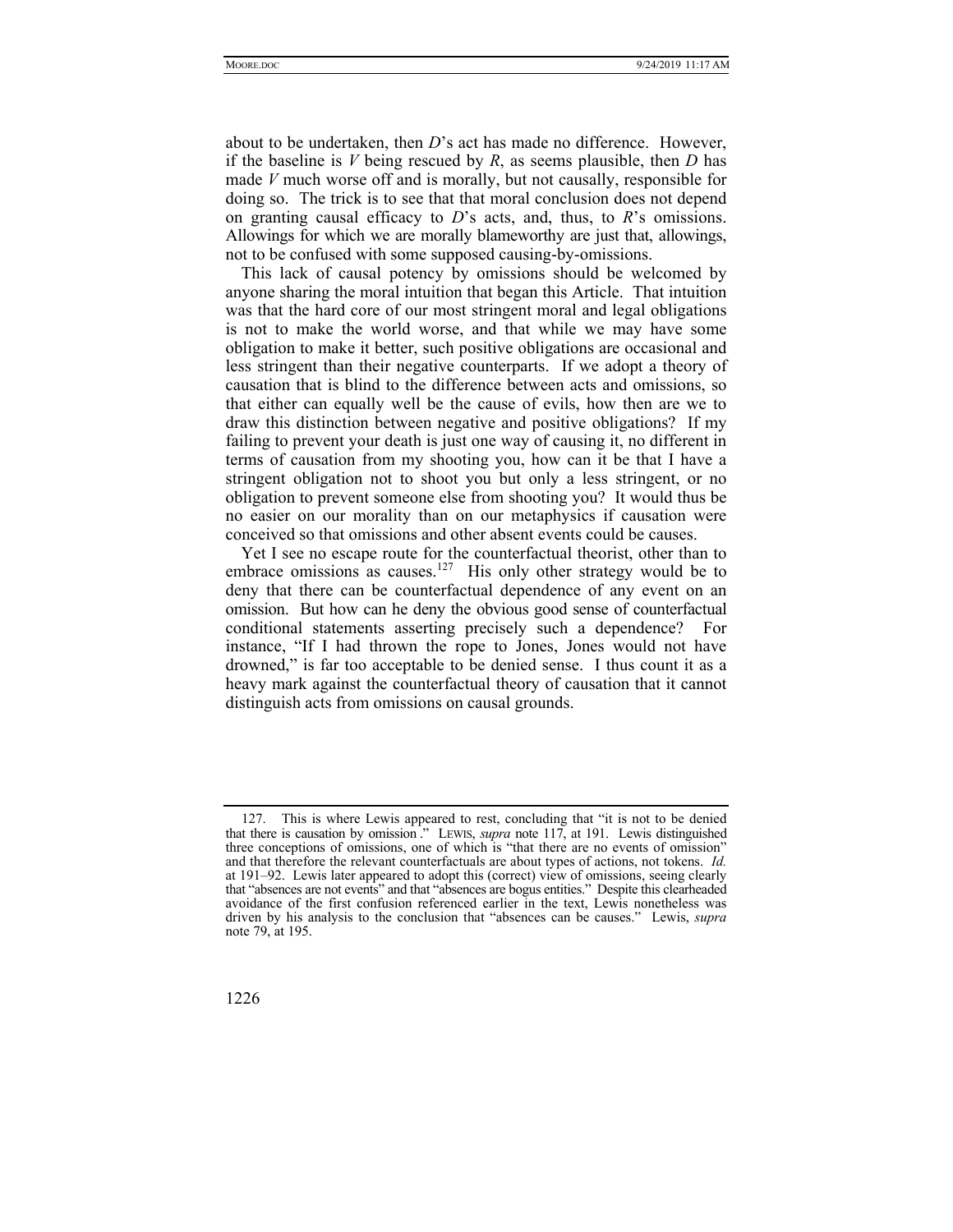about to be undertaken, then *D*'s act has made no difference. However, if the baseline is *V* being rescued by *R*, as seems plausible, then *D* has made *V* much worse off and is morally, but not causally, responsible for doing so. The trick is to see that that moral conclusion does not depend on granting causal efficacy to *D*'s acts, and, thus, to *R*'s omissions. Allowings for which we are morally blameworthy are just that, allowings, not to be confused with some supposed causing-by-omissions.

This lack of causal potency by omissions should be welcomed by anyone sharing the moral intuition that began this Article. That intuition was that the hard core of our most stringent moral and legal obligations is not to make the world worse, and that while we may have some obligation to make it better, such positive obligations are occasional and less stringent than their negative counterparts. If we adopt a theory of causation that is blind to the difference between acts and omissions, so that either can equally well be the cause of evils, how then are we to draw this distinction between negative and positive obligations? If my failing to prevent your death is just one way of causing it, no different in terms of causation from my shooting you, how can it be that I have a stringent obligation not to shoot you but only a less stringent, or no obligation to prevent someone else from shooting you? It would thus be no easier on our morality than on our metaphysics if causation were conceived so that omissions and other absent events could be causes.

Yet I see no escape route for the counterfactual theorist, other than to embrace omissions as causes.<sup>127</sup> His only other strategy would be to deny that there can be counterfactual dependence of any event on an omission. But how can he deny the obvious good sense of counterfactual conditional statements asserting precisely such a dependence? For instance, "If I had thrown the rope to Jones, Jones would not have drowned," is far too acceptable to be denied sense. I thus count it as a heavy mark against the counterfactual theory of causation that it cannot distinguish acts from omissions on causal grounds.

 <sup>127.</sup> This is where Lewis appeared to rest, concluding that "it is not to be denied that there is causation by omission ." LEWIS, *supra* note 117, at 191. Lewis distinguished three conceptions of omissions, one of which is "that there are no events of omission" and that therefore the relevant counterfactuals are about types of actions, not tokens. *Id.* at 191–92. Lewis later appeared to adopt this (correct) view of omissions, seeing clearly that "absences are not events" and that "absences are bogus entities." Despite this clearheaded avoidance of the first confusion referenced earlier in the text, Lewis nonetheless was driven by his analysis to the conclusion that "absences can be causes." Lewis, *supra* note 79, at 195.

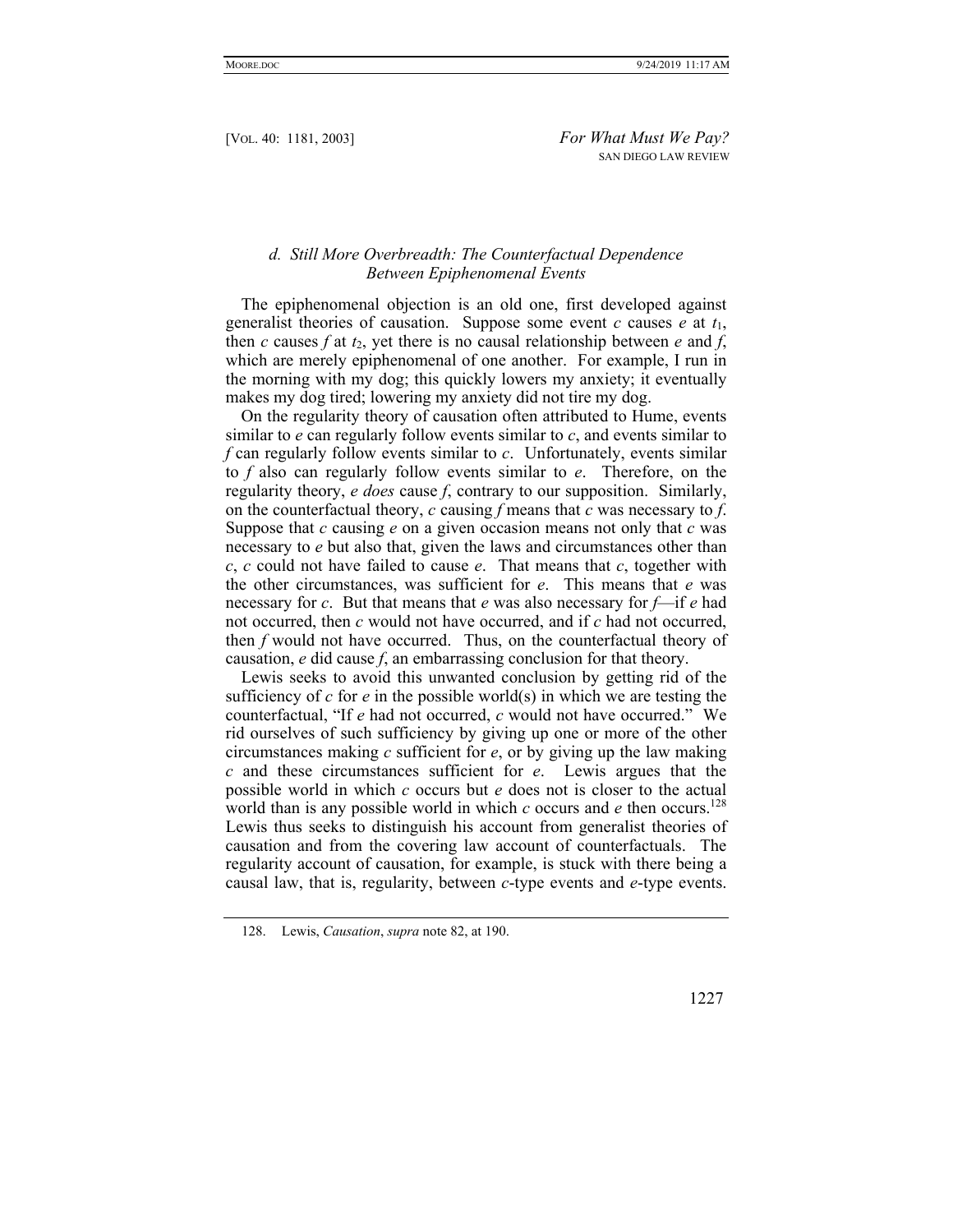# *d. Still More Overbreadth: The Counterfactual Dependence Between Epiphenomenal Events*

The epiphenomenal objection is an old one, first developed against generalist theories of causation. Suppose some event *c* causes *e* at *t*1, then *c* causes *f* at  $t_2$ , yet there is no causal relationship between *e* and *f*, which are merely epiphenomenal of one another. For example, I run in the morning with my dog; this quickly lowers my anxiety; it eventually makes my dog tired; lowering my anxiety did not tire my dog.

On the regularity theory of causation often attributed to Hume, events similar to *e* can regularly follow events similar to *c*, and events similar to *f* can regularly follow events similar to *c*. Unfortunately, events similar to *f* also can regularly follow events similar to *e*. Therefore, on the regularity theory, *e does* cause *f*, contrary to our supposition. Similarly, on the counterfactual theory, *c* causing *f* means that *c* was necessary to *f*. Suppose that *c* causing *e* on a given occasion means not only that *c* was necessary to *e* but also that, given the laws and circumstances other than *c*, *c* could not have failed to cause *e*. That means that *c*, together with the other circumstances, was sufficient for *e*. This means that *e* was necessary for *c*. But that means that *e* was also necessary for *f*—if *e* had not occurred, then *c* would not have occurred, and if *c* had not occurred, then *f* would not have occurred. Thus, on the counterfactual theory of causation, *e* did cause *f*, an embarrassing conclusion for that theory.

Lewis seeks to avoid this unwanted conclusion by getting rid of the sufficiency of *c* for *e* in the possible world(s) in which we are testing the counterfactual, "If *e* had not occurred, *c* would not have occurred." We rid ourselves of such sufficiency by giving up one or more of the other circumstances making *c* sufficient for *e*, or by giving up the law making *c* and these circumstances sufficient for *e*. Lewis argues that the possible world in which *c* occurs but *e* does not is closer to the actual world than is any possible world in which  $c$  occurs and  $e$  then occurs.<sup>128</sup> Lewis thus seeks to distinguish his account from generalist theories of causation and from the covering law account of counterfactuals. The regularity account of causation, for example, is stuck with there being a causal law, that is, regularity, between *c*-type events and *e*-type events.

 <sup>128.</sup> Lewis, *Causation*, *supra* note 82, at 190.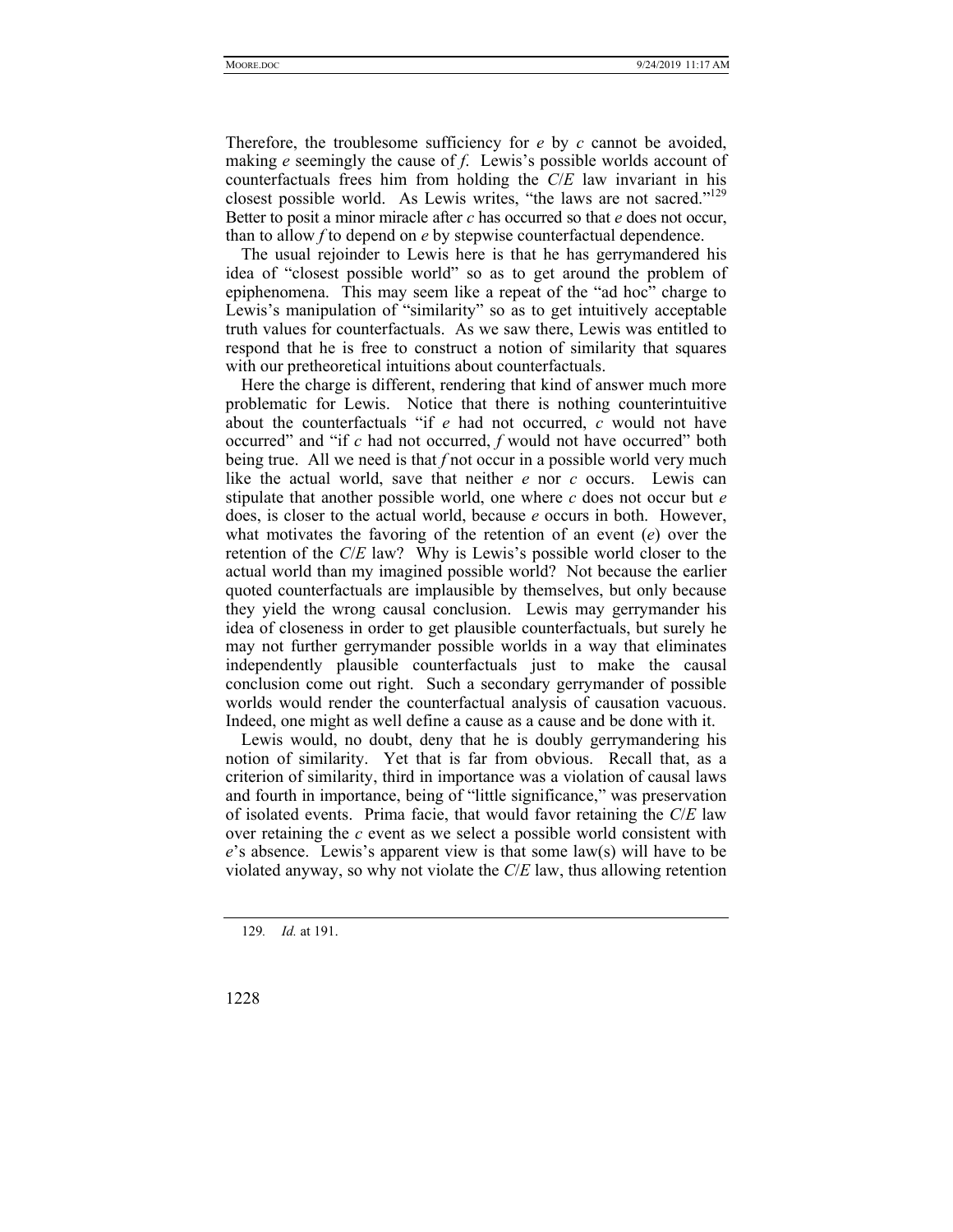Therefore, the troublesome sufficiency for *e* by *c* cannot be avoided, making *e* seemingly the cause of *f*. Lewis's possible worlds account of counterfactuals frees him from holding the *C*/*E* law invariant in his closest possible world. As Lewis writes, "the laws are not sacred."<sup>129</sup> Better to posit a minor miracle after *c* has occurred so that *e* does not occur, than to allow *f* to depend on *e* by stepwise counterfactual dependence.

The usual rejoinder to Lewis here is that he has gerrymandered his idea of "closest possible world" so as to get around the problem of epiphenomena. This may seem like a repeat of the "ad hoc" charge to Lewis's manipulation of "similarity" so as to get intuitively acceptable truth values for counterfactuals. As we saw there, Lewis was entitled to respond that he is free to construct a notion of similarity that squares with our pretheoretical intuitions about counterfactuals.

Here the charge is different, rendering that kind of answer much more problematic for Lewis. Notice that there is nothing counterintuitive about the counterfactuals "if *e* had not occurred, *c* would not have occurred" and "if *c* had not occurred, *f* would not have occurred" both being true. All we need is that *f* not occur in a possible world very much like the actual world, save that neither *e* nor *c* occurs. Lewis can stipulate that another possible world, one where *c* does not occur but *e* does, is closer to the actual world, because *e* occurs in both. However, what motivates the favoring of the retention of an event (*e*) over the retention of the *C*/*E* law? Why is Lewis's possible world closer to the actual world than my imagined possible world? Not because the earlier quoted counterfactuals are implausible by themselves, but only because they yield the wrong causal conclusion. Lewis may gerrymander his idea of closeness in order to get plausible counterfactuals, but surely he may not further gerrymander possible worlds in a way that eliminates independently plausible counterfactuals just to make the causal conclusion come out right. Such a secondary gerrymander of possible worlds would render the counterfactual analysis of causation vacuous. Indeed, one might as well define a cause as a cause and be done with it.

Lewis would, no doubt, deny that he is doubly gerrymandering his notion of similarity. Yet that is far from obvious. Recall that, as a criterion of similarity, third in importance was a violation of causal laws and fourth in importance, being of "little significance," was preservation of isolated events. Prima facie, that would favor retaining the *C*/*E* law over retaining the *c* event as we select a possible world consistent with *e*'s absence. Lewis's apparent view is that some law(s) will have to be violated anyway, so why not violate the *C*/*E* law, thus allowing retention

129*. Id.* at 191.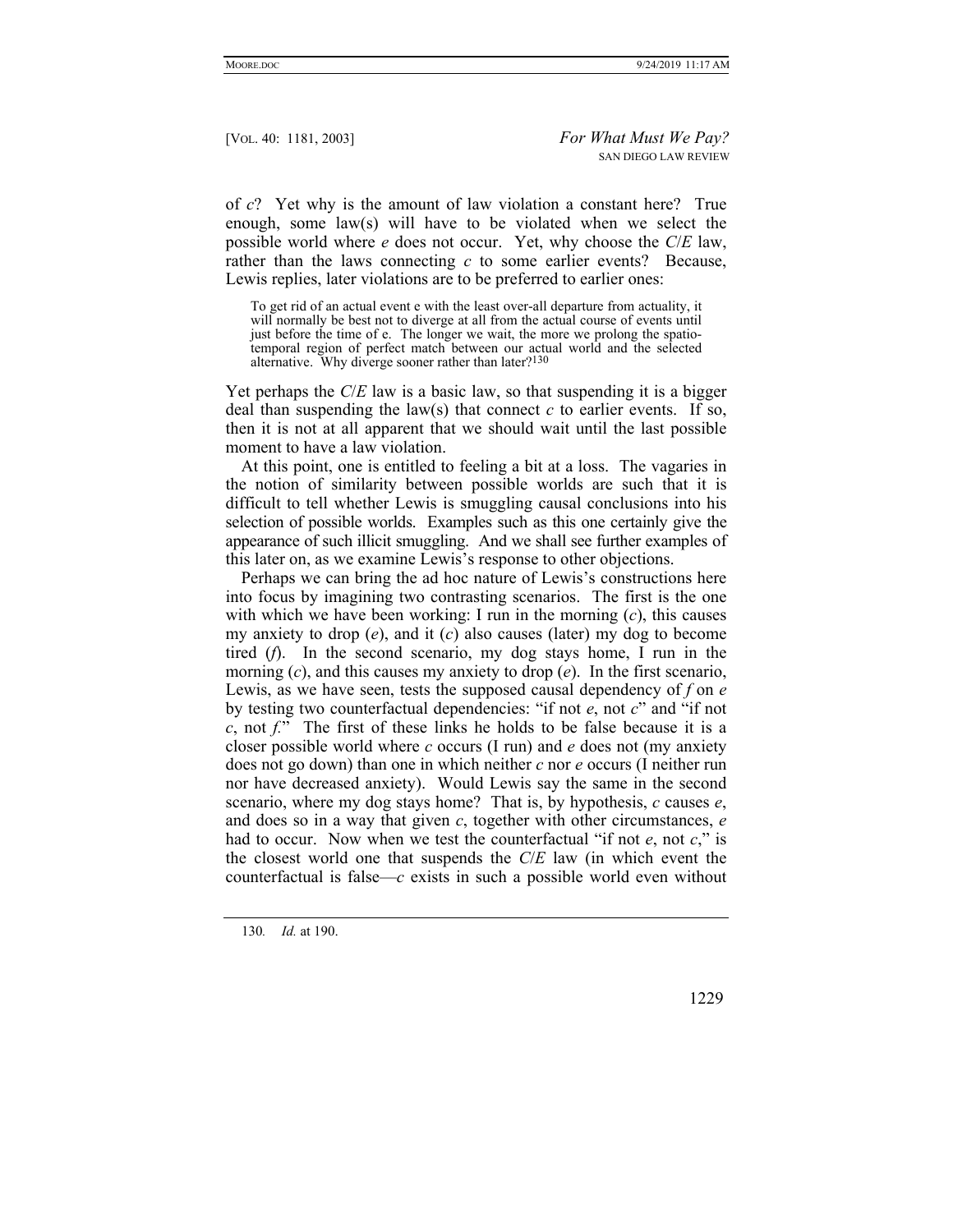of *c*? Yet why is the amount of law violation a constant here? True enough, some law(s) will have to be violated when we select the possible world where *e* does not occur. Yet, why choose the *C*/*E* law, rather than the laws connecting *c* to some earlier events? Because, Lewis replies, later violations are to be preferred to earlier ones:

To get rid of an actual event e with the least over-all departure from actuality, it will normally be best not to diverge at all from the actual course of events until just before the time of e. The longer we wait, the more we prolong the spatiotemporal region of perfect match between our actual world and the selected alternative. Why diverge sooner rather than later?130

Yet perhaps the *C*/*E* law is a basic law, so that suspending it is a bigger deal than suspending the law(s) that connect  $c$  to earlier events. If so, then it is not at all apparent that we should wait until the last possible moment to have a law violation.

At this point, one is entitled to feeling a bit at a loss. The vagaries in the notion of similarity between possible worlds are such that it is difficult to tell whether Lewis is smuggling causal conclusions into his selection of possible worlds. Examples such as this one certainly give the appearance of such illicit smuggling. And we shall see further examples of this later on, as we examine Lewis's response to other objections.

Perhaps we can bring the ad hoc nature of Lewis's constructions here into focus by imagining two contrasting scenarios. The first is the one with which we have been working: I run in the morning (*c*), this causes my anxiety to drop (*e*), and it (*c*) also causes (later) my dog to become tired (*f*). In the second scenario, my dog stays home, I run in the morning (*c*), and this causes my anxiety to drop (*e*). In the first scenario, Lewis, as we have seen, tests the supposed causal dependency of *f* on *e* by testing two counterfactual dependencies: "if not *e*, not *c*" and "if not *c*, not *f.*" The first of these links he holds to be false because it is a closer possible world where *c* occurs (I run) and *e* does not (my anxiety does not go down) than one in which neither *c* nor *e* occurs (I neither run nor have decreased anxiety). Would Lewis say the same in the second scenario, where my dog stays home? That is, by hypothesis, *c* causes *e*, and does so in a way that given *c*, together with other circumstances, *e* had to occur. Now when we test the counterfactual "if not *e*, not *c*," is the closest world one that suspends the *C*/*E* law (in which event the counterfactual is false—*c* exists in such a possible world even without

<sup>130</sup>*. Id.* at 190.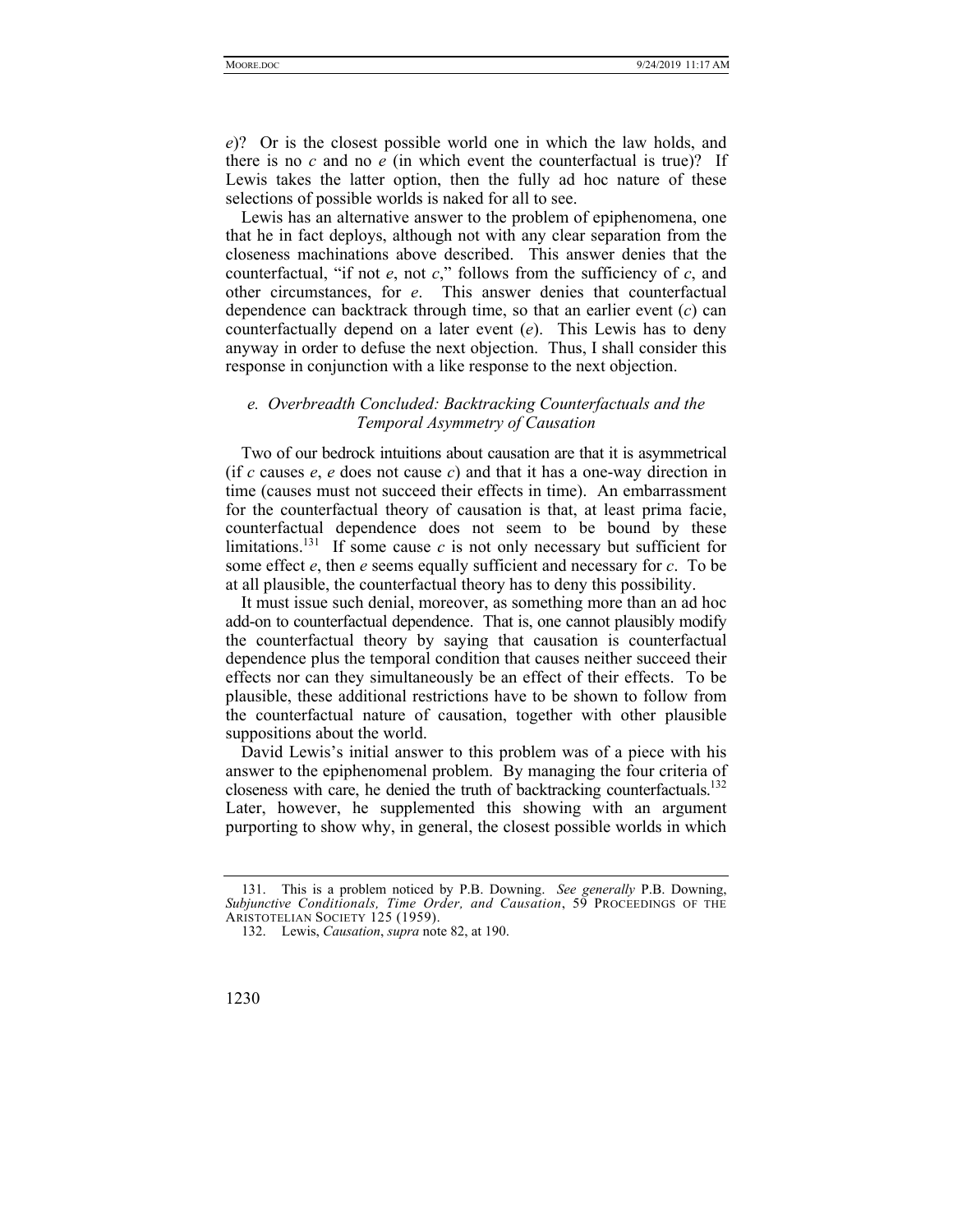*e*)? Or is the closest possible world one in which the law holds, and there is no  $c$  and no  $e$  (in which event the counterfactual is true)? If Lewis takes the latter option, then the fully ad hoc nature of these selections of possible worlds is naked for all to see.

Lewis has an alternative answer to the problem of epiphenomena, one that he in fact deploys, although not with any clear separation from the closeness machinations above described. This answer denies that the counterfactual, "if not *e*, not *c*," follows from the sufficiency of *c*, and other circumstances, for *e*. This answer denies that counterfactual dependence can backtrack through time, so that an earlier event (*c*) can counterfactually depend on a later event (*e*). This Lewis has to deny anyway in order to defuse the next objection. Thus, I shall consider this response in conjunction with a like response to the next objection.

## *e. Overbreadth Concluded: Backtracking Counterfactuals and the Temporal Asymmetry of Causation*

Two of our bedrock intuitions about causation are that it is asymmetrical (if *c* causes *e*, *e* does not cause *c*) and that it has a one-way direction in time (causes must not succeed their effects in time). An embarrassment for the counterfactual theory of causation is that, at least prima facie, counterfactual dependence does not seem to be bound by these limitations.<sup>131</sup> If some cause  $c$  is not only necessary but sufficient for some effect *e*, then *e* seems equally sufficient and necessary for *c*. To be at all plausible, the counterfactual theory has to deny this possibility.

It must issue such denial, moreover, as something more than an ad hoc add-on to counterfactual dependence. That is, one cannot plausibly modify the counterfactual theory by saying that causation is counterfactual dependence plus the temporal condition that causes neither succeed their effects nor can they simultaneously be an effect of their effects. To be plausible, these additional restrictions have to be shown to follow from the counterfactual nature of causation, together with other plausible suppositions about the world.

David Lewis's initial answer to this problem was of a piece with his answer to the epiphenomenal problem. By managing the four criteria of closeness with care, he denied the truth of backtracking counterfactuals.<sup>132</sup> Later, however, he supplemented this showing with an argument purporting to show why, in general, the closest possible worlds in which

 <sup>131.</sup> This is a problem noticed by P.B. Downing. *See generally* P.B. Downing, *Subjunctive Conditionals, Time Order, and Causation*, 59 PROCEEDINGS OF THE ARISTOTELIAN SOCIETY 125 (1959).

 <sup>132.</sup> Lewis, *Causation*, *supra* note 82, at 190.

<sup>1230</sup>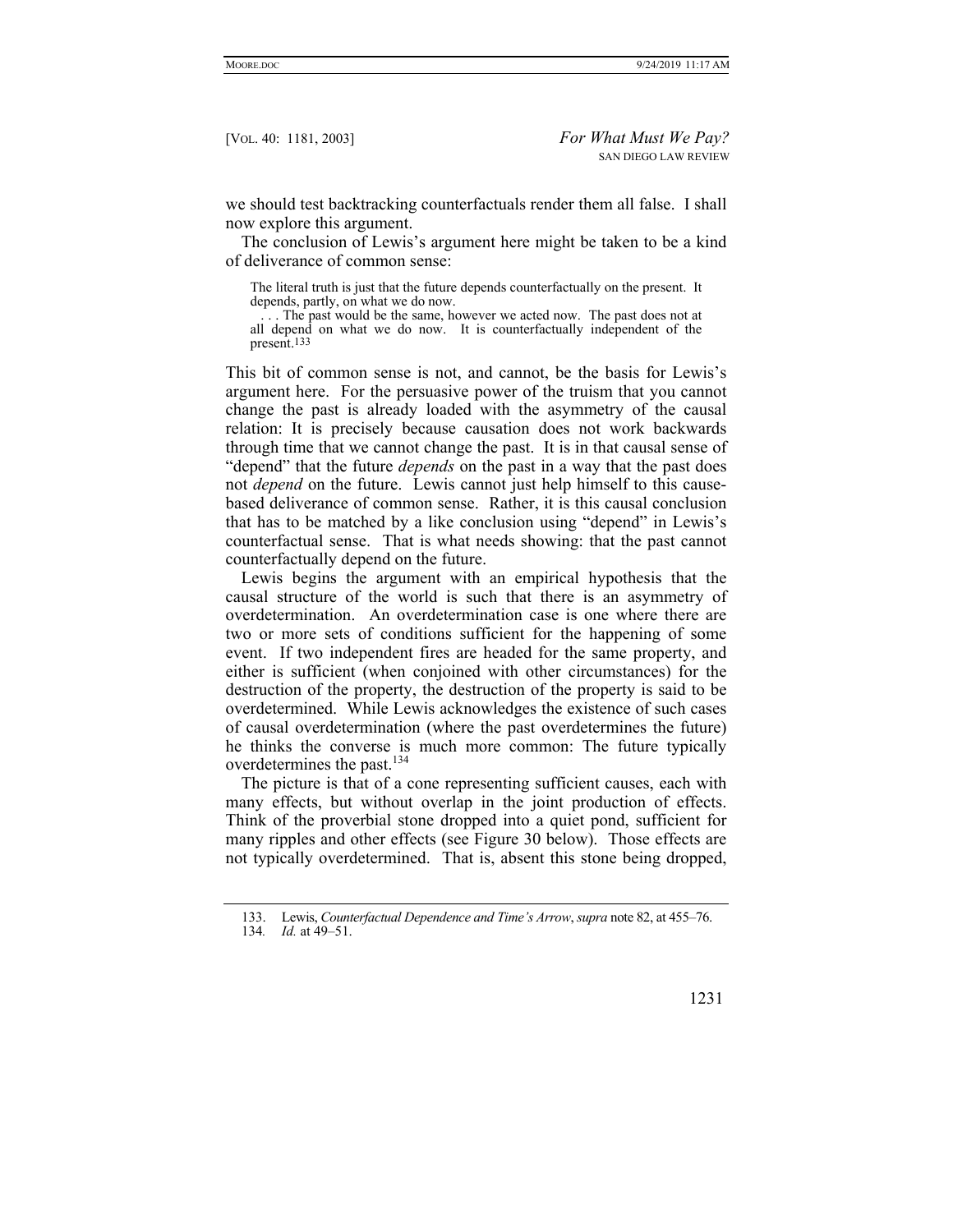we should test backtracking counterfactuals render them all false. I shall now explore this argument.

The conclusion of Lewis's argument here might be taken to be a kind of deliverance of common sense:

The literal truth is just that the future depends counterfactually on the present. It depends, partly, on what we do now.

. The past would be the same, however we acted now. The past does not at all depend on what we do now. It is counterfactually independent of the present.133

This bit of common sense is not, and cannot, be the basis for Lewis's argument here. For the persuasive power of the truism that you cannot change the past is already loaded with the asymmetry of the causal relation: It is precisely because causation does not work backwards through time that we cannot change the past. It is in that causal sense of "depend" that the future *depends* on the past in a way that the past does not *depend* on the future. Lewis cannot just help himself to this causebased deliverance of common sense. Rather, it is this causal conclusion that has to be matched by a like conclusion using "depend" in Lewis's counterfactual sense. That is what needs showing: that the past cannot counterfactually depend on the future.

Lewis begins the argument with an empirical hypothesis that the causal structure of the world is such that there is an asymmetry of overdetermination. An overdetermination case is one where there are two or more sets of conditions sufficient for the happening of some event. If two independent fires are headed for the same property, and either is sufficient (when conjoined with other circumstances) for the destruction of the property, the destruction of the property is said to be overdetermined. While Lewis acknowledges the existence of such cases of causal overdetermination (where the past overdetermines the future) he thinks the converse is much more common: The future typically overdetermines the past.<sup>134</sup>

The picture is that of a cone representing sufficient causes, each with many effects, but without overlap in the joint production of effects. Think of the proverbial stone dropped into a quiet pond, sufficient for many ripples and other effects (see Figure 30 below). Those effects are not typically overdetermined. That is, absent this stone being dropped,

<sup>134</sup>*. Id.* at 49–51.



 <sup>133.</sup> Lewis, *Counterfactual Dependence and Time's Arrow*, *supra* note 82, at 455–76.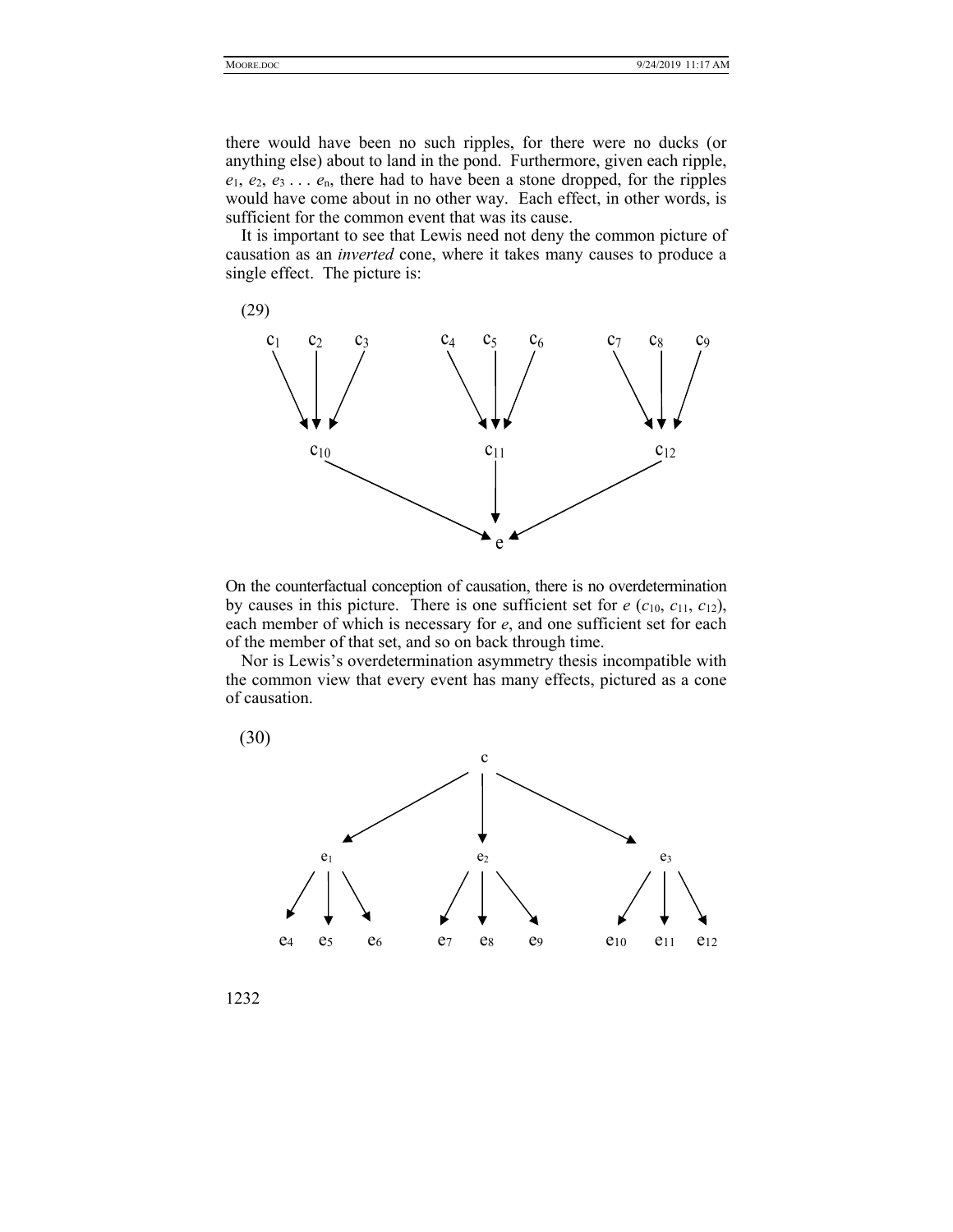there would have been no such ripples, for there were no ducks (or anything else) about to land in the pond. Furthermore, given each ripple,  $e_1, e_2, e_3, \ldots, e_n$ , there had to have been a stone dropped, for the ripples would have come about in no other way. Each effect, in other words, is sufficient for the common event that was its cause.

It is important to see that Lewis need not deny the common picture of causation as an *inverted* cone, where it takes many causes to produce a single effect. The picture is:



On the counterfactual conception of causation, there is no overdetermination by causes in this picture. There is one sufficient set for  $e$  ( $c_{10}$ ,  $c_{11}$ ,  $c_{12}$ ), each member of which is necessary for *e*, and one sufficient set for each of the member of that set, and so on back through time.

Nor is Lewis's overdetermination asymmetry thesis incompatible with the common view that every event has many effects, pictured as a cone of causation.

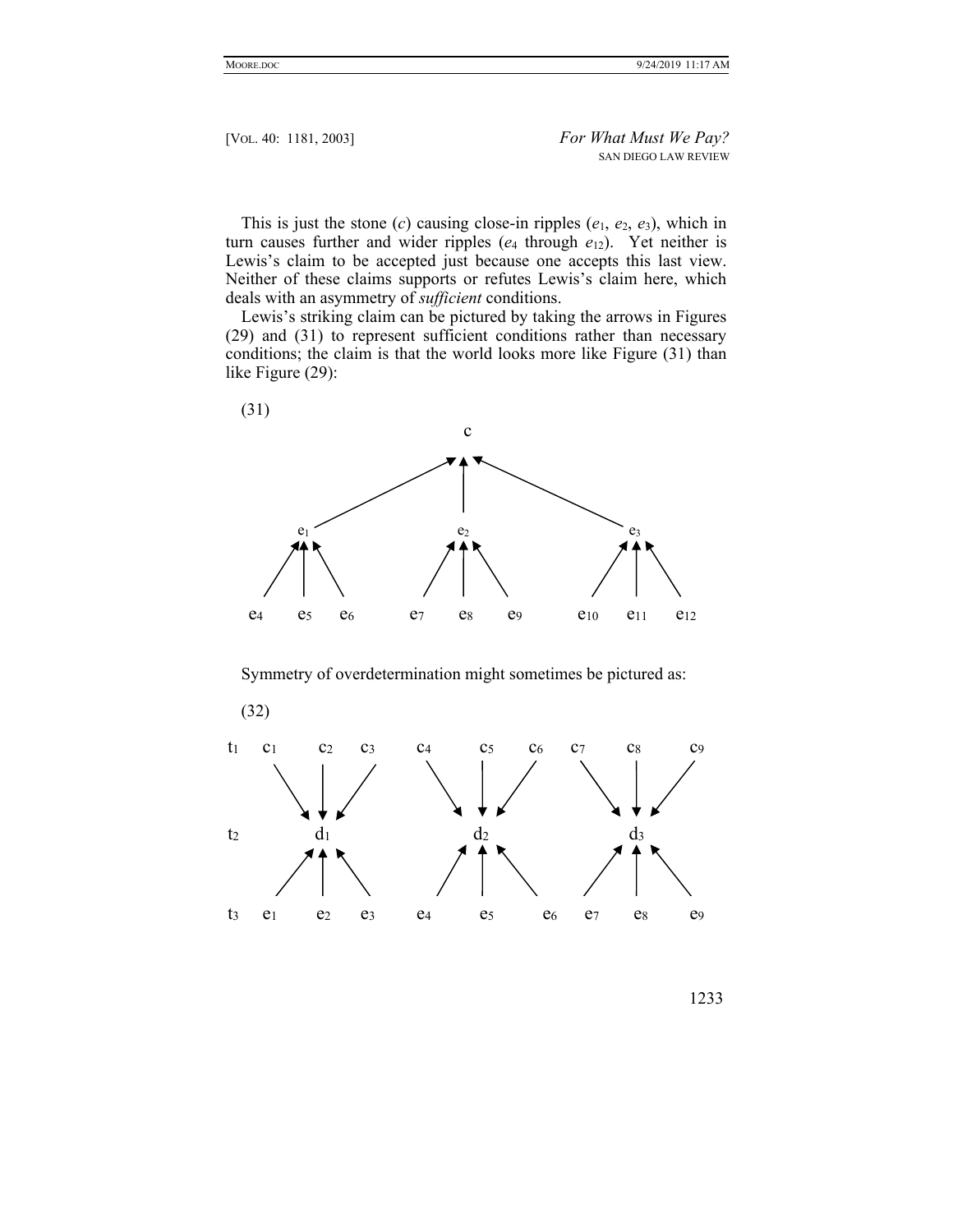This is just the stone  $(c)$  causing close-in ripples  $(e_1, e_2, e_3)$ , which in turn causes further and wider ripples (*e*4 through *e*12). Yet neither is Lewis's claim to be accepted just because one accepts this last view. Neither of these claims supports or refutes Lewis's claim here, which deals with an asymmetry of *sufficient* conditions.

Lewis's striking claim can be pictured by taking the arrows in Figures (29) and (31) to represent sufficient conditions rather than necessary conditions; the claim is that the world looks more like Figure (31) than like Figure (29):



Symmetry of overdetermination might sometimes be pictured as:



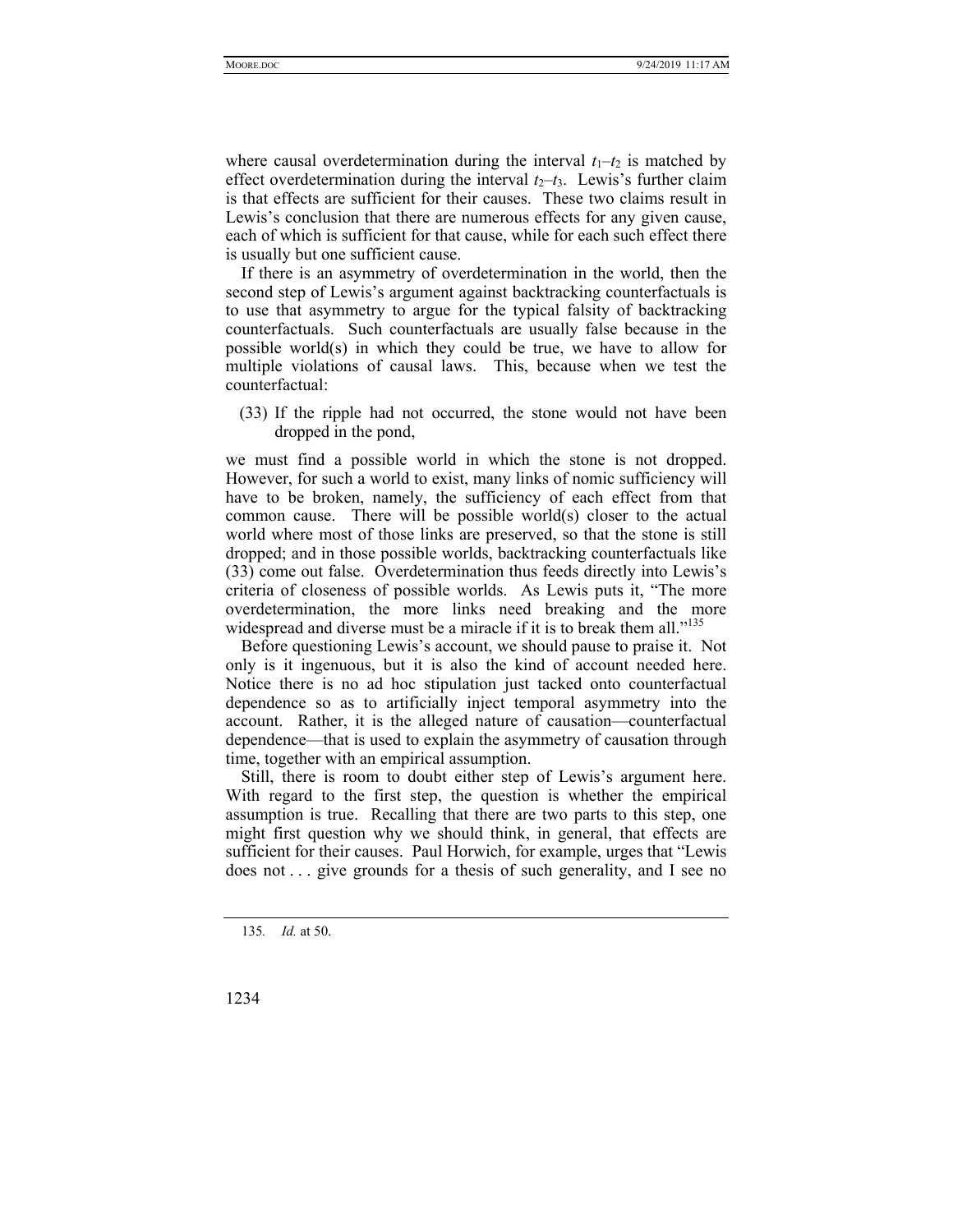where causal overdetermination during the interval  $t_1-t_2$  is matched by effect overdetermination during the interval  $t_2$ – $t_3$ . Lewis's further claim is that effects are sufficient for their causes. These two claims result in Lewis's conclusion that there are numerous effects for any given cause, each of which is sufficient for that cause, while for each such effect there is usually but one sufficient cause.

If there is an asymmetry of overdetermination in the world, then the second step of Lewis's argument against backtracking counterfactuals is to use that asymmetry to argue for the typical falsity of backtracking counterfactuals. Such counterfactuals are usually false because in the possible world(s) in which they could be true, we have to allow for multiple violations of causal laws. This, because when we test the counterfactual:

(33) If the ripple had not occurred, the stone would not have been dropped in the pond,

we must find a possible world in which the stone is not dropped. However, for such a world to exist, many links of nomic sufficiency will have to be broken, namely, the sufficiency of each effect from that common cause. There will be possible world(s) closer to the actual world where most of those links are preserved, so that the stone is still dropped; and in those possible worlds, backtracking counterfactuals like (33) come out false. Overdetermination thus feeds directly into Lewis's criteria of closeness of possible worlds. As Lewis puts it, "The more overdetermination, the more links need breaking and the more widespread and diverse must be a miracle if it is to break them all."<sup>135</sup>

Before questioning Lewis's account, we should pause to praise it. Not only is it ingenuous, but it is also the kind of account needed here. Notice there is no ad hoc stipulation just tacked onto counterfactual dependence so as to artificially inject temporal asymmetry into the account. Rather, it is the alleged nature of causation—counterfactual dependence—that is used to explain the asymmetry of causation through time, together with an empirical assumption.

Still, there is room to doubt either step of Lewis's argument here. With regard to the first step, the question is whether the empirical assumption is true. Recalling that there are two parts to this step, one might first question why we should think, in general, that effects are sufficient for their causes. Paul Horwich, for example, urges that "Lewis does not . . . give grounds for a thesis of such generality, and I see no

135*. Id.* at 50.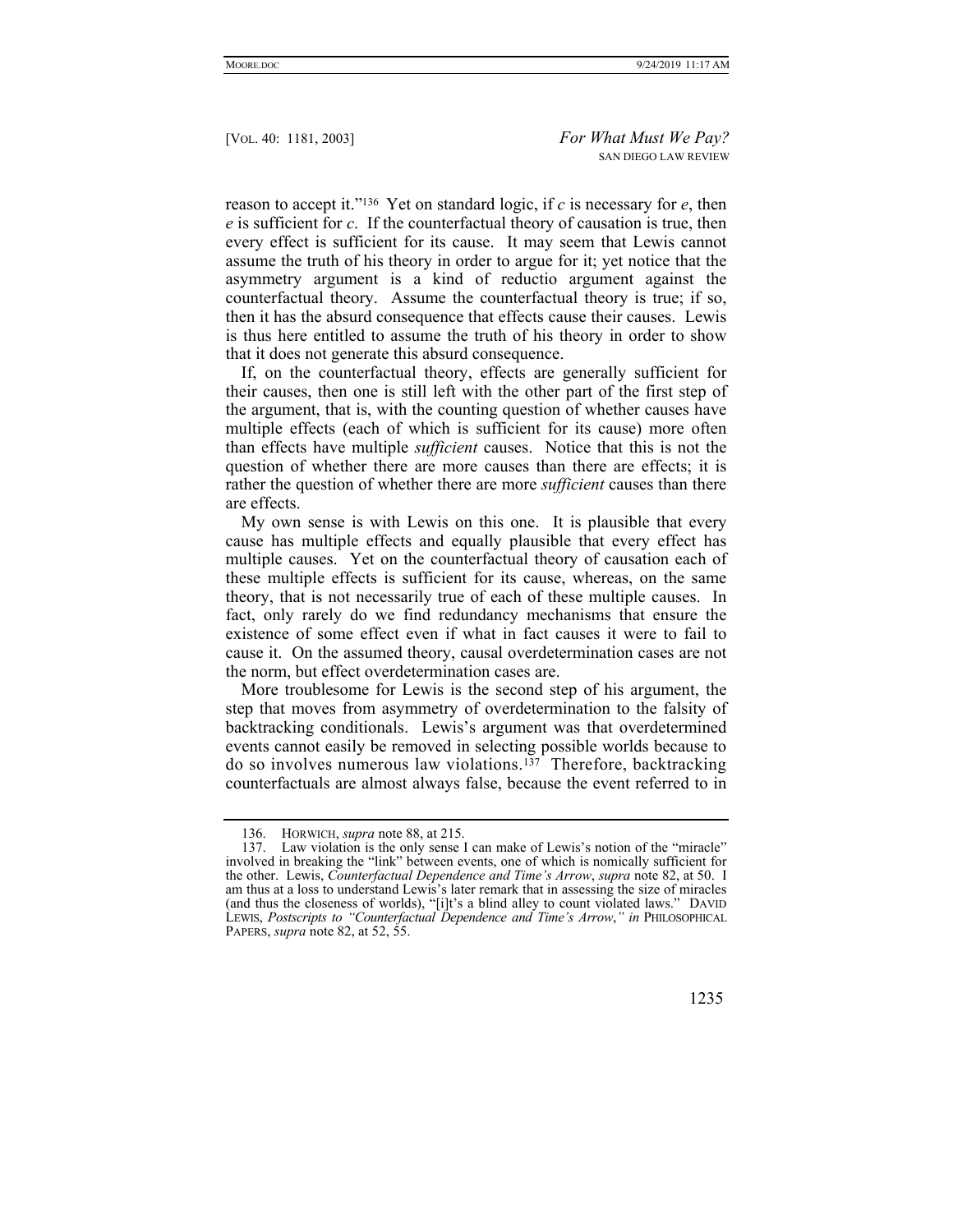reason to accept it."136 Yet on standard logic, if *c* is necessary for *e*, then *e* is sufficient for *c*. If the counterfactual theory of causation is true, then every effect is sufficient for its cause. It may seem that Lewis cannot assume the truth of his theory in order to argue for it; yet notice that the asymmetry argument is a kind of reductio argument against the counterfactual theory. Assume the counterfactual theory is true; if so, then it has the absurd consequence that effects cause their causes. Lewis is thus here entitled to assume the truth of his theory in order to show that it does not generate this absurd consequence.

If, on the counterfactual theory, effects are generally sufficient for their causes, then one is still left with the other part of the first step of the argument, that is, with the counting question of whether causes have multiple effects (each of which is sufficient for its cause) more often than effects have multiple *sufficient* causes. Notice that this is not the question of whether there are more causes than there are effects; it is rather the question of whether there are more *sufficient* causes than there are effects.

My own sense is with Lewis on this one. It is plausible that every cause has multiple effects and equally plausible that every effect has multiple causes. Yet on the counterfactual theory of causation each of these multiple effects is sufficient for its cause, whereas, on the same theory, that is not necessarily true of each of these multiple causes. In fact, only rarely do we find redundancy mechanisms that ensure the existence of some effect even if what in fact causes it were to fail to cause it. On the assumed theory, causal overdetermination cases are not the norm, but effect overdetermination cases are.

More troublesome for Lewis is the second step of his argument, the step that moves from asymmetry of overdetermination to the falsity of backtracking conditionals. Lewis's argument was that overdetermined events cannot easily be removed in selecting possible worlds because to do so involves numerous law violations.<sup>137</sup> Therefore, backtracking counterfactuals are almost always false, because the event referred to in

 <sup>137.</sup> Law violation is the only sense I can make of Lewis's notion of the "miracle" involved in breaking the "link" between events, one of which is nomically sufficient for the other. Lewis, *Counterfactual Dependence and Time's Arrow*, *supra* note 82, at 50. I am thus at a loss to understand Lewis's later remark that in assessing the size of miracles (and thus the closeness of worlds), "[i]t's a blind alley to count violated laws." DAVID LEWIS, *Postscripts to "Counterfactual Dependence and Time's Arrow*,*" in* PHILOSOPHICAL PAPERS, *supra* note 82, at 52, 55.



 <sup>136.</sup> HORWICH, *supra* note 88, at 215.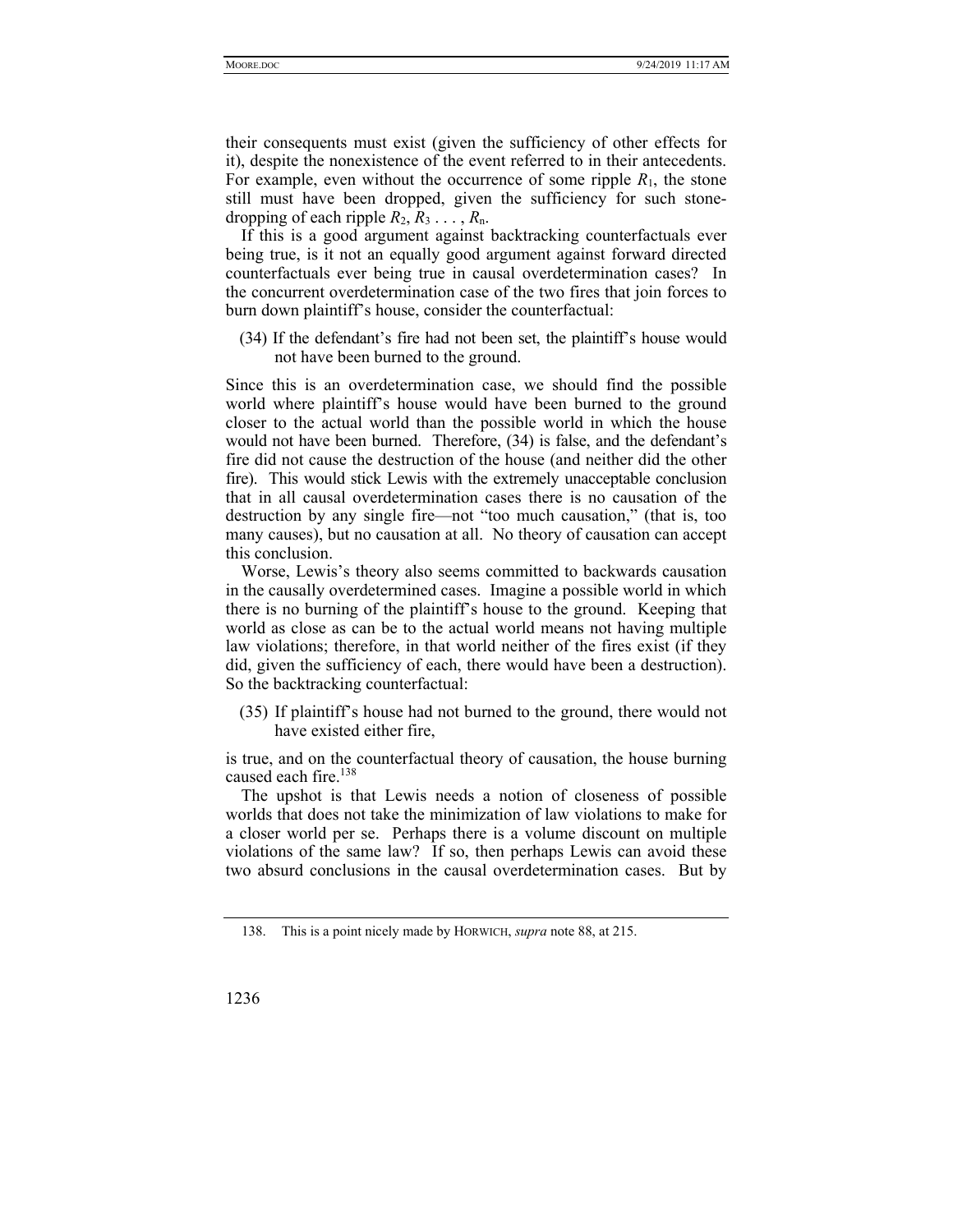their consequents must exist (given the sufficiency of other effects for it), despite the nonexistence of the event referred to in their antecedents. For example, even without the occurrence of some ripple  $R_1$ , the stone still must have been dropped, given the sufficiency for such stonedropping of each ripple  $R_2, R_3, \ldots, R_n$ .

If this is a good argument against backtracking counterfactuals ever being true, is it not an equally good argument against forward directed counterfactuals ever being true in causal overdetermination cases? In the concurrent overdetermination case of the two fires that join forces to burn down plaintiff's house, consider the counterfactual:

(34) If the defendant's fire had not been set, the plaintiff's house would not have been burned to the ground.

Since this is an overdetermination case, we should find the possible world where plaintiff's house would have been burned to the ground closer to the actual world than the possible world in which the house would not have been burned. Therefore, (34) is false, and the defendant's fire did not cause the destruction of the house (and neither did the other fire). This would stick Lewis with the extremely unacceptable conclusion that in all causal overdetermination cases there is no causation of the destruction by any single fire—not "too much causation," (that is, too many causes), but no causation at all. No theory of causation can accept this conclusion.

Worse, Lewis's theory also seems committed to backwards causation in the causally overdetermined cases. Imagine a possible world in which there is no burning of the plaintiff's house to the ground. Keeping that world as close as can be to the actual world means not having multiple law violations; therefore, in that world neither of the fires exist (if they did, given the sufficiency of each, there would have been a destruction). So the backtracking counterfactual:

(35) If plaintiff's house had not burned to the ground, there would not have existed either fire,

is true, and on the counterfactual theory of causation, the house burning caused each fire.<sup>138</sup>

The upshot is that Lewis needs a notion of closeness of possible worlds that does not take the minimization of law violations to make for a closer world per se. Perhaps there is a volume discount on multiple violations of the same law? If so, then perhaps Lewis can avoid these two absurd conclusions in the causal overdetermination cases. But by

 <sup>138.</sup> This is a point nicely made by HORWICH, *supra* note 88, at 215.

<sup>1236</sup>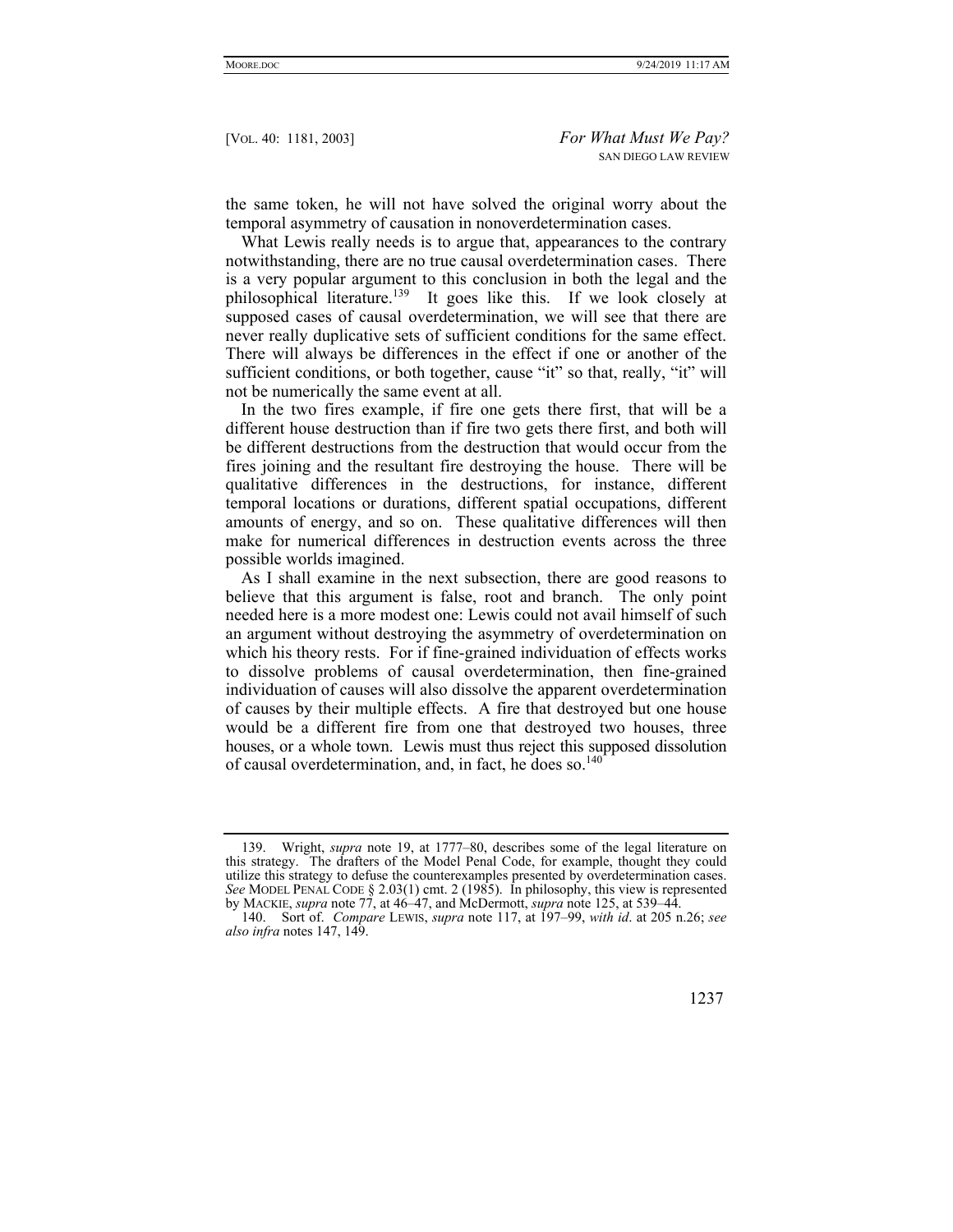the same token, he will not have solved the original worry about the temporal asymmetry of causation in nonoverdetermination cases.

What Lewis really needs is to argue that, appearances to the contrary notwithstanding, there are no true causal overdetermination cases. There is a very popular argument to this conclusion in both the legal and the philosophical literature.<sup>139</sup> It goes like this. If we look closely at supposed cases of causal overdetermination, we will see that there are never really duplicative sets of sufficient conditions for the same effect. There will always be differences in the effect if one or another of the sufficient conditions, or both together, cause "it" so that, really, "it" will not be numerically the same event at all.

In the two fires example, if fire one gets there first, that will be a different house destruction than if fire two gets there first, and both will be different destructions from the destruction that would occur from the fires joining and the resultant fire destroying the house. There will be qualitative differences in the destructions, for instance, different temporal locations or durations, different spatial occupations, different amounts of energy, and so on. These qualitative differences will then make for numerical differences in destruction events across the three possible worlds imagined.

As I shall examine in the next subsection, there are good reasons to believe that this argument is false, root and branch. The only point needed here is a more modest one: Lewis could not avail himself of such an argument without destroying the asymmetry of overdetermination on which his theory rests. For if fine-grained individuation of effects works to dissolve problems of causal overdetermination, then fine-grained individuation of causes will also dissolve the apparent overdetermination of causes by their multiple effects. A fire that destroyed but one house would be a different fire from one that destroyed two houses, three houses, or a whole town. Lewis must thus reject this supposed dissolution of causal overdetermination, and, in fact, he does so.<sup>140</sup>

 <sup>140.</sup> Sort of. *Compare* LEWIS, *supra* note 117, at 197–99, *with id*. at 205 n.26; *see also infra* notes 147, 149.



 <sup>139.</sup> Wright, *supra* note 19, at 1777–80, describes some of the legal literature on this strategy. The drafters of the Model Penal Code, for example, thought they could utilize this strategy to defuse the counterexamples presented by overdetermination cases. *See* MODEL PENAL CODE § 2.03(1) cmt. 2 (1985). In philosophy, this view is represented by MACKIE, *supra* note 77, at 46–47, and McDermott, *supra* note 125, at 539–44.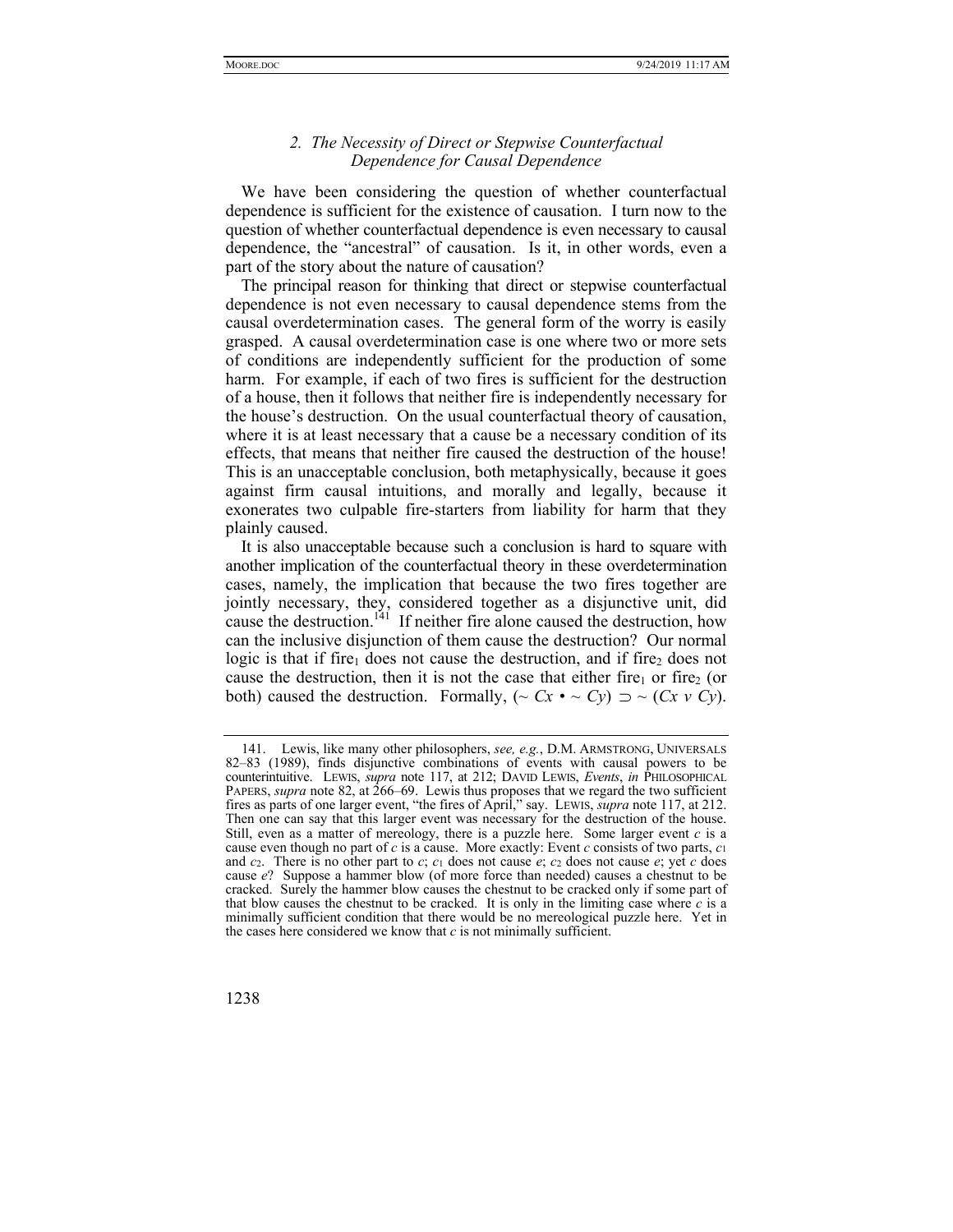## *2. The Necessity of Direct or Stepwise Counterfactual Dependence for Causal Dependence*

We have been considering the question of whether counterfactual dependence is sufficient for the existence of causation. I turn now to the question of whether counterfactual dependence is even necessary to causal dependence, the "ancestral" of causation. Is it, in other words, even a part of the story about the nature of causation?

The principal reason for thinking that direct or stepwise counterfactual dependence is not even necessary to causal dependence stems from the causal overdetermination cases. The general form of the worry is easily grasped. A causal overdetermination case is one where two or more sets of conditions are independently sufficient for the production of some harm. For example, if each of two fires is sufficient for the destruction of a house, then it follows that neither fire is independently necessary for the house's destruction. On the usual counterfactual theory of causation, where it is at least necessary that a cause be a necessary condition of its effects, that means that neither fire caused the destruction of the house! This is an unacceptable conclusion, both metaphysically, because it goes against firm causal intuitions, and morally and legally, because it exonerates two culpable fire-starters from liability for harm that they plainly caused.

 It is also unacceptable because such a conclusion is hard to square with another implication of the counterfactual theory in these overdetermination cases, namely, the implication that because the two fires together are jointly necessary, they, considered together as a disjunctive unit, did cause the destruction.<sup>141</sup> If neither fire alone caused the destruction, how can the inclusive disjunction of them cause the destruction? Our normal logic is that if fire<sub>1</sub> does not cause the destruction, and if fire<sub>2</sub> does not cause the destruction, then it is not the case that either fire<sub>1</sub> or fire<sub>2</sub> (or both) caused the destruction. Formally,  $({\sim C}x \cdot {\sim C}y) \supset ({\sim C}x \cdot y)$ .

 <sup>141.</sup> Lewis, like many other philosophers, *see, e.g.*, D.M. ARMSTRONG, UNIVERSALS 82–83 (1989), finds disjunctive combinations of events with causal powers to be counterintuitive. LEWIS, *supra* note 117, at 212; DAVID LEWIS, *Events*, *in* PHILOSOPHICAL PAPERS, *supra* note 82, at 266–69. Lewis thus proposes that we regard the two sufficient fires as parts of one larger event, "the fires of April," say. LEWIS, *supra* note 117, at 212. Then one can say that this larger event was necessary for the destruction of the house. Still, even as a matter of mereology, there is a puzzle here. Some larger event *c* is a cause even though no part of *c* is a cause. More exactly: Event *c* consists of two parts, *c*<sup>1</sup> and *c*2. There is no other part to *c*; *c*1 does not cause *e*; *c*2 does not cause *e*; yet *c* does cause *e*? Suppose a hammer blow (of more force than needed) causes a chestnut to be cracked. Surely the hammer blow causes the chestnut to be cracked only if some part of that blow causes the chestnut to be cracked. It is only in the limiting case where *c* is a minimally sufficient condition that there would be no mereological puzzle here. Yet in the cases here considered we know that  $c$  is not minimally sufficient.

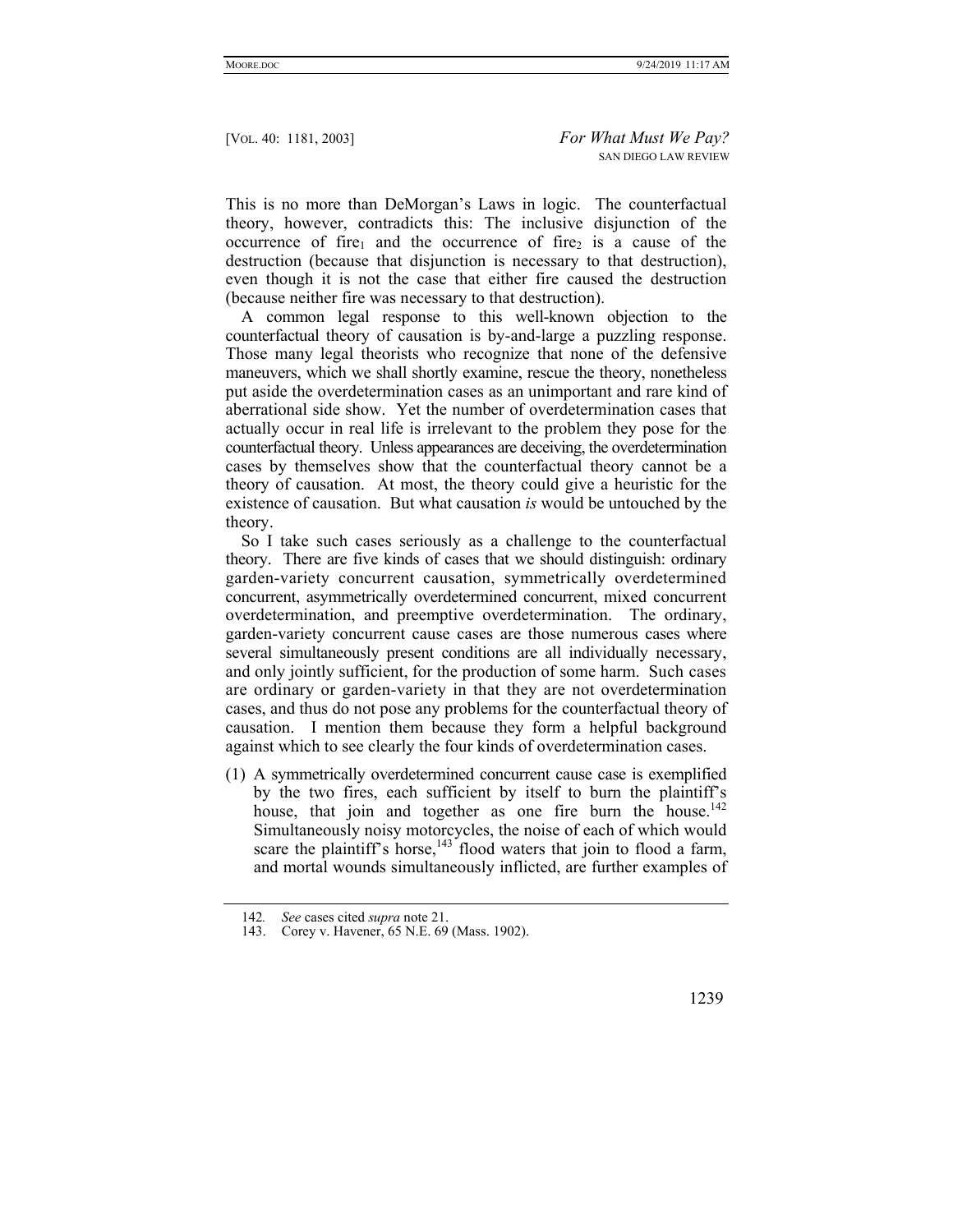This is no more than DeMorgan's Laws in logic. The counterfactual theory, however, contradicts this: The inclusive disjunction of the occurrence of fire<sub>1</sub> and the occurrence of fire<sub>2</sub> is a cause of the destruction (because that disjunction is necessary to that destruction), even though it is not the case that either fire caused the destruction (because neither fire was necessary to that destruction).

A common legal response to this well-known objection to the counterfactual theory of causation is by-and-large a puzzling response. Those many legal theorists who recognize that none of the defensive maneuvers, which we shall shortly examine, rescue the theory, nonetheless put aside the overdetermination cases as an unimportant and rare kind of aberrational side show. Yet the number of overdetermination cases that actually occur in real life is irrelevant to the problem they pose for the counterfactual theory. Unless appearances are deceiving, the overdetermination cases by themselves show that the counterfactual theory cannot be a theory of causation. At most, the theory could give a heuristic for the existence of causation. But what causation *is* would be untouched by the theory.

So I take such cases seriously as a challenge to the counterfactual theory. There are five kinds of cases that we should distinguish: ordinary garden-variety concurrent causation, symmetrically overdetermined concurrent, asymmetrically overdetermined concurrent, mixed concurrent overdetermination, and preemptive overdetermination. The ordinary, garden-variety concurrent cause cases are those numerous cases where several simultaneously present conditions are all individually necessary, and only jointly sufficient, for the production of some harm. Such cases are ordinary or garden-variety in that they are not overdetermination cases, and thus do not pose any problems for the counterfactual theory of causation. I mention them because they form a helpful background against which to see clearly the four kinds of overdetermination cases.

(1) A symmetrically overdetermined concurrent cause case is exemplified by the two fires, each sufficient by itself to burn the plaintiff's house, that join and together as one fire burn the house.<sup>142</sup> Simultaneously noisy motorcycles, the noise of each of which would scare the plaintiff's horse, $143$  flood waters that join to flood a farm, and mortal wounds simultaneously inflicted, are further examples of

<sup>142</sup>*. See* cases cited *supra* note 21.

 <sup>143.</sup> Corey v. Havener, 65 N.E. 69 (Mass. 1902).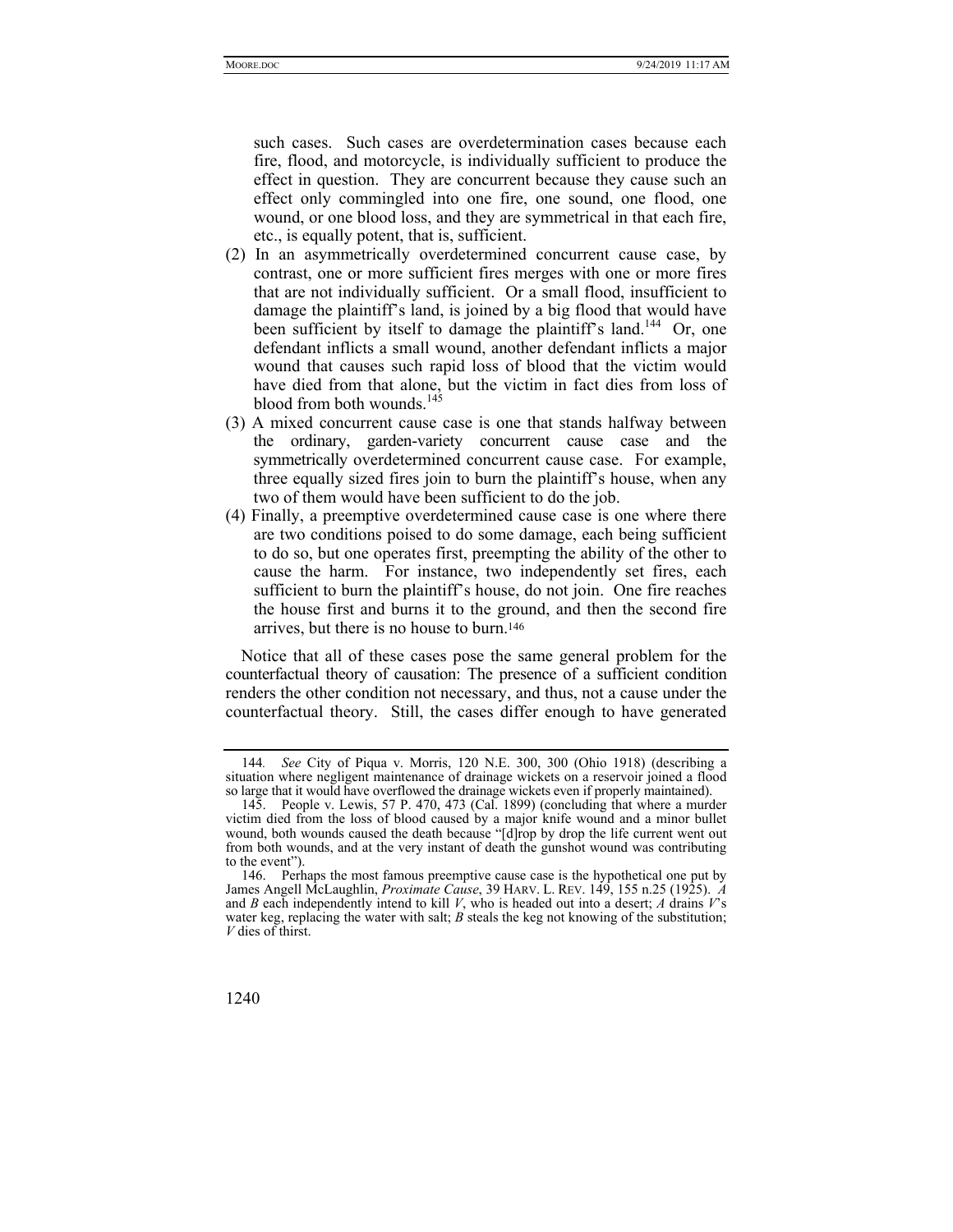such cases. Such cases are overdetermination cases because each fire, flood, and motorcycle, is individually sufficient to produce the effect in question. They are concurrent because they cause such an effect only commingled into one fire, one sound, one flood, one wound, or one blood loss, and they are symmetrical in that each fire, etc., is equally potent, that is, sufficient.

- (2) In an asymmetrically overdetermined concurrent cause case, by contrast, one or more sufficient fires merges with one or more fires that are not individually sufficient. Or a small flood, insufficient to damage the plaintiff's land, is joined by a big flood that would have been sufficient by itself to damage the plaintiff's land.<sup>144</sup> Or, one defendant inflicts a small wound, another defendant inflicts a major wound that causes such rapid loss of blood that the victim would have died from that alone, but the victim in fact dies from loss of blood from both wounds.<sup>145</sup>
- (3) A mixed concurrent cause case is one that stands halfway between the ordinary, garden-variety concurrent cause case and the symmetrically overdetermined concurrent cause case. For example, three equally sized fires join to burn the plaintiff's house, when any two of them would have been sufficient to do the job.
- (4) Finally, a preemptive overdetermined cause case is one where there are two conditions poised to do some damage, each being sufficient to do so, but one operates first, preempting the ability of the other to cause the harm. For instance, two independently set fires, each sufficient to burn the plaintiff's house, do not join. One fire reaches the house first and burns it to the ground, and then the second fire arrives, but there is no house to burn.146

Notice that all of these cases pose the same general problem for the counterfactual theory of causation: The presence of a sufficient condition renders the other condition not necessary, and thus, not a cause under the counterfactual theory. Still, the cases differ enough to have generated

 <sup>146.</sup> Perhaps the most famous preemptive cause case is the hypothetical one put by James Angell McLaughlin, *Proximate Cause*, 39 HARV. L. REV. 149, 155 n.25 (1925). *A* and *B* each independently intend to kill *V*, who is headed out into a desert; *A* drains *V*'s water keg, replacing the water with salt; *B* steals the keg not knowing of the substitution; *V* dies of thirst.



<sup>144</sup>*. See* City of Piqua v. Morris, 120 N.E. 300, 300 (Ohio 1918) (describing a situation where negligent maintenance of drainage wickets on a reservoir joined a flood so large that it would have overflowed the drainage wickets even if properly maintained).

 <sup>145.</sup> People v. Lewis, 57 P. 470, 473 (Cal. 1899) (concluding that where a murder victim died from the loss of blood caused by a major knife wound and a minor bullet wound, both wounds caused the death because "[d]rop by drop the life current went out from both wounds, and at the very instant of death the gunshot wound was contributing to the event").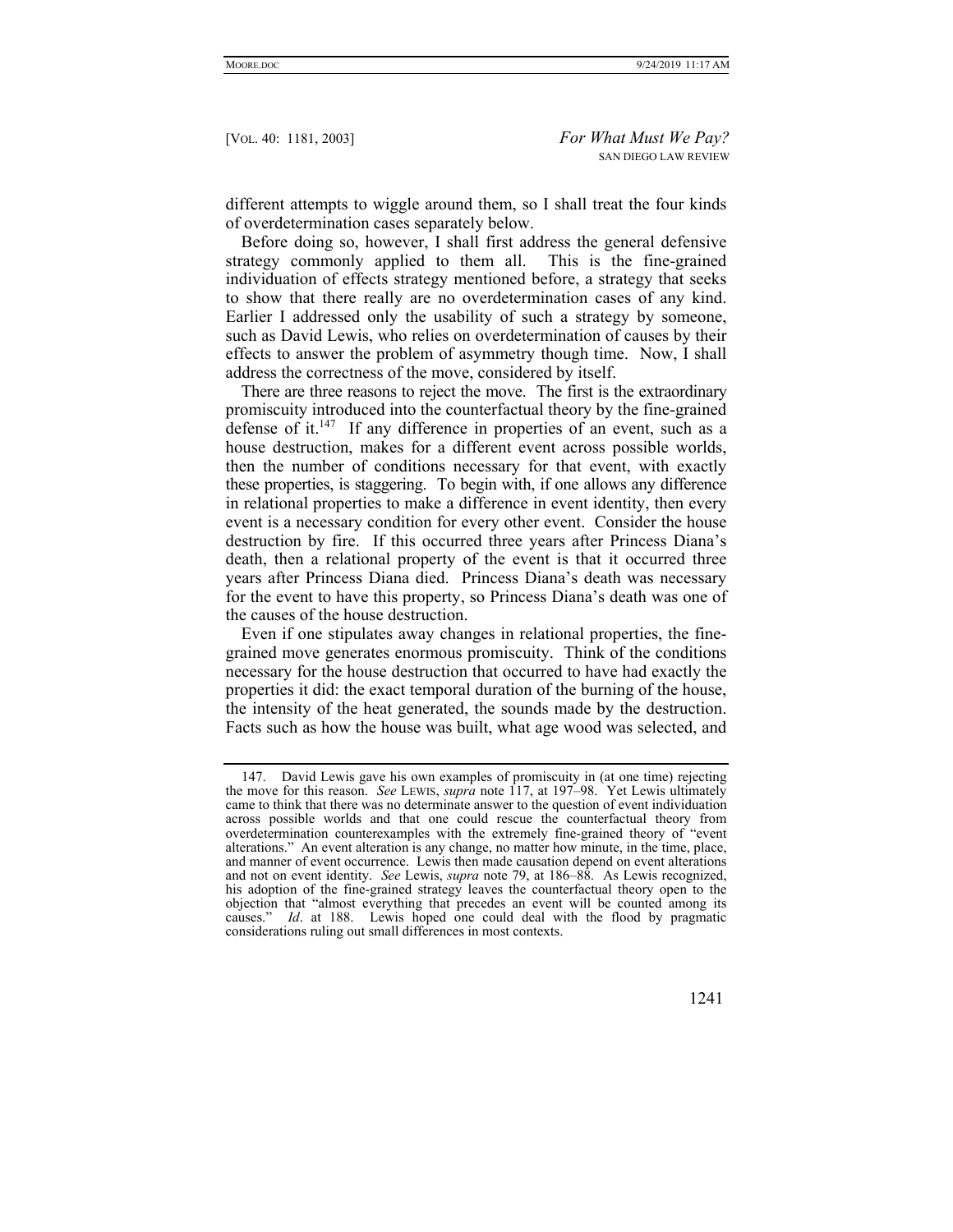different attempts to wiggle around them, so I shall treat the four kinds of overdetermination cases separately below.

Before doing so, however, I shall first address the general defensive strategy commonly applied to them all. This is the fine-grained individuation of effects strategy mentioned before, a strategy that seeks to show that there really are no overdetermination cases of any kind. Earlier I addressed only the usability of such a strategy by someone, such as David Lewis, who relies on overdetermination of causes by their effects to answer the problem of asymmetry though time. Now, I shall address the correctness of the move, considered by itself.

There are three reasons to reject the move. The first is the extraordinary promiscuity introduced into the counterfactual theory by the fine-grained defense of it.<sup>147</sup> If any difference in properties of an event, such as a house destruction, makes for a different event across possible worlds, then the number of conditions necessary for that event, with exactly these properties, is staggering. To begin with, if one allows any difference in relational properties to make a difference in event identity, then every event is a necessary condition for every other event. Consider the house destruction by fire. If this occurred three years after Princess Diana's death, then a relational property of the event is that it occurred three years after Princess Diana died. Princess Diana's death was necessary for the event to have this property, so Princess Diana's death was one of the causes of the house destruction.

Even if one stipulates away changes in relational properties, the finegrained move generates enormous promiscuity. Think of the conditions necessary for the house destruction that occurred to have had exactly the properties it did: the exact temporal duration of the burning of the house, the intensity of the heat generated, the sounds made by the destruction. Facts such as how the house was built, what age wood was selected, and

 <sup>147.</sup> David Lewis gave his own examples of promiscuity in (at one time) rejecting the move for this reason. *See* LEWIS, *supra* note 117, at 197–98. Yet Lewis ultimately came to think that there was no determinate answer to the question of event individuation across possible worlds and that one could rescue the counterfactual theory from overdetermination counterexamples with the extremely fine-grained theory of "event alterations." An event alteration is any change, no matter how minute, in the time, place, and manner of event occurrence. Lewis then made causation depend on event alterations and not on event identity. *See* Lewis, *supra* note 79, at 186–88. As Lewis recognized, his adoption of the fine-grained strategy leaves the counterfactual theory open to the objection that "almost everything that precedes an event will be counted among its causes." *Id*. at 188. Lewis hoped one could deal with the flood by pragmatic considerations ruling out small differences in most contexts.

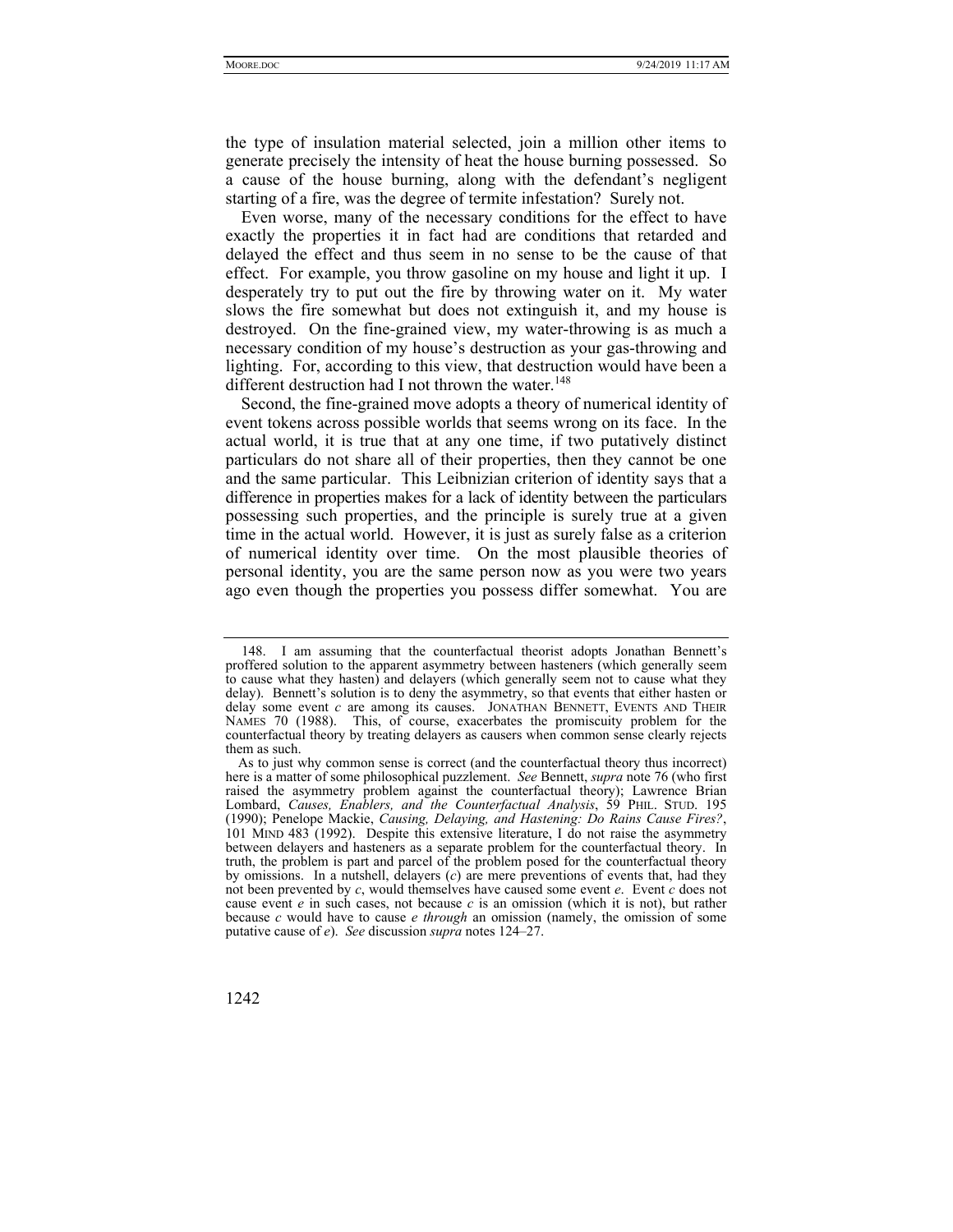the type of insulation material selected, join a million other items to generate precisely the intensity of heat the house burning possessed. So a cause of the house burning, along with the defendant's negligent starting of a fire, was the degree of termite infestation? Surely not.

Even worse, many of the necessary conditions for the effect to have exactly the properties it in fact had are conditions that retarded and delayed the effect and thus seem in no sense to be the cause of that effect. For example, you throw gasoline on my house and light it up. I desperately try to put out the fire by throwing water on it. My water slows the fire somewhat but does not extinguish it, and my house is destroyed. On the fine-grained view, my water-throwing is as much a necessary condition of my house's destruction as your gas-throwing and lighting. For, according to this view, that destruction would have been a different destruction had I not thrown the water.<sup>148</sup>

Second, the fine-grained move adopts a theory of numerical identity of event tokens across possible worlds that seems wrong on its face. In the actual world, it is true that at any one time, if two putatively distinct particulars do not share all of their properties, then they cannot be one and the same particular. This Leibnizian criterion of identity says that a difference in properties makes for a lack of identity between the particulars possessing such properties, and the principle is surely true at a given time in the actual world. However, it is just as surely false as a criterion of numerical identity over time. On the most plausible theories of personal identity, you are the same person now as you were two years ago even though the properties you possess differ somewhat. You are

As to just why common sense is correct (and the counterfactual theory thus incorrect) here is a matter of some philosophical puzzlement. *See* Bennett, *supra* note 76 (who first raised the asymmetry problem against the counterfactual theory); Lawrence Brian Lombard, Causes, Enablers, and the Counterfactual Analysis, 59 PHIL. STUD. 195 (1990); Penelope Mackie, *Causing, Delaying, and Hastening: Do Rains Cause Fires?*, 101 MIND 483 (1992). Despite this extensive literature, I do not raise the asymmetry between delayers and hasteners as a separate problem for the counterfactual theory. In truth, the problem is part and parcel of the problem posed for the counterfactual theory by omissions. In a nutshell, delayers (*c*) are mere preventions of events that, had they not been prevented by *c*, would themselves have caused some event *e*. Event *c* does not cause event *e* in such cases, not because *c* is an omission (which it is not), but rather because *c* would have to cause *e through* an omission (namely, the omission of some putative cause of *e*). *See* discussion *supra* notes 124–27.



 <sup>148.</sup> I am assuming that the counterfactual theorist adopts Jonathan Bennett's proffered solution to the apparent asymmetry between hasteners (which generally seem to cause what they hasten) and delayers (which generally seem not to cause what they delay). Bennett's solution is to deny the asymmetry, so that events that either hasten or delay some event *c* are among its causes. JONATHAN BENNETT, EVENTS AND THEIR NAMES 70 (1988). This, of course, exacerbates the promiscuity problem for the counterfactual theory by treating delayers as causers when common sense clearly rejects them as such.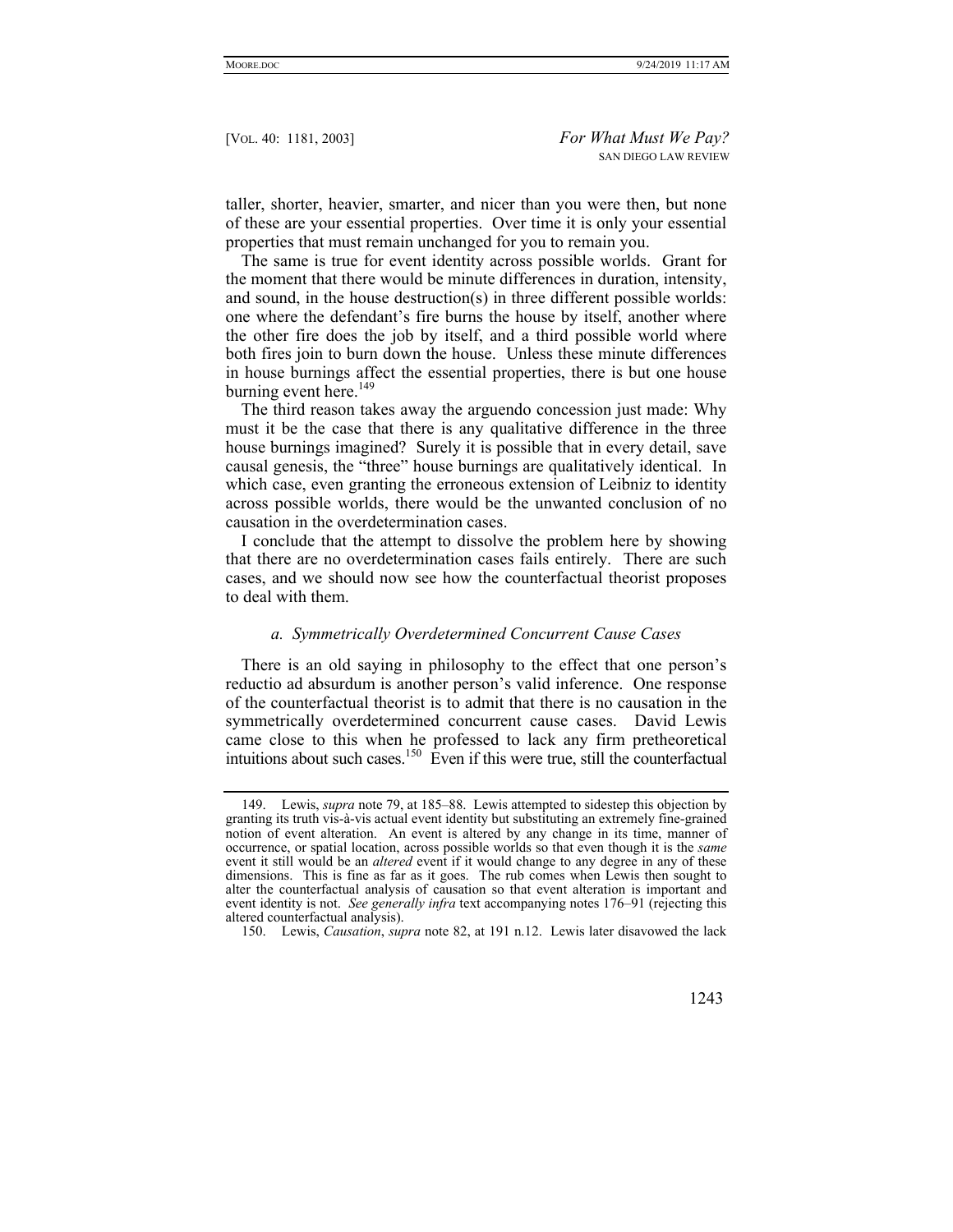taller, shorter, heavier, smarter, and nicer than you were then, but none of these are your essential properties. Over time it is only your essential properties that must remain unchanged for you to remain you.

The same is true for event identity across possible worlds. Grant for the moment that there would be minute differences in duration, intensity, and sound, in the house destruction(s) in three different possible worlds: one where the defendant's fire burns the house by itself, another where the other fire does the job by itself, and a third possible world where both fires join to burn down the house. Unless these minute differences in house burnings affect the essential properties, there is but one house burning event here.<sup>149</sup>

The third reason takes away the arguendo concession just made: Why must it be the case that there is any qualitative difference in the three house burnings imagined? Surely it is possible that in every detail, save causal genesis, the "three" house burnings are qualitatively identical. In which case, even granting the erroneous extension of Leibniz to identity across possible worlds, there would be the unwanted conclusion of no causation in the overdetermination cases.

I conclude that the attempt to dissolve the problem here by showing that there are no overdetermination cases fails entirely. There are such cases, and we should now see how the counterfactual theorist proposes to deal with them.

#### *a. Symmetrically Overdetermined Concurrent Cause Cases*

There is an old saying in philosophy to the effect that one person's reductio ad absurdum is another person's valid inference. One response of the counterfactual theorist is to admit that there is no causation in the symmetrically overdetermined concurrent cause cases. David Lewis came close to this when he professed to lack any firm pretheoretical intuitions about such cases.150 Even if this were true, still the counterfactual

 <sup>149.</sup> Lewis, *supra* note 79, at 185–88. Lewis attempted to sidestep this objection by granting its truth vis-à-vis actual event identity but substituting an extremely fine-grained notion of event alteration. An event is altered by any change in its time, manner of occurrence, or spatial location, across possible worlds so that even though it is the *same* event it still would be an *altered* event if it would change to any degree in any of these dimensions. This is fine as far as it goes. The rub comes when Lewis then sought to alter the counterfactual analysis of causation so that event alteration is important and event identity is not. *See generally infra* text accompanying notes 176–91 (rejecting this altered counterfactual analysis).

 <sup>150.</sup> Lewis, *Causation*, *supra* note 82, at 191 n.12. Lewis later disavowed the lack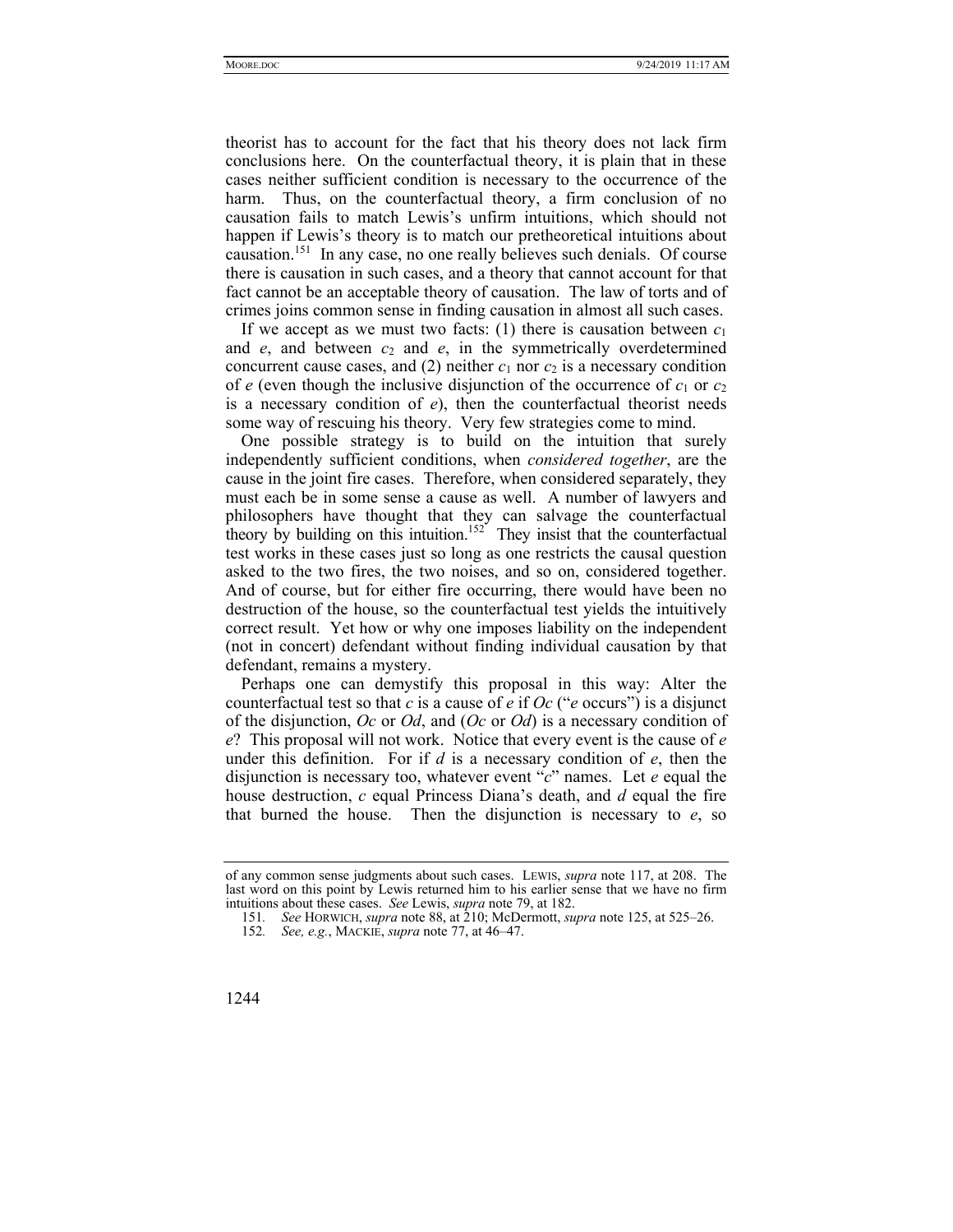theorist has to account for the fact that his theory does not lack firm conclusions here. On the counterfactual theory, it is plain that in these cases neither sufficient condition is necessary to the occurrence of the harm. Thus, on the counterfactual theory, a firm conclusion of no causation fails to match Lewis's unfirm intuitions, which should not happen if Lewis's theory is to match our pretheoretical intuitions about causation.151 In any case, no one really believes such denials. Of course there is causation in such cases, and a theory that cannot account for that fact cannot be an acceptable theory of causation. The law of torts and of crimes joins common sense in finding causation in almost all such cases.

If we accept as we must two facts: (1) there is causation between  $c_1$ and  $e$ , and between  $c_2$  and  $e$ , in the symmetrically overdetermined concurrent cause cases, and (2) neither  $c_1$  nor  $c_2$  is a necessary condition of  $e$  (even though the inclusive disjunction of the occurrence of  $c_1$  or  $c_2$ is a necessary condition of *e*), then the counterfactual theorist needs some way of rescuing his theory. Very few strategies come to mind.

One possible strategy is to build on the intuition that surely independently sufficient conditions, when *considered together*, are the cause in the joint fire cases. Therefore, when considered separately, they must each be in some sense a cause as well. A number of lawyers and philosophers have thought that they can salvage the counterfactual theory by building on this intuition.<sup>152</sup> They insist that the counterfactual test works in these cases just so long as one restricts the causal question asked to the two fires, the two noises, and so on, considered together. And of course, but for either fire occurring, there would have been no destruction of the house, so the counterfactual test yields the intuitively correct result. Yet how or why one imposes liability on the independent (not in concert) defendant without finding individual causation by that defendant, remains a mystery.

Perhaps one can demystify this proposal in this way: Alter the counterfactual test so that *c* is a cause of *e* if *Oc* ("*e* occurs") is a disjunct of the disjunction, *Oc* or *Od*, and (*Oc* or *Od*) is a necessary condition of *e*? This proposal will not work. Notice that every event is the cause of *e* under this definition. For if *d* is a necessary condition of *e*, then the disjunction is necessary too, whatever event "*c*" names. Let *e* equal the house destruction, *c* equal Princess Diana's death, and *d* equal the fire that burned the house. Then the disjunction is necessary to *e*, so

of any common sense judgments about such cases. LEWIS, *supra* note 117, at 208. The last word on this point by Lewis returned him to his earlier sense that we have no firm intuitions about these cases. *See* Lewis, *supra* note 79, at 182.

<sup>151</sup>*. See* HORWICH, *supra* note 88, at 210; McDermott, *supra* note 125, at 525–26.

<sup>152</sup>*. See, e.g.*, MACKIE, *supra* note 77, at 46–47.

<sup>1244</sup>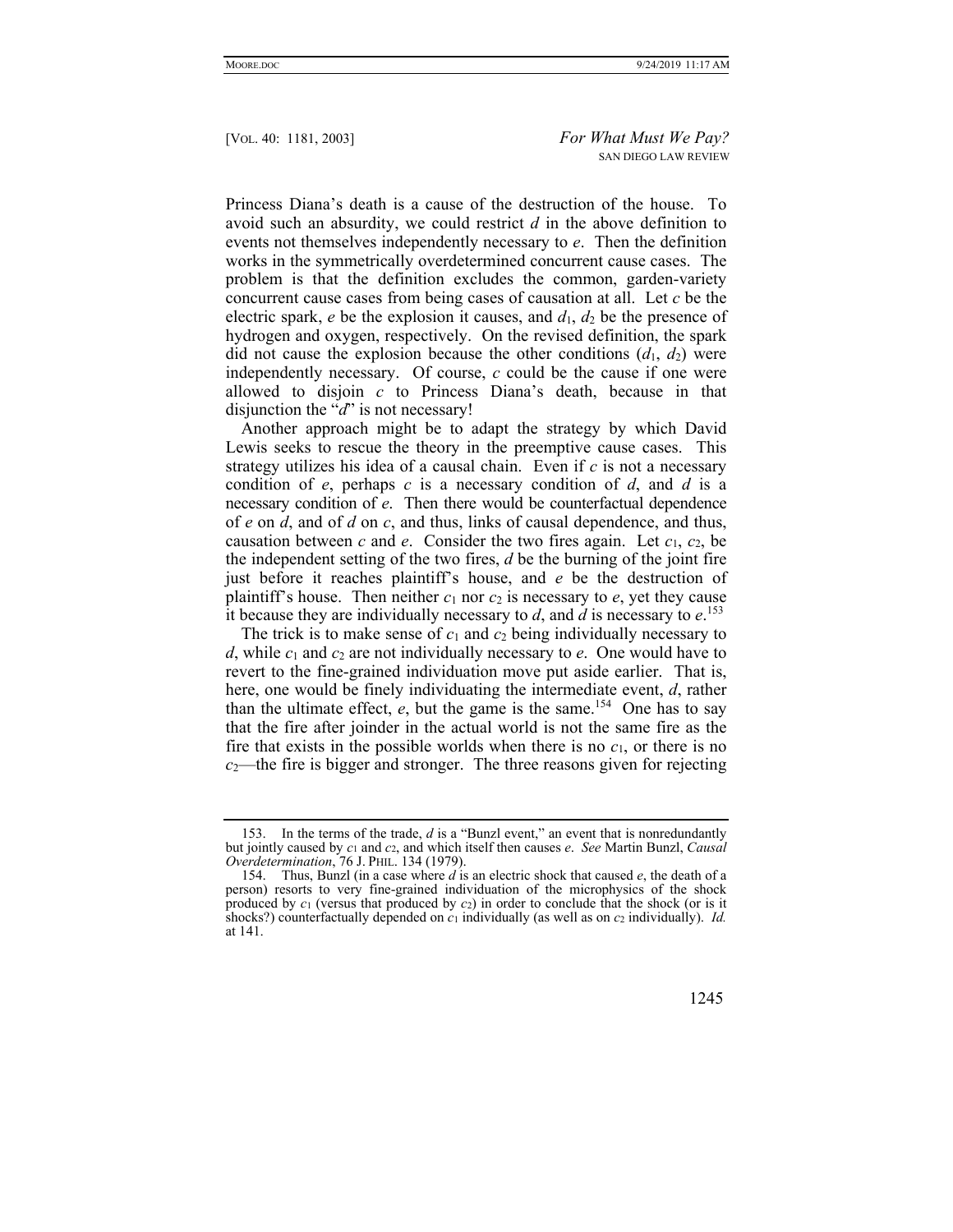Princess Diana's death is a cause of the destruction of the house. To avoid such an absurdity, we could restrict *d* in the above definition to events not themselves independently necessary to *e*. Then the definition works in the symmetrically overdetermined concurrent cause cases. The problem is that the definition excludes the common, garden-variety concurrent cause cases from being cases of causation at all. Let *c* be the electric spark, *e* be the explosion it causes, and  $d_1$ ,  $d_2$  be the presence of hydrogen and oxygen, respectively. On the revised definition, the spark did not cause the explosion because the other conditions  $(d_1, d_2)$  were independently necessary. Of course, *c* could be the cause if one were allowed to disjoin *c* to Princess Diana's death, because in that disjunction the "*d*" is not necessary!

Another approach might be to adapt the strategy by which David Lewis seeks to rescue the theory in the preemptive cause cases. This strategy utilizes his idea of a causal chain. Even if *c* is not a necessary condition of *e*, perhaps *c* is a necessary condition of *d*, and *d* is a necessary condition of *e*. Then there would be counterfactual dependence of *e* on *d*, and of *d* on *c*, and thus, links of causal dependence, and thus, causation between *c* and *e*. Consider the two fires again. Let  $c_1$ ,  $c_2$ , be the independent setting of the two fires, *d* be the burning of the joint fire just before it reaches plaintiff's house, and *e* be the destruction of plaintiff's house. Then neither  $c_1$  nor  $c_2$  is necessary to  $e$ , yet they cause it because they are individually necessary to *d*, and *d* is necessary to *e*. 153

The trick is to make sense of  $c_1$  and  $c_2$  being individually necessary to *d*, while  $c_1$  and  $c_2$  are not individually necessary to *e*. One would have to revert to the fine-grained individuation move put aside earlier. That is, here, one would be finely individuating the intermediate event, *d*, rather than the ultimate effect,  $e$ , but the game is the same.<sup>154</sup> One has to say that the fire after joinder in the actual world is not the same fire as the fire that exists in the possible worlds when there is no  $c<sub>1</sub>$ , or there is no  $c_2$ —the fire is bigger and stronger. The three reasons given for rejecting

 <sup>154.</sup> Thus, Bunzl (in a case where *d* is an electric shock that caused *e*, the death of a person) resorts to very fine-grained individuation of the microphysics of the shock produced by *c*1 (versus that produced by *c*2) in order to conclude that the shock (or is it shocks?) counterfactually depended on *c*1 individually (as well as on *c*2 individually). *Id.* at 141.



 <sup>153.</sup> In the terms of the trade, *d* is a "Bunzl event," an event that is nonredundantly but jointly caused by *c*1 and *c*2, and which itself then causes *e*. *See* Martin Bunzl, *Causal Overdetermination*, 76 J. PHIL. 134 (1979).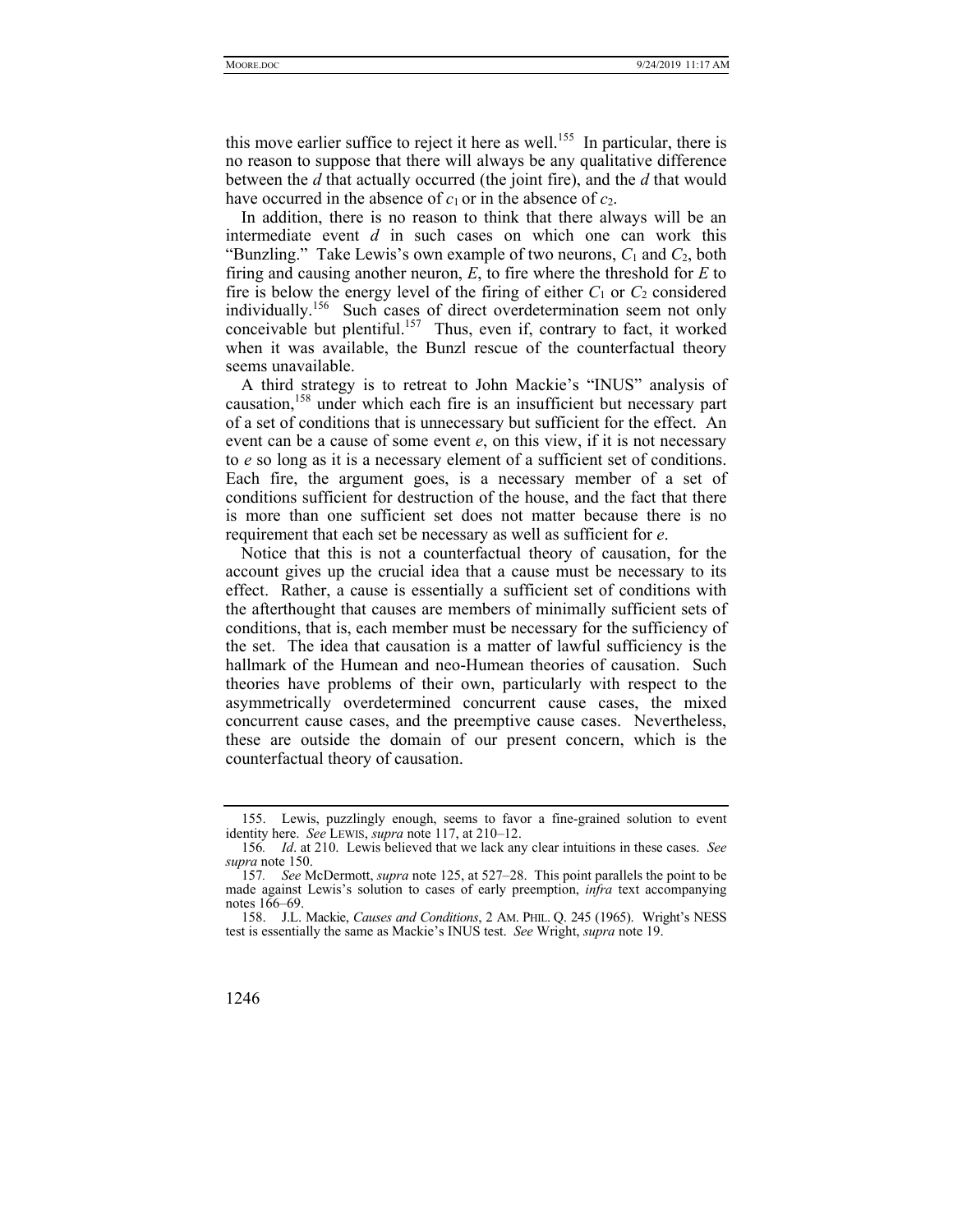this move earlier suffice to reject it here as well.<sup>155</sup> In particular, there is no reason to suppose that there will always be any qualitative difference between the *d* that actually occurred (the joint fire), and the *d* that would have occurred in the absence of  $c_1$  or in the absence of  $c_2$ .

In addition, there is no reason to think that there always will be an intermediate event *d* in such cases on which one can work this "Bunzling." Take Lewis's own example of two neurons,  $C_1$  and  $C_2$ , both firing and causing another neuron, *E*, to fire where the threshold for *E* to fire is below the energy level of the firing of either  $C_1$  or  $C_2$  considered individually.<sup>156</sup> Such cases of direct overdetermination seem not only conceivable but plentiful.<sup>157</sup> Thus, even if, contrary to fact, it worked when it was available, the Bunzl rescue of the counterfactual theory seems unavailable.

A third strategy is to retreat to John Mackie's "INUS" analysis of causation,158 under which each fire is an insufficient but necessary part of a set of conditions that is unnecessary but sufficient for the effect. An event can be a cause of some event *e*, on this view, if it is not necessary to *e* so long as it is a necessary element of a sufficient set of conditions. Each fire, the argument goes, is a necessary member of a set of conditions sufficient for destruction of the house, and the fact that there is more than one sufficient set does not matter because there is no requirement that each set be necessary as well as sufficient for *e*.

Notice that this is not a counterfactual theory of causation, for the account gives up the crucial idea that a cause must be necessary to its effect. Rather, a cause is essentially a sufficient set of conditions with the afterthought that causes are members of minimally sufficient sets of conditions, that is, each member must be necessary for the sufficiency of the set. The idea that causation is a matter of lawful sufficiency is the hallmark of the Humean and neo-Humean theories of causation. Such theories have problems of their own, particularly with respect to the asymmetrically overdetermined concurrent cause cases, the mixed concurrent cause cases, and the preemptive cause cases. Nevertheless, these are outside the domain of our present concern, which is the counterfactual theory of causation.

 <sup>158.</sup> J.L. Mackie, *Causes and Conditions*, 2 AM. PHIL. Q. 245 (1965). Wright's NESS test is essentially the same as Mackie's INUS test. *See* Wright, *supra* note 19.



 <sup>155.</sup> Lewis, puzzlingly enough, seems to favor a fine-grained solution to event identity here. *See* LEWIS, *supra* note 117, at 210–12.

<sup>156</sup>*. Id*. at 210. Lewis believed that we lack any clear intuitions in these cases. *See supra* note 150.

<sup>157</sup>*. See* McDermott, *supra* note 125, at 527–28. This point parallels the point to be made against Lewis's solution to cases of early preemption, *infra* text accompanying notes 166–69.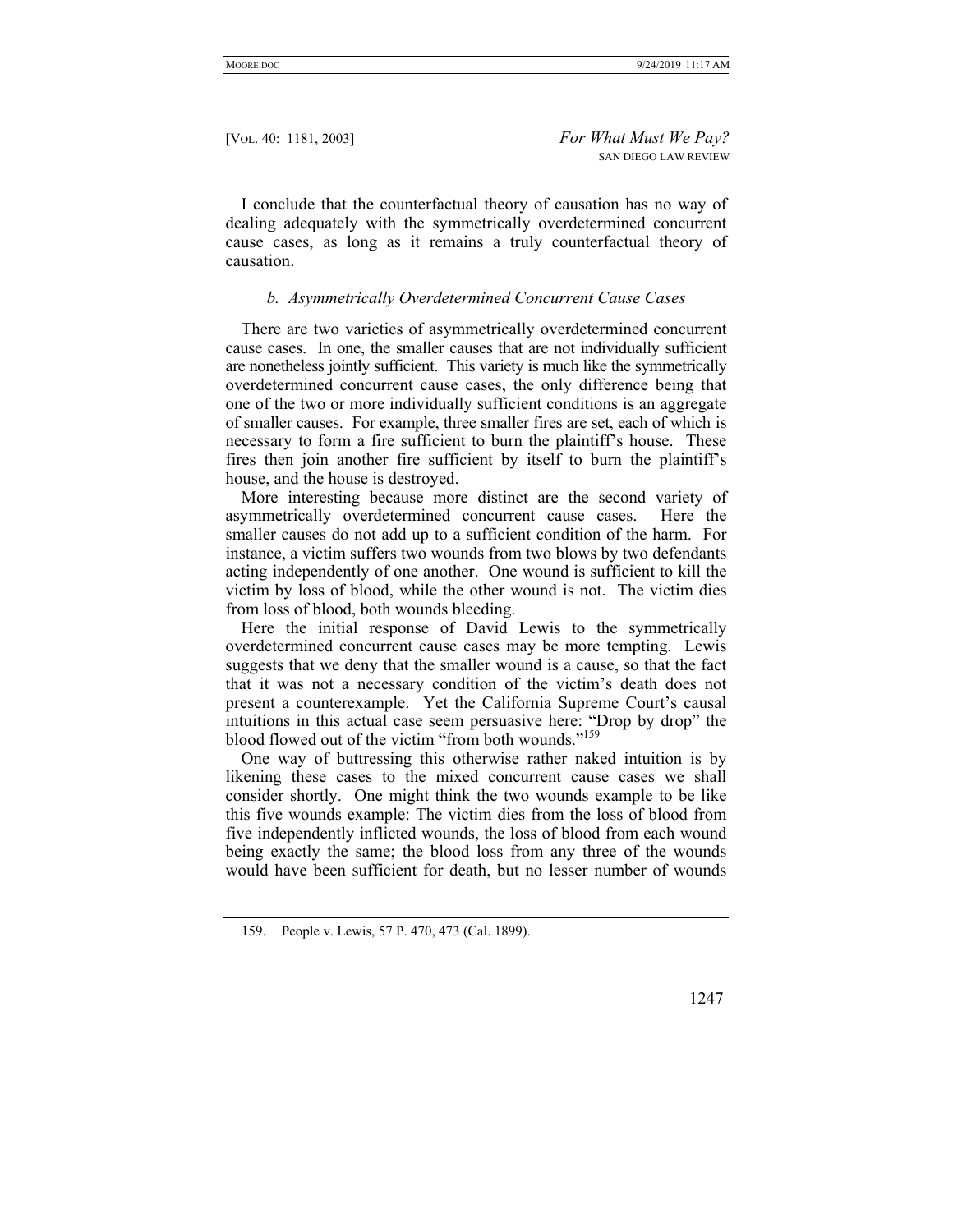I conclude that the counterfactual theory of causation has no way of dealing adequately with the symmetrically overdetermined concurrent cause cases, as long as it remains a truly counterfactual theory of causation.

#### *b. Asymmetrically Overdetermined Concurrent Cause Cases*

There are two varieties of asymmetrically overdetermined concurrent cause cases. In one, the smaller causes that are not individually sufficient are nonetheless jointly sufficient. This variety is much like the symmetrically overdetermined concurrent cause cases, the only difference being that one of the two or more individually sufficient conditions is an aggregate of smaller causes. For example, three smaller fires are set, each of which is necessary to form a fire sufficient to burn the plaintiff's house. These fires then join another fire sufficient by itself to burn the plaintiff's house, and the house is destroyed.

More interesting because more distinct are the second variety of asymmetrically overdetermined concurrent cause cases. Here the smaller causes do not add up to a sufficient condition of the harm. For instance, a victim suffers two wounds from two blows by two defendants acting independently of one another. One wound is sufficient to kill the victim by loss of blood, while the other wound is not. The victim dies from loss of blood, both wounds bleeding.

Here the initial response of David Lewis to the symmetrically overdetermined concurrent cause cases may be more tempting. Lewis suggests that we deny that the smaller wound is a cause, so that the fact that it was not a necessary condition of the victim's death does not present a counterexample. Yet the California Supreme Court's causal intuitions in this actual case seem persuasive here: "Drop by drop" the blood flowed out of the victim "from both wounds."<sup>159</sup>

One way of buttressing this otherwise rather naked intuition is by likening these cases to the mixed concurrent cause cases we shall consider shortly. One might think the two wounds example to be like this five wounds example: The victim dies from the loss of blood from five independently inflicted wounds, the loss of blood from each wound being exactly the same; the blood loss from any three of the wounds would have been sufficient for death, but no lesser number of wounds

 <sup>159.</sup> People v. Lewis, 57 P. 470, 473 (Cal. 1899).

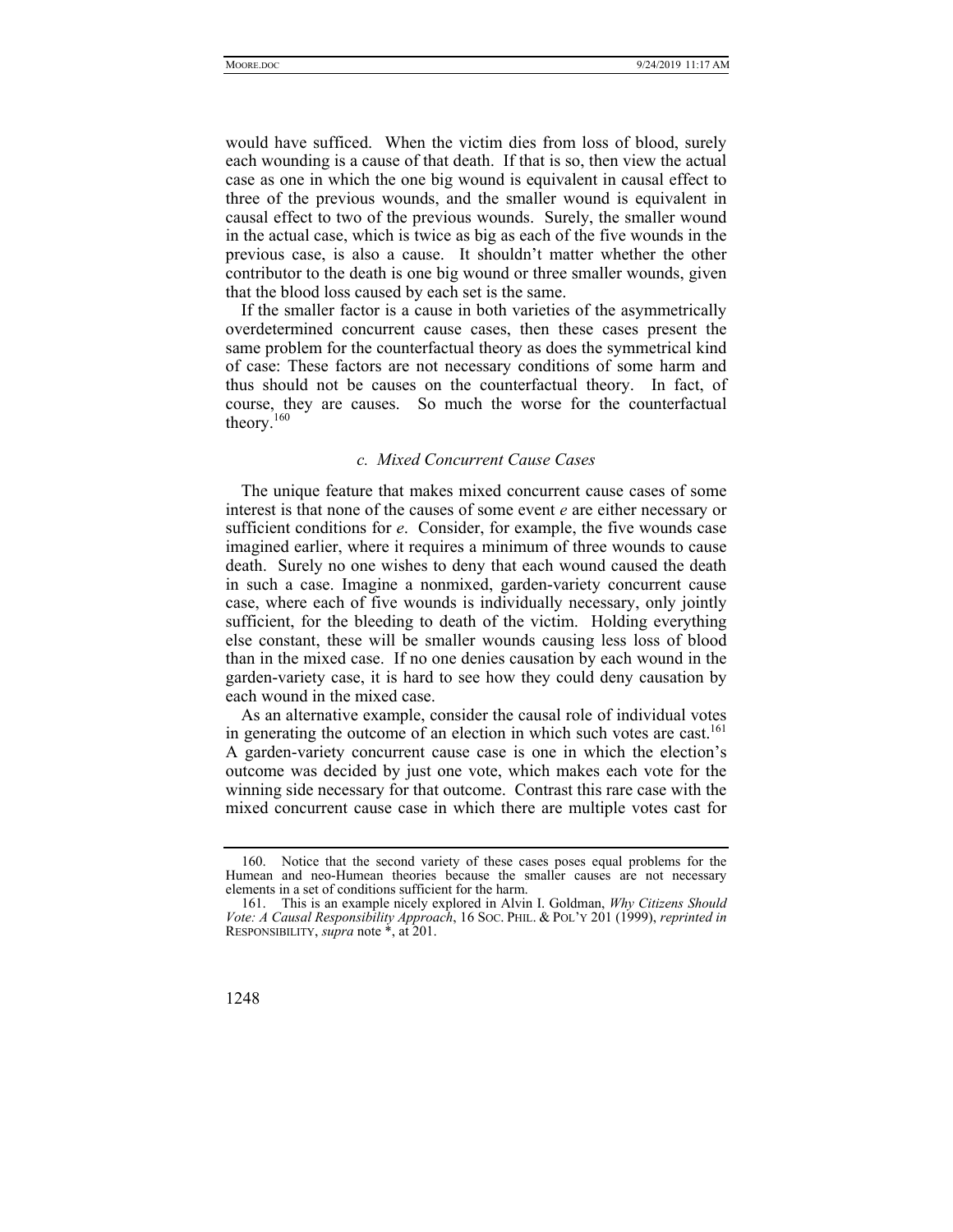would have sufficed. When the victim dies from loss of blood, surely each wounding is a cause of that death. If that is so, then view the actual case as one in which the one big wound is equivalent in causal effect to three of the previous wounds, and the smaller wound is equivalent in causal effect to two of the previous wounds. Surely, the smaller wound in the actual case, which is twice as big as each of the five wounds in the previous case, is also a cause. It shouldn't matter whether the other contributor to the death is one big wound or three smaller wounds, given that the blood loss caused by each set is the same.

If the smaller factor is a cause in both varieties of the asymmetrically overdetermined concurrent cause cases, then these cases present the same problem for the counterfactual theory as does the symmetrical kind of case: These factors are not necessary conditions of some harm and thus should not be causes on the counterfactual theory. In fact, of course, they are causes. So much the worse for the counterfactual theory.<sup>160</sup>

#### *c. Mixed Concurrent Cause Cases*

The unique feature that makes mixed concurrent cause cases of some interest is that none of the causes of some event *e* are either necessary or sufficient conditions for *e*. Consider, for example, the five wounds case imagined earlier, where it requires a minimum of three wounds to cause death. Surely no one wishes to deny that each wound caused the death in such a case. Imagine a nonmixed, garden-variety concurrent cause case, where each of five wounds is individually necessary, only jointly sufficient, for the bleeding to death of the victim. Holding everything else constant, these will be smaller wounds causing less loss of blood than in the mixed case. If no one denies causation by each wound in the garden-variety case, it is hard to see how they could deny causation by each wound in the mixed case.

As an alternative example, consider the causal role of individual votes in generating the outcome of an election in which such votes are cast.<sup>161</sup> A garden-variety concurrent cause case is one in which the election's outcome was decided by just one vote, which makes each vote for the winning side necessary for that outcome. Contrast this rare case with the mixed concurrent cause case in which there are multiple votes cast for

 <sup>160.</sup> Notice that the second variety of these cases poses equal problems for the Humean and neo-Humean theories because the smaller causes are not necessary elements in a set of conditions sufficient for the harm.

 <sup>161.</sup> This is an example nicely explored in Alvin I. Goldman, *Why Citizens Should Vote: A Causal Responsibility Approach*, 16 SOC. PHIL. & POL'Y 201 (1999), *reprinted in* RESPONSIBILITY, *supra* note \*, at 201.

<sup>1248</sup>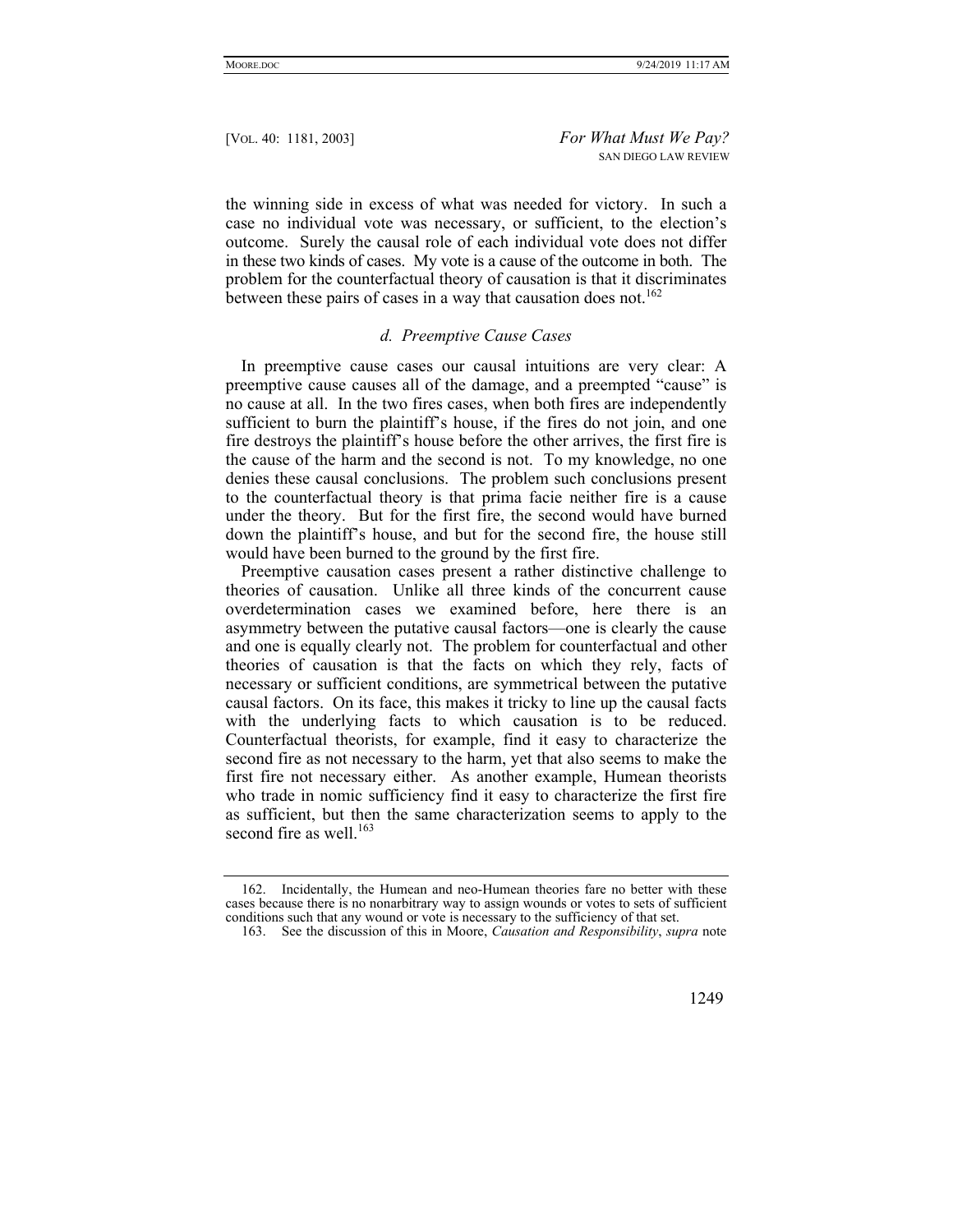the winning side in excess of what was needed for victory. In such a case no individual vote was necessary, or sufficient, to the election's outcome. Surely the causal role of each individual vote does not differ in these two kinds of cases. My vote is a cause of the outcome in both. The problem for the counterfactual theory of causation is that it discriminates between these pairs of cases in a way that causation does not.<sup>162</sup>

# *d. Preemptive Cause Cases*

In preemptive cause cases our causal intuitions are very clear: A preemptive cause causes all of the damage, and a preempted "cause" is no cause at all. In the two fires cases, when both fires are independently sufficient to burn the plaintiff's house, if the fires do not join, and one fire destroys the plaintiff's house before the other arrives, the first fire is the cause of the harm and the second is not. To my knowledge, no one denies these causal conclusions. The problem such conclusions present to the counterfactual theory is that prima facie neither fire is a cause under the theory. But for the first fire, the second would have burned down the plaintiff's house, and but for the second fire, the house still would have been burned to the ground by the first fire.

Preemptive causation cases present a rather distinctive challenge to theories of causation. Unlike all three kinds of the concurrent cause overdetermination cases we examined before, here there is an asymmetry between the putative causal factors—one is clearly the cause and one is equally clearly not. The problem for counterfactual and other theories of causation is that the facts on which they rely, facts of necessary or sufficient conditions, are symmetrical between the putative causal factors. On its face, this makes it tricky to line up the causal facts with the underlying facts to which causation is to be reduced. Counterfactual theorists, for example, find it easy to characterize the second fire as not necessary to the harm, yet that also seems to make the first fire not necessary either. As another example, Humean theorists who trade in nomic sufficiency find it easy to characterize the first fire as sufficient, but then the same characterization seems to apply to the second fire as well. $^{163}$ 

 <sup>163.</sup> See the discussion of this in Moore, *Causation and Responsibility*, *supra* note



 <sup>162.</sup> Incidentally, the Humean and neo-Humean theories fare no better with these cases because there is no nonarbitrary way to assign wounds or votes to sets of sufficient conditions such that any wound or vote is necessary to the sufficiency of that set.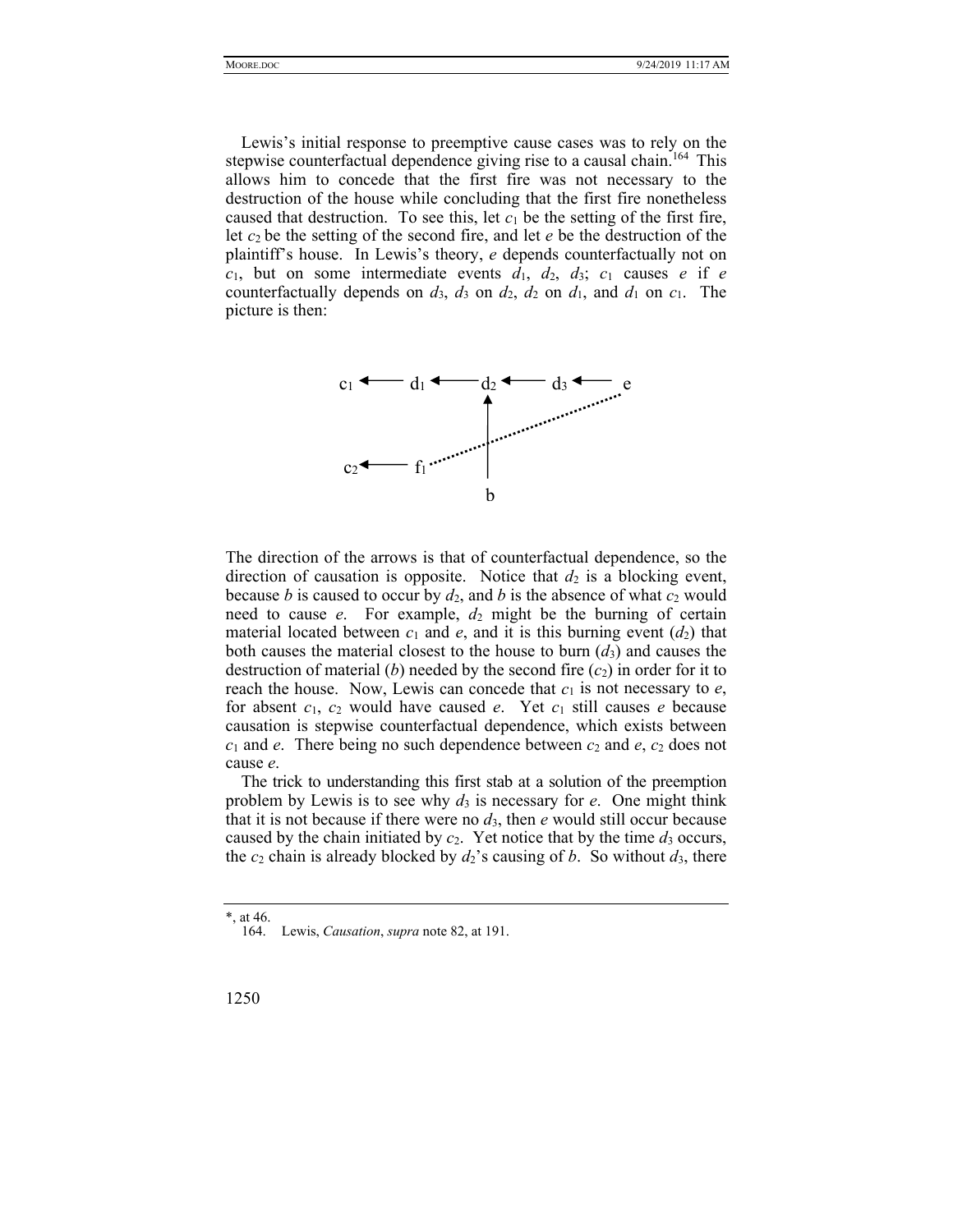Lewis's initial response to preemptive cause cases was to rely on the stepwise counterfactual dependence giving rise to a causal chain.<sup>164</sup> This allows him to concede that the first fire was not necessary to the destruction of the house while concluding that the first fire nonetheless caused that destruction. To see this, let  $c_1$  be the setting of the first fire, let *c*2 be the setting of the second fire, and let *e* be the destruction of the plaintiff's house. In Lewis's theory, *e* depends counterfactually not on  $c_1$ , but on some intermediate events  $d_1$ ,  $d_2$ ,  $d_3$ ;  $c_1$  causes *e* if *e* counterfactually depends on  $d_3$ ,  $d_3$  on  $d_2$ ,  $d_2$  on  $d_1$ , and  $d_1$  on  $c_1$ . The picture is then:



The direction of the arrows is that of counterfactual dependence, so the direction of causation is opposite. Notice that  $d_2$  is a blocking event, because *b* is caused to occur by  $d_2$ , and *b* is the absence of what  $c_2$  would need to cause *e*. For example, *d*2 might be the burning of certain material located between  $c_1$  and  $e$ , and it is this burning event  $(d_2)$  that both causes the material closest to the house to burn  $(d_3)$  and causes the destruction of material (*b*) needed by the second fire  $(c_2)$  in order for it to reach the house. Now, Lewis can concede that  $c_1$  is not necessary to  $e$ , for absent *c*1, *c*2 would have caused *e*. Yet *c*1 still causes *e* because causation is stepwise counterfactual dependence, which exists between  $c_1$  and *e*. There being no such dependence between  $c_2$  and  $e$ ,  $c_2$  does not cause *e*.

The trick to understanding this first stab at a solution of the preemption problem by Lewis is to see why  $d_3$  is necessary for  $e$ . One might think that it is not because if there were no  $d_3$ , then  $e$  would still occur because caused by the chain initiated by  $c_2$ . Yet notice that by the time  $d_3$  occurs, the  $c_2$  chain is already blocked by  $d_2$ 's causing of *b*. So without  $d_3$ , there

<sup>\*,</sup> at 46.

 <sup>164.</sup> Lewis, *Causation*, *supra* note 82, at 191.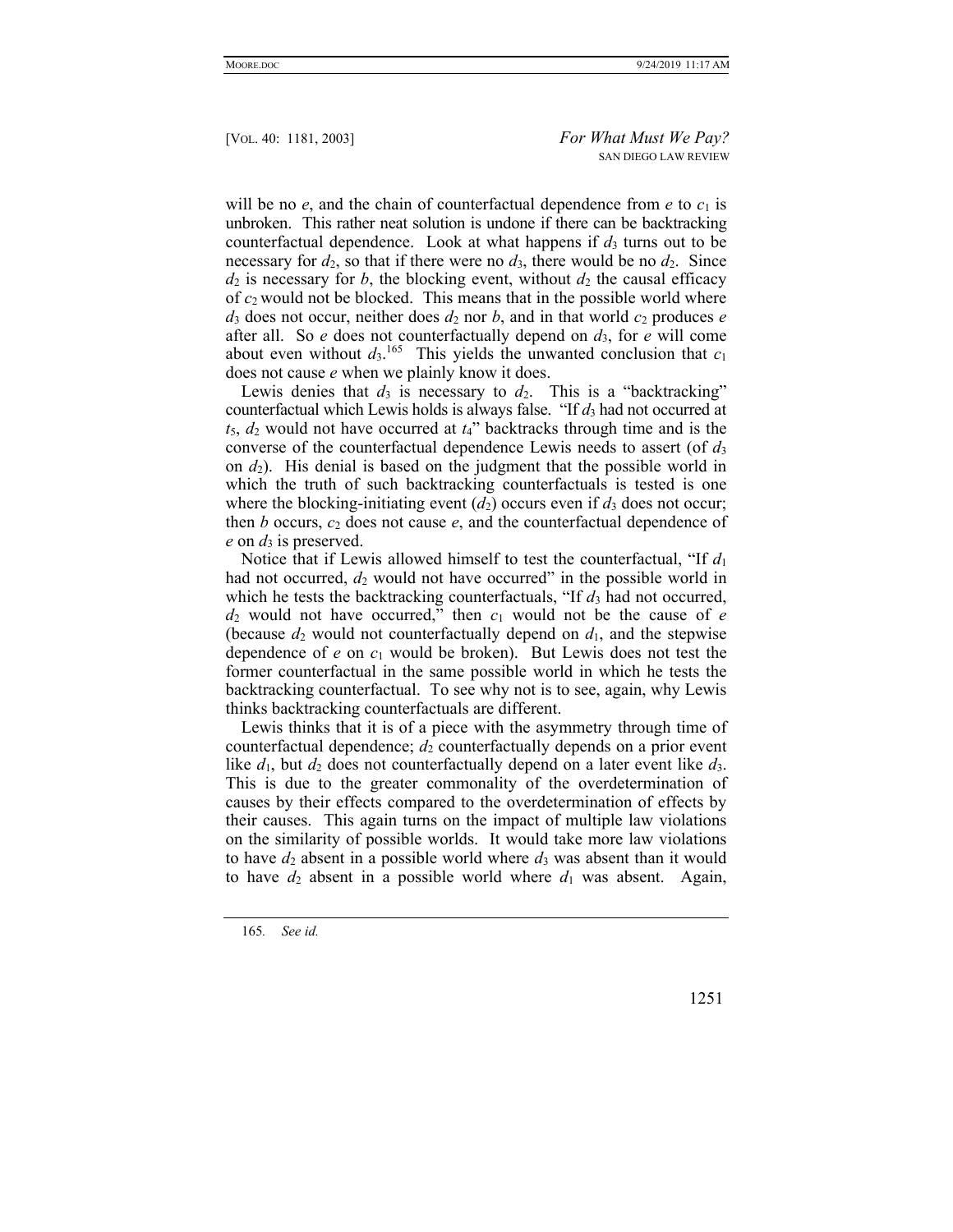will be no  $e$ , and the chain of counterfactual dependence from  $e$  to  $c_1$  is unbroken. This rather neat solution is undone if there can be backtracking counterfactual dependence. Look at what happens if  $d_3$  turns out to be necessary for  $d_2$ , so that if there were no  $d_3$ , there would be no  $d_2$ . Since  $d_2$  is necessary for *b*, the blocking event, without  $d_2$  the causal efficacy of  $c_2$  would not be blocked. This means that in the possible world where  $d_3$  does not occur, neither does  $d_2$  nor  $b$ , and in that world  $c_2$  produces *e* after all. So *e* does not counterfactually depend on *d*3, for *e* will come about even without  $d_3$ <sup>165</sup> This yields the unwanted conclusion that  $c_1$ does not cause *e* when we plainly know it does.

Lewis denies that  $d_3$  is necessary to  $d_2$ . This is a "backtracking" counterfactual which Lewis holds is always false. "If  $d_3$  had not occurred at  $t_5$ ,  $d_2$  would not have occurred at  $t_4$ " backtracks through time and is the converse of the counterfactual dependence Lewis needs to assert (of  $d_3$ ) on *d*2). His denial is based on the judgment that the possible world in which the truth of such backtracking counterfactuals is tested is one where the blocking-initiating event  $(d_2)$  occurs even if  $d_3$  does not occur; then  $b$  occurs,  $c_2$  does not cause  $e$ , and the counterfactual dependence of *e* on *d*<sub>3</sub> is preserved.

Notice that if Lewis allowed himself to test the counterfactual, "If  $d_1$ had not occurred,  $d_2$  would not have occurred" in the possible world in which he tests the backtracking counterfactuals, "If  $d_3$  had not occurred,  $d_2$  would not have occurred," then  $c_1$  would not be the cause of *e* (because  $d_2$  would not counterfactually depend on  $d_1$ , and the stepwise dependence of *e* on *c*1 would be broken). But Lewis does not test the former counterfactual in the same possible world in which he tests the backtracking counterfactual. To see why not is to see, again, why Lewis thinks backtracking counterfactuals are different.

Lewis thinks that it is of a piece with the asymmetry through time of counterfactual dependence;  $d_2$  counterfactually depends on a prior event like  $d_1$ , but  $d_2$  does not counterfactually depend on a later event like  $d_3$ . This is due to the greater commonality of the overdetermination of causes by their effects compared to the overdetermination of effects by their causes. This again turns on the impact of multiple law violations on the similarity of possible worlds. It would take more law violations to have  $d_2$  absent in a possible world where  $d_3$  was absent than it would to have  $d_2$  absent in a possible world where  $d_1$  was absent. Again,

<sup>165</sup>*. See id.*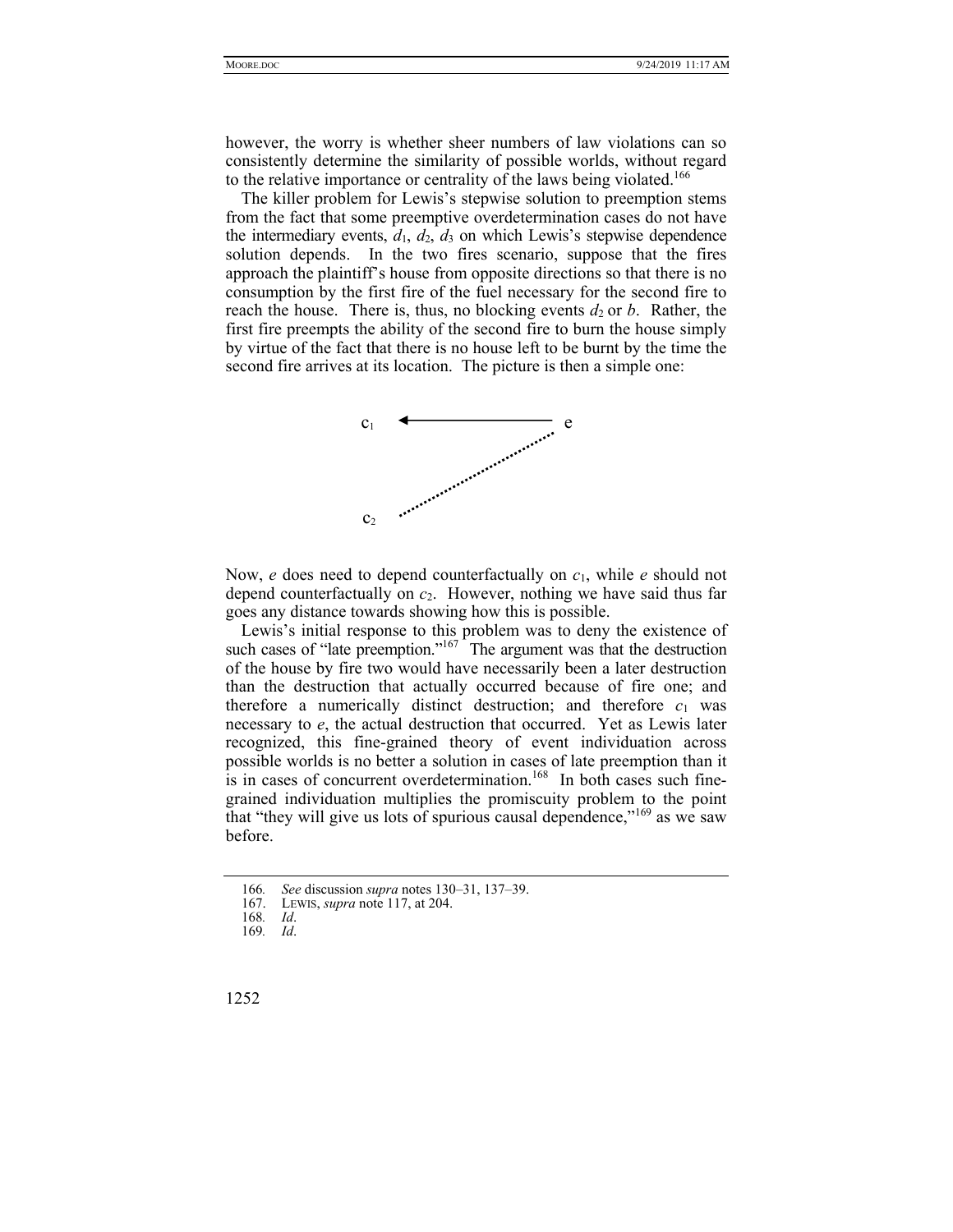however, the worry is whether sheer numbers of law violations can so consistently determine the similarity of possible worlds, without regard to the relative importance or centrality of the laws being violated.<sup>166</sup>

The killer problem for Lewis's stepwise solution to preemption stems from the fact that some preemptive overdetermination cases do not have the intermediary events,  $d_1$ ,  $d_2$ ,  $d_3$  on which Lewis's stepwise dependence solution depends. In the two fires scenario, suppose that the fires approach the plaintiff's house from opposite directions so that there is no consumption by the first fire of the fuel necessary for the second fire to reach the house. There is, thus, no blocking events  $d_2$  or  $b$ . Rather, the first fire preempts the ability of the second fire to burn the house simply by virtue of the fact that there is no house left to be burnt by the time the second fire arrives at its location. The picture is then a simple one:



Now, *e* does need to depend counterfactually on *c*1, while *e* should not depend counterfactually on *c*2. However, nothing we have said thus far goes any distance towards showing how this is possible.

Lewis's initial response to this problem was to deny the existence of such cases of "late preemption."<sup>167</sup> The argument was that the destruction of the house by fire two would have necessarily been a later destruction than the destruction that actually occurred because of fire one; and therefore a numerically distinct destruction; and therefore  $c_1$  was necessary to *e*, the actual destruction that occurred. Yet as Lewis later recognized, this fine-grained theory of event individuation across possible worlds is no better a solution in cases of late preemption than it  $\frac{1}{18}$  in cases of concurrent overdetermination.<sup>168</sup> In both cases such finegrained individuation multiplies the promiscuity problem to the point that "they will give us lots of spurious causal dependence,"169 as we saw before.

<sup>166</sup>*. See* discussion *supra* notes 130–31, 137–39.

LEWIS, *supra* note 117, at 204.

<sup>168</sup>*. Id*.

<sup>169</sup>*. Id*.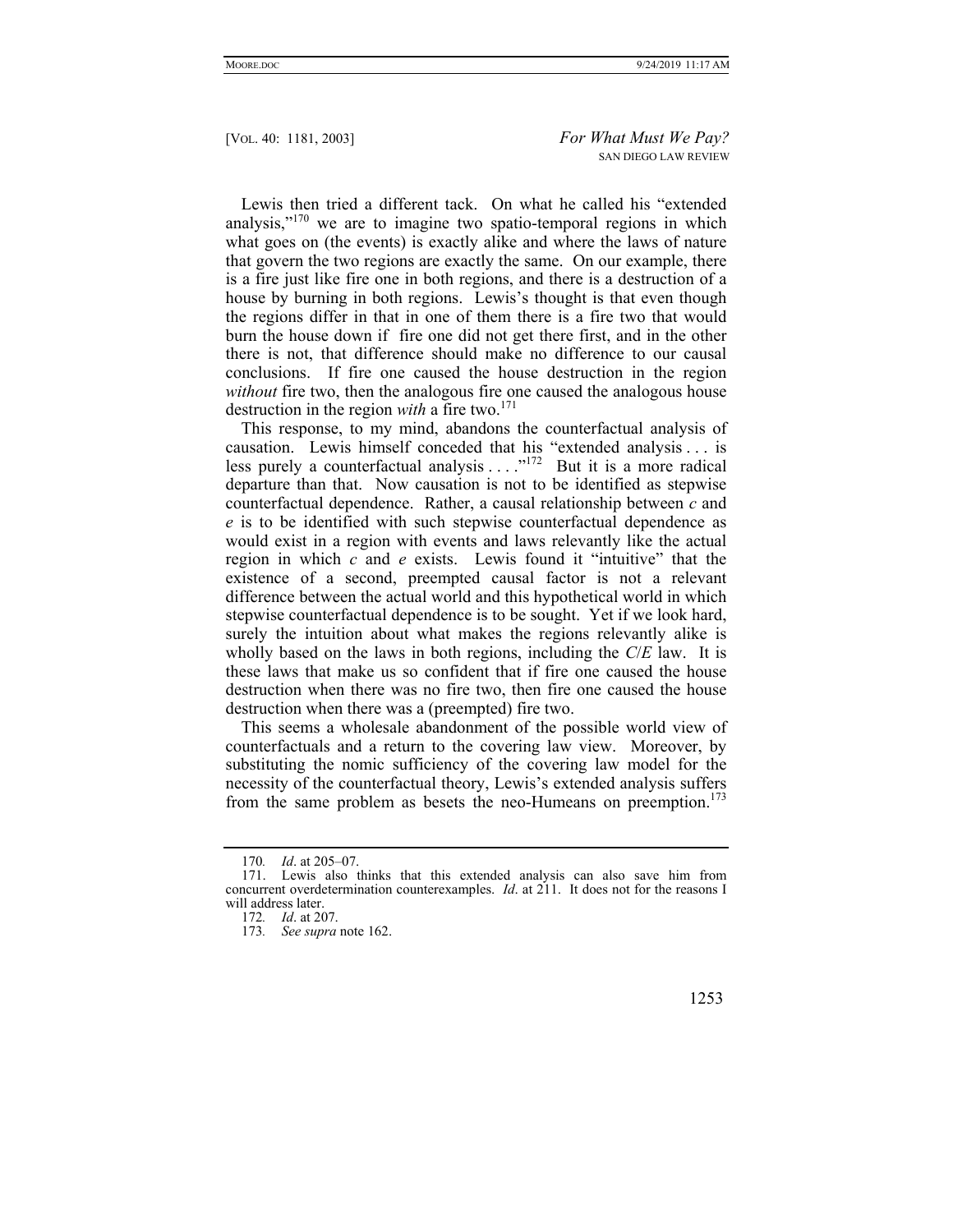Lewis then tried a different tack. On what he called his "extended analysis, $v<sup>170</sup>$  we are to imagine two spatio-temporal regions in which what goes on (the events) is exactly alike and where the laws of nature that govern the two regions are exactly the same. On our example, there is a fire just like fire one in both regions, and there is a destruction of a house by burning in both regions. Lewis's thought is that even though the regions differ in that in one of them there is a fire two that would burn the house down if fire one did not get there first, and in the other there is not, that difference should make no difference to our causal conclusions. If fire one caused the house destruction in the region *without* fire two, then the analogous fire one caused the analogous house destruction in the region *with* a fire two.<sup>171</sup>

This response, to my mind, abandons the counterfactual analysis of causation. Lewis himself conceded that his "extended analysis . . . is less purely a counterfactual analysis  $\dots$ ."<sup>172</sup> But it is a more radical departure than that. Now causation is not to be identified as stepwise counterfactual dependence. Rather, a causal relationship between *c* and *e* is to be identified with such stepwise counterfactual dependence as would exist in a region with events and laws relevantly like the actual region in which *c* and *e* exists. Lewis found it "intuitive" that the existence of a second, preempted causal factor is not a relevant difference between the actual world and this hypothetical world in which stepwise counterfactual dependence is to be sought. Yet if we look hard, surely the intuition about what makes the regions relevantly alike is wholly based on the laws in both regions, including the *C*/*E* law. It is these laws that make us so confident that if fire one caused the house destruction when there was no fire two, then fire one caused the house destruction when there was a (preempted) fire two.

This seems a wholesale abandonment of the possible world view of counterfactuals and a return to the covering law view. Moreover, by substituting the nomic sufficiency of the covering law model for the necessity of the counterfactual theory, Lewis's extended analysis suffers from the same problem as besets the neo-Humeans on preemption.<sup>173</sup>

<sup>173</sup>*. See supra* note 162.



<sup>170</sup>*. Id*. at 205–07.

 <sup>171.</sup> Lewis also thinks that this extended analysis can also save him from concurrent overdetermination counterexamples. *Id*. at 211. It does not for the reasons I will address later.

<sup>172</sup>*. Id*. at 207.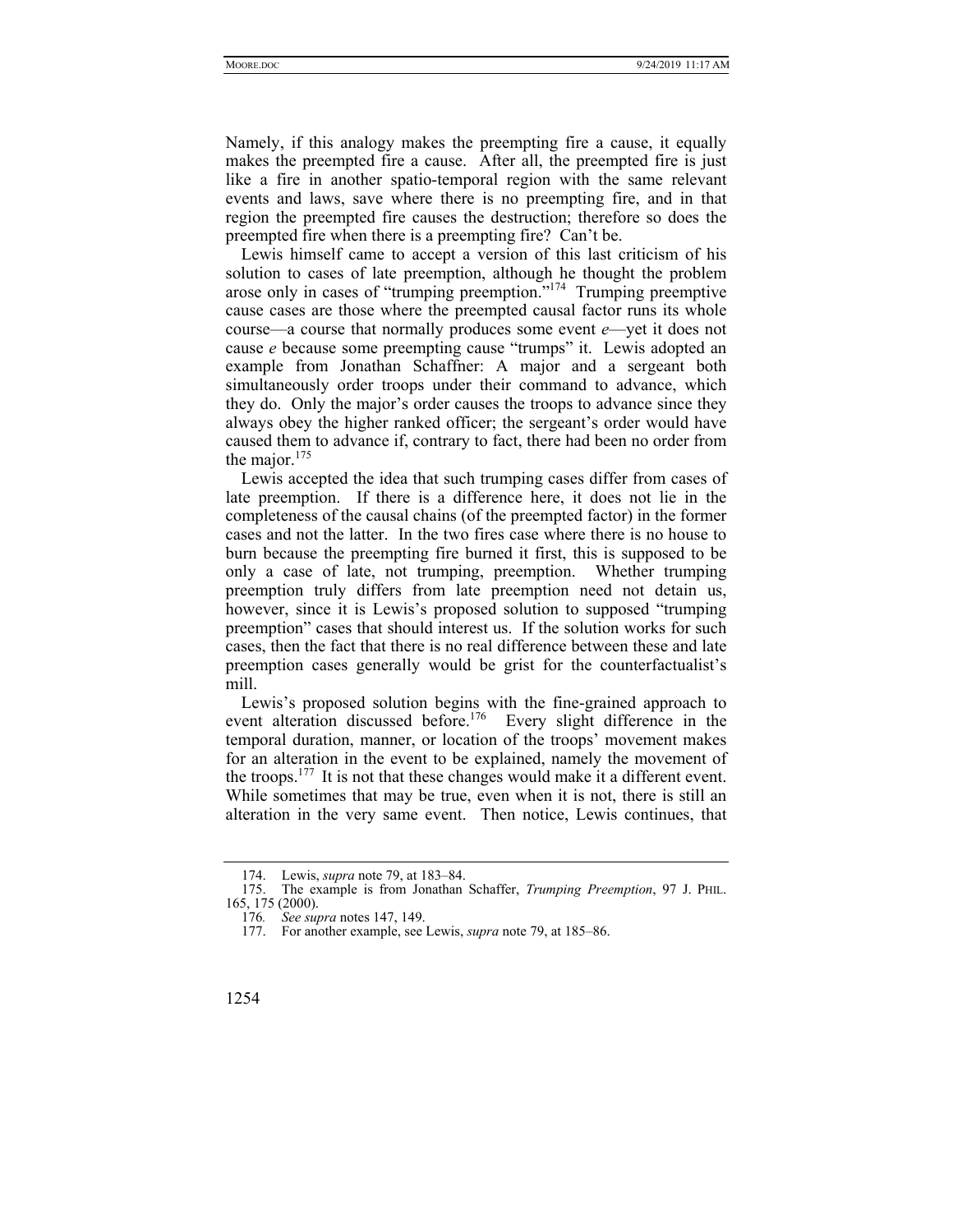Namely, if this analogy makes the preempting fire a cause, it equally makes the preempted fire a cause. After all, the preempted fire is just like a fire in another spatio-temporal region with the same relevant events and laws, save where there is no preempting fire, and in that region the preempted fire causes the destruction; therefore so does the preempted fire when there is a preempting fire? Can't be.

Lewis himself came to accept a version of this last criticism of his solution to cases of late preemption, although he thought the problem arose only in cases of "trumping preemption."174 Trumping preemptive cause cases are those where the preempted causal factor runs its whole course—a course that normally produces some event *e*—yet it does not cause *e* because some preempting cause "trumps" it. Lewis adopted an example from Jonathan Schaffner: A major and a sergeant both simultaneously order troops under their command to advance, which they do. Only the major's order causes the troops to advance since they always obey the higher ranked officer; the sergeant's order would have caused them to advance if, contrary to fact, there had been no order from the major. $175$ 

Lewis accepted the idea that such trumping cases differ from cases of late preemption. If there is a difference here, it does not lie in the completeness of the causal chains (of the preempted factor) in the former cases and not the latter. In the two fires case where there is no house to burn because the preempting fire burned it first, this is supposed to be only a case of late, not trumping, preemption. Whether trumping preemption truly differs from late preemption need not detain us, however, since it is Lewis's proposed solution to supposed "trumping preemption" cases that should interest us. If the solution works for such cases, then the fact that there is no real difference between these and late preemption cases generally would be grist for the counterfactualist's mill.

Lewis's proposed solution begins with the fine-grained approach to event alteration discussed before.<sup>176</sup> Every slight difference in the temporal duration, manner, or location of the troops' movement makes for an alteration in the event to be explained, namely the movement of the troops.<sup>177</sup> It is not that these changes would make it a different event. While sometimes that may be true, even when it is not, there is still an alteration in the very same event. Then notice, Lewis continues, that

 <sup>174.</sup> Lewis, *supra* note 79, at 183–84.

 <sup>175.</sup> The example is from Jonathan Schaffer, *Trumping Preemption*, 97 J. PHIL. 165, 175 (2000).

<sup>176</sup>*. See supra* notes 147, 149.

 <sup>177.</sup> For another example, see Lewis, *supra* note 79, at 185–86.

<sup>1254</sup>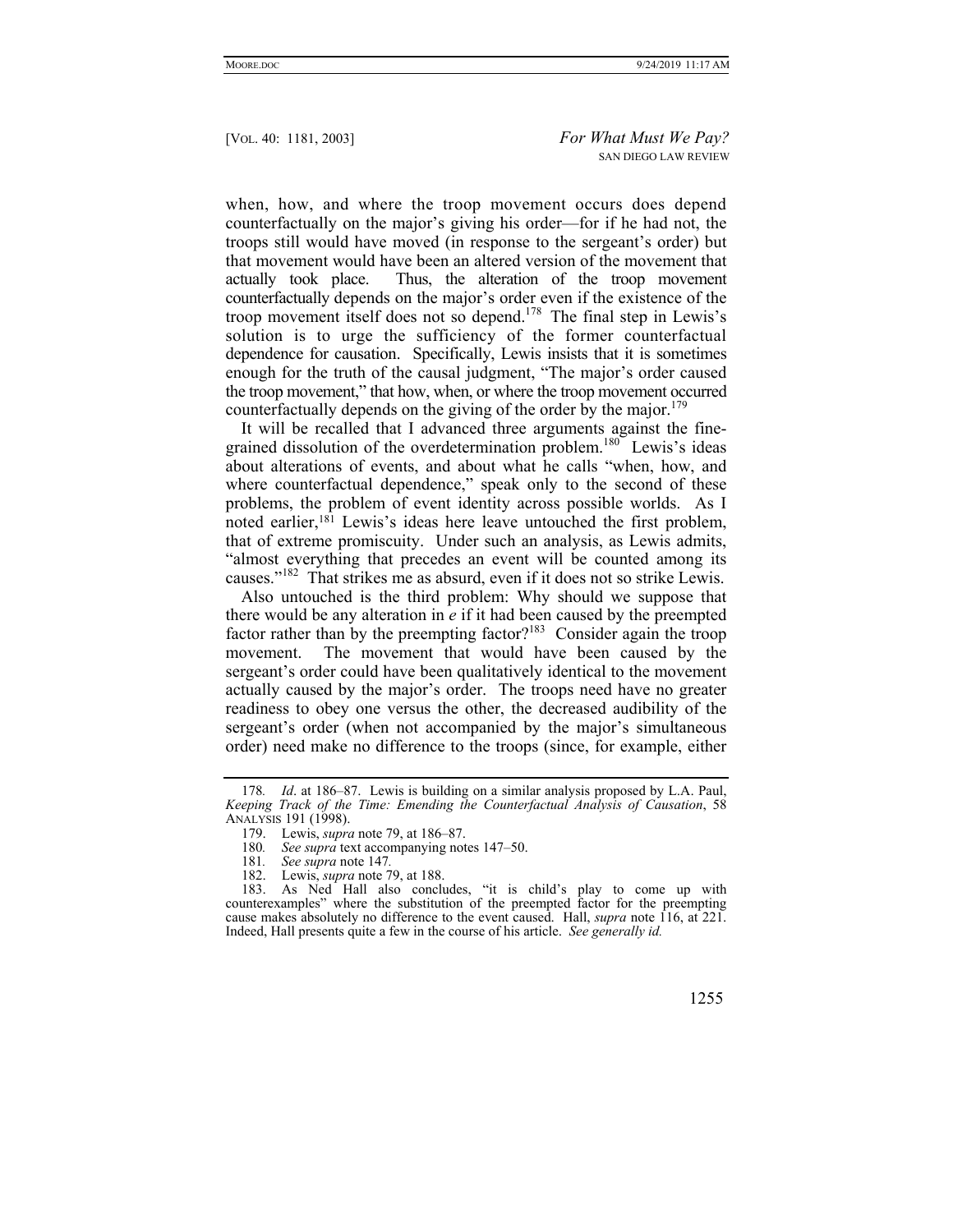when, how, and where the troop movement occurs does depend counterfactually on the major's giving his order—for if he had not, the troops still would have moved (in response to the sergeant's order) but that movement would have been an altered version of the movement that actually took place. Thus, the alteration of the troop movement counterfactually depends on the major's order even if the existence of the troop movement itself does not so depend.178 The final step in Lewis's solution is to urge the sufficiency of the former counterfactual dependence for causation. Specifically, Lewis insists that it is sometimes enough for the truth of the causal judgment, "The major's order caused the troop movement," that how, when, or where the troop movement occurred counterfactually depends on the giving of the order by the major.<sup>179</sup>

It will be recalled that I advanced three arguments against the finegrained dissolution of the overdetermination problem.<sup>180</sup> Lewis's ideas about alterations of events, and about what he calls "when, how, and where counterfactual dependence," speak only to the second of these problems, the problem of event identity across possible worlds. As I noted earlier,<sup>181</sup> Lewis's ideas here leave untouched the first problem, that of extreme promiscuity. Under such an analysis, as Lewis admits, "almost everything that precedes an event will be counted among its causes."<sup>182</sup> That strikes me as absurd, even if it does not so strike Lewis.

Also untouched is the third problem: Why should we suppose that there would be any alteration in *e* if it had been caused by the preempted factor rather than by the preempting factor?<sup>183</sup> Consider again the troop movement. The movement that would have been caused by the sergeant's order could have been qualitatively identical to the movement actually caused by the major's order. The troops need have no greater readiness to obey one versus the other, the decreased audibility of the sergeant's order (when not accompanied by the major's simultaneous order) need make no difference to the troops (since, for example, either

<sup>183.</sup> As Ned Hall also concludes, "it is child's play to come up with counterexamples" where the substitution of the preempted factor for the preempting cause makes absolutely no difference to the event caused. Hall, *supra* note 116, at 221. Indeed, Hall presents quite a few in the course of his article. *See generally id.*



<sup>178</sup>*. Id*. at 186–87. Lewis is building on a similar analysis proposed by L.A. Paul, *Keeping Track of the Time: Emending the Counterfactual Analysis of Causation*, 58 ANALYSIS 191 (1998).

 <sup>179.</sup> Lewis, *supra* note 79, at 186–87.

<sup>180.</sup> See supra text accompanying notes 147–50.<br>181. See supra note 147.

<sup>181</sup>*. See supra* note 147*.*

 <sup>182.</sup> Lewis, *supra* note 79, at 188.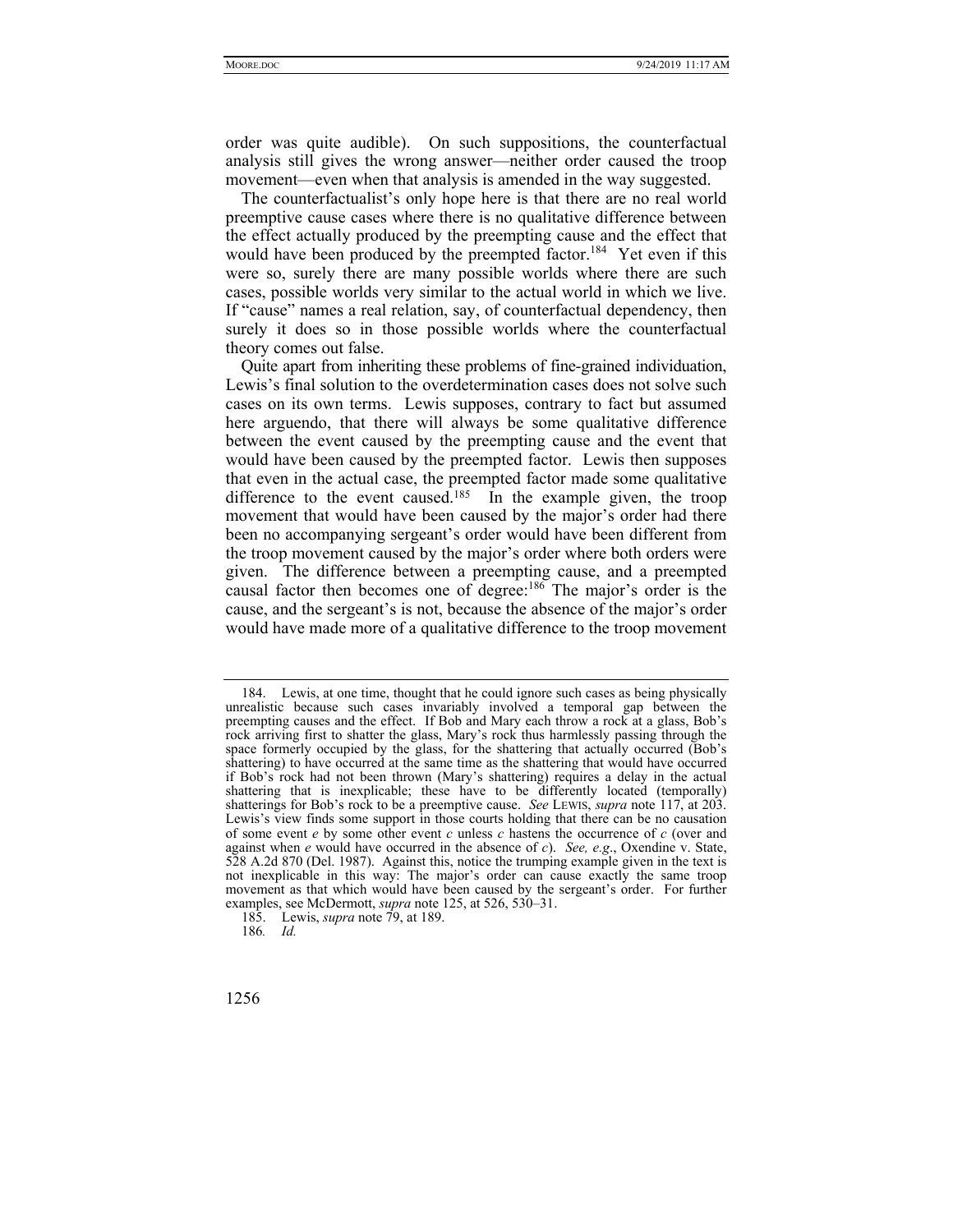order was quite audible). On such suppositions, the counterfactual analysis still gives the wrong answer—neither order caused the troop movement—even when that analysis is amended in the way suggested.

The counterfactualist's only hope here is that there are no real world preemptive cause cases where there is no qualitative difference between the effect actually produced by the preempting cause and the effect that would have been produced by the preempted factor.<sup>184</sup> Yet even if this were so, surely there are many possible worlds where there are such cases, possible worlds very similar to the actual world in which we live. If "cause" names a real relation, say, of counterfactual dependency, then surely it does so in those possible worlds where the counterfactual theory comes out false.

Quite apart from inheriting these problems of fine-grained individuation, Lewis's final solution to the overdetermination cases does not solve such cases on its own terms. Lewis supposes, contrary to fact but assumed here arguendo, that there will always be some qualitative difference between the event caused by the preempting cause and the event that would have been caused by the preempted factor. Lewis then supposes that even in the actual case, the preempted factor made some qualitative difference to the event caused.<sup>185</sup> In the example given, the troop movement that would have been caused by the major's order had there been no accompanying sergeant's order would have been different from the troop movement caused by the major's order where both orders were given. The difference between a preempting cause, and a preempted causal factor then becomes one of degree:<sup>186</sup> The major's order is the cause, and the sergeant's is not, because the absence of the major's order would have made more of a qualitative difference to the troop movement

 <sup>184.</sup> Lewis, at one time, thought that he could ignore such cases as being physically unrealistic because such cases invariably involved a temporal gap between the preempting causes and the effect. If Bob and Mary each throw a rock at a glass, Bob's rock arriving first to shatter the glass, Mary's rock thus harmlessly passing through the space formerly occupied by the glass, for the shattering that actually occurred (Bob's shattering) to have occurred at the same time as the shattering that would have occurred if Bob's rock had not been thrown (Mary's shattering) requires a delay in the actual shattering that is inexplicable; these have to be differently located (temporally) shatterings for Bob's rock to be a preemptive cause. *See* LEWIS, *supra* note 117, at 203. Lewis's view finds some support in those courts holding that there can be no causation of some event *e* by some other event *c* unless *c* hastens the occurrence of *c* (over and against when *e* would have occurred in the absence of *c*). *See, e.g*., Oxendine v. State, 528 A.2d 870 (Del. 1987). Against this, notice the trumping example given in the text is not inexplicable in this way: The major's order can cause exactly the same troop movement as that which would have been caused by the sergeant's order. For further examples, see McDermott, *supra* note 125, at 526, 530–31.

 <sup>185.</sup> Lewis, *supra* note 79, at 189.

<sup>186</sup>*. Id.*

<sup>1256</sup>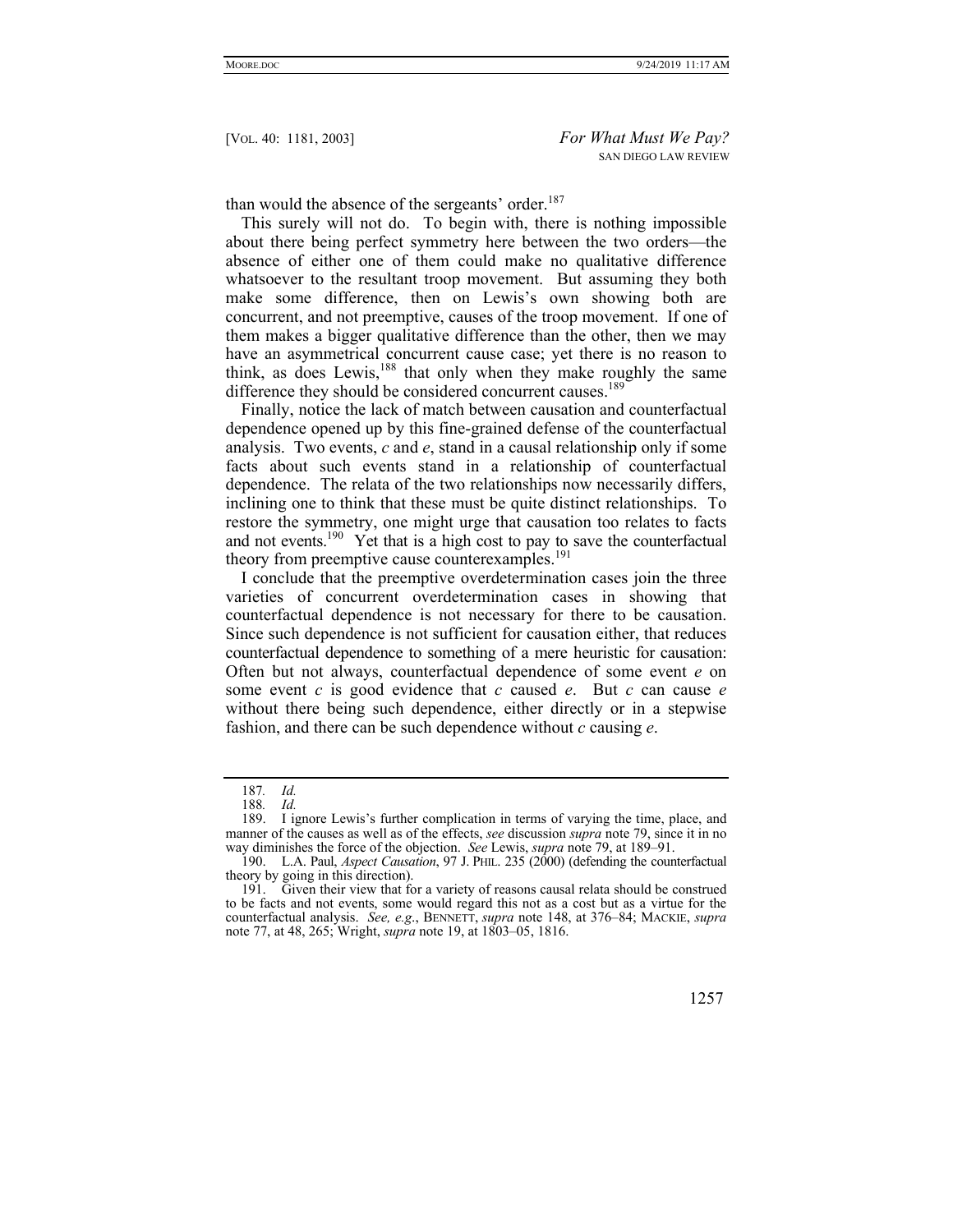than would the absence of the sergeants' order. $187$ 

This surely will not do. To begin with, there is nothing impossible about there being perfect symmetry here between the two orders—the absence of either one of them could make no qualitative difference whatsoever to the resultant troop movement. But assuming they both make some difference, then on Lewis's own showing both are concurrent, and not preemptive, causes of the troop movement. If one of them makes a bigger qualitative difference than the other, then we may have an asymmetrical concurrent cause case; yet there is no reason to think, as does Lewis, $188$  that only when they make roughly the same difference they should be considered concurrent causes.<sup>189</sup>

Finally, notice the lack of match between causation and counterfactual dependence opened up by this fine-grained defense of the counterfactual analysis. Two events, *c* and *e*, stand in a causal relationship only if some facts about such events stand in a relationship of counterfactual dependence. The relata of the two relationships now necessarily differs, inclining one to think that these must be quite distinct relationships. To restore the symmetry, one might urge that causation too relates to facts and not events.<sup>190</sup> Yet that is a high cost to pay to save the counterfactual theory from preemptive cause counterexamples.<sup>191</sup>

I conclude that the preemptive overdetermination cases join the three varieties of concurrent overdetermination cases in showing that counterfactual dependence is not necessary for there to be causation. Since such dependence is not sufficient for causation either, that reduces counterfactual dependence to something of a mere heuristic for causation: Often but not always, counterfactual dependence of some event *e* on some event *c* is good evidence that *c* caused *e*. But *c* can cause *e* without there being such dependence, either directly or in a stepwise fashion, and there can be such dependence without *c* causing *e*.

<sup>187</sup>*. Id.*

<sup>188</sup>*. Id.*

 <sup>189.</sup> I ignore Lewis's further complication in terms of varying the time, place, and manner of the causes as well as of the effects, *see* discussion *supra* note 79, since it in no way diminishes the force of the objection. *See* Lewis, *supra* note 79, at 189–91.

 <sup>190.</sup> L.A. Paul, *Aspect Causation*, 97 J. PHIL. 235 (2000) (defending the counterfactual theory by going in this direction).

 <sup>191.</sup> Given their view that for a variety of reasons causal relata should be construed to be facts and not events, some would regard this not as a cost but as a virtue for the counterfactual analysis. *See, e.g*., BENNETT, *supra* note 148, at 376–84; MACKIE, *supra* note 77, at 48, 265; Wright, *supra* note 19, at 1803–05, 1816.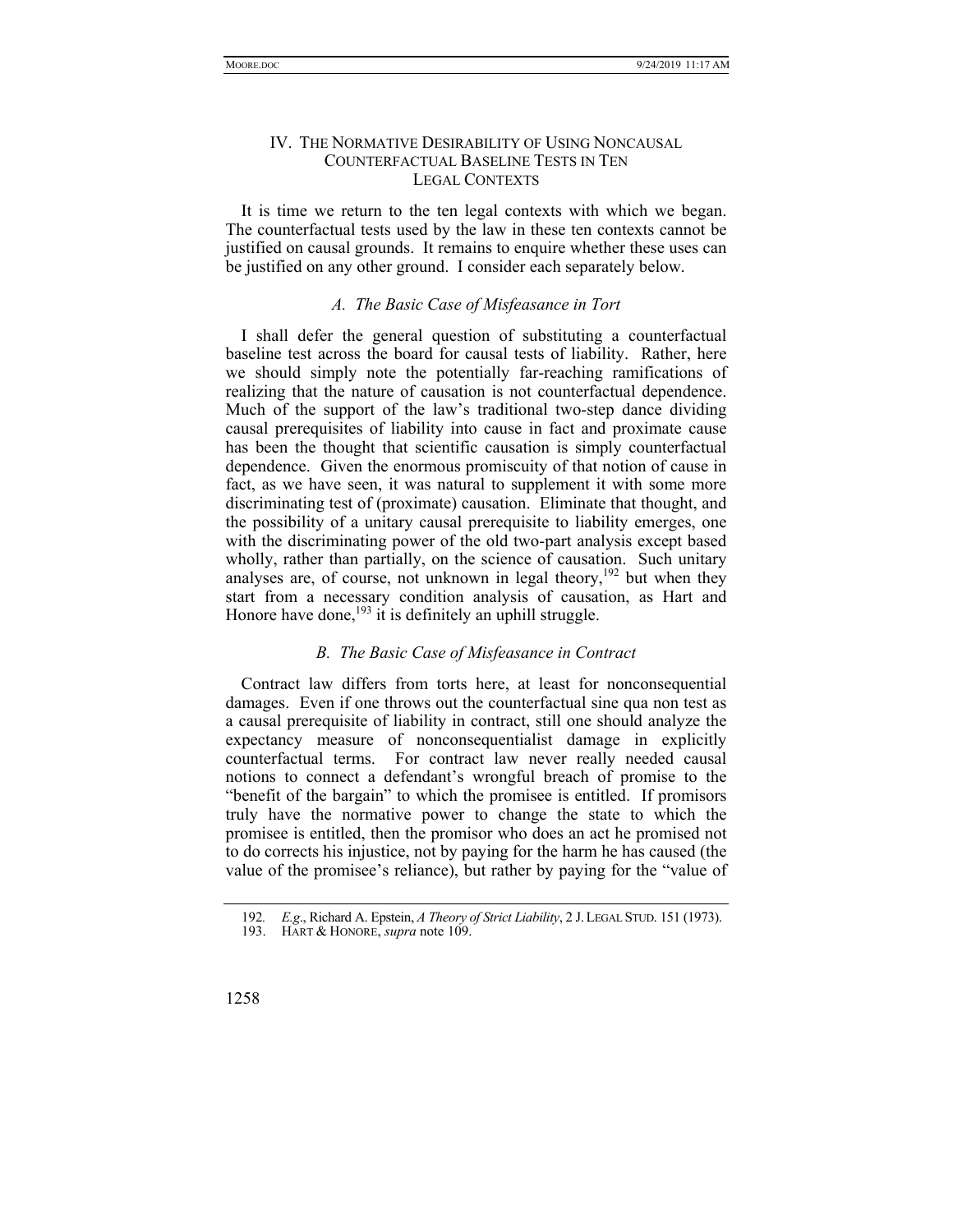## IV. THE NORMATIVE DESIRABILITY OF USING NONCAUSAL COUNTERFACTUAL BASELINE TESTS IN TEN LEGAL CONTEXTS

It is time we return to the ten legal contexts with which we began. The counterfactual tests used by the law in these ten contexts cannot be justified on causal grounds. It remains to enquire whether these uses can be justified on any other ground. I consider each separately below.

## *A. The Basic Case of Misfeasance in Tort*

I shall defer the general question of substituting a counterfactual baseline test across the board for causal tests of liability. Rather, here we should simply note the potentially far-reaching ramifications of realizing that the nature of causation is not counterfactual dependence. Much of the support of the law's traditional two-step dance dividing causal prerequisites of liability into cause in fact and proximate cause has been the thought that scientific causation is simply counterfactual dependence. Given the enormous promiscuity of that notion of cause in fact, as we have seen, it was natural to supplement it with some more discriminating test of (proximate) causation. Eliminate that thought, and the possibility of a unitary causal prerequisite to liability emerges, one with the discriminating power of the old two-part analysis except based wholly, rather than partially, on the science of causation. Such unitary analyses are, of course, not unknown in legal theory, $192$  but when they start from a necessary condition analysis of causation, as Hart and Honore have done,<sup>193</sup> it is definitely an uphill struggle.

## *B. The Basic Case of Misfeasance in Contract*

Contract law differs from torts here, at least for nonconsequential damages. Even if one throws out the counterfactual sine qua non test as a causal prerequisite of liability in contract, still one should analyze the expectancy measure of nonconsequentialist damage in explicitly counterfactual terms. For contract law never really needed causal notions to connect a defendant's wrongful breach of promise to the "benefit of the bargain" to which the promisee is entitled. If promisors truly have the normative power to change the state to which the promisee is entitled, then the promisor who does an act he promised not to do corrects his injustice, not by paying for the harm he has caused (the value of the promisee's reliance), but rather by paying for the "value of

 <sup>193.</sup> HART & HONORE, *supra* note 109.



<sup>192</sup>*. E.g*., Richard A. Epstein, *A Theory of Strict Liability*, 2 J.LEGAL STUD. 151 (1973).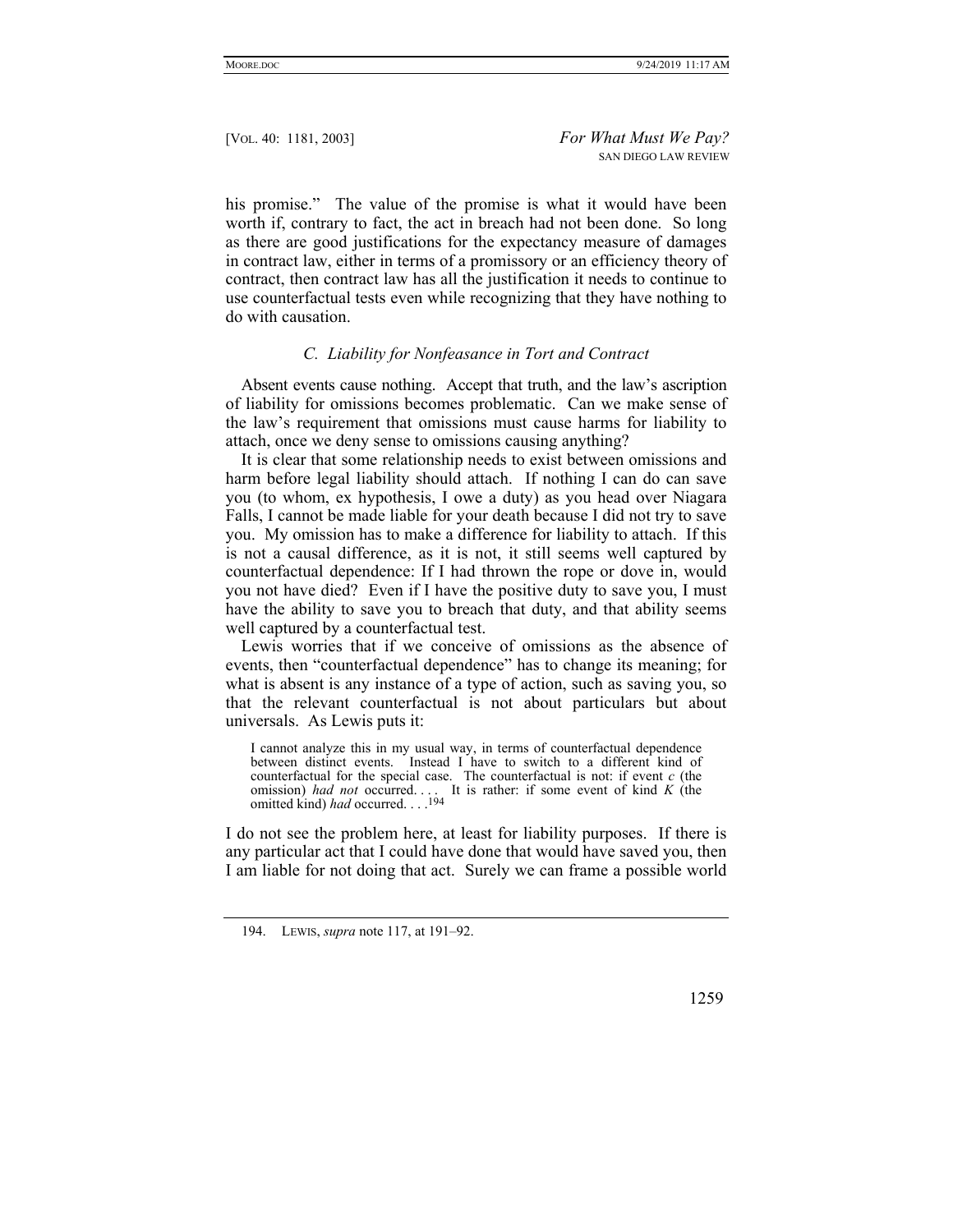his promise." The value of the promise is what it would have been worth if, contrary to fact, the act in breach had not been done. So long as there are good justifications for the expectancy measure of damages in contract law, either in terms of a promissory or an efficiency theory of contract, then contract law has all the justification it needs to continue to use counterfactual tests even while recognizing that they have nothing to do with causation.

## *C. Liability for Nonfeasance in Tort and Contract*

Absent events cause nothing. Accept that truth, and the law's ascription of liability for omissions becomes problematic. Can we make sense of the law's requirement that omissions must cause harms for liability to attach, once we deny sense to omissions causing anything?

It is clear that some relationship needs to exist between omissions and harm before legal liability should attach. If nothing I can do can save you (to whom, ex hypothesis, I owe a duty) as you head over Niagara Falls, I cannot be made liable for your death because I did not try to save you. My omission has to make a difference for liability to attach. If this is not a causal difference, as it is not, it still seems well captured by counterfactual dependence: If I had thrown the rope or dove in, would you not have died? Even if I have the positive duty to save you, I must have the ability to save you to breach that duty, and that ability seems well captured by a counterfactual test.

Lewis worries that if we conceive of omissions as the absence of events, then "counterfactual dependence" has to change its meaning; for what is absent is any instance of a type of action, such as saving you, so that the relevant counterfactual is not about particulars but about universals. As Lewis puts it:

I cannot analyze this in my usual way, in terms of counterfactual dependence between distinct events. Instead I have to switch to a different kind of counterfactual for the special case. The counterfactual is not: if event *c* (the omission) *had not* occurred. . . . It is rather: if some event of kind *K* (the omitted kind) *had* occurred. . . .194

I do not see the problem here, at least for liability purposes. If there is any particular act that I could have done that would have saved you, then I am liable for not doing that act. Surely we can frame a possible world

 <sup>194.</sup> LEWIS, *supra* note 117, at 191–92.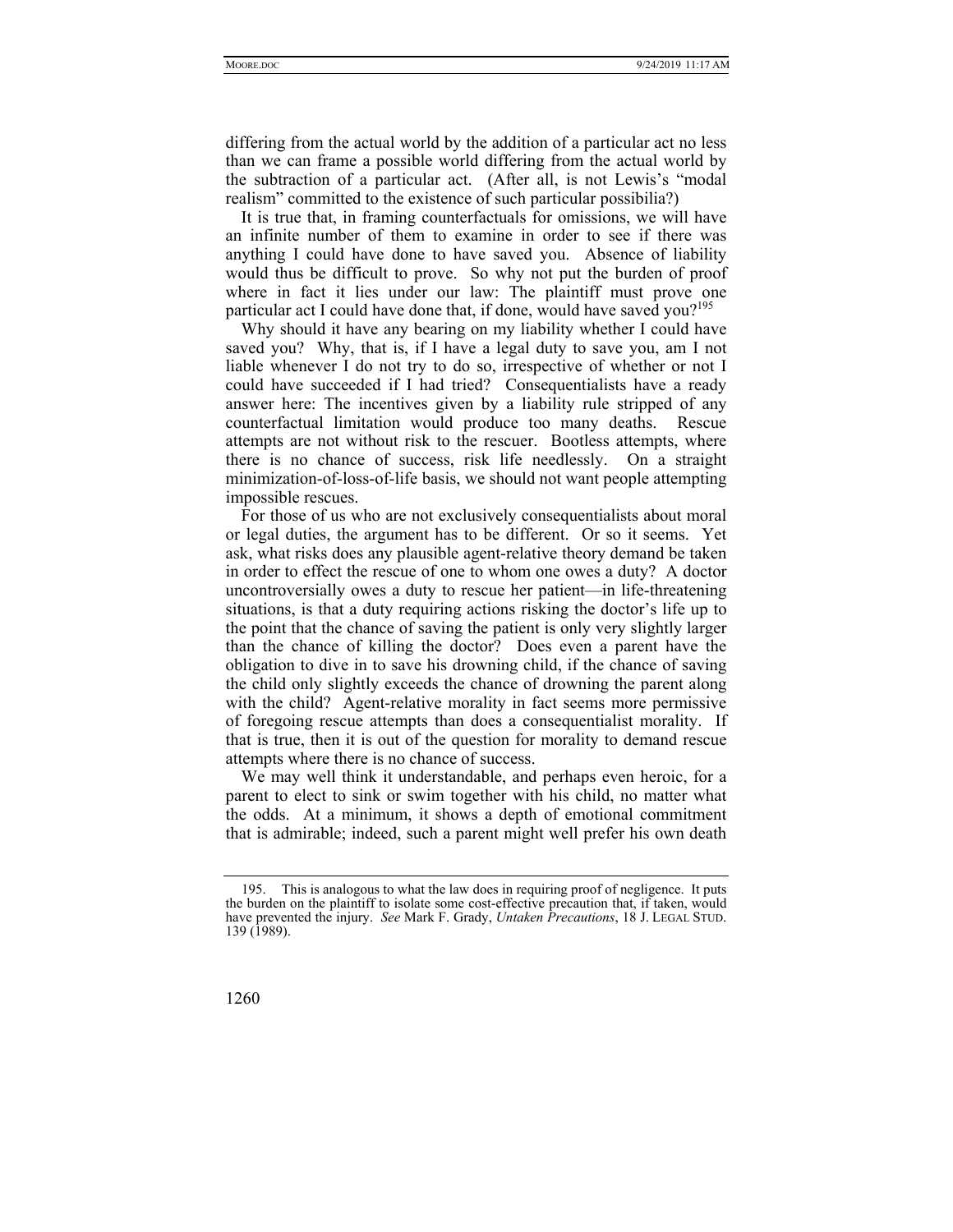differing from the actual world by the addition of a particular act no less than we can frame a possible world differing from the actual world by the subtraction of a particular act. (After all, is not Lewis's "modal realism" committed to the existence of such particular possibilia?)

It is true that, in framing counterfactuals for omissions, we will have an infinite number of them to examine in order to see if there was anything I could have done to have saved you. Absence of liability would thus be difficult to prove. So why not put the burden of proof where in fact it lies under our law: The plaintiff must prove one particular act I could have done that, if done, would have saved you?<sup>195</sup>

Why should it have any bearing on my liability whether I could have saved you? Why, that is, if I have a legal duty to save you, am I not liable whenever I do not try to do so, irrespective of whether or not I could have succeeded if I had tried? Consequentialists have a ready answer here: The incentives given by a liability rule stripped of any counterfactual limitation would produce too many deaths. Rescue attempts are not without risk to the rescuer. Bootless attempts, where there is no chance of success, risk life needlessly. On a straight minimization-of-loss-of-life basis, we should not want people attempting impossible rescues.

For those of us who are not exclusively consequentialists about moral or legal duties, the argument has to be different. Or so it seems. Yet ask, what risks does any plausible agent-relative theory demand be taken in order to effect the rescue of one to whom one owes a duty? A doctor uncontroversially owes a duty to rescue her patient—in life-threatening situations, is that a duty requiring actions risking the doctor's life up to the point that the chance of saving the patient is only very slightly larger than the chance of killing the doctor? Does even a parent have the obligation to dive in to save his drowning child, if the chance of saving the child only slightly exceeds the chance of drowning the parent along with the child? Agent-relative morality in fact seems more permissive of foregoing rescue attempts than does a consequentialist morality. If that is true, then it is out of the question for morality to demand rescue attempts where there is no chance of success.

We may well think it understandable, and perhaps even heroic, for a parent to elect to sink or swim together with his child, no matter what the odds. At a minimum, it shows a depth of emotional commitment that is admirable; indeed, such a parent might well prefer his own death

 <sup>195.</sup> This is analogous to what the law does in requiring proof of negligence. It puts the burden on the plaintiff to isolate some cost-effective precaution that, if taken, would have prevented the injury. *See* Mark F. Grady, *Untaken Precautions*, 18 J. LEGAL STUD. 139 (1989).

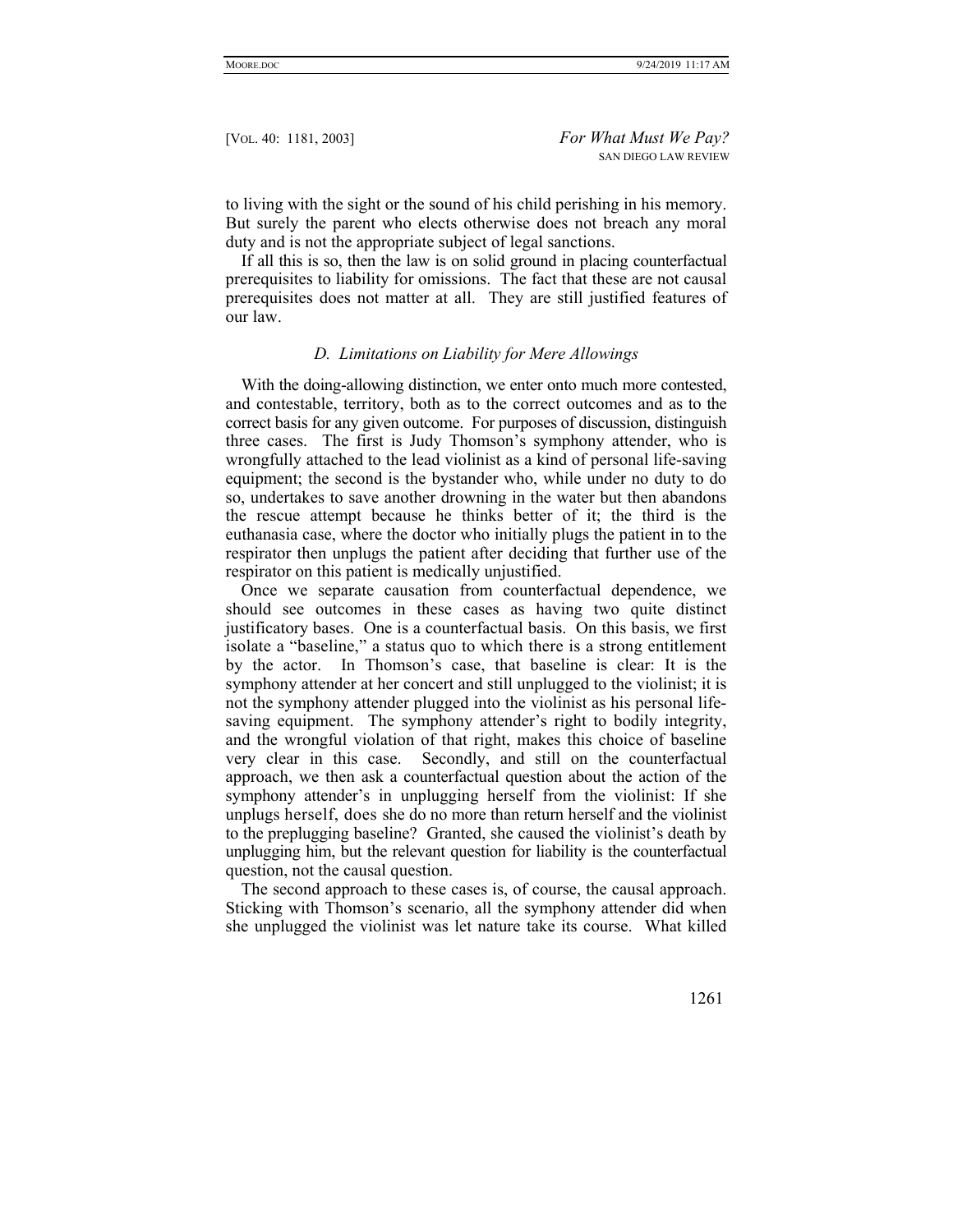to living with the sight or the sound of his child perishing in his memory. But surely the parent who elects otherwise does not breach any moral duty and is not the appropriate subject of legal sanctions.

If all this is so, then the law is on solid ground in placing counterfactual prerequisites to liability for omissions. The fact that these are not causal prerequisites does not matter at all. They are still justified features of our law.

### *D. Limitations on Liability for Mere Allowings*

With the doing-allowing distinction, we enter onto much more contested, and contestable, territory, both as to the correct outcomes and as to the correct basis for any given outcome. For purposes of discussion, distinguish three cases. The first is Judy Thomson's symphony attender, who is wrongfully attached to the lead violinist as a kind of personal life-saving equipment; the second is the bystander who, while under no duty to do so, undertakes to save another drowning in the water but then abandons the rescue attempt because he thinks better of it; the third is the euthanasia case, where the doctor who initially plugs the patient in to the respirator then unplugs the patient after deciding that further use of the respirator on this patient is medically unjustified.

Once we separate causation from counterfactual dependence, we should see outcomes in these cases as having two quite distinct justificatory bases. One is a counterfactual basis. On this basis, we first isolate a "baseline," a status quo to which there is a strong entitlement by the actor. In Thomson's case, that baseline is clear: It is the symphony attender at her concert and still unplugged to the violinist; it is not the symphony attender plugged into the violinist as his personal lifesaving equipment. The symphony attender's right to bodily integrity, and the wrongful violation of that right, makes this choice of baseline very clear in this case. Secondly, and still on the counterfactual approach, we then ask a counterfactual question about the action of the symphony attender's in unplugging herself from the violinist: If she unplugs herself, does she do no more than return herself and the violinist to the preplugging baseline? Granted, she caused the violinist's death by unplugging him, but the relevant question for liability is the counterfactual question, not the causal question.

The second approach to these cases is, of course, the causal approach. Sticking with Thomson's scenario, all the symphony attender did when she unplugged the violinist was let nature take its course. What killed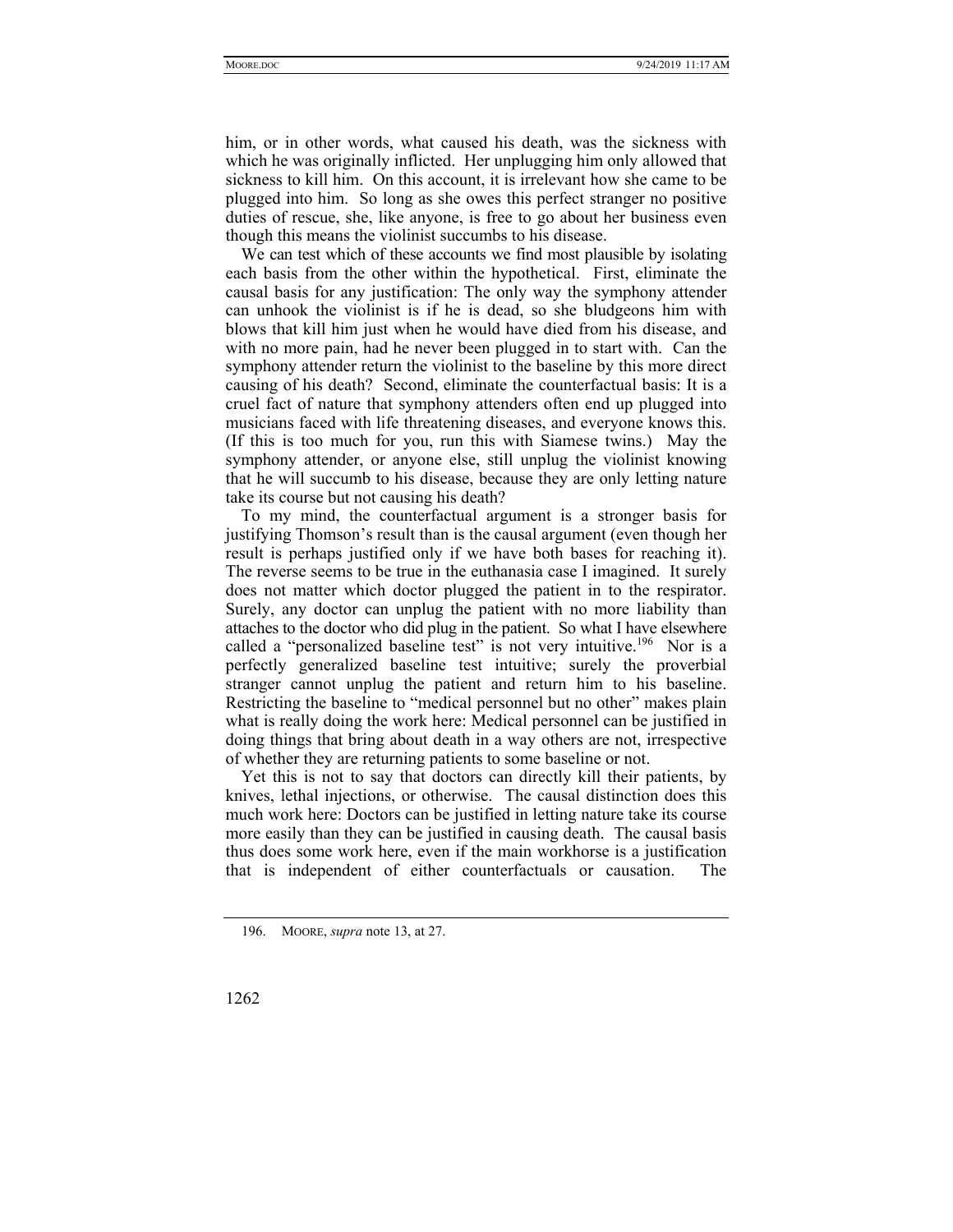him, or in other words, what caused his death, was the sickness with which he was originally inflicted. Her unplugging him only allowed that sickness to kill him. On this account, it is irrelevant how she came to be plugged into him. So long as she owes this perfect stranger no positive duties of rescue, she, like anyone, is free to go about her business even though this means the violinist succumbs to his disease.

We can test which of these accounts we find most plausible by isolating each basis from the other within the hypothetical. First, eliminate the causal basis for any justification: The only way the symphony attender can unhook the violinist is if he is dead, so she bludgeons him with blows that kill him just when he would have died from his disease, and with no more pain, had he never been plugged in to start with. Can the symphony attender return the violinist to the baseline by this more direct causing of his death? Second, eliminate the counterfactual basis: It is a cruel fact of nature that symphony attenders often end up plugged into musicians faced with life threatening diseases, and everyone knows this. (If this is too much for you, run this with Siamese twins.) May the symphony attender, or anyone else, still unplug the violinist knowing that he will succumb to his disease, because they are only letting nature take its course but not causing his death?

To my mind, the counterfactual argument is a stronger basis for justifying Thomson's result than is the causal argument (even though her result is perhaps justified only if we have both bases for reaching it). The reverse seems to be true in the euthanasia case I imagined. It surely does not matter which doctor plugged the patient in to the respirator. Surely, any doctor can unplug the patient with no more liability than attaches to the doctor who did plug in the patient. So what I have elsewhere called a "personalized baseline test" is not very intuitive.<sup>196</sup> Nor is a perfectly generalized baseline test intuitive; surely the proverbial stranger cannot unplug the patient and return him to his baseline. Restricting the baseline to "medical personnel but no other" makes plain what is really doing the work here: Medical personnel can be justified in doing things that bring about death in a way others are not, irrespective of whether they are returning patients to some baseline or not.

Yet this is not to say that doctors can directly kill their patients, by knives, lethal injections, or otherwise. The causal distinction does this much work here: Doctors can be justified in letting nature take its course more easily than they can be justified in causing death. The causal basis thus does some work here, even if the main workhorse is a justification that is independent of either counterfactuals or causation. The

 <sup>196.</sup> MOORE, *supra* note 13, at 27.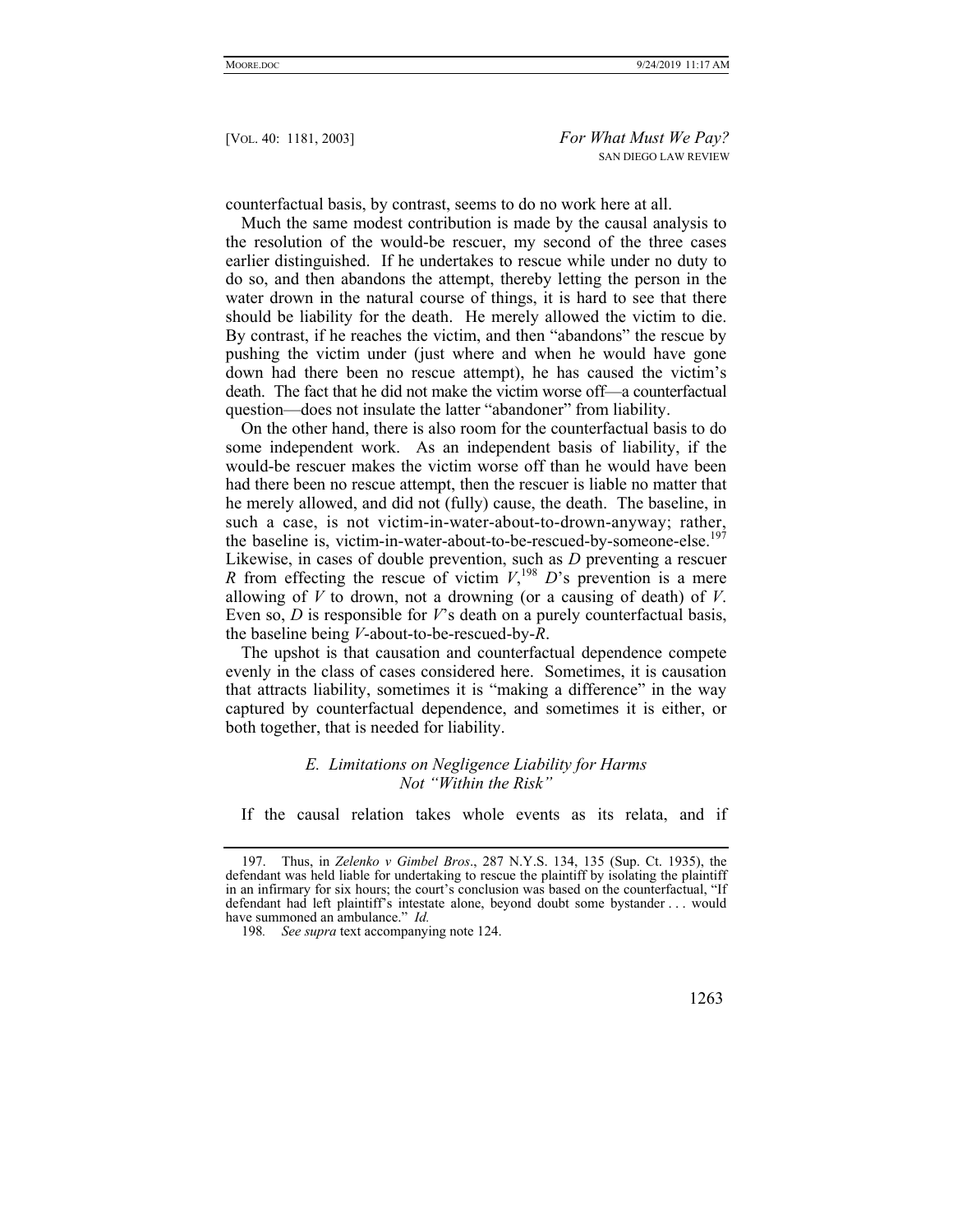counterfactual basis, by contrast, seems to do no work here at all.

Much the same modest contribution is made by the causal analysis to the resolution of the would-be rescuer, my second of the three cases earlier distinguished. If he undertakes to rescue while under no duty to do so, and then abandons the attempt, thereby letting the person in the water drown in the natural course of things, it is hard to see that there should be liability for the death. He merely allowed the victim to die. By contrast, if he reaches the victim, and then "abandons" the rescue by pushing the victim under (just where and when he would have gone down had there been no rescue attempt), he has caused the victim's death. The fact that he did not make the victim worse off—a counterfactual question—does not insulate the latter "abandoner" from liability.

On the other hand, there is also room for the counterfactual basis to do some independent work. As an independent basis of liability, if the would-be rescuer makes the victim worse off than he would have been had there been no rescue attempt, then the rescuer is liable no matter that he merely allowed, and did not (fully) cause, the death. The baseline, in such a case, is not victim-in-water-about-to-drown-anyway; rather, the baseline is, victim-in-water-about-to-be-rescued-by-someone-else.<sup>197</sup> Likewise, in cases of double prevention, such as *D* preventing a rescuer *R* from effecting the rescue of victim  $V<sub>1</sub><sup>198</sup> D's prevention is a mere$ allowing of *V* to drown, not a drowning (or a causing of death) of *V*. Even so, *D* is responsible for *V*'s death on a purely counterfactual basis, the baseline being *V*-about-to-be-rescued-by-*R*.

The upshot is that causation and counterfactual dependence compete evenly in the class of cases considered here. Sometimes, it is causation that attracts liability, sometimes it is "making a difference" in the way captured by counterfactual dependence, and sometimes it is either, or both together, that is needed for liability.

### *E. Limitations on Negligence Liability for Harms Not "Within the Risk"*

If the causal relation takes whole events as its relata, and if

 <sup>197.</sup> Thus, in *Zelenko v Gimbel Bros*., 287 N.Y.S. 134, 135 (Sup. Ct. 1935), the defendant was held liable for undertaking to rescue the plaintiff by isolating the plaintiff in an infirmary for six hours; the court's conclusion was based on the counterfactual, "If defendant had left plaintiff's intestate alone, beyond doubt some bystander . . . would have summoned an ambulance." *Id.*

<sup>198</sup>*. See supra* text accompanying note 124.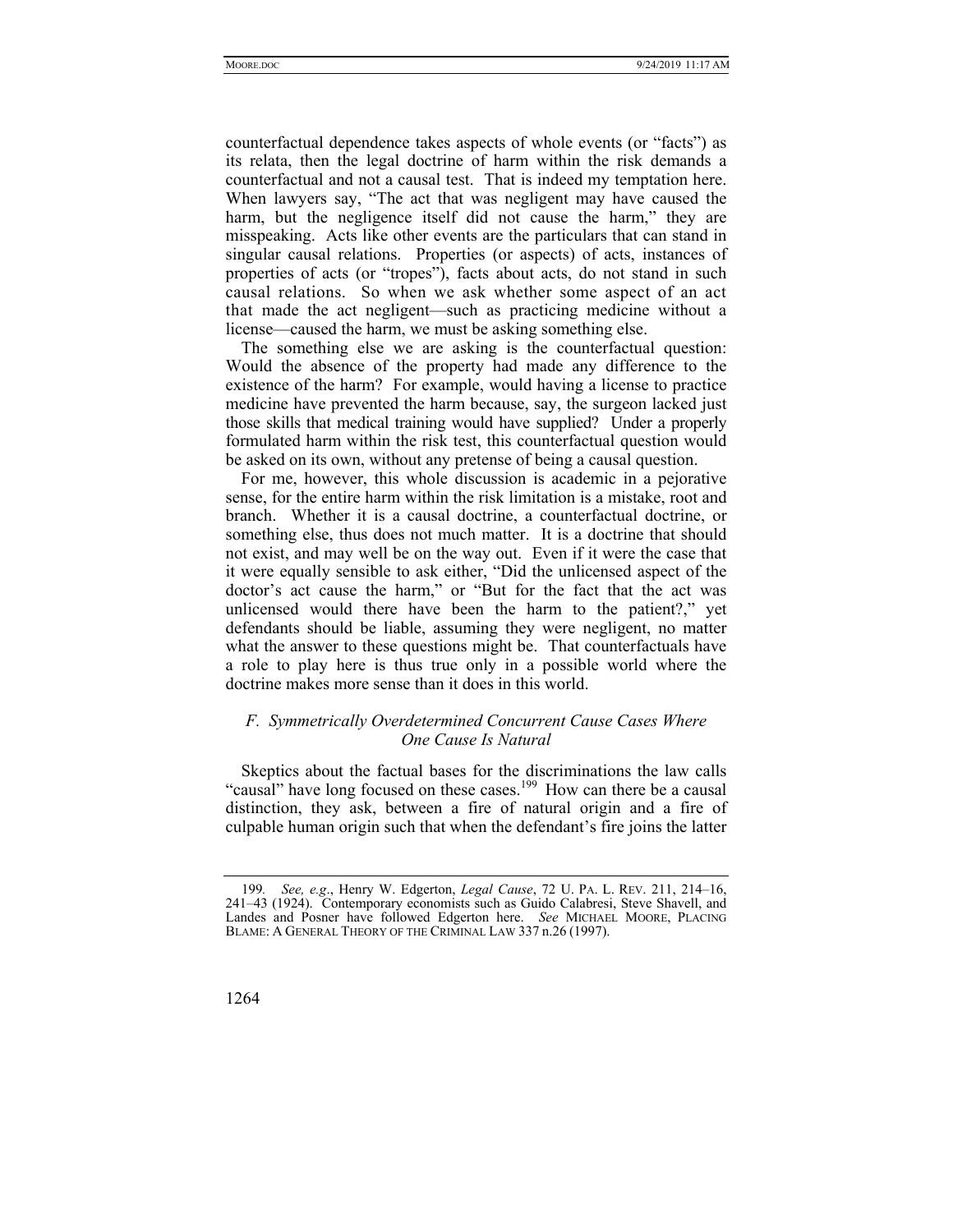counterfactual dependence takes aspects of whole events (or "facts") as its relata, then the legal doctrine of harm within the risk demands a counterfactual and not a causal test. That is indeed my temptation here. When lawyers say, "The act that was negligent may have caused the harm, but the negligence itself did not cause the harm," they are misspeaking. Acts like other events are the particulars that can stand in singular causal relations. Properties (or aspects) of acts, instances of properties of acts (or "tropes"), facts about acts, do not stand in such causal relations. So when we ask whether some aspect of an act that made the act negligent—such as practicing medicine without a license—caused the harm, we must be asking something else.

The something else we are asking is the counterfactual question: Would the absence of the property had made any difference to the existence of the harm? For example, would having a license to practice medicine have prevented the harm because, say, the surgeon lacked just those skills that medical training would have supplied? Under a properly formulated harm within the risk test, this counterfactual question would be asked on its own, without any pretense of being a causal question.

For me, however, this whole discussion is academic in a pejorative sense, for the entire harm within the risk limitation is a mistake, root and branch. Whether it is a causal doctrine, a counterfactual doctrine, or something else, thus does not much matter. It is a doctrine that should not exist, and may well be on the way out. Even if it were the case that it were equally sensible to ask either, "Did the unlicensed aspect of the doctor's act cause the harm," or "But for the fact that the act was unlicensed would there have been the harm to the patient?," yet defendants should be liable, assuming they were negligent, no matter what the answer to these questions might be. That counterfactuals have a role to play here is thus true only in a possible world where the doctrine makes more sense than it does in this world.

# *F. Symmetrically Overdetermined Concurrent Cause Cases Where One Cause Is Natural*

Skeptics about the factual bases for the discriminations the law calls "causal" have long focused on these cases.<sup>199</sup> How can there be a causal distinction, they ask, between a fire of natural origin and a fire of culpable human origin such that when the defendant's fire joins the latter

<sup>199</sup>*. See, e.g*., Henry W. Edgerton, *Legal Cause*, 72 U. PA. L. REV. 211, 214–16, 241–43 (1924). Contemporary economists such as Guido Calabresi, Steve Shavell, and Landes and Posner have followed Edgerton here. *See* MICHAEL MOORE, PLACING BLAME: A GENERAL THEORY OF THE CRIMINAL LAW 337 n.26 (1997).

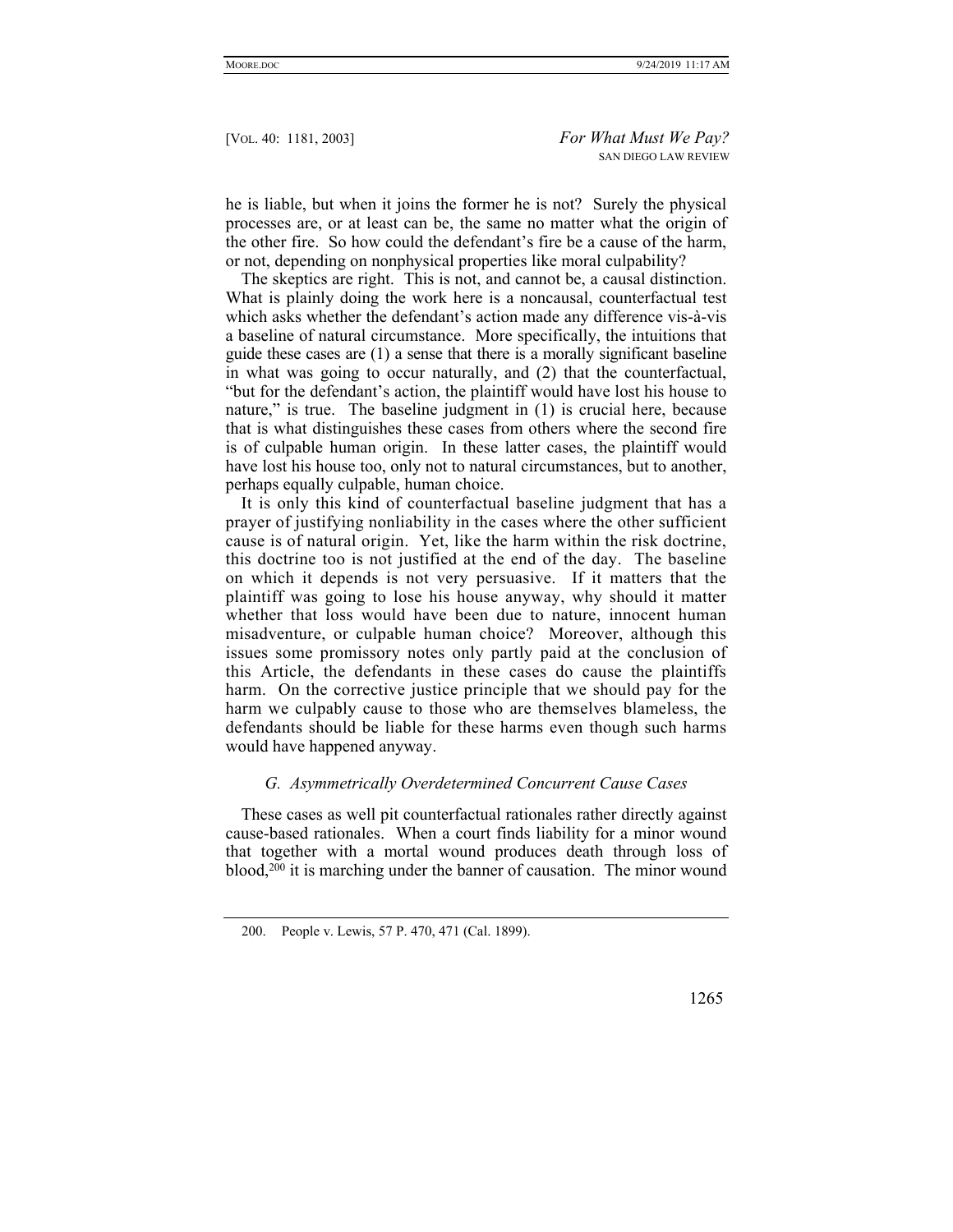he is liable, but when it joins the former he is not? Surely the physical processes are, or at least can be, the same no matter what the origin of the other fire. So how could the defendant's fire be a cause of the harm, or not, depending on nonphysical properties like moral culpability?

The skeptics are right. This is not, and cannot be, a causal distinction. What is plainly doing the work here is a noncausal, counterfactual test which asks whether the defendant's action made any difference vis-à-vis a baseline of natural circumstance. More specifically, the intuitions that guide these cases are (1) a sense that there is a morally significant baseline in what was going to occur naturally, and (2) that the counterfactual, "but for the defendant's action, the plaintiff would have lost his house to nature," is true. The baseline judgment in (1) is crucial here, because that is what distinguishes these cases from others where the second fire is of culpable human origin. In these latter cases, the plaintiff would have lost his house too, only not to natural circumstances, but to another, perhaps equally culpable, human choice.

It is only this kind of counterfactual baseline judgment that has a prayer of justifying nonliability in the cases where the other sufficient cause is of natural origin. Yet, like the harm within the risk doctrine, this doctrine too is not justified at the end of the day. The baseline on which it depends is not very persuasive. If it matters that the plaintiff was going to lose his house anyway, why should it matter whether that loss would have been due to nature, innocent human misadventure, or culpable human choice? Moreover, although this issues some promissory notes only partly paid at the conclusion of this Article, the defendants in these cases do cause the plaintiffs harm. On the corrective justice principle that we should pay for the harm we culpably cause to those who are themselves blameless, the defendants should be liable for these harms even though such harms would have happened anyway.

### *G. Asymmetrically Overdetermined Concurrent Cause Cases*

These cases as well pit counterfactual rationales rather directly against cause-based rationales. When a court finds liability for a minor wound that together with a mortal wound produces death through loss of blood,200 it is marching under the banner of causation. The minor wound

 <sup>200.</sup> People v. Lewis, 57 P. 470, 471 (Cal. 1899).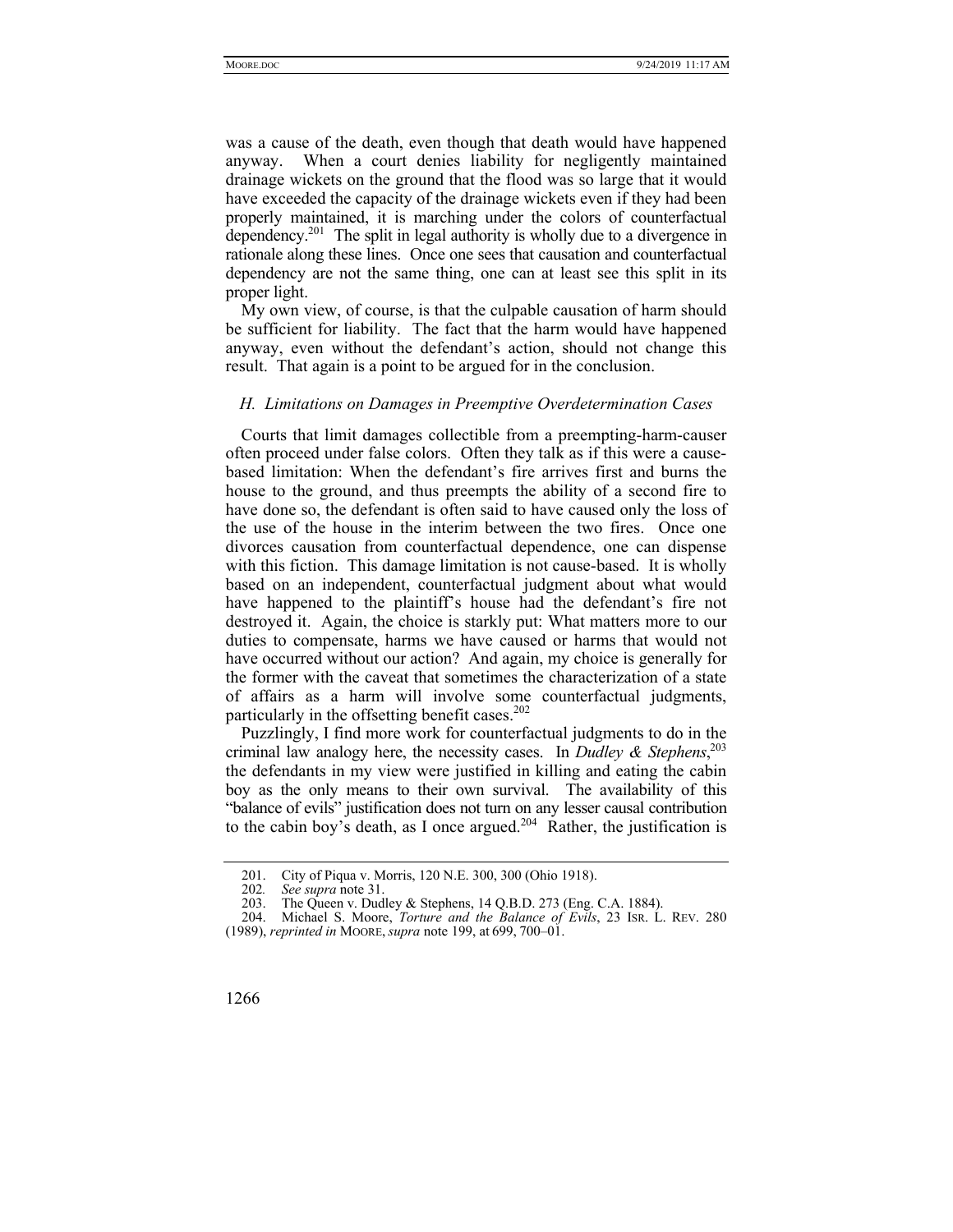was a cause of the death, even though that death would have happened anyway. When a court denies liability for negligently maintained drainage wickets on the ground that the flood was so large that it would have exceeded the capacity of the drainage wickets even if they had been properly maintained, it is marching under the colors of counterfactual dependency.<sup>201</sup> The split in legal authority is wholly due to a divergence in rationale along these lines. Once one sees that causation and counterfactual dependency are not the same thing, one can at least see this split in its proper light.

My own view, of course, is that the culpable causation of harm should be sufficient for liability. The fact that the harm would have happened anyway, even without the defendant's action, should not change this result. That again is a point to be argued for in the conclusion.

#### *H. Limitations on Damages in Preemptive Overdetermination Cases*

Courts that limit damages collectible from a preempting-harm-causer often proceed under false colors. Often they talk as if this were a causebased limitation: When the defendant's fire arrives first and burns the house to the ground, and thus preempts the ability of a second fire to have done so, the defendant is often said to have caused only the loss of the use of the house in the interim between the two fires. Once one divorces causation from counterfactual dependence, one can dispense with this fiction. This damage limitation is not cause-based. It is wholly based on an independent, counterfactual judgment about what would have happened to the plaintiff's house had the defendant's fire not destroyed it. Again, the choice is starkly put: What matters more to our duties to compensate, harms we have caused or harms that would not have occurred without our action? And again, my choice is generally for the former with the caveat that sometimes the characterization of a state of affairs as a harm will involve some counterfactual judgments, particularly in the offsetting benefit cases.<sup>202</sup>

Puzzlingly, I find more work for counterfactual judgments to do in the criminal law analogy here, the necessity cases. In *Dudley & Stephens*, 203 the defendants in my view were justified in killing and eating the cabin boy as the only means to their own survival. The availability of this "balance of evils" justification does not turn on any lesser causal contribution to the cabin boy's death, as I once argued.<sup>204</sup> Rather, the justification is

<sup>201.</sup> City of Piqua v. Morris, 120 N.E. 300, 300 (Ohio 1918).<br>202. See supra note 31.

<sup>202</sup>*. See supra* note 31.

The Queen v. Dudley & Stephens,  $14$  Q.B.D. 273 (Eng. C.A. 1884).

 <sup>204.</sup> Michael S. Moore, *Torture and the Balance of Evils*, 23 ISR. L. REV. 280 (1989), *reprinted in* MOORE, *supra* note 199, at 699, 700–01.

<sup>1266</sup>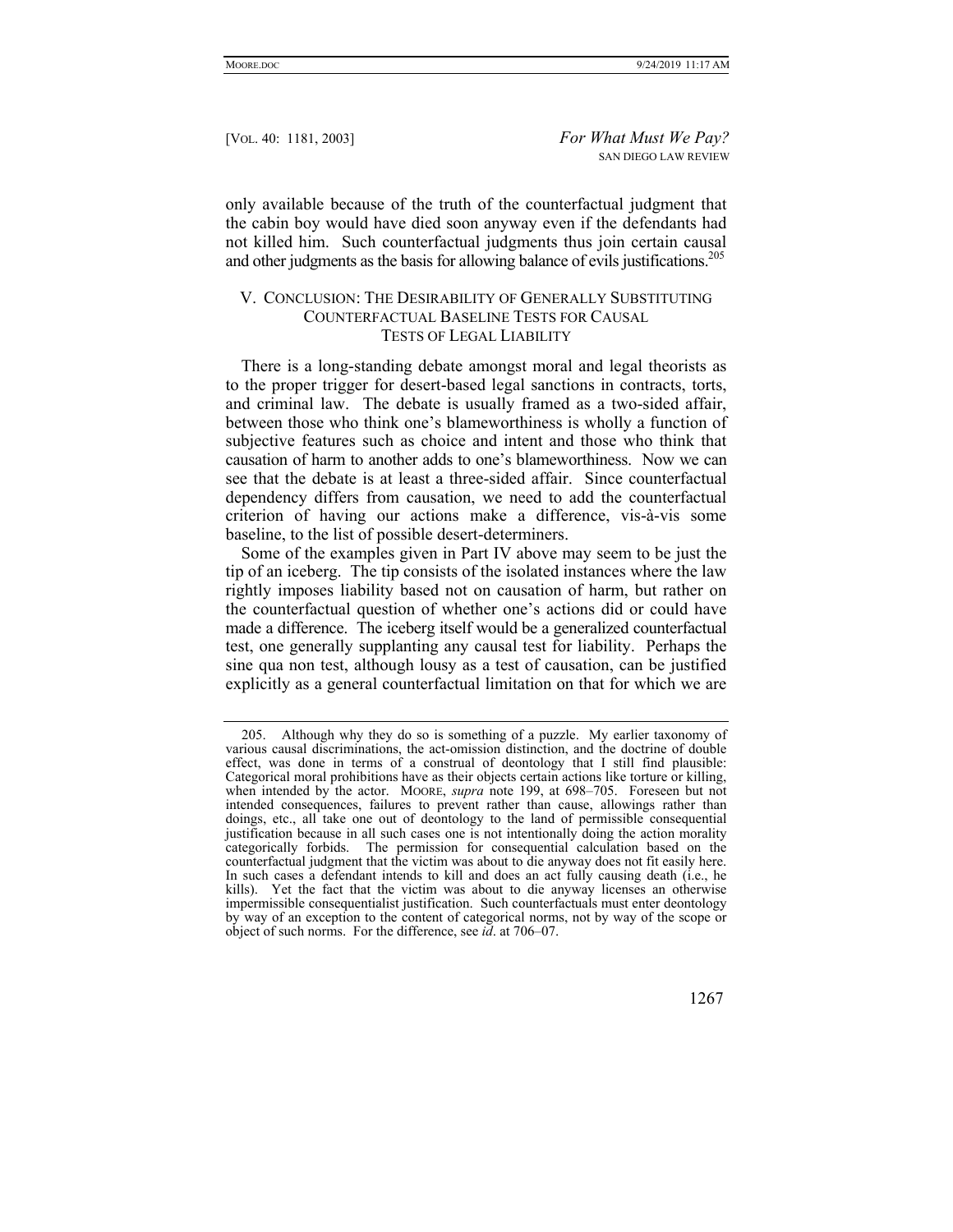only available because of the truth of the counterfactual judgment that the cabin boy would have died soon anyway even if the defendants had not killed him. Such counterfactual judgments thus join certain causal and other judgments as the basis for allowing balance of evils justifications.<sup>205</sup>

### V. CONCLUSION: THE DESIRABILITY OF GENERALLY SUBSTITUTING COUNTERFACTUAL BASELINE TESTS FOR CAUSAL TESTS OF LEGAL LIABILITY

There is a long-standing debate amongst moral and legal theorists as to the proper trigger for desert-based legal sanctions in contracts, torts, and criminal law. The debate is usually framed as a two-sided affair, between those who think one's blameworthiness is wholly a function of subjective features such as choice and intent and those who think that causation of harm to another adds to one's blameworthiness. Now we can see that the debate is at least a three-sided affair. Since counterfactual dependency differs from causation, we need to add the counterfactual criterion of having our actions make a difference, vis-à-vis some baseline, to the list of possible desert-determiners.

Some of the examples given in Part IV above may seem to be just the tip of an iceberg. The tip consists of the isolated instances where the law rightly imposes liability based not on causation of harm, but rather on the counterfactual question of whether one's actions did or could have made a difference. The iceberg itself would be a generalized counterfactual test, one generally supplanting any causal test for liability. Perhaps the sine qua non test, although lousy as a test of causation, can be justified explicitly as a general counterfactual limitation on that for which we are

 <sup>205.</sup> Although why they do so is something of a puzzle. My earlier taxonomy of various causal discriminations, the act-omission distinction, and the doctrine of double effect, was done in terms of a construal of deontology that I still find plausible: Categorical moral prohibitions have as their objects certain actions like torture or killing, when intended by the actor. MOORE, *supra* note 199, at 698–705. Foreseen but not intended consequences, failures to prevent rather than cause, allowings rather than doings, etc., all take one out of deontology to the land of permissible consequential justification because in all such cases one is not intentionally doing the action morality categorically forbids. The permission for consequential calculation based on the counterfactual judgment that the victim was about to die anyway does not fit easily here. In such cases a defendant intends to kill and does an act fully causing death (i.e., he kills). Yet the fact that the victim was about to die anyway licenses an otherwise impermissible consequentialist justification. Such counterfactuals must enter deontology by way of an exception to the content of categorical norms, not by way of the scope or object of such norms. For the difference, see *id*. at 706–07.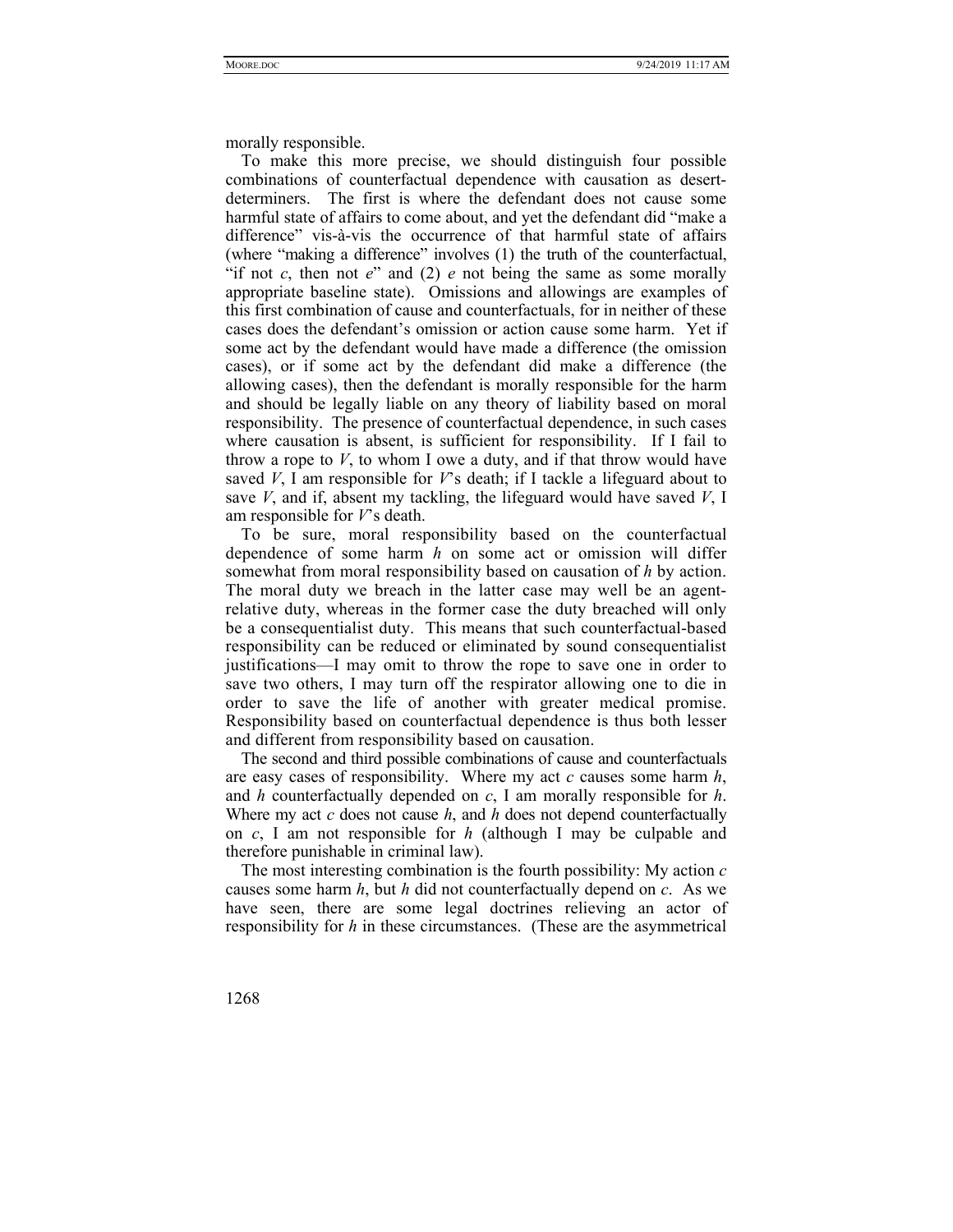morally responsible.

To make this more precise, we should distinguish four possible combinations of counterfactual dependence with causation as desertdeterminers. The first is where the defendant does not cause some harmful state of affairs to come about, and yet the defendant did "make a difference" vis-à-vis the occurrence of that harmful state of affairs (where "making a difference" involves (1) the truth of the counterfactual, "if not  $c$ , then not  $e$ " and  $(2)$   $e$  not being the same as some morally appropriate baseline state). Omissions and allowings are examples of this first combination of cause and counterfactuals, for in neither of these cases does the defendant's omission or action cause some harm. Yet if some act by the defendant would have made a difference (the omission cases), or if some act by the defendant did make a difference (the allowing cases), then the defendant is morally responsible for the harm and should be legally liable on any theory of liability based on moral responsibility. The presence of counterfactual dependence, in such cases where causation is absent, is sufficient for responsibility. If I fail to throw a rope to *V*, to whom I owe a duty, and if that throw would have saved  $V$ , I am responsible for  $V$ 's death; if I tackle a lifeguard about to save  $V$ , and if, absent my tackling, the lifeguard would have saved  $V$ , I am responsible for *V*'s death.

To be sure, moral responsibility based on the counterfactual dependence of some harm *h* on some act or omission will differ somewhat from moral responsibility based on causation of *h* by action. The moral duty we breach in the latter case may well be an agentrelative duty, whereas in the former case the duty breached will only be a consequentialist duty. This means that such counterfactual-based responsibility can be reduced or eliminated by sound consequentialist justifications—I may omit to throw the rope to save one in order to save two others, I may turn off the respirator allowing one to die in order to save the life of another with greater medical promise. Responsibility based on counterfactual dependence is thus both lesser and different from responsibility based on causation.

The second and third possible combinations of cause and counterfactuals are easy cases of responsibility. Where my act *c* causes some harm *h*, and *h* counterfactually depended on *c*, I am morally responsible for *h*. Where my act *c* does not cause *h*, and *h* does not depend counterfactually on *c*, I am not responsible for *h* (although I may be culpable and therefore punishable in criminal law).

The most interesting combination is the fourth possibility: My action *c* causes some harm *h*, but *h* did not counterfactually depend on *c*. As we have seen, there are some legal doctrines relieving an actor of responsibility for *h* in these circumstances. (These are the asymmetrical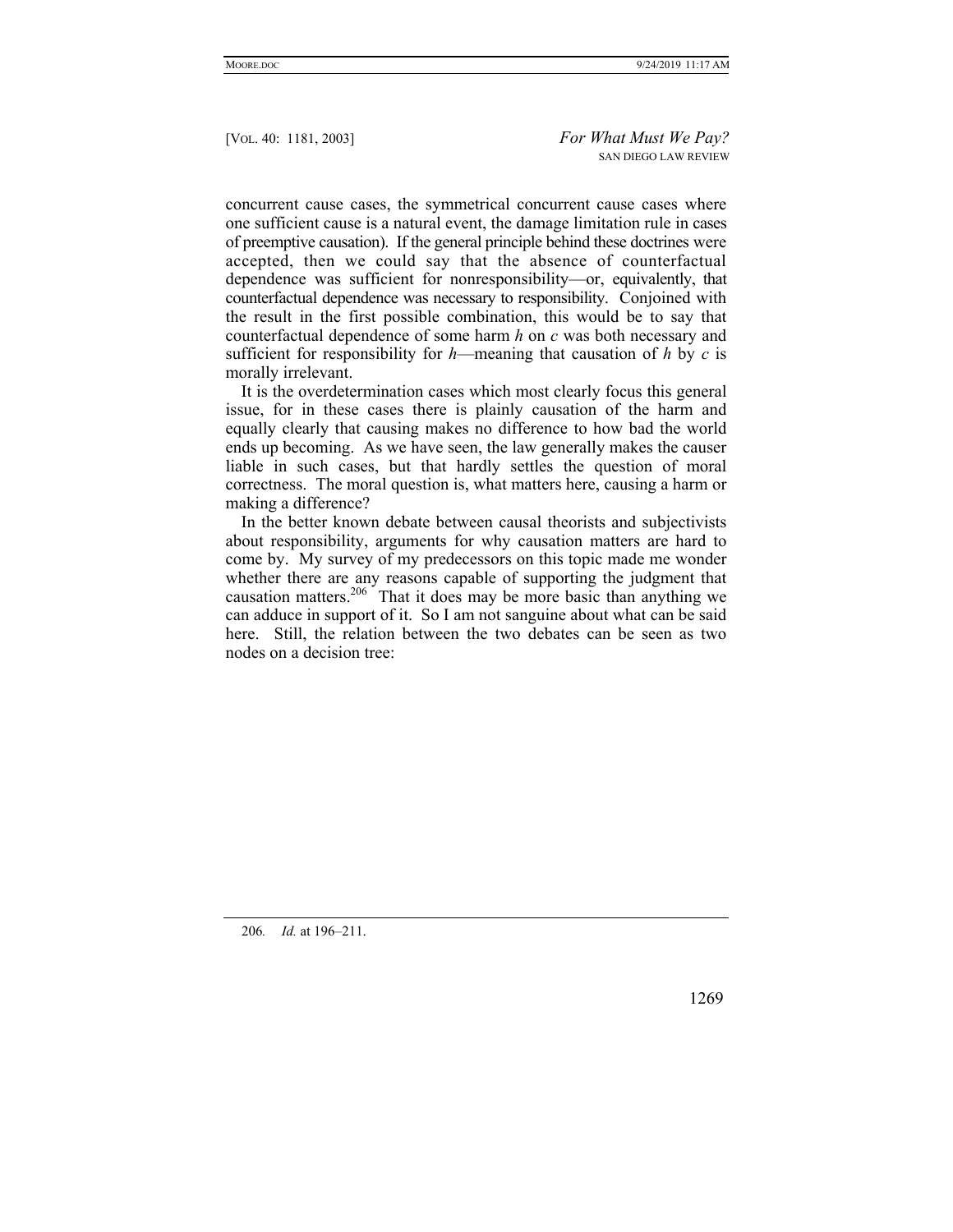concurrent cause cases, the symmetrical concurrent cause cases where one sufficient cause is a natural event, the damage limitation rule in cases of preemptive causation). If the general principle behind these doctrines were accepted, then we could say that the absence of counterfactual dependence was sufficient for nonresponsibility—or, equivalently, that counterfactual dependence was necessary to responsibility. Conjoined with the result in the first possible combination, this would be to say that counterfactual dependence of some harm *h* on *c* was both necessary and sufficient for responsibility for *h*—meaning that causation of *h* by *c* is morally irrelevant.

It is the overdetermination cases which most clearly focus this general issue, for in these cases there is plainly causation of the harm and equally clearly that causing makes no difference to how bad the world ends up becoming. As we have seen, the law generally makes the causer liable in such cases, but that hardly settles the question of moral correctness. The moral question is, what matters here, causing a harm or making a difference?

In the better known debate between causal theorists and subjectivists about responsibility, arguments for why causation matters are hard to come by. My survey of my predecessors on this topic made me wonder whether there are any reasons capable of supporting the judgment that causation matters.<sup>206</sup> That it does may be more basic than anything we can adduce in support of it. So I am not sanguine about what can be said here. Still, the relation between the two debates can be seen as two nodes on a decision tree:

206*. Id.* at 196–211.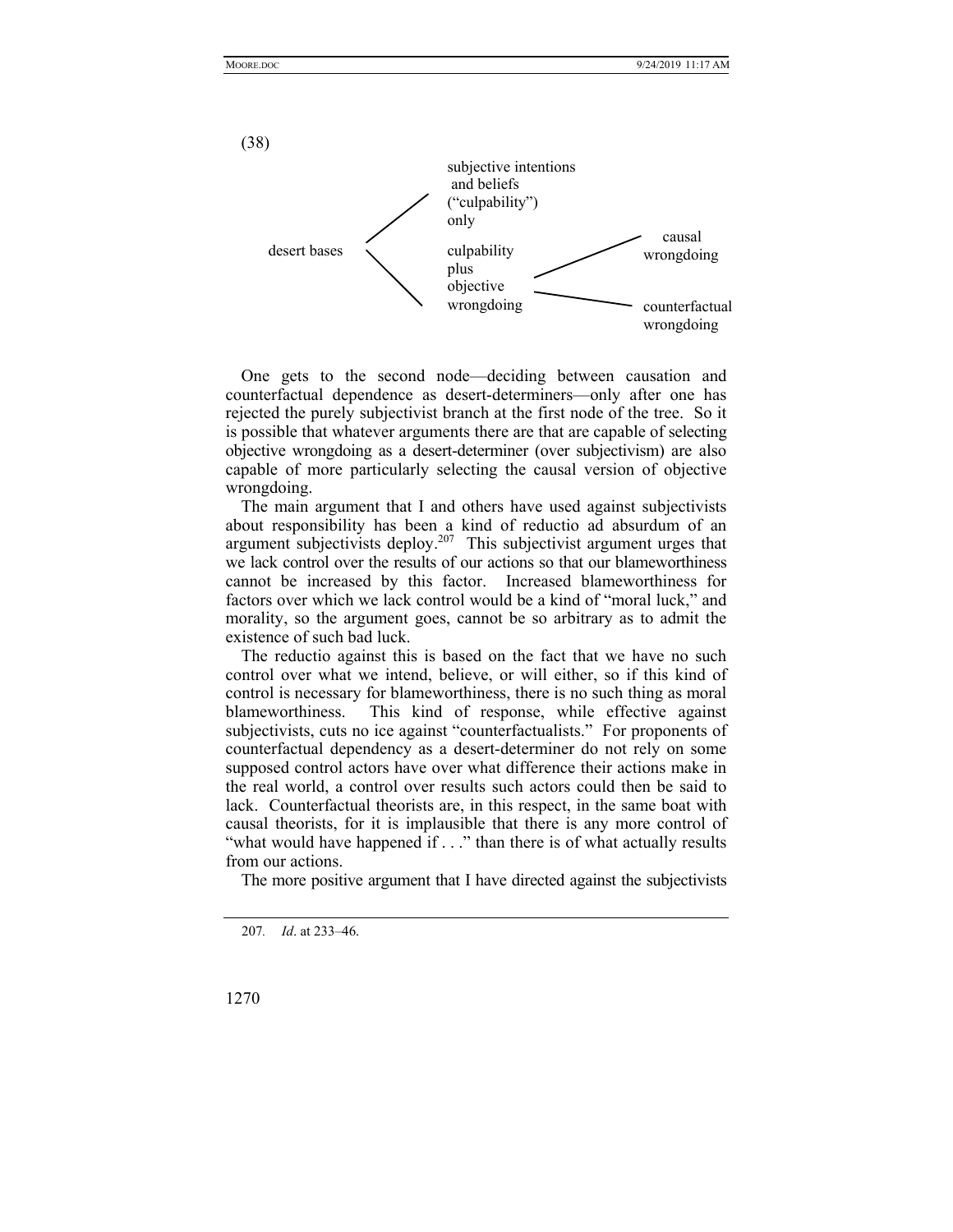

One gets to the second node—deciding between causation and counterfactual dependence as desert-determiners—only after one has rejected the purely subjectivist branch at the first node of the tree. So it is possible that whatever arguments there are that are capable of selecting objective wrongdoing as a desert-determiner (over subjectivism) are also capable of more particularly selecting the causal version of objective wrongdoing.

The main argument that I and others have used against subjectivists about responsibility has been a kind of reductio ad absurdum of an argument subjectivists deploy.<sup>207</sup> This subjectivist argument urges that we lack control over the results of our actions so that our blameworthiness cannot be increased by this factor. Increased blameworthiness for factors over which we lack control would be a kind of "moral luck," and morality, so the argument goes, cannot be so arbitrary as to admit the existence of such bad luck.

The reductio against this is based on the fact that we have no such control over what we intend, believe, or will either, so if this kind of control is necessary for blameworthiness, there is no such thing as moral blameworthiness. This kind of response, while effective against subjectivists, cuts no ice against "counterfactualists." For proponents of counterfactual dependency as a desert-determiner do not rely on some supposed control actors have over what difference their actions make in the real world, a control over results such actors could then be said to lack. Counterfactual theorists are, in this respect, in the same boat with causal theorists, for it is implausible that there is any more control of "what would have happened if . . ." than there is of what actually results from our actions.

The more positive argument that I have directed against the subjectivists

<sup>207</sup>*. Id*. at 233–46.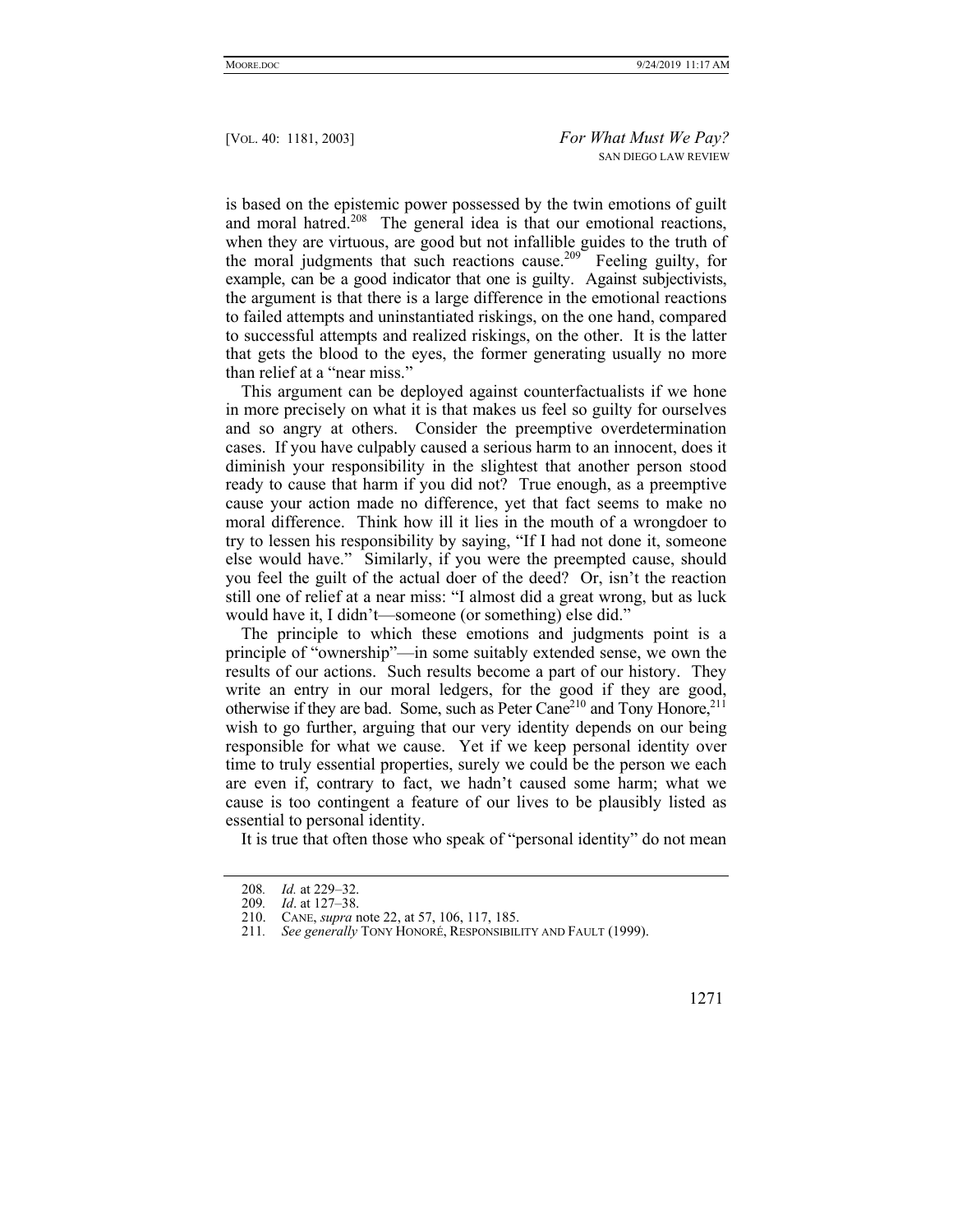is based on the epistemic power possessed by the twin emotions of guilt and moral hatred.<sup>208</sup> The general idea is that our emotional reactions, when they are virtuous, are good but not infallible guides to the truth of the moral judgments that such reactions cause.<sup>209</sup> Feeling guilty, for example, can be a good indicator that one is guilty. Against subjectivists, the argument is that there is a large difference in the emotional reactions to failed attempts and uninstantiated riskings, on the one hand, compared to successful attempts and realized riskings, on the other. It is the latter that gets the blood to the eyes, the former generating usually no more than relief at a "near miss."

This argument can be deployed against counterfactualists if we hone in more precisely on what it is that makes us feel so guilty for ourselves and so angry at others. Consider the preemptive overdetermination cases. If you have culpably caused a serious harm to an innocent, does it diminish your responsibility in the slightest that another person stood ready to cause that harm if you did not? True enough, as a preemptive cause your action made no difference, yet that fact seems to make no moral difference. Think how ill it lies in the mouth of a wrongdoer to try to lessen his responsibility by saying, "If I had not done it, someone else would have." Similarly, if you were the preempted cause, should you feel the guilt of the actual doer of the deed? Or, isn't the reaction still one of relief at a near miss: "I almost did a great wrong, but as luck would have it, I didn't—someone (or something) else did."

The principle to which these emotions and judgments point is a principle of "ownership"—in some suitably extended sense, we own the results of our actions. Such results become a part of our history. They write an entry in our moral ledgers, for the good if they are good, otherwise if they are bad. Some, such as Peter Cane<sup>210</sup> and Tony Honore,<sup>211</sup> wish to go further, arguing that our very identity depends on our being responsible for what we cause. Yet if we keep personal identity over time to truly essential properties, surely we could be the person we each are even if, contrary to fact, we hadn't caused some harm; what we cause is too contingent a feature of our lives to be plausibly listed as essential to personal identity.

It is true that often those who speak of "personal identity" do not mean

<sup>208</sup>*. Id.* at 229–32.

<sup>209</sup>*. Id*. at 127–38.

 <sup>210.</sup> CANE, *supra* note 22, at 57, 106, 117, 185.

<sup>211</sup>*. See generally* TONY HONORÉ, RESPONSIBILITY AND FAULT (1999).